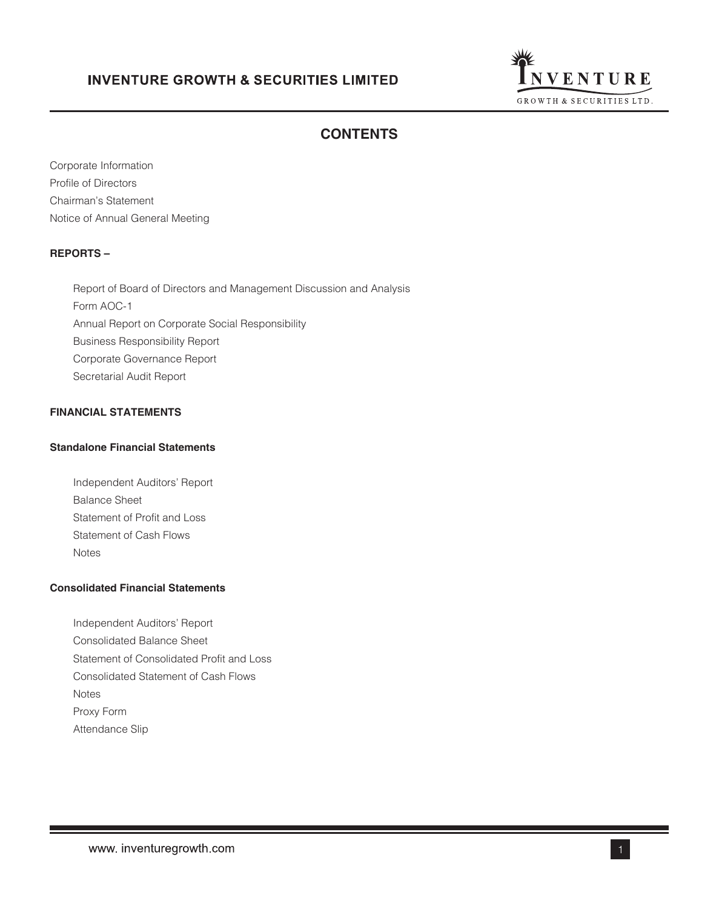

# **CONTENTS**

Corporate Information Profile of Directors Chairman's Statement Notice of Annual General Meeting

# **REPORTS –**

Report of Board of Directors and Management Discussion and Analysis Form AOC-1 Annual Report on Corporate Social Responsibility Business Responsibility Report Corporate Governance Report Secretarial Audit Report

# **FINANCIAL STATEMENTS**

# **Standalone Financial Statements**

Independent Auditors' Report Balance Sheet Statement of Profit and Loss Statement of Cash Flows Notes

# **Consolidated Financial Statements**

Independent Auditors' Report Consolidated Balance Sheet Statement of Consolidated Profit and Loss Consolidated Statement of Cash Flows Notes Proxy Form Attendance Slip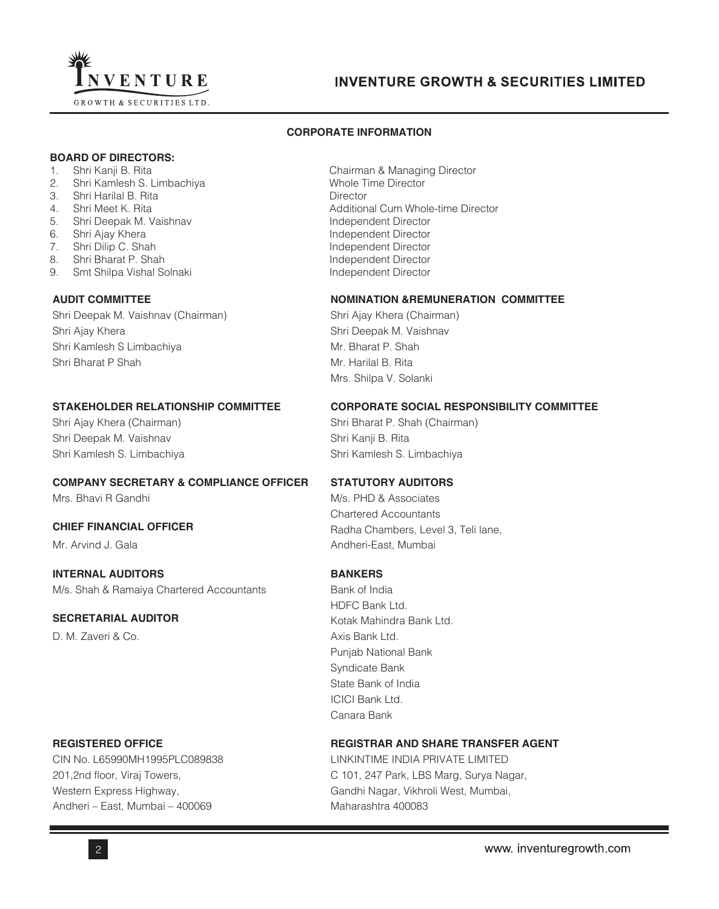

## **CORPORATE INFORMATION**

## **BOARD OF DIRECTORS:**

- 
- 2. Shri Kamlesh S. Limbachiya
- 3. Shri Harilal B. Rita **Director**
- 
- 5. Shri Deepak M. Vaishnav **Independent Director** Independent Director
- 
- 7. Shri Dilip C. Shah Independent Director
- 8. Shri Bharat P. Shah Independent Director
- 9. Smt Shilpa Vishal Solnaki **Independent Director** Independent Director

Shri Deepak M. Vaishnav (Chairman) Shri Ajay Khera (Chairman) Shri Ajay Khera Shri Deepak M. Vaishnav Shri Kamlesh S Limbachiya Musulman Mr. Bharat P. Shah Shri Bharat P Shah Mr. Harilal B. Rita

Shri Deepak M. Vaishnav Shri Kanji B. Rita Shri Kamlesh S. Limbachiya New Shri Kamlesh S. Limbachiya

# **COMPANY SECRETARY & COMPLIANCE OFFICER STATUTORY AUDITORS**

**INTERNAL AUDITORS BANKERS** M/s. Shah & Ramaiya Chartered Accountants Bank of India

# **SECRETARIAL AUDITOR** Kotak Mahindra Bank Ltd.

D. M. Zaveri & Co. **Axis Bank Ltd.** Axis Bank Ltd.

CIN No. L65990MH1995PLC089838 LINKINTIME INDIA PRIVATE LIMITED Andheri – East, Mumbai – 400069 Maharashtra 400083

1. Shri Kanji B. Rita Chairman & Managing Director<br>2. Chri Kamlesh S. Limbachiya Chairman Burector Chairman & Managing Director 4. Shri Meet K. Rita **Additional Cum Whole-time Director** 6. Shri Ajay Khera **Independent Director** Independent Director

# **AUDIT COMMITTEE NOMINATION &REMUNERATION COMMITTEE**

Mrs. Shilpa V. Solanki

# **STAKEHOLDER RELATIONSHIP COMMITTEE CORPORATE SOCIAL RESPONSIBILITY COMMITTEE**

Shri Ajay Khera (Chairman) Shri Bharat P. Shah (Chairman)

Mrs. Bhavi R Gandhi Mission and Mrs. PHD & Associates Chartered Accountants **CHIEF FINANCIAL OFFICER** Radha Chambers, Level 3, Teli lane, Mr. Arvind J. Gala Andheri-East, Mumbai

HDFC Bank Ltd. Punjab National Bank Syndicate Bank State Bank of India ICICI Bank Ltd. Canara Bank

# **REGISTERED OFFICE REGISTRAR AND SHARE TRANSFER AGENT**

201,2nd floor, Viraj Towers, C 101, 247 Park, LBS Marg, Surya Nagar, Western Express Highway, The Communisties of Gandhi Nagar, Vikhroli West, Mumbai,

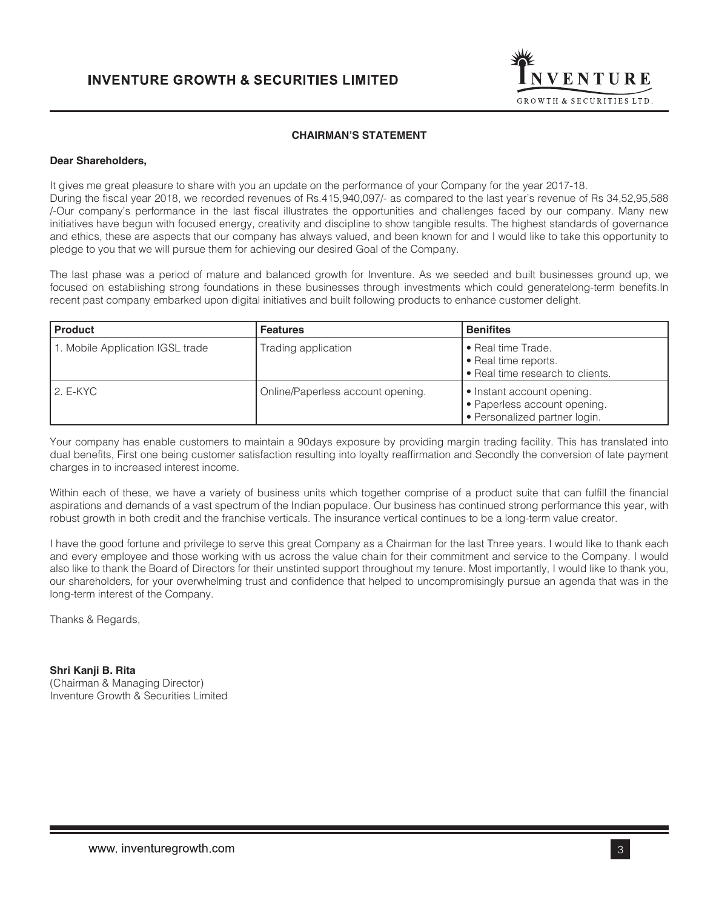

# **CHAIRMAN'S STATEMENT**

## **Dear Shareholders,**

It gives me great pleasure to share with you an update on the performance of your Company for the year 2017-18. During the fiscal year 2018, we recorded revenues of Rs.415,940,097/- as compared to the last year's revenue of Rs 34,52,95,588 /-Our company's performance in the last fiscal illustrates the opportunities and challenges faced by our company. Many new initiatives have begun with focused energy, creativity and discipline to show tangible results. The highest standards of governance and ethics, these are aspects that our company has always valued, and been known for and I would like to take this opportunity to pledge to you that we will pursue them for achieving our desired Goal of the Company.

The last phase was a period of mature and balanced growth for Inventure. As we seeded and built businesses ground up, we focused on establishing strong foundations in these businesses through investments which could generatelong-term benefits.In recent past company embarked upon digital initiatives and built following products to enhance customer delight.

| <b>Product</b>                   | <b>Features</b>                   | <b>Benifites</b>                                                                            |
|----------------------------------|-----------------------------------|---------------------------------------------------------------------------------------------|
| 1. Mobile Application IGSL trade | Trading application               | • Real time Trade.<br>• Real time reports.<br>• Real time research to clients.              |
| 2. E-KYC                         | Online/Paperless account opening. | • Instant account opening.<br>• Paperless account opening.<br>• Personalized partner login. |

Your company has enable customers to maintain a 90days exposure by providing margin trading facility. This has translated into dual benefits, First one being customer satisfaction resulting into loyalty reaffirmation and Secondly the conversion of late payment charges in to increased interest income.

Within each of these, we have a variety of business units which together comprise of a product suite that can fulfill the financial aspirations and demands of a vast spectrum of the Indian populace. Our business has continued strong performance this year, with robust growth in both credit and the franchise verticals. The insurance vertical continues to be a long-term value creator.

I have the good fortune and privilege to serve this great Company as a Chairman for the last Three years. I would like to thank each and every employee and those working with us across the value chain for their commitment and service to the Company. I would also like to thank the Board of Directors for their unstinted support throughout my tenure. Most importantly, I would like to thank you, our shareholders, for your overwhelming trust and confidence that helped to uncompromisingly pursue an agenda that was in the long-term interest of the Company.

Thanks & Regards,

**Shri Kanji B. Rita** (Chairman & Managing Director) Inventure Growth & Securities Limited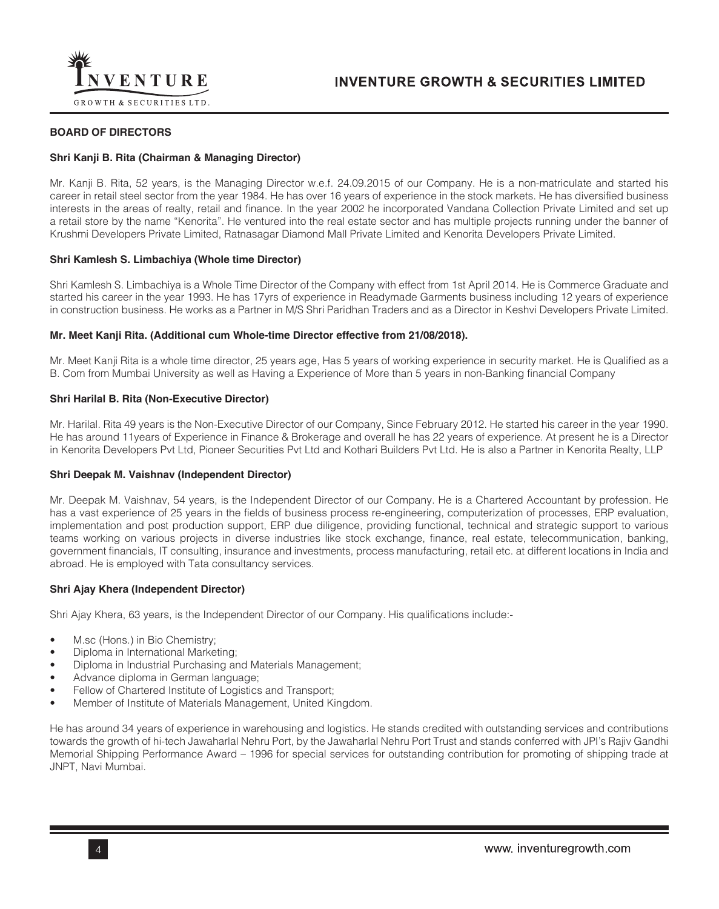

## **BOARD OF DIRECTORS**

## **Shri Kanji B. Rita (Chairman & Managing Director)**

Mr. Kanji B. Rita, 52 years, is the Managing Director w.e.f. 24.09.2015 of our Company. He is a non-matriculate and started his career in retail steel sector from the year 1984. He has over 16 years of experience in the stock markets. He has diversified business interests in the areas of realty, retail and finance. In the year 2002 he incorporated Vandana Collection Private Limited and set up a retail store by the name "Kenorita". He ventured into the real estate sector and has multiple projects running under the banner of Krushmi Developers Private Limited, Ratnasagar Diamond Mall Private Limited and Kenorita Developers Private Limited.

## **Shri Kamlesh S. Limbachiya (Whole time Director)**

Shri Kamlesh S. Limbachiya is a Whole Time Director of the Company with effect from 1st April 2014. He is Commerce Graduate and started his career in the year 1993. He has 17yrs of experience in Readymade Garments business including 12 years of experience in construction business. He works as a Partner in M/S Shri Paridhan Traders and as a Director in Keshvi Developers Private Limited.

## **Mr. Meet Kanji Rita. (Additional cum Whole-time Director effective from 21/08/2018).**

Mr. Meet Kanji Rita is a whole time director, 25 years age, Has 5 years of working experience in security market. He is Qualified as a B. Com from Mumbai University as well as Having a Experience of More than 5 years in non-Banking financial Company

## **Shri Harilal B. Rita (Non-Executive Director)**

Mr. Harilal. Rita 49 years is the Non-Executive Director of our Company, Since February 2012. He started his career in the year 1990. He has around 11years of Experience in Finance & Brokerage and overall he has 22 years of experience. At present he is a Director in Kenorita Developers Pvt Ltd, Pioneer Securities Pvt Ltd and Kothari Builders Pvt Ltd. He is also a Partner in Kenorita Realty, LLP

### **Shri Deepak M. Vaishnav (Independent Director)**

Mr. Deepak M. Vaishnav, 54 years, is the Independent Director of our Company. He is a Chartered Accountant by profession. He has a vast experience of 25 years in the fields of business process re-engineering, computerization of processes, ERP evaluation, implementation and post production support, ERP due diligence, providing functional, technical and strategic support to various teams working on various projects in diverse industries like stock exchange, finance, real estate, telecommunication, banking, government financials, IT consulting, insurance and investments, process manufacturing, retail etc. at different locations in India and abroad. He is employed with Tata consultancy services.

### **Shri Ajay Khera (Independent Director)**

Shri Ajay Khera, 63 years, is the Independent Director of our Company. His qualifications include:-

- M.sc (Hons.) in Bio Chemistry;
- Diploma in International Marketing;
- Diploma in Industrial Purchasing and Materials Management;
- Advance diploma in German language;
- Fellow of Chartered Institute of Logistics and Transport;
- Member of Institute of Materials Management, United Kingdom.

He has around 34 years of experience in warehousing and logistics. He stands credited with outstanding services and contributions towards the growth of hi-tech Jawaharlal Nehru Port, by the Jawaharlal Nehru Port Trust and stands conferred with JPI's Rajiv Gandhi Memorial Shipping Performance Award – 1996 for special services for outstanding contribution for promoting of shipping trade at JNPT, Navi Mumbai.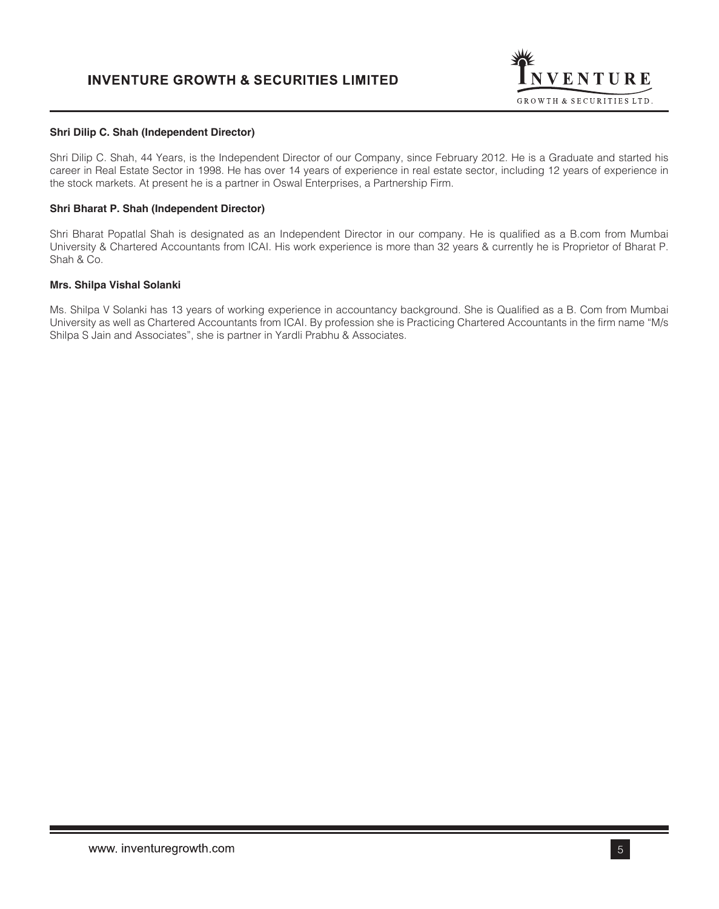

### **Shri Dilip C. Shah (Independent Director)**

Shri Dilip C. Shah, 44 Years, is the Independent Director of our Company, since February 2012. He is a Graduate and started his career in Real Estate Sector in 1998. He has over 14 years of experience in real estate sector, including 12 years of experience in the stock markets. At present he is a partner in Oswal Enterprises, a Partnership Firm.

## **Shri Bharat P. Shah (Independent Director)**

Shri Bharat Popatlal Shah is designated as an Independent Director in our company. He is qualified as a B.com from Mumbai University & Chartered Accountants from ICAI. His work experience is more than 32 years & currently he is Proprietor of Bharat P. Shah & Co.

### **Mrs. Shilpa Vishal Solanki**

Ms. Shilpa V Solanki has 13 years of working experience in accountancy background. She is Qualified as a B. Com from Mumbai University as well as Chartered Accountants from ICAI. By profession she is Practicing Chartered Accountants in the firm name "M/s Shilpa S Jain and Associates", she is partner in Yardli Prabhu & Associates.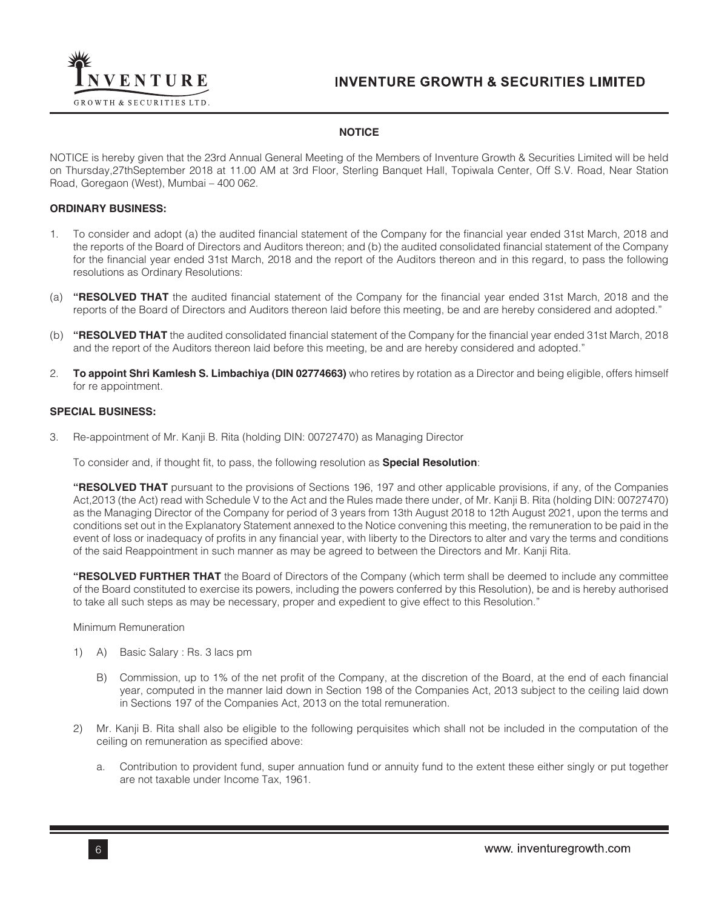

# **NOTICE**

NOTICE is hereby given that the 23rd Annual General Meeting of the Members of Inventure Growth & Securities Limited will be held on Thursday,27thSeptember 2018 at 11.00 AM at 3rd Floor, Sterling Banquet Hall, Topiwala Center, Off S.V. Road, Near Station Road, Goregaon (West), Mumbai – 400 062.

## **ORDINARY BUSINESS:**

- 1. To consider and adopt (a) the audited financial statement of the Company for the financial year ended 31st March, 2018 and the reports of the Board of Directors and Auditors thereon; and (b) the audited consolidated financial statement of the Company for the financial year ended 31st March, 2018 and the report of the Auditors thereon and in this regard, to pass the following resolutions as Ordinary Resolutions:
- (a) **"RESOLVED THAT** the audited financial statement of the Company for the financial year ended 31st March, 2018 and the reports of the Board of Directors and Auditors thereon laid before this meeting, be and are hereby considered and adopted."
- (b) **"RESOLVED THAT** the audited consolidated financial statement of the Company for the financial year ended 31st March, 2018 and the report of the Auditors thereon laid before this meeting, be and are hereby considered and adopted."
- 2. **To appoint Shri Kamlesh S. Limbachiya (DIN 02774663)** who retires by rotation as a Director and being eligible, offers himself for re appointment.

## **SPECIAL BUSINESS:**

3. Re-appointment of Mr. Kanji B. Rita (holding DIN: 00727470) as Managing Director

To consider and, if thought fit, to pass, the following resolution as **Special Resolution**:

**"RESOLVED THAT** pursuant to the provisions of Sections 196, 197 and other applicable provisions, if any, of the Companies Act,2013 (the Act) read with Schedule V to the Act and the Rules made there under, of Mr. Kanji B. Rita (holding DIN: 00727470) as the Managing Director of the Company for period of 3 years from 13th August 2018 to 12th August 2021, upon the terms and conditions set out in the Explanatory Statement annexed to the Notice convening this meeting, the remuneration to be paid in the event of loss or inadequacy of profits in any financial year, with liberty to the Directors to alter and vary the terms and conditions of the said Reappointment in such manner as may be agreed to between the Directors and Mr. Kanji Rita.

**"RESOLVED FURTHER THAT** the Board of Directors of the Company (which term shall be deemed to include any committee of the Board constituted to exercise its powers, including the powers conferred by this Resolution), be and is hereby authorised to take all such steps as may be necessary, proper and expedient to give effect to this Resolution."

Minimum Remuneration

- 1) A) Basic Salary : Rs. 3 lacs pm
	- B) Commission, up to 1% of the net profit of the Company, at the discretion of the Board, at the end of each financial year, computed in the manner laid down in Section 198 of the Companies Act, 2013 subject to the ceiling laid down in Sections 197 of the Companies Act, 2013 on the total remuneration.
- 2) Mr. Kanji B. Rita shall also be eligible to the following perquisites which shall not be included in the computation of the ceiling on remuneration as specified above:
	- a. Contribution to provident fund, super annuation fund or annuity fund to the extent these either singly or put together are not taxable under Income Tax, 1961.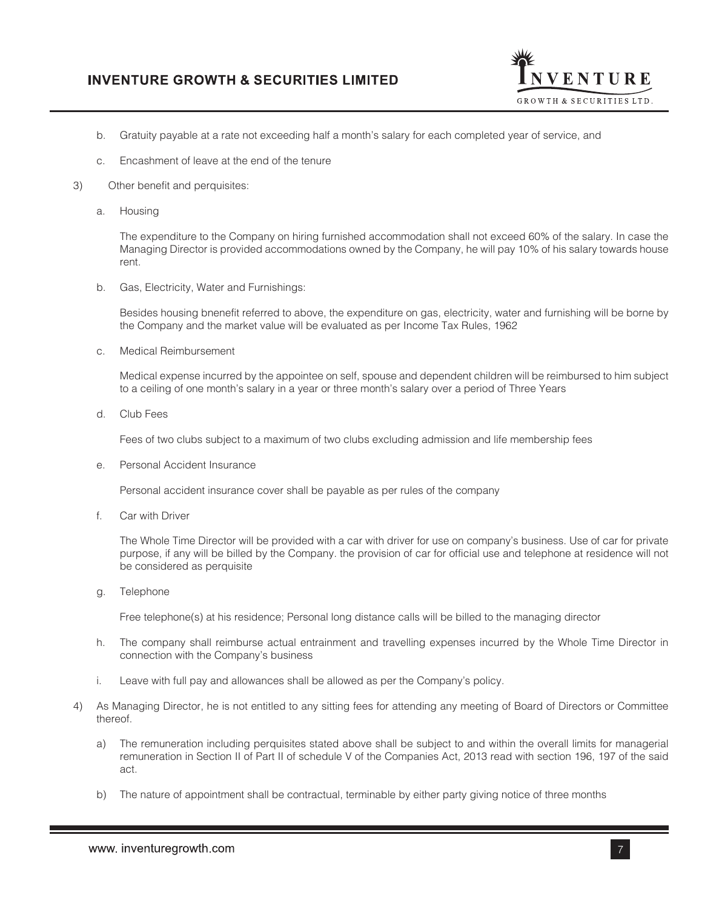

- b. Gratuity payable at a rate not exceeding half a month's salary for each completed year of service, and
- c. Encashment of leave at the end of the tenure
- 3) Other benefit and perquisites:
	- a. Housing

The expenditure to the Company on hiring furnished accommodation shall not exceed 60% of the salary. In case the Managing Director is provided accommodations owned by the Company, he will pay 10% of his salary towards house rent.

b. Gas, Electricity, Water and Furnishings:

Besides housing bnenefit referred to above, the expenditure on gas, electricity, water and furnishing will be borne by the Company and the market value will be evaluated as per Income Tax Rules, 1962

c. Medical Reimbursement

Medical expense incurred by the appointee on self, spouse and dependent children will be reimbursed to him subject to a ceiling of one month's salary in a year or three month's salary over a period of Three Years

d. Club Fees

Fees of two clubs subject to a maximum of two clubs excluding admission and life membership fees

e. Personal Accident Insurance

Personal accident insurance cover shall be payable as per rules of the company

f. Car with Driver

The Whole Time Director will be provided with a car with driver for use on company's business. Use of car for private purpose, if any will be billed by the Company. the provision of car for official use and telephone at residence will not be considered as perquisite

g. Telephone

Free telephone(s) at his residence; Personal long distance calls will be billed to the managing director

- h. The company shall reimburse actual entrainment and travelling expenses incurred by the Whole Time Director in connection with the Company's business
- i. Leave with full pay and allowances shall be allowed as per the Company's policy.
- 4) As Managing Director, he is not entitled to any sitting fees for attending any meeting of Board of Directors or Committee thereof.
	- a) The remuneration including perquisites stated above shall be subject to and within the overall limits for managerial remuneration in Section II of Part II of schedule V of the Companies Act, 2013 read with section 196, 197 of the said act.
	- b) The nature of appointment shall be contractual, terminable by either party giving notice of three months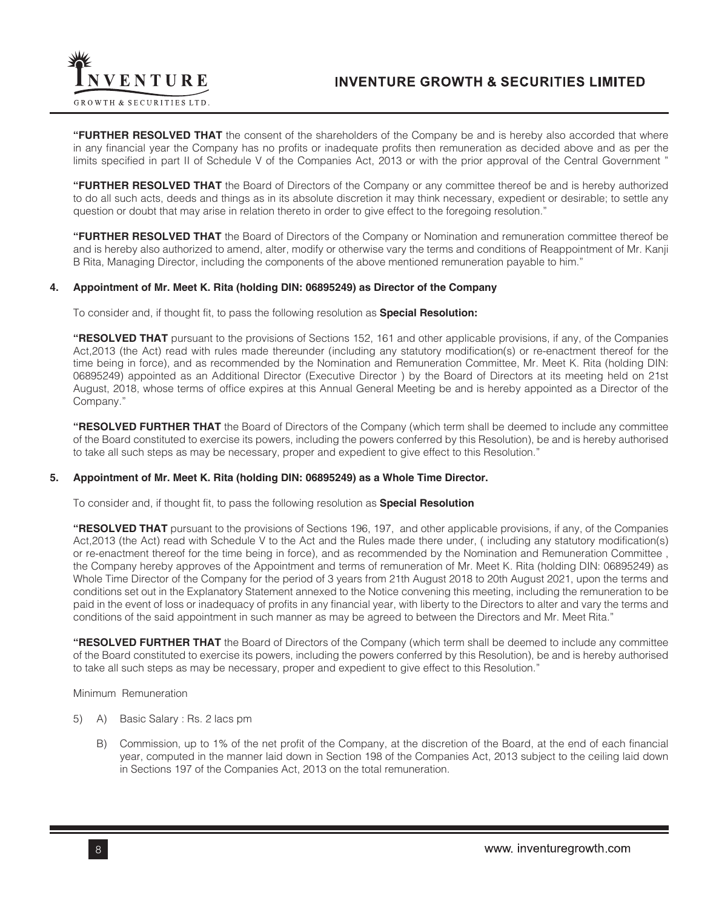

**"FURTHER RESOLVED THAT** the consent of the shareholders of the Company be and is hereby also accorded that where in any financial year the Company has no profits or inadequate profits then remuneration as decided above and as per the limits specified in part II of Schedule V of the Companies Act, 2013 or with the prior approval of the Central Government "

**"FURTHER RESOLVED THAT** the Board of Directors of the Company or any committee thereof be and is hereby authorized to do all such acts, deeds and things as in its absolute discretion it may think necessary, expedient or desirable; to settle any question or doubt that may arise in relation thereto in order to give effect to the foregoing resolution."

**"FURTHER RESOLVED THAT** the Board of Directors of the Company or Nomination and remuneration committee thereof be and is hereby also authorized to amend, alter, modify or otherwise vary the terms and conditions of Reappointment of Mr. Kanji B Rita, Managing Director, including the components of the above mentioned remuneration payable to him."

## **4. Appointment of Mr. Meet K. Rita (holding DIN: 06895249) as Director of the Company**

To consider and, if thought fit, to pass the following resolution as **Special Resolution:**

**"RESOLVED THAT** pursuant to the provisions of Sections 152, 161 and other applicable provisions, if any, of the Companies Act,2013 (the Act) read with rules made thereunder (including any statutory modification(s) or re-enactment thereof for the time being in force), and as recommended by the Nomination and Remuneration Committee, Mr. Meet K. Rita (holding DIN: 06895249) appointed as an Additional Director (Executive Director ) by the Board of Directors at its meeting held on 21st August, 2018, whose terms of office expires at this Annual General Meeting be and is hereby appointed as a Director of the Company."

**"RESOLVED FURTHER THAT** the Board of Directors of the Company (which term shall be deemed to include any committee of the Board constituted to exercise its powers, including the powers conferred by this Resolution), be and is hereby authorised to take all such steps as may be necessary, proper and expedient to give effect to this Resolution."

## **5. Appointment of Mr. Meet K. Rita (holding DIN: 06895249) as a Whole Time Director.**

To consider and, if thought fit, to pass the following resolution as **Special Resolution**

**"RESOLVED THAT** pursuant to the provisions of Sections 196, 197, and other applicable provisions, if any, of the Companies Act,2013 (the Act) read with Schedule V to the Act and the Rules made there under, ( including any statutory modification(s) or re-enactment thereof for the time being in force), and as recommended by the Nomination and Remuneration Committee , the Company hereby approves of the Appointment and terms of remuneration of Mr. Meet K. Rita (holding DIN: 06895249) as Whole Time Director of the Company for the period of 3 years from 21th August 2018 to 20th August 2021, upon the terms and conditions set out in the Explanatory Statement annexed to the Notice convening this meeting, including the remuneration to be paid in the event of loss or inadequacy of profits in any financial year, with liberty to the Directors to alter and vary the terms and conditions of the said appointment in such manner as may be agreed to between the Directors and Mr. Meet Rita."

**"RESOLVED FURTHER THAT** the Board of Directors of the Company (which term shall be deemed to include any committee of the Board constituted to exercise its powers, including the powers conferred by this Resolution), be and is hereby authorised to take all such steps as may be necessary, proper and expedient to give effect to this Resolution."

Minimum Remuneration

- 5) A) Basic Salary : Rs. 2 lacs pm
	- B) Commission, up to 1% of the net profit of the Company, at the discretion of the Board, at the end of each financial year, computed in the manner laid down in Section 198 of the Companies Act, 2013 subject to the ceiling laid down in Sections 197 of the Companies Act, 2013 on the total remuneration.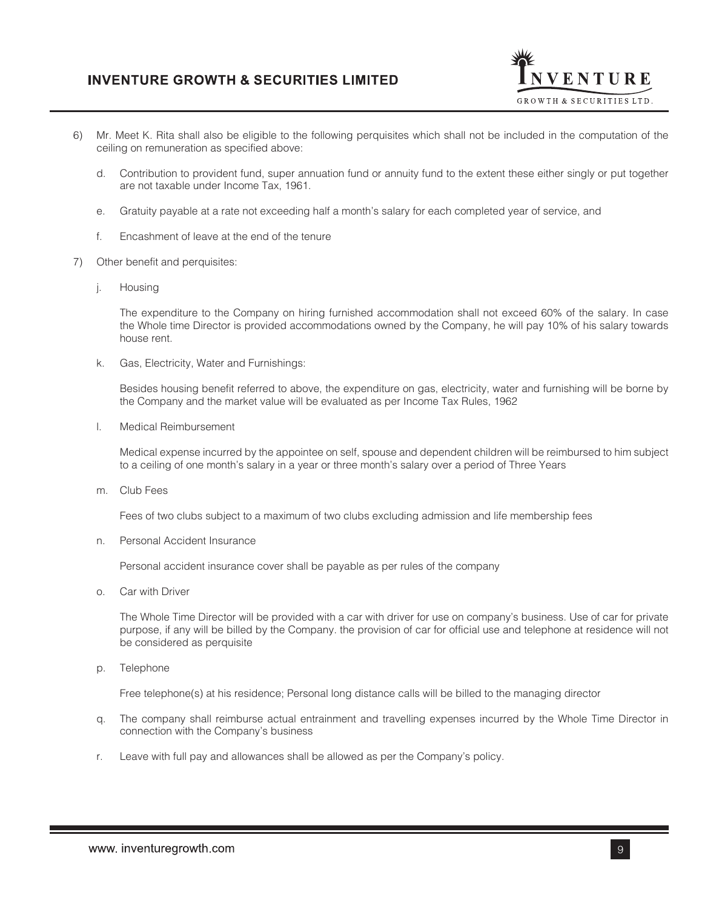

- 6) Mr. Meet K. Rita shall also be eligible to the following perquisites which shall not be included in the computation of the ceiling on remuneration as specified above:
	- d. Contribution to provident fund, super annuation fund or annuity fund to the extent these either singly or put together are not taxable under Income Tax, 1961.
	- e. Gratuity payable at a rate not exceeding half a month's salary for each completed year of service, and
	- f. Encashment of leave at the end of the tenure
- 7) Other benefit and perquisites:
	- j. Housing

The expenditure to the Company on hiring furnished accommodation shall not exceed 60% of the salary. In case the Whole time Director is provided accommodations owned by the Company, he will pay 10% of his salary towards house rent.

k. Gas, Electricity, Water and Furnishings:

Besides housing benefit referred to above, the expenditure on gas, electricity, water and furnishing will be borne by the Company and the market value will be evaluated as per Income Tax Rules, 1962

l. Medical Reimbursement

Medical expense incurred by the appointee on self, spouse and dependent children will be reimbursed to him subject to a ceiling of one month's salary in a year or three month's salary over a period of Three Years

m. Club Fees

Fees of two clubs subject to a maximum of two clubs excluding admission and life membership fees

n. Personal Accident Insurance

Personal accident insurance cover shall be payable as per rules of the company

o. Car with Driver

The Whole Time Director will be provided with a car with driver for use on company's business. Use of car for private purpose, if any will be billed by the Company. the provision of car for official use and telephone at residence will not be considered as perquisite

p. Telephone

Free telephone(s) at his residence; Personal long distance calls will be billed to the managing director

- q. The company shall reimburse actual entrainment and travelling expenses incurred by the Whole Time Director in connection with the Company's business
- r. Leave with full pay and allowances shall be allowed as per the Company's policy.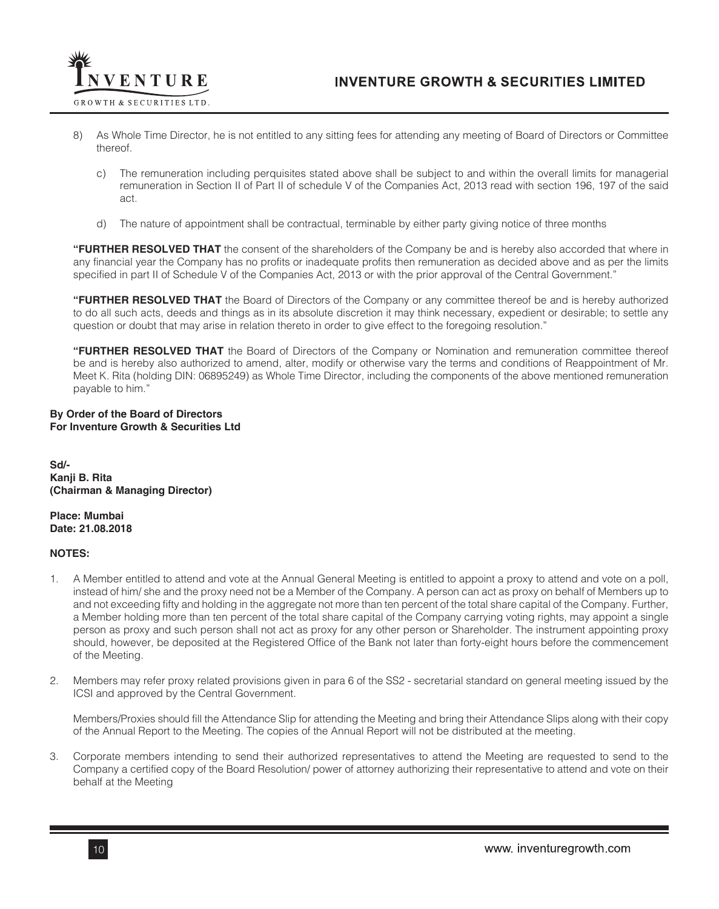

- 8) As Whole Time Director, he is not entitled to any sitting fees for attending any meeting of Board of Directors or Committee thereof.
	- c) The remuneration including perquisites stated above shall be subject to and within the overall limits for managerial remuneration in Section II of Part II of schedule V of the Companies Act, 2013 read with section 196, 197 of the said act.
	- d) The nature of appointment shall be contractual, terminable by either party giving notice of three months

**"FURTHER RESOLVED THAT** the consent of the shareholders of the Company be and is hereby also accorded that where in any financial year the Company has no profits or inadequate profits then remuneration as decided above and as per the limits specified in part II of Schedule V of the Companies Act, 2013 or with the prior approval of the Central Government."

**"FURTHER RESOLVED THAT** the Board of Directors of the Company or any committee thereof be and is hereby authorized to do all such acts, deeds and things as in its absolute discretion it may think necessary, expedient or desirable; to settle any question or doubt that may arise in relation thereto in order to give effect to the foregoing resolution."

**"FURTHER RESOLVED THAT** the Board of Directors of the Company or Nomination and remuneration committee thereof be and is hereby also authorized to amend, alter, modify or otherwise vary the terms and conditions of Reappointment of Mr. Meet K. Rita (holding DIN: 06895249) as Whole Time Director, including the components of the above mentioned remuneration payable to him."

# **By Order of the Board of Directors For Inventure Growth & Securities Ltd**

**Sd/- Kanji B. Rita (Chairman & Managing Director)**

**Place: Mumbai Date: 21.08.2018**

# **NOTES:**

- 1. A Member entitled to attend and vote at the Annual General Meeting is entitled to appoint a proxy to attend and vote on a poll, instead of him/ she and the proxy need not be a Member of the Company. A person can act as proxy on behalf of Members up to and not exceeding fifty and holding in the aggregate not more than ten percent of the total share capital of the Company. Further, a Member holding more than ten percent of the total share capital of the Company carrying voting rights, may appoint a single person as proxy and such person shall not act as proxy for any other person or Shareholder. The instrument appointing proxy should, however, be deposited at the Registered Office of the Bank not later than forty-eight hours before the commencement of the Meeting.
- 2. Members may refer proxy related provisions given in para 6 of the SS2 secretarial standard on general meeting issued by the ICSI and approved by the Central Government.

Members/Proxies should fill the Attendance Slip for attending the Meeting and bring their Attendance Slips along with their copy of the Annual Report to the Meeting. The copies of the Annual Report will not be distributed at the meeting.

3. Corporate members intending to send their authorized representatives to attend the Meeting are requested to send to the Company a certified copy of the Board Resolution/ power of attorney authorizing their representative to attend and vote on their behalf at the Meeting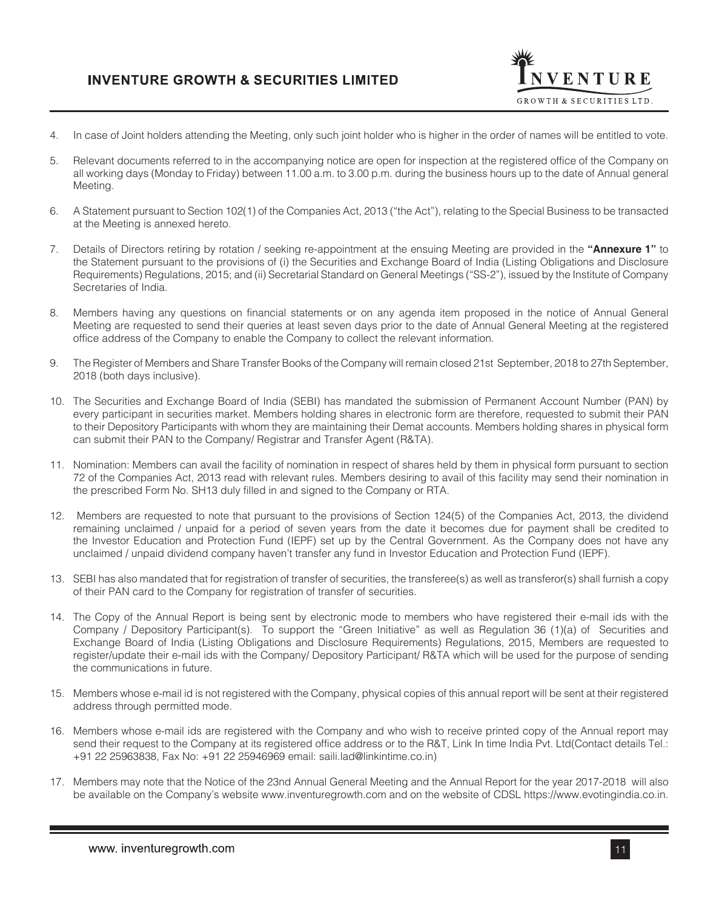

- 4. In case of Joint holders attending the Meeting, only such joint holder who is higher in the order of names will be entitled to vote.
- 5. Relevant documents referred to in the accompanying notice are open for inspection at the registered office of the Company on all working days (Monday to Friday) between 11.00 a.m. to 3.00 p.m. during the business hours up to the date of Annual general Meeting.
- 6. A Statement pursuant to Section 102(1) of the Companies Act, 2013 ("the Act"), relating to the Special Business to be transacted at the Meeting is annexed hereto.
- 7. Details of Directors retiring by rotation / seeking re-appointment at the ensuing Meeting are provided in the **"Annexure 1"** to the Statement pursuant to the provisions of (i) the Securities and Exchange Board of India (Listing Obligations and Disclosure Requirements) Regulations, 2015; and (ii) Secretarial Standard on General Meetings ("SS-2"), issued by the Institute of Company Secretaries of India.
- 8. Members having any questions on financial statements or on any agenda item proposed in the notice of Annual General Meeting are requested to send their queries at least seven days prior to the date of Annual General Meeting at the registered office address of the Company to enable the Company to collect the relevant information.
- 9. The Register of Members and Share Transfer Books of the Company will remain closed 21st September, 2018 to 27th September, 2018 (both days inclusive).
- 10. The Securities and Exchange Board of India (SEBI) has mandated the submission of Permanent Account Number (PAN) by every participant in securities market. Members holding shares in electronic form are therefore, requested to submit their PAN to their Depository Participants with whom they are maintaining their Demat accounts. Members holding shares in physical form can submit their PAN to the Company/ Registrar and Transfer Agent (R&TA).
- 11. Nomination: Members can avail the facility of nomination in respect of shares held by them in physical form pursuant to section 72 of the Companies Act, 2013 read with relevant rules. Members desiring to avail of this facility may send their nomination in the prescribed Form No. SH13 duly filled in and signed to the Company or RTA.
- 12. Members are requested to note that pursuant to the provisions of Section 124(5) of the Companies Act, 2013, the dividend remaining unclaimed / unpaid for a period of seven years from the date it becomes due for payment shall be credited to the Investor Education and Protection Fund (IEPF) set up by the Central Government. As the Company does not have any unclaimed / unpaid dividend company haven't transfer any fund in Investor Education and Protection Fund (IEPF).
- 13. SEBI has also mandated that for registration of transfer of securities, the transferee(s) as well as transferor(s) shall furnish a copy of their PAN card to the Company for registration of transfer of securities.
- 14. The Copy of the Annual Report is being sent by electronic mode to members who have registered their e-mail ids with the Company / Depository Participant(s). To support the "Green Initiative" as well as Regulation 36 (1)(a) of Securities and Exchange Board of India (Listing Obligations and Disclosure Requirements) Regulations, 2015, Members are requested to register/update their e-mail ids with the Company/ Depository Participant/ R&TA which will be used for the purpose of sending the communications in future.
- 15. Members whose e-mail id is not registered with the Company, physical copies of this annual report will be sent at their registered address through permitted mode.
- 16. Members whose e-mail ids are registered with the Company and who wish to receive printed copy of the Annual report may send their request to the Company at its registered office address or to the R&T, Link In time India Pvt. Ltd(Contact details Tel.: +91 22 25963838, Fax No: +91 22 25946969 email: saili.lad@linkintime.co.in)
- 17. Members may note that the Notice of the 23nd Annual General Meeting and the Annual Report for the year 2017-2018 will also be available on the Company's website www.inventuregrowth.com and on the website of CDSL https://www.evotingindia.co.in.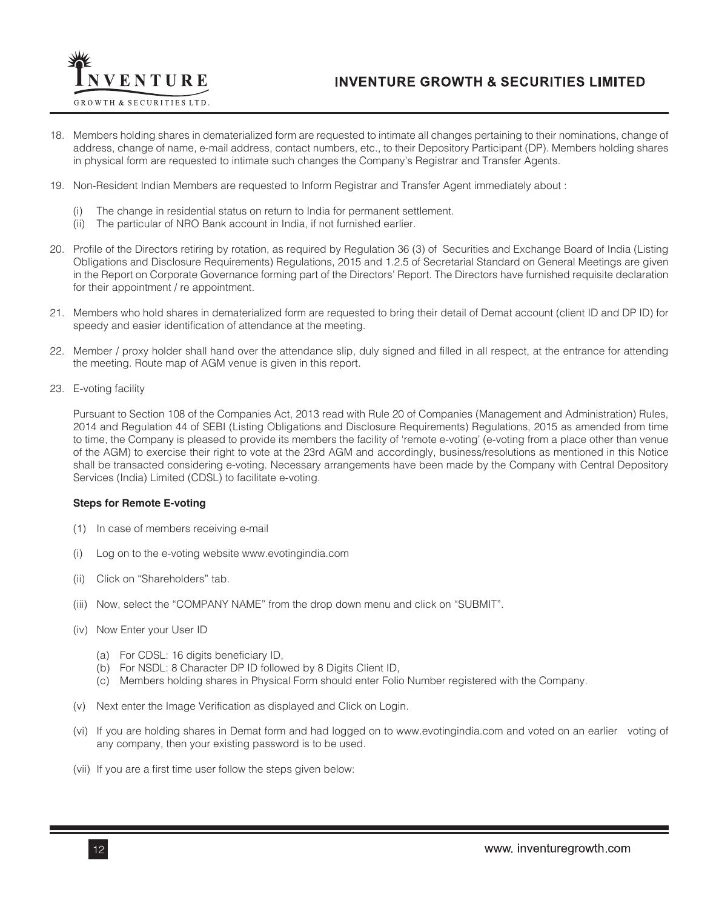

- 18. Members holding shares in dematerialized form are requested to intimate all changes pertaining to their nominations, change of address, change of name, e-mail address, contact numbers, etc., to their Depository Participant (DP). Members holding shares in physical form are requested to intimate such changes the Company's Registrar and Transfer Agents.
- 19. Non-Resident Indian Members are requested to Inform Registrar and Transfer Agent immediately about :
	- The change in residential status on return to India for permanent settlement.
	- (ii) The particular of NRO Bank account in India, if not furnished earlier.
- 20. Profile of the Directors retiring by rotation, as required by Regulation 36 (3) of Securities and Exchange Board of India (Listing Obligations and Disclosure Requirements) Regulations, 2015 and 1.2.5 of Secretarial Standard on General Meetings are given in the Report on Corporate Governance forming part of the Directors' Report. The Directors have furnished requisite declaration for their appointment / re appointment.
- 21. Members who hold shares in dematerialized form are requested to bring their detail of Demat account (client ID and DP ID) for speedy and easier identification of attendance at the meeting.
- 22. Member / proxy holder shall hand over the attendance slip, duly signed and filled in all respect, at the entrance for attending the meeting. Route map of AGM venue is given in this report.
- 23. E-voting facility

Pursuant to Section 108 of the Companies Act, 2013 read with Rule 20 of Companies (Management and Administration) Rules, 2014 and Regulation 44 of SEBI (Listing Obligations and Disclosure Requirements) Regulations, 2015 as amended from time to time, the Company is pleased to provide its members the facility of 'remote e-voting' (e-voting from a place other than venue of the AGM) to exercise their right to vote at the 23rd AGM and accordingly, business/resolutions as mentioned in this Notice shall be transacted considering e-voting. Necessary arrangements have been made by the Company with Central Depository Services (India) Limited (CDSL) to facilitate e-voting.

### **Steps for Remote E-voting**

- (1) In case of members receiving e-mail
- (i) Log on to the e-voting website www.evotingindia.com
- (ii) Click on "Shareholders" tab.
- (iii) Now, select the "COMPANY NAME" from the drop down menu and click on "SUBMIT".
- (iv) Now Enter your User ID
	- (a) For CDSL: 16 digits beneficiary ID,
	- (b) For NSDL: 8 Character DP ID followed by 8 Digits Client ID,
	- (c) Members holding shares in Physical Form should enter Folio Number registered with the Company.
- (v) Next enter the Image Verification as displayed and Click on Login.
- (vi) If you are holding shares in Demat form and had logged on to www.evotingindia.com and voted on an earlier voting of any company, then your existing password is to be used.
- (vii) If you are a first time user follow the steps given below: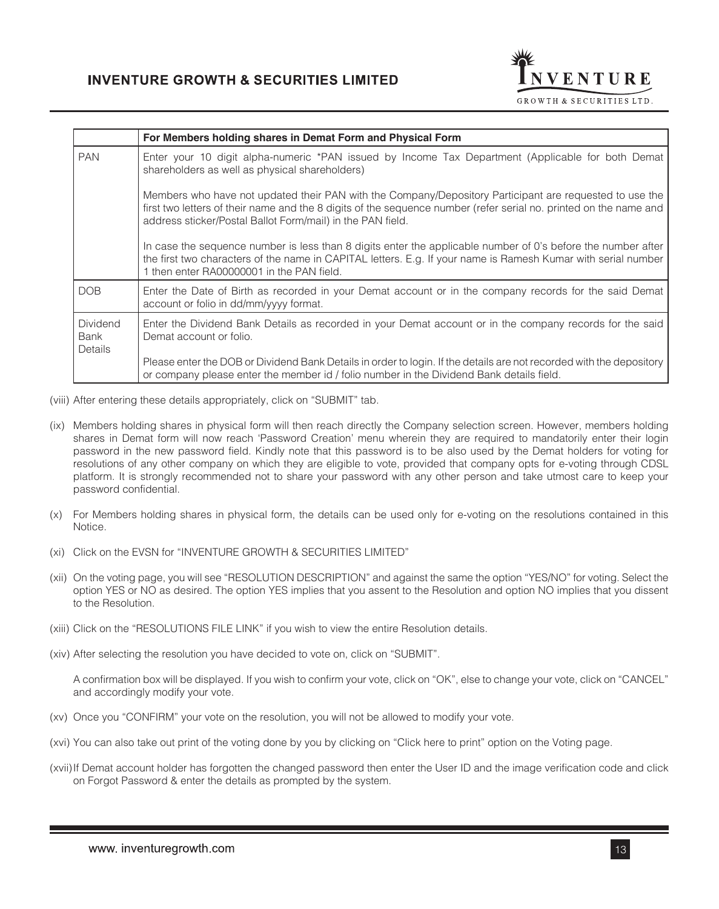

|                                    | For Members holding shares in Demat Form and Physical Form                                                                                                                                                                                                                                 |
|------------------------------------|--------------------------------------------------------------------------------------------------------------------------------------------------------------------------------------------------------------------------------------------------------------------------------------------|
| <b>PAN</b>                         | Enter your 10 digit alpha-numeric *PAN issued by Income Tax Department (Applicable for both Demat<br>shareholders as well as physical shareholders)                                                                                                                                        |
|                                    | Members who have not updated their PAN with the Company/Depository Participant are requested to use the<br>first two letters of their name and the 8 digits of the sequence number (refer serial no. printed on the name and<br>address sticker/Postal Ballot Form/mail) in the PAN field. |
|                                    | In case the sequence number is less than 8 digits enter the applicable number of 0's before the number after<br>the first two characters of the name in CAPITAL letters. E.g. If your name is Ramesh Kumar with serial number<br>1 then enter RA00000001 in the PAN field.                 |
| <b>DOB</b>                         | Enter the Date of Birth as recorded in your Demat account or in the company records for the said Demat<br>account or folio in dd/mm/yyyy format.                                                                                                                                           |
| <b>Dividend</b><br>Bank<br>Details | Enter the Dividend Bank Details as recorded in your Demat account or in the company records for the said<br>Demat account or folio.                                                                                                                                                        |
|                                    | Please enter the DOB or Dividend Bank Details in order to login. If the details are not recorded with the depository<br>or company please enter the member id / folio number in the Dividend Bank details field.                                                                           |

- (viii) After entering these details appropriately, click on "SUBMIT" tab.
- (ix) Members holding shares in physical form will then reach directly the Company selection screen. However, members holding shares in Demat form will now reach 'Password Creation' menu wherein they are required to mandatorily enter their login password in the new password field. Kindly note that this password is to be also used by the Demat holders for voting for resolutions of any other company on which they are eligible to vote, provided that company opts for e-voting through CDSL platform. It is strongly recommended not to share your password with any other person and take utmost care to keep your password confidential.
- (x) For Members holding shares in physical form, the details can be used only for e-voting on the resolutions contained in this Notice.
- (xi) Click on the EVSN for "INVENTURE GROWTH & SECURITIES LIMITED"
- (xii) On the voting page, you will see "RESOLUTION DESCRIPTION" and against the same the option "YES/NO" for voting. Select the option YES or NO as desired. The option YES implies that you assent to the Resolution and option NO implies that you dissent to the Resolution.
- (xiii) Click on the "RESOLUTIONS FILE LINK" if you wish to view the entire Resolution details.
- (xiv) After selecting the resolution you have decided to vote on, click on "SUBMIT".

A confirmation box will be displayed. If you wish to confirm your vote, click on "OK", else to change your vote, click on "CANCEL" and accordingly modify your vote.

- (xv) Once you "CONFIRM" your vote on the resolution, you will not be allowed to modify your vote.
- (xvi) You can also take out print of the voting done by you by clicking on "Click here to print" option on the Voting page.
- (xvii)If Demat account holder has forgotten the changed password then enter the User ID and the image verification code and click on Forgot Password & enter the details as prompted by the system.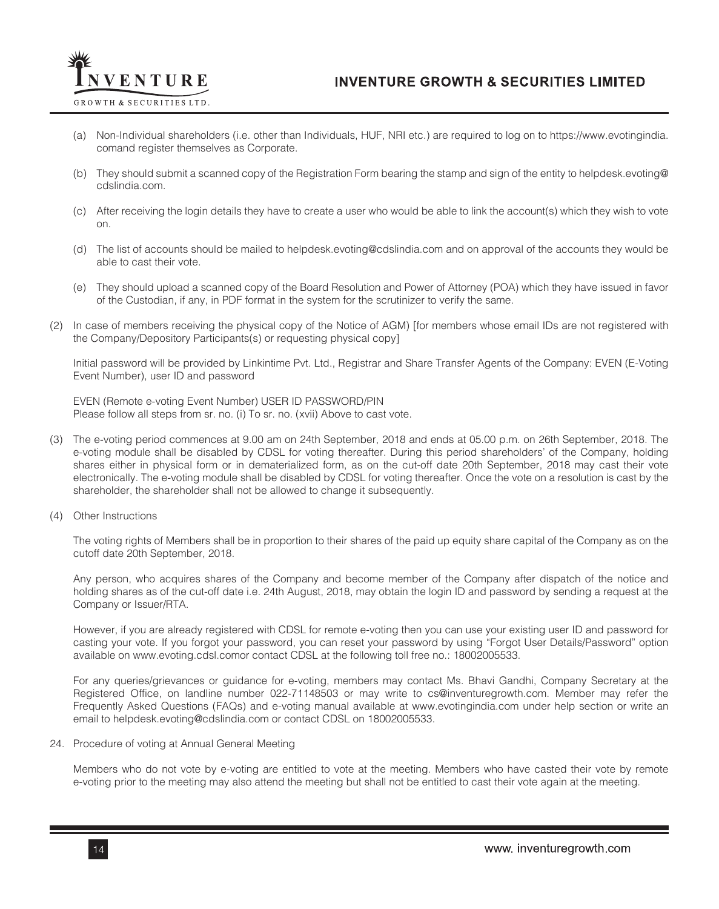

- (a) Non-Individual shareholders (i.e. other than Individuals, HUF, NRI etc.) are required to log on to https://www.evotingindia. comand register themselves as Corporate.
- (b) They should submit a scanned copy of the Registration Form bearing the stamp and sign of the entity to helpdesk.evoting@ cdslindia.com.
- (c) After receiving the login details they have to create a user who would be able to link the account(s) which they wish to vote on.
- (d) The list of accounts should be mailed to helpdesk.evoting@cdslindia.com and on approval of the accounts they would be able to cast their vote.
- (e) They should upload a scanned copy of the Board Resolution and Power of Attorney (POA) which they have issued in favor of the Custodian, if any, in PDF format in the system for the scrutinizer to verify the same.
- (2) In case of members receiving the physical copy of the Notice of AGM) [for members whose email IDs are not registered with the Company/Depository Participants(s) or requesting physical copy]

Initial password will be provided by Linkintime Pvt. Ltd., Registrar and Share Transfer Agents of the Company: EVEN (E-Voting Event Number), user ID and password

EVEN (Remote e-voting Event Number) USER ID PASSWORD/PIN Please follow all steps from sr. no. (i) To sr. no. (xvii) Above to cast vote.

- (3) The e-voting period commences at 9.00 am on 24th September, 2018 and ends at 05.00 p.m. on 26th September, 2018. The e-voting module shall be disabled by CDSL for voting thereafter. During this period shareholders' of the Company, holding shares either in physical form or in dematerialized form, as on the cut-off date 20th September, 2018 may cast their vote electronically. The e-voting module shall be disabled by CDSL for voting thereafter. Once the vote on a resolution is cast by the shareholder, the shareholder shall not be allowed to change it subsequently.
- (4) Other Instructions

The voting rights of Members shall be in proportion to their shares of the paid up equity share capital of the Company as on the cutoff date 20th September, 2018.

Any person, who acquires shares of the Company and become member of the Company after dispatch of the notice and holding shares as of the cut-off date i.e. 24th August, 2018, may obtain the login ID and password by sending a request at the Company or Issuer/RTA.

However, if you are already registered with CDSL for remote e-voting then you can use your existing user ID and password for casting your vote. If you forgot your password, you can reset your password by using "Forgot User Details/Password" option available on www.evoting.cdsl.comor contact CDSL at the following toll free no.: 18002005533.

For any queries/grievances or guidance for e-voting, members may contact Ms. Bhavi Gandhi, Company Secretary at the Registered Office, on landline number 022-71148503 or may write to cs@inventuregrowth.com. Member may refer the Frequently Asked Questions (FAQs) and e-voting manual available at www.evotingindia.com under help section or write an email to helpdesk.evoting@cdslindia.com or contact CDSL on 18002005533.

24. Procedure of voting at Annual General Meeting

Members who do not vote by e-voting are entitled to vote at the meeting. Members who have casted their vote by remote e-voting prior to the meeting may also attend the meeting but shall not be entitled to cast their vote again at the meeting.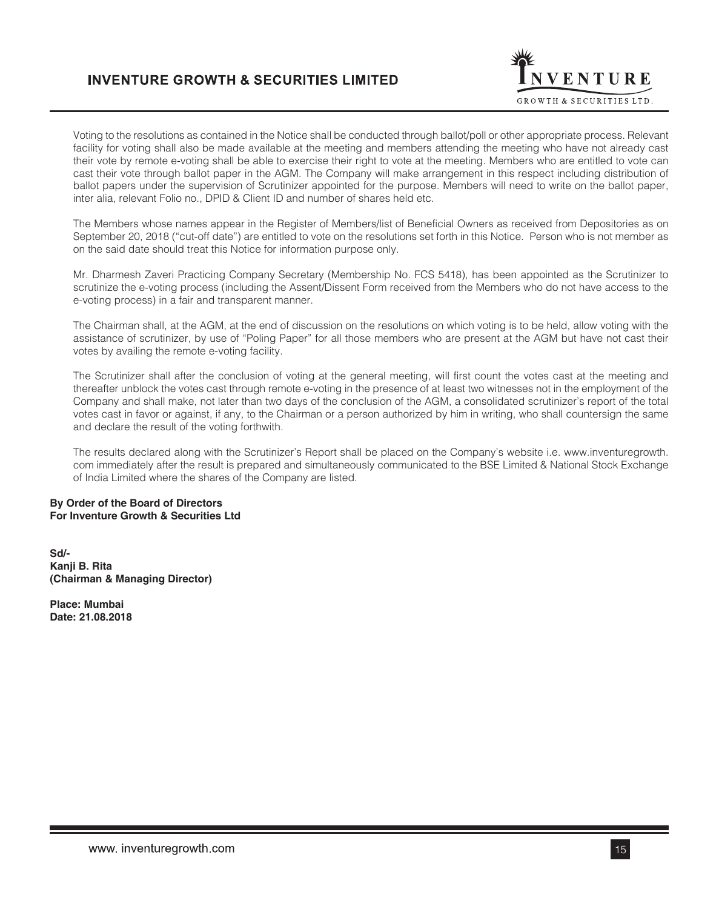

Voting to the resolutions as contained in the Notice shall be conducted through ballot/poll or other appropriate process. Relevant facility for voting shall also be made available at the meeting and members attending the meeting who have not already cast their vote by remote e-voting shall be able to exercise their right to vote at the meeting. Members who are entitled to vote can cast their vote through ballot paper in the AGM. The Company will make arrangement in this respect including distribution of ballot papers under the supervision of Scrutinizer appointed for the purpose. Members will need to write on the ballot paper, inter alia, relevant Folio no., DPID & Client ID and number of shares held etc.

The Members whose names appear in the Register of Members/list of Beneficial Owners as received from Depositories as on September 20, 2018 ("cut-off date") are entitled to vote on the resolutions set forth in this Notice. Person who is not member as on the said date should treat this Notice for information purpose only.

Mr. Dharmesh Zaveri Practicing Company Secretary (Membership No. FCS 5418), has been appointed as the Scrutinizer to scrutinize the e-voting process (including the Assent/Dissent Form received from the Members who do not have access to the e-voting process) in a fair and transparent manner.

The Chairman shall, at the AGM, at the end of discussion on the resolutions on which voting is to be held, allow voting with the assistance of scrutinizer, by use of "Poling Paper" for all those members who are present at the AGM but have not cast their votes by availing the remote e-voting facility.

The Scrutinizer shall after the conclusion of voting at the general meeting, will first count the votes cast at the meeting and thereafter unblock the votes cast through remote e-voting in the presence of at least two witnesses not in the employment of the Company and shall make, not later than two days of the conclusion of the AGM, a consolidated scrutinizer's report of the total votes cast in favor or against, if any, to the Chairman or a person authorized by him in writing, who shall countersign the same and declare the result of the voting forthwith.

The results declared along with the Scrutinizer's Report shall be placed on the Company's website i.e. www.inventuregrowth. com immediately after the result is prepared and simultaneously communicated to the BSE Limited & National Stock Exchange of India Limited where the shares of the Company are listed.

## **By Order of the Board of Directors For Inventure Growth & Securities Ltd**

**Sd/- Kanji B. Rita (Chairman & Managing Director)**

**Place: Mumbai Date: 21.08.2018**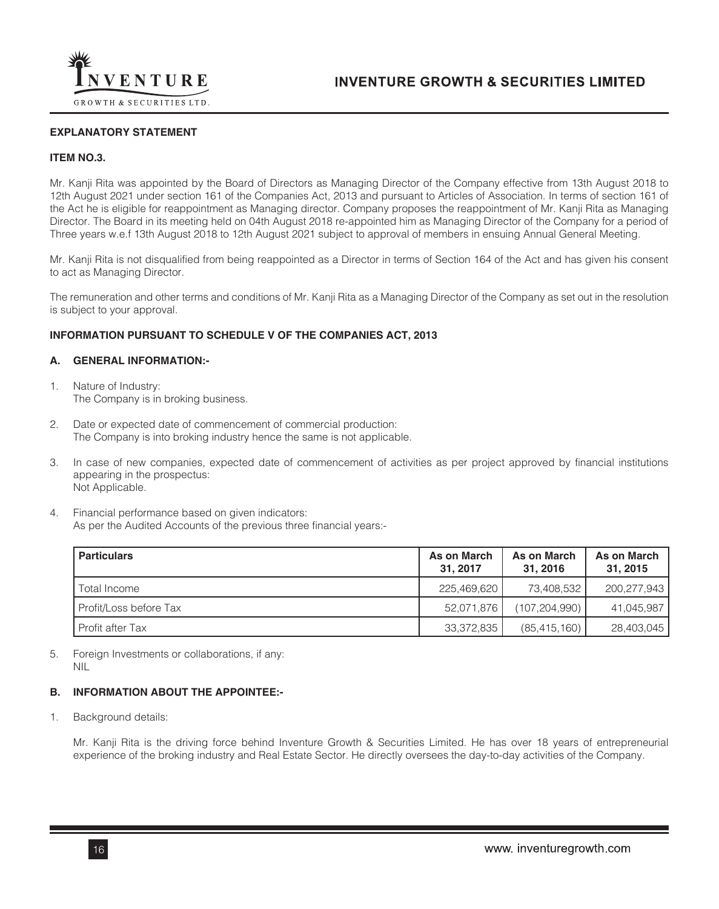

## **EXPLANATORY STATEMENT**

## **ITEM NO.3.**

Mr. Kanji Rita was appointed by the Board of Directors as Managing Director of the Company effective from 13th August 2018 to 12th August 2021 under section 161 of the Companies Act, 2013 and pursuant to Articles of Association. In terms of section 161 of the Act he is eligible for reappointment as Managing director. Company proposes the reappointment of Mr. Kanji Rita as Managing Director. The Board in its meeting held on 04th August 2018 re-appointed him as Managing Director of the Company for a period of Three years w.e.f 13th August 2018 to 12th August 2021 subject to approval of members in ensuing Annual General Meeting.

Mr. Kanji Rita is not disqualified from being reappointed as a Director in terms of Section 164 of the Act and has given his consent to act as Managing Director.

The remuneration and other terms and conditions of Mr. Kanji Rita as a Managing Director of the Company as set out in the resolution is subject to your approval.

## **INFORMATION PURSUANT TO SCHEDULE V OF THE COMPANIES ACT, 2013**

## **A. GENERAL INFORMATION:-**

- 1. Nature of Industry: The Company is in broking business.
- 2. Date or expected date of commencement of commercial production: The Company is into broking industry hence the same is not applicable.
- 3. In case of new companies, expected date of commencement of activities as per project approved by financial institutions appearing in the prospectus: Not Applicable.
- 4. Financial performance based on given indicators: As per the Audited Accounts of the previous three financial years:-

| <b>Particulars</b>     | As on March<br>31.2017 | As on March<br>31.2016 | As on March<br>31, 2015 |
|------------------------|------------------------|------------------------|-------------------------|
| Total Income           | 225,469,620            | 73.408.532             | 200.277.943             |
| Profit/Loss before Tax | 52.071.876             | (107.204.990)          | 41,045,987              |
| Profit after Tax       | 33,372,835             | (85, 415, 160)         | 28,403,045              |

5. Foreign Investments or collaborations, if any: NIL

# **B. INFORMATION ABOUT THE APPOINTEE:-**

1. Background details:

Mr. Kanji Rita is the driving force behind Inventure Growth & Securities Limited. He has over 18 years of entrepreneurial experience of the broking industry and Real Estate Sector. He directly oversees the day-to-day activities of the Company.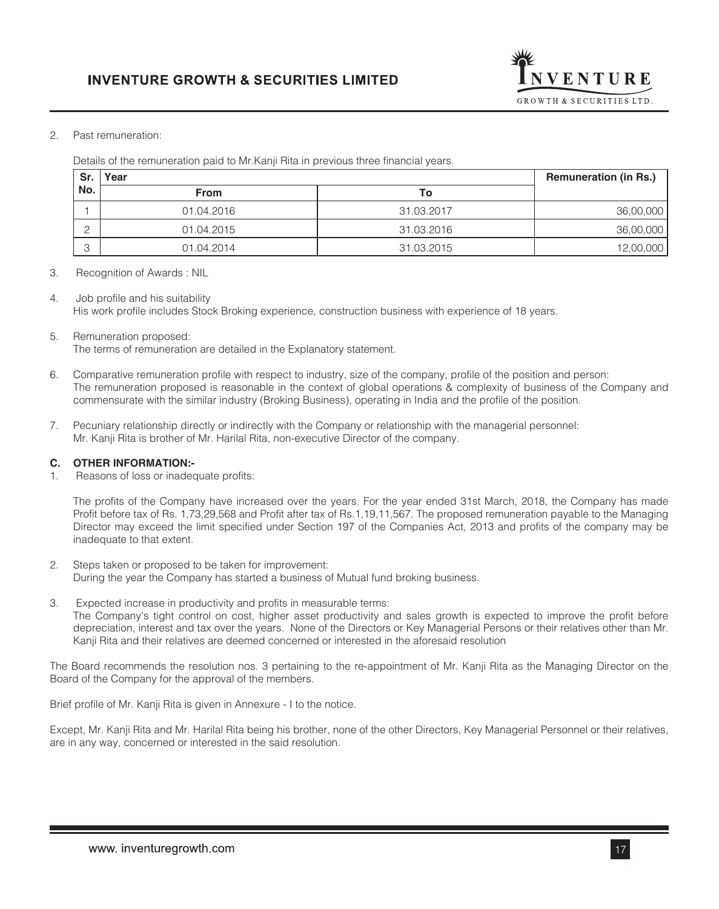

# 2. Past remuneration:

Details of the remuneration paid to Mr.Kanji Rita in previous three financial years.

| Sr.          | Year        |            | <b>Remuneration (in Rs.)</b> |
|--------------|-------------|------------|------------------------------|
| No.          | <b>From</b> | То         |                              |
|              | 01.04.2016  | 31.03.2017 | 36,00,000                    |
|              | 01.04.2015  | 31.03.2016 | 36,00,000                    |
| $\circ$<br>ٮ | 01.04.2014  | 31.03.2015 | 12,00,000                    |

3. Recognition of Awards : NIL

4. Job profile and his suitability His work profile includes Stock Broking experience, construction business with experience of 18 years.

- 5. Remuneration proposed: The terms of remuneration are detailed in the Explanatory statement.
- 6. Comparative remuneration profile with respect to industry, size of the company, profile of the position and person: The remuneration proposed is reasonable in the context of global operations & complexity of business of the Company and commensurate with the similar industry (Broking Business), operating in India and the profile of the position.
- 7. Pecuniary relationship directly or indirectly with the Company or relationship with the managerial personnel: Mr. Kanji Rita is brother of Mr. Harilal Rita, non-executive Director of the company.

# **C. OTHER INFORMATION:-**

1. Reasons of loss or inadequate profits:

The profits of the Company have increased over the years. For the year ended 31st March, 2018, the Company has made Profit before tax of Rs. 1,73,29,568 and Profit after tax of Rs.1,19,11,567. The proposed remuneration payable to the Managing Director may exceed the limit specified under Section 197 of the Companies Act, 2013 and profits of the company may be inadequate to that extent.

- 2. Steps taken or proposed to be taken for improvement: During the year the Company has started a business of Mutual fund broking business.
- 3. Expected increase in productivity and profits in measurable terms:
	- The Company's tight control on cost, higher asset productivity and sales growth is expected to improve the profit before depreciation, interest and tax over the years. None of the Directors or Key Managerial Persons or their relatives other than Mr. Kanji Rita and their relatives are deemed concerned or interested in the aforesaid resolution

The Board recommends the resolution nos. 3 pertaining to the re-appointment of Mr. Kanji Rita as the Managing Director on the Board of the Company for the approval of the members.

Brief profile of Mr. Kanji Rita is given in Annexure - I to the notice.

Except, Mr. Kanji Rita and Mr. Harilal Rita being his brother, none of the other Directors, Key Managerial Personnel or their relatives, are in any way, concerned or interested in the said resolution.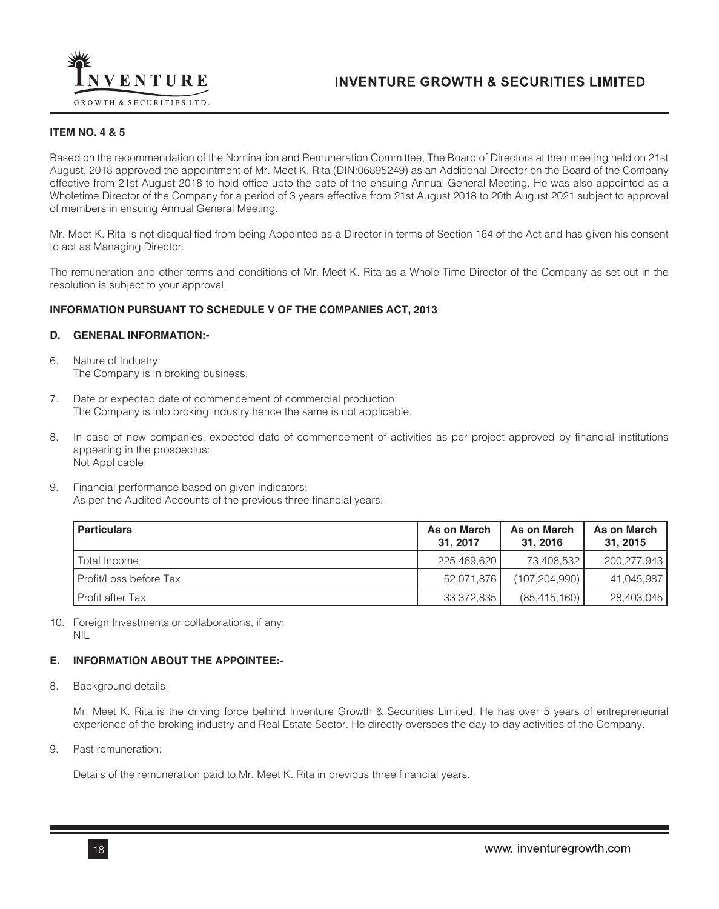

# **ITEM NO. 4 & 5**

Based on the recommendation of the Nomination and Remuneration Committee, The Board of Directors at their meeting held on 21st August, 2018 approved the appointment of Mr. Meet K. Rita (DIN:06895249) as an Additional Director on the Board of the Company effective from 21st August 2018 to hold office upto the date of the ensuing Annual General Meeting. He was also appointed as a Wholetime Director of the Company for a period of 3 years effective from 21st August 2018 to 20th August 2021 subject to approval of members in ensuing Annual General Meeting.

Mr. Meet K. Rita is not disqualified from being Appointed as a Director in terms of Section 164 of the Act and has given his consent to act as Managing Director.

The remuneration and other terms and conditions of Mr. Meet K. Rita as a Whole Time Director of the Company as set out in the resolution is subject to your approval.

## **INFORMATION PURSUANT TO SCHEDULE V OF THE COMPANIES ACT, 2013**

## **D. GENERAL INFORMATION:-**

- 6. Nature of Industry: The Company is in broking business.
- 7. Date or expected date of commencement of commercial production: The Company is into broking industry hence the same is not applicable.
- 8. In case of new companies, expected date of commencement of activities as per project approved by financial institutions appearing in the prospectus: Not Applicable.
- 9. Financial performance based on given indicators: As per the Audited Accounts of the previous three financial years:-

| Particulars            | As on March<br>31.2017 | As on March<br>31.2016 | As on March<br>31, 2015 |
|------------------------|------------------------|------------------------|-------------------------|
| Total Income           | 225,469,620            | 73.408.532 l           | 200.277.943             |
| Profit/Loss before Tax | 52.071.876             | (107.204.990)          | 41.045.987              |
| I Profit after Tax     | 33,372,835             | (85, 415, 160)         | 28,403,045              |

10. Foreign Investments or collaborations, if any: NIL

# **E. INFORMATION ABOUT THE APPOINTEE:-**

8. Background details:

Mr. Meet K. Rita is the driving force behind Inventure Growth & Securities Limited. He has over 5 years of entrepreneurial experience of the broking industry and Real Estate Sector. He directly oversees the day-to-day activities of the Company.

9. Past remuneration:

Details of the remuneration paid to Mr. Meet K. Rita in previous three financial years.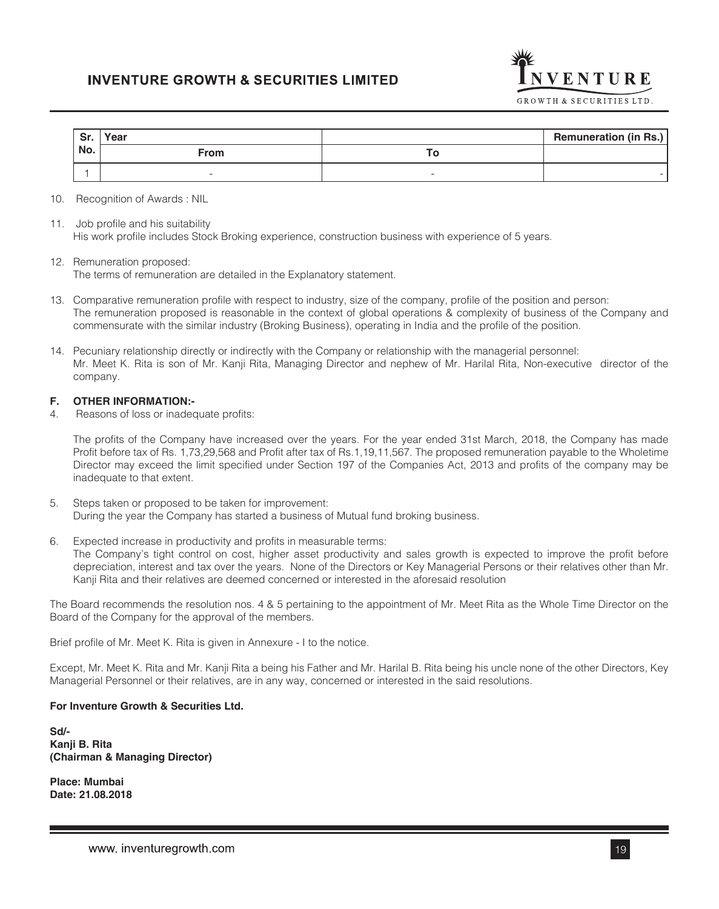| Sr. | Year        | <b>Remuneration (in Rs.)</b> |
|-----|-------------|------------------------------|
| No. | <b>From</b> |                              |
|     | -           | -                            |

- 10. Recognition of Awards : NIL
- 11. Job profile and his suitability His work profile includes Stock Broking experience, construction business with experience of 5 years.
- 12. Remuneration proposed: The terms of remuneration are detailed in the Explanatory statement.
- 13. Comparative remuneration profile with respect to industry, size of the company, profile of the position and person: The remuneration proposed is reasonable in the context of global operations & complexity of business of the Company and commensurate with the similar industry (Broking Business), operating in India and the profile of the position.
- 14. Pecuniary relationship directly or indirectly with the Company or relationship with the managerial personnel: Mr. Meet K. Rita is son of Mr. Kanji Rita, Managing Director and nephew of Mr. Harilal Rita, Non-executive director of the company.

## **F. OTHER INFORMATION:-**

4. Reasons of loss or inadequate profits:

The profits of the Company have increased over the years. For the year ended 31st March, 2018, the Company has made Profit before tax of Rs. 1,73,29,568 and Profit after tax of Rs.1,19,11,567. The proposed remuneration payable to the Wholetime Director may exceed the limit specified under Section 197 of the Companies Act, 2013 and profits of the company may be inadequate to that extent.

- 5. Steps taken or proposed to be taken for improvement: During the year the Company has started a business of Mutual fund broking business.
- 6. Expected increase in productivity and profits in measurable terms: The Company's tight control on cost, higher asset productivity and sales growth is expected to improve the profit before depreciation, interest and tax over the years. None of the Directors or Key Managerial Persons or their relatives other than Mr. Kanji Rita and their relatives are deemed concerned or interested in the aforesaid resolution

The Board recommends the resolution nos. 4 & 5 pertaining to the appointment of Mr. Meet Rita as the Whole Time Director on the Board of the Company for the approval of the members.

Brief profile of Mr. Meet K. Rita is given in Annexure - I to the notice.

Except, Mr. Meet K. Rita and Mr. Kanji Rita a being his Father and Mr. Harilal B. Rita being his uncle none of the other Directors, Key Managerial Personnel or their relatives, are in any way, concerned or interested in the said resolutions.

### **For Inventure Growth & Securities Ltd.**

**Sd/- Kanji B. Rita (Chairman & Managing Director)**

**Place: Mumbai Date: 21.08.2018** VENTURE

GROWTH & SECURITIES LTD.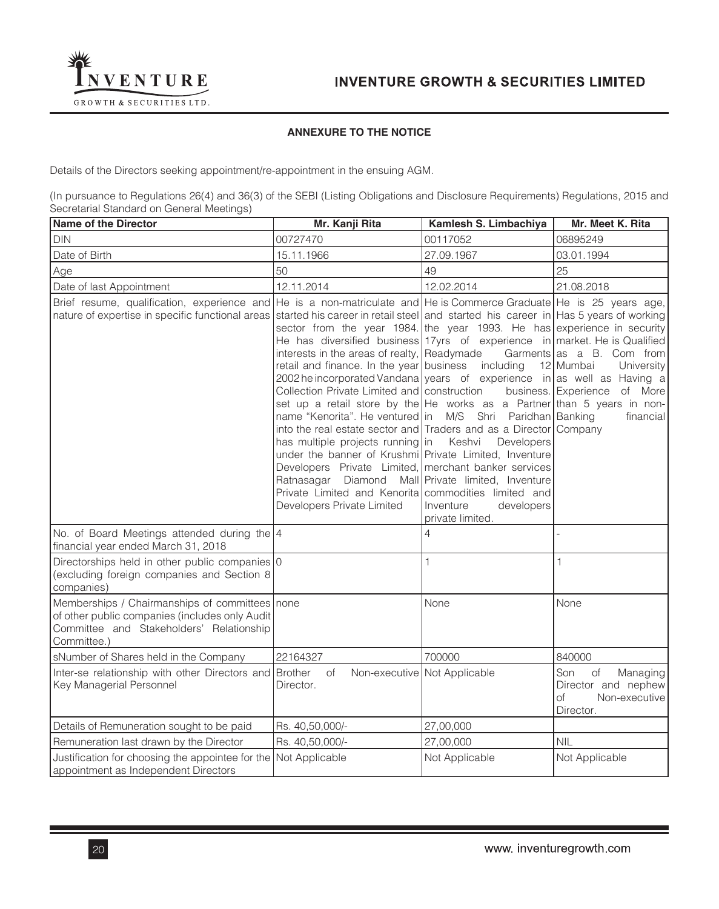

# **ANNEXURE TO THE NOTICE**

Details of the Directors seeking appointment/re-appointment in the ensuing AGM.

(In pursuance to Regulations 26(4) and 36(3) of the SEBI (Listing Obligations and Disclosure Requirements) Regulations, 2015 and Secretarial Standard on General Meetings)

| <b>Name of the Director</b>                                                                                                                                                                                                                                 | Mr. Kanji Rita                                                                                                                                                                                                                                                                                                                                                                                                                                                                                                                                                                                                                                                                                                                                                                                                                                             | Kamlesh S. Limbachiya                                                                                               | Mr. Meet K. Rita                                                                                  |
|-------------------------------------------------------------------------------------------------------------------------------------------------------------------------------------------------------------------------------------------------------------|------------------------------------------------------------------------------------------------------------------------------------------------------------------------------------------------------------------------------------------------------------------------------------------------------------------------------------------------------------------------------------------------------------------------------------------------------------------------------------------------------------------------------------------------------------------------------------------------------------------------------------------------------------------------------------------------------------------------------------------------------------------------------------------------------------------------------------------------------------|---------------------------------------------------------------------------------------------------------------------|---------------------------------------------------------------------------------------------------|
| <b>DIN</b>                                                                                                                                                                                                                                                  | 00727470                                                                                                                                                                                                                                                                                                                                                                                                                                                                                                                                                                                                                                                                                                                                                                                                                                                   | 00117052                                                                                                            | 06895249                                                                                          |
| Date of Birth                                                                                                                                                                                                                                               | 15.11.1966                                                                                                                                                                                                                                                                                                                                                                                                                                                                                                                                                                                                                                                                                                                                                                                                                                                 | 27.09.1967                                                                                                          | 03.01.1994                                                                                        |
| Age                                                                                                                                                                                                                                                         | 50                                                                                                                                                                                                                                                                                                                                                                                                                                                                                                                                                                                                                                                                                                                                                                                                                                                         | 49                                                                                                                  | 25                                                                                                |
| Date of last Appointment                                                                                                                                                                                                                                    | 12.11.2014                                                                                                                                                                                                                                                                                                                                                                                                                                                                                                                                                                                                                                                                                                                                                                                                                                                 | 12.02.2014                                                                                                          | 21.08.2018                                                                                        |
| Brief resume, qualification, experience and He is a non-matriculate and He is Commerce Graduate He is 25 years age,<br>nature of expertise in specific functional areas started his career in retail steel and started his career in Has 5 years of working | sector from the year 1984. the year 1993. He has experience in security<br>He has diversified business 17 yrs of experience in market. He is Qualified<br>interests in the areas of realty, Readymade<br>retail and finance. In the year business<br>2002 he incorporated Vandana years of experience in as well as Having a<br>Collection Private Limited and construction<br>set up a retail store by the He works as a Partner than 5 years in non-<br>name "Kenorita". He ventured in M/S Shri Paridhan Banking<br>into the real estate sector and Traders and as a Director Company<br>has multiple projects running in<br>under the banner of Krushmi Private Limited, Inventure<br>Developers Private Limited, merchant banker services<br>Ratnasagar Diamond<br>Private Limited and Kenorita commodities limited and<br>Developers Private Limited | including<br>Keshvi<br>Developers<br>Mall Private limited, Inventure<br>Inventure<br>developers<br>private limited. | Garments as a B. Com from<br>12 Mumbai<br>University<br>business. Experience of More<br>financial |
| No. of Board Meetings attended during the $ 4 $<br>financial year ended March 31, 2018                                                                                                                                                                      |                                                                                                                                                                                                                                                                                                                                                                                                                                                                                                                                                                                                                                                                                                                                                                                                                                                            | 4                                                                                                                   |                                                                                                   |
| Directorships held in other public companies 0<br>(excluding foreign companies and Section 8<br>companies)                                                                                                                                                  |                                                                                                                                                                                                                                                                                                                                                                                                                                                                                                                                                                                                                                                                                                                                                                                                                                                            | 1                                                                                                                   | 1                                                                                                 |
| Memberships / Chairmanships of committees none<br>of other public companies (includes only Audit<br>Committee and Stakeholders' Relationship<br>Committee.)                                                                                                 |                                                                                                                                                                                                                                                                                                                                                                                                                                                                                                                                                                                                                                                                                                                                                                                                                                                            | None                                                                                                                | None                                                                                              |
| sNumber of Shares held in the Company                                                                                                                                                                                                                       | 22164327                                                                                                                                                                                                                                                                                                                                                                                                                                                                                                                                                                                                                                                                                                                                                                                                                                                   | 700000                                                                                                              | 840000                                                                                            |
| Inter-se relationship with other Directors and Brother<br>Key Managerial Personnel                                                                                                                                                                          | of<br>Director.                                                                                                                                                                                                                                                                                                                                                                                                                                                                                                                                                                                                                                                                                                                                                                                                                                            | Non-executive Not Applicable                                                                                        | Son<br>of<br>Managing<br>Director and nephew<br>of<br>Non-executive<br>Director.                  |
| Details of Remuneration sought to be paid                                                                                                                                                                                                                   | Rs. 40,50,000/-                                                                                                                                                                                                                                                                                                                                                                                                                                                                                                                                                                                                                                                                                                                                                                                                                                            | 27,00,000                                                                                                           |                                                                                                   |
| Remuneration last drawn by the Director                                                                                                                                                                                                                     | Rs. 40,50,000/-                                                                                                                                                                                                                                                                                                                                                                                                                                                                                                                                                                                                                                                                                                                                                                                                                                            | 27,00,000                                                                                                           | <b>NIL</b>                                                                                        |
| Justification for choosing the appointee for the Not Applicable<br>appointment as Independent Directors                                                                                                                                                     |                                                                                                                                                                                                                                                                                                                                                                                                                                                                                                                                                                                                                                                                                                                                                                                                                                                            | Not Applicable                                                                                                      | Not Applicable                                                                                    |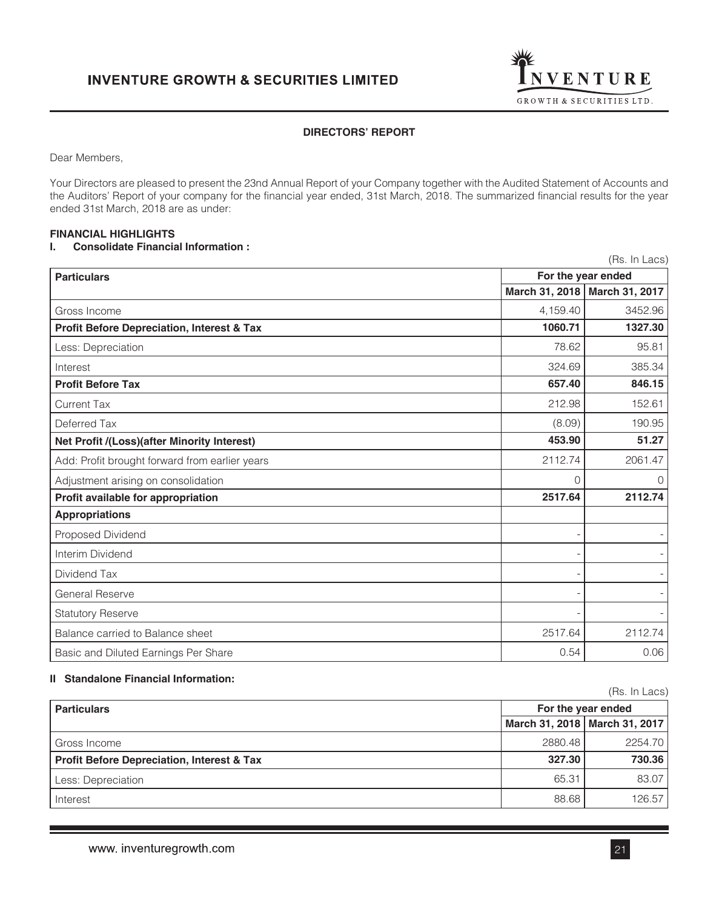

# **DIRECTORS' REPORT**

Dear Members,

Your Directors are pleased to present the 23nd Annual Report of your Company together with the Audited Statement of Accounts and the Auditors' Report of your company for the financial year ended, 31st March, 2018. The summarized financial results for the year ended 31st March, 2018 are as under:

# **FINANCIAL HIGHLIGHTS**

# **I. Consolidate Financial Information :**

| (Rs. In Lacs)                                         |                    |                                 |  |
|-------------------------------------------------------|--------------------|---------------------------------|--|
| <b>Particulars</b>                                    | For the year ended |                                 |  |
|                                                       |                    | March 31, 2018   March 31, 2017 |  |
| Gross Income                                          | 4,159.40           | 3452.96                         |  |
| <b>Profit Before Depreciation, Interest &amp; Tax</b> | 1060.71            | 1327.30                         |  |
| Less: Depreciation                                    | 78.62              | 95.81                           |  |
| Interest                                              | 324.69             | 385.34                          |  |
| <b>Profit Before Tax</b>                              | 657.40             | 846.15                          |  |
| <b>Current Tax</b>                                    | 212.98             | 152.61                          |  |
| Deferred Tax                                          | (8.09)             | 190.95                          |  |
| Net Profit /(Loss)(after Minority Interest)           | 453.90             | 51.27                           |  |
| Add: Profit brought forward from earlier years        | 2112.74            | 2061.47                         |  |
| Adjustment arising on consolidation                   | 0                  | 0                               |  |
| Profit available for appropriation                    | 2517.64            | 2112.74                         |  |
| <b>Appropriations</b>                                 |                    |                                 |  |
| Proposed Dividend                                     |                    |                                 |  |
| Interim Dividend                                      |                    |                                 |  |
| Dividend Tax                                          |                    |                                 |  |
| <b>General Reserve</b>                                |                    |                                 |  |
| <b>Statutory Reserve</b>                              |                    |                                 |  |
| Balance carried to Balance sheet                      | 2517.64            | 2112.74                         |  |
| Basic and Diluted Earnings Per Share                  | 0.54               | 0.06                            |  |

# **II Standalone Financial Information:**

|                                                       |                    | (Rs. In Lacs)                   |
|-------------------------------------------------------|--------------------|---------------------------------|
| <b>Particulars</b>                                    | For the year ended |                                 |
|                                                       |                    | March 31, 2018   March 31, 2017 |
| Gross Income                                          | 2880.48            | 2254.70                         |
| <b>Profit Before Depreciation, Interest &amp; Tax</b> | 327.30             | 730.36                          |
| Less: Depreciation                                    | 65.31              | 83.07                           |
| Interest                                              | 88.68              | 126.57                          |

 $(D_0, \ln l)$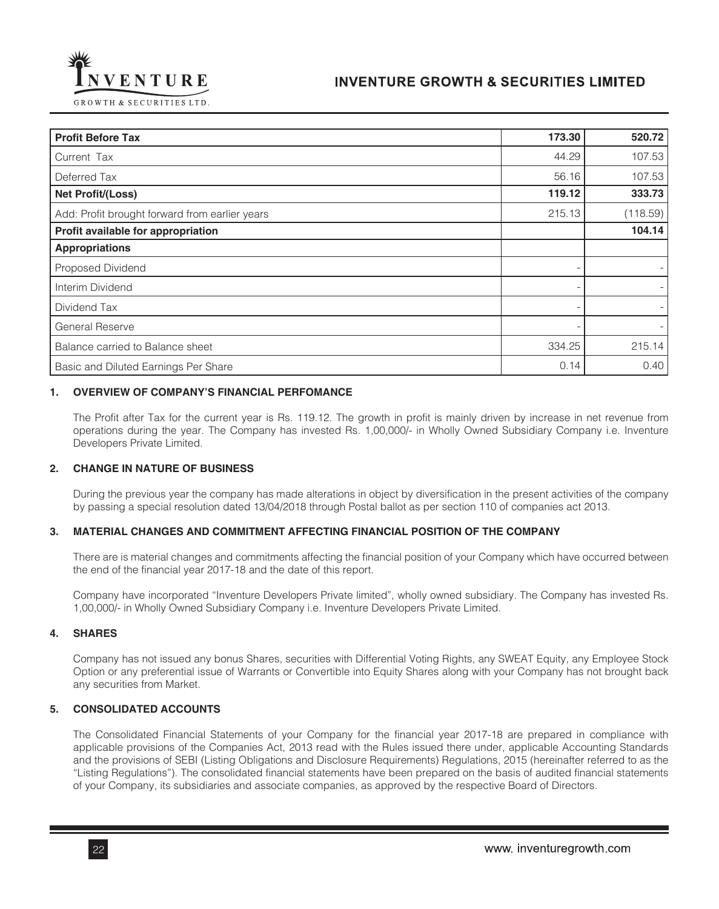

| <b>Profit Before Tax</b>                       | 173.30 | 520.72   |
|------------------------------------------------|--------|----------|
| Current Tax                                    | 44.29  | 107.53   |
| Deferred Tax                                   | 56.16  | 107.53   |
| Net Profit/(Loss)                              | 119.12 | 333.73   |
| Add: Profit brought forward from earlier years | 215.13 | (118.59) |
| Profit available for appropriation             |        | 104.14   |
| <b>Appropriations</b>                          |        |          |
| Proposed Dividend                              |        |          |
| Interim Dividend                               |        |          |
| Dividend Tax                                   |        |          |
| <b>General Reserve</b>                         |        |          |
| Balance carried to Balance sheet               | 334.25 | 215.14   |
| Basic and Diluted Earnings Per Share           | 0.14   | 0.40     |

# **1. OVERVIEW OF COMPANY'S FINANCIAL PERFOMANCE**

The Profit after Tax for the current year is Rs. 119.12. The growth in profit is mainly driven by increase in net revenue from operations during the year. The Company has invested Rs. 1,00,000/- in Wholly Owned Subsidiary Company i.e. Inventure Developers Private Limited.

## **2. CHANGE IN NATURE OF BUSINESS**

During the previous year the company has made alterations in object by diversification in the present activities of the company by passing a special resolution dated 13/04/2018 through Postal ballot as per section 110 of companies act 2013.

# **3. MATERIAL CHANGES AND COMMITMENT AFFECTING FINANCIAL POSITION OF THE COMPANY**

There are is material changes and commitments affecting the financial position of your Company which have occurred between the end of the financial year 2017-18 and the date of this report.

Company have incorporated "Inventure Developers Private limited", wholly owned subsidiary. The Company has invested Rs. 1,00,000/- in Wholly Owned Subsidiary Company i.e. Inventure Developers Private Limited.

## **4. SHARES**

Company has not issued any bonus Shares, securities with Differential Voting Rights, any SWEAT Equity, any Employee Stock Option or any preferential issue of Warrants or Convertible into Equity Shares along with your Company has not brought back any securities from Market.

## **5. CONSOLIDATED ACCOUNTS**

The Consolidated Financial Statements of your Company for the financial year 2017-18 are prepared in compliance with applicable provisions of the Companies Act, 2013 read with the Rules issued there under, applicable Accounting Standards and the provisions of SEBI (Listing Obligations and Disclosure Requirements) Regulations, 2015 (hereinafter referred to as the "Listing Regulations"). The consolidated financial statements have been prepared on the basis of audited financial statements of your Company, its subsidiaries and associate companies, as approved by the respective Board of Directors.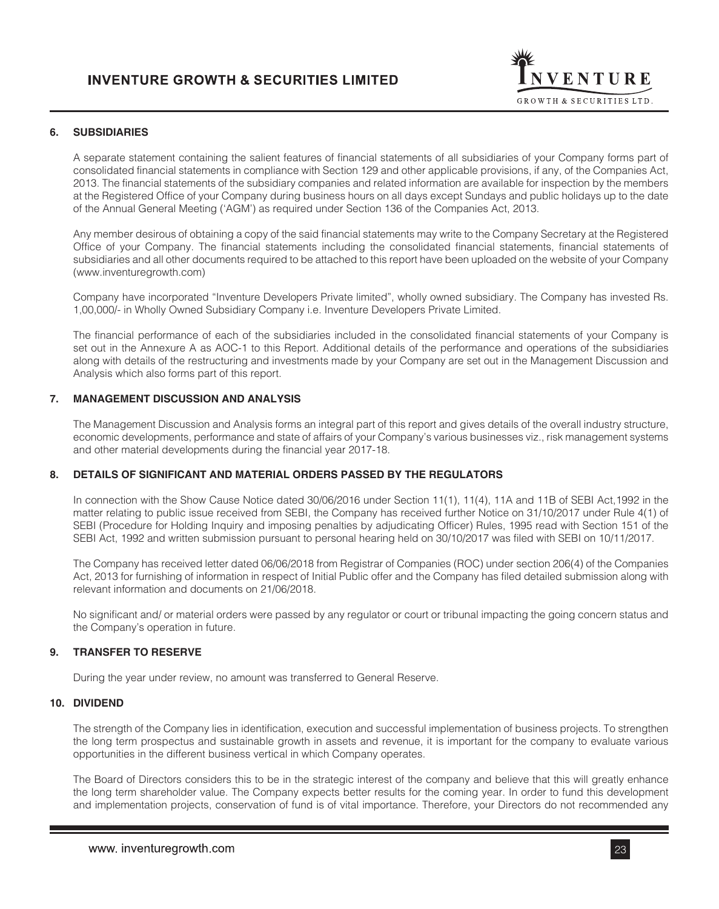

# **6. SUBSIDIARIES**

A separate statement containing the salient features of financial statements of all subsidiaries of your Company forms part of consolidated financial statements in compliance with Section 129 and other applicable provisions, if any, of the Companies Act, 2013. The financial statements of the subsidiary companies and related information are available for inspection by the members at the Registered Office of your Company during business hours on all days except Sundays and public holidays up to the date of the Annual General Meeting ('AGM') as required under Section 136 of the Companies Act, 2013.

Any member desirous of obtaining a copy of the said financial statements may write to the Company Secretary at the Registered Office of your Company. The financial statements including the consolidated financial statements, financial statements of subsidiaries and all other documents required to be attached to this report have been uploaded on the website of your Company (www.inventuregrowth.com)

Company have incorporated "Inventure Developers Private limited", wholly owned subsidiary. The Company has invested Rs. 1,00,000/- in Wholly Owned Subsidiary Company i.e. Inventure Developers Private Limited.

The financial performance of each of the subsidiaries included in the consolidated financial statements of your Company is set out in the Annexure A as AOC-1 to this Report. Additional details of the performance and operations of the subsidiaries along with details of the restructuring and investments made by your Company are set out in the Management Discussion and Analysis which also forms part of this report.

# **7. MANAGEMENT DISCUSSION AND ANALYSIS**

The Management Discussion and Analysis forms an integral part of this report and gives details of the overall industry structure, economic developments, performance and state of affairs of your Company's various businesses viz., risk management systems and other material developments during the financial year 2017-18.

# **8. DETAILS OF SIGNIFICANT AND MATERIAL ORDERS PASSED BY THE REGULATORS**

In connection with the Show Cause Notice dated 30/06/2016 under Section 11(1), 11(4), 11A and 11B of SEBI Act,1992 in the matter relating to public issue received from SEBI, the Company has received further Notice on 31/10/2017 under Rule 4(1) of SEBI (Procedure for Holding Inquiry and imposing penalties by adjudicating Officer) Rules, 1995 read with Section 151 of the SEBI Act, 1992 and written submission pursuant to personal hearing held on 30/10/2017 was filed with SEBI on 10/11/2017.

The Company has received letter dated 06/06/2018 from Registrar of Companies (ROC) under section 206(4) of the Companies Act, 2013 for furnishing of information in respect of Initial Public offer and the Company has filed detailed submission along with relevant information and documents on 21/06/2018.

No significant and/ or material orders were passed by any regulator or court or tribunal impacting the going concern status and the Company's operation in future.

# **9. TRANSFER TO RESERVE**

During the year under review, no amount was transferred to General Reserve.

## **10. DIVIDEND**

The strength of the Company lies in identification, execution and successful implementation of business projects. To strengthen the long term prospectus and sustainable growth in assets and revenue, it is important for the company to evaluate various opportunities in the different business vertical in which Company operates.

The Board of Directors considers this to be in the strategic interest of the company and believe that this will greatly enhance the long term shareholder value. The Company expects better results for the coming year. In order to fund this development and implementation projects, conservation of fund is of vital importance. Therefore, your Directors do not recommended any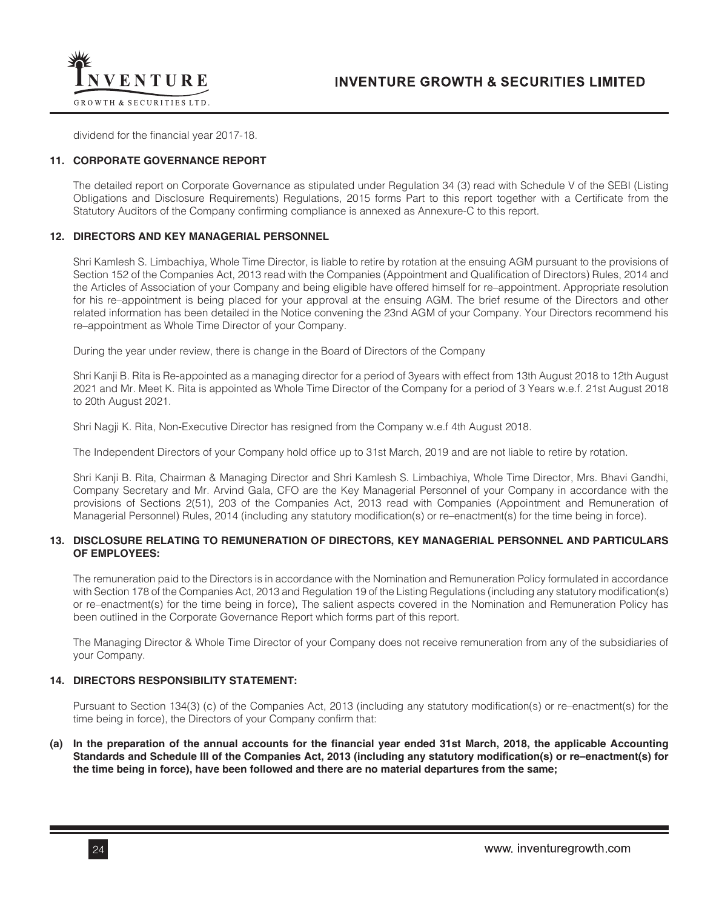

dividend for the financial year 2017-18.

## **11. CORPORATE GOVERNANCE REPORT**

The detailed report on Corporate Governance as stipulated under Regulation 34 (3) read with Schedule V of the SEBI (Listing Obligations and Disclosure Requirements) Regulations, 2015 forms Part to this report together with a Certificate from the Statutory Auditors of the Company confirming compliance is annexed as Annexure-C to this report.

### **12. DIRECTORS AND KEY MANAGERIAL PERSONNEL**

Shri Kamlesh S. Limbachiya, Whole Time Director, is liable to retire by rotation at the ensuing AGM pursuant to the provisions of Section 152 of the Companies Act, 2013 read with the Companies (Appointment and Qualification of Directors) Rules, 2014 and the Articles of Association of your Company and being eligible have offered himself for re–appointment. Appropriate resolution for his re–appointment is being placed for your approval at the ensuing AGM. The brief resume of the Directors and other related information has been detailed in the Notice convening the 23nd AGM of your Company. Your Directors recommend his re–appointment as Whole Time Director of your Company.

During the year under review, there is change in the Board of Directors of the Company

Shri Kanji B. Rita is Re-appointed as a managing director for a period of 3years with effect from 13th August 2018 to 12th August 2021 and Mr. Meet K. Rita is appointed as Whole Time Director of the Company for a period of 3 Years w.e.f. 21st August 2018 to 20th August 2021.

Shri Nagji K. Rita, Non-Executive Director has resigned from the Company w.e.f 4th August 2018.

The Independent Directors of your Company hold office up to 31st March, 2019 and are not liable to retire by rotation.

Shri Kanji B. Rita, Chairman & Managing Director and Shri Kamlesh S. Limbachiya, Whole Time Director, Mrs. Bhavi Gandhi, Company Secretary and Mr. Arvind Gala, CFO are the Key Managerial Personnel of your Company in accordance with the provisions of Sections 2(51), 203 of the Companies Act, 2013 read with Companies (Appointment and Remuneration of Managerial Personnel) Rules, 2014 (including any statutory modification(s) or re–enactment(s) for the time being in force).

## **13. DISCLOSURE RELATING TO REMUNERATION OF DIRECTORS, KEY MANAGERIAL PERSONNEL AND PARTICULARS OF EMPLOYEES:**

The remuneration paid to the Directors is in accordance with the Nomination and Remuneration Policy formulated in accordance with Section 178 of the Companies Act, 2013 and Regulation 19 of the Listing Regulations (including any statutory modification(s) or re–enactment(s) for the time being in force), The salient aspects covered in the Nomination and Remuneration Policy has been outlined in the Corporate Governance Report which forms part of this report.

The Managing Director & Whole Time Director of your Company does not receive remuneration from any of the subsidiaries of your Company.

# **14. DIRECTORS RESPONSIBILITY STATEMENT:**

Pursuant to Section 134(3) (c) of the Companies Act, 2013 (including any statutory modification(s) or re–enactment(s) for the time being in force), the Directors of your Company confirm that:

**(a) In the preparation of the annual accounts for the financial year ended 31st March, 2018, the applicable Accounting Standards and Schedule III of the Companies Act, 2013 (including any statutory modification(s) or re–enactment(s) for the time being in force), have been followed and there are no material departures from the same;**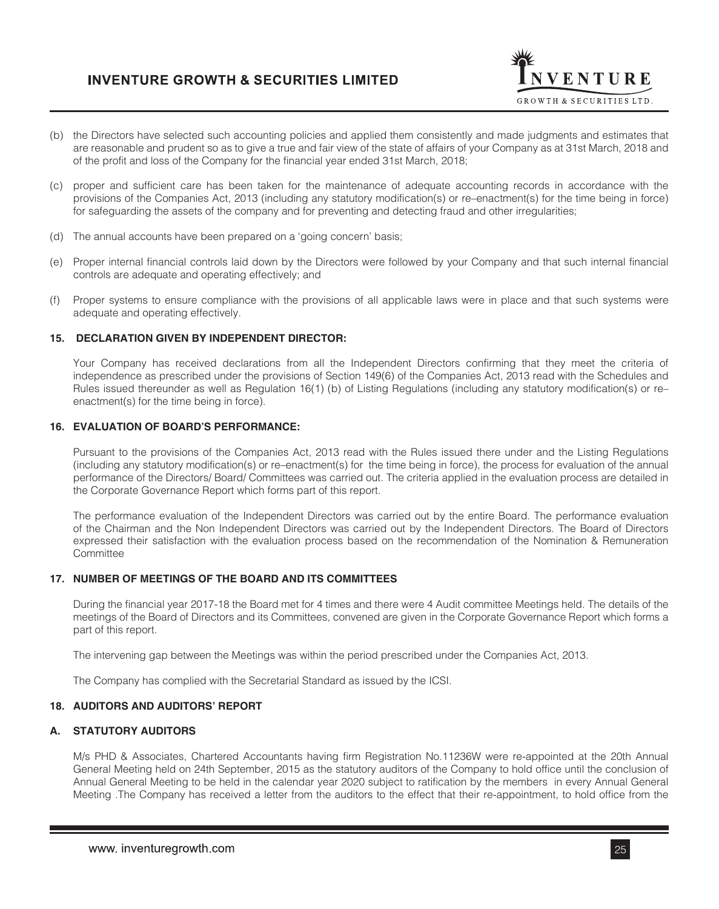

- (b) the Directors have selected such accounting policies and applied them consistently and made judgments and estimates that are reasonable and prudent so as to give a true and fair view of the state of affairs of your Company as at 31st March, 2018 and of the profit and loss of the Company for the financial year ended 31st March, 2018;
- (c) proper and sufficient care has been taken for the maintenance of adequate accounting records in accordance with the provisions of the Companies Act, 2013 (including any statutory modification(s) or re–enactment(s) for the time being in force) for safeguarding the assets of the company and for preventing and detecting fraud and other irregularities;
- (d) The annual accounts have been prepared on a 'going concern' basis;
- (e) Proper internal financial controls laid down by the Directors were followed by your Company and that such internal financial controls are adequate and operating effectively; and
- (f) Proper systems to ensure compliance with the provisions of all applicable laws were in place and that such systems were adequate and operating effectively.

# **15. DECLARATION GIVEN BY INDEPENDENT DIRECTOR:**

Your Company has received declarations from all the Independent Directors confirming that they meet the criteria of independence as prescribed under the provisions of Section 149(6) of the Companies Act, 2013 read with the Schedules and Rules issued thereunder as well as Regulation 16(1) (b) of Listing Regulations (including any statutory modification(s) or re– enactment(s) for the time being in force).

## **16. EVALUATION OF BOARD'S PERFORMANCE:**

Pursuant to the provisions of the Companies Act, 2013 read with the Rules issued there under and the Listing Regulations (including any statutory modification(s) or re–enactment(s) for the time being in force), the process for evaluation of the annual performance of the Directors/ Board/ Committees was carried out. The criteria applied in the evaluation process are detailed in the Corporate Governance Report which forms part of this report.

The performance evaluation of the Independent Directors was carried out by the entire Board. The performance evaluation of the Chairman and the Non Independent Directors was carried out by the Independent Directors. The Board of Directors expressed their satisfaction with the evaluation process based on the recommendation of the Nomination & Remuneration **Committee** 

# **17. NUMBER OF MEETINGS OF THE BOARD AND ITS COMMITTEES**

During the financial year 2017-18 the Board met for 4 times and there were 4 Audit committee Meetings held. The details of the meetings of the Board of Directors and its Committees, convened are given in the Corporate Governance Report which forms a part of this report.

The intervening gap between the Meetings was within the period prescribed under the Companies Act, 2013.

The Company has complied with the Secretarial Standard as issued by the ICSI.

# **18. AUDITORS AND AUDITORS' REPORT**

# **A. STATUTORY AUDITORS**

M/s PHD & Associates, Chartered Accountants having firm Registration No.11236W were re-appointed at the 20th Annual General Meeting held on 24th September, 2015 as the statutory auditors of the Company to hold office until the conclusion of Annual General Meeting to be held in the calendar year 2020 subject to ratification by the members in every Annual General Meeting .The Company has received a letter from the auditors to the effect that their re-appointment, to hold office from the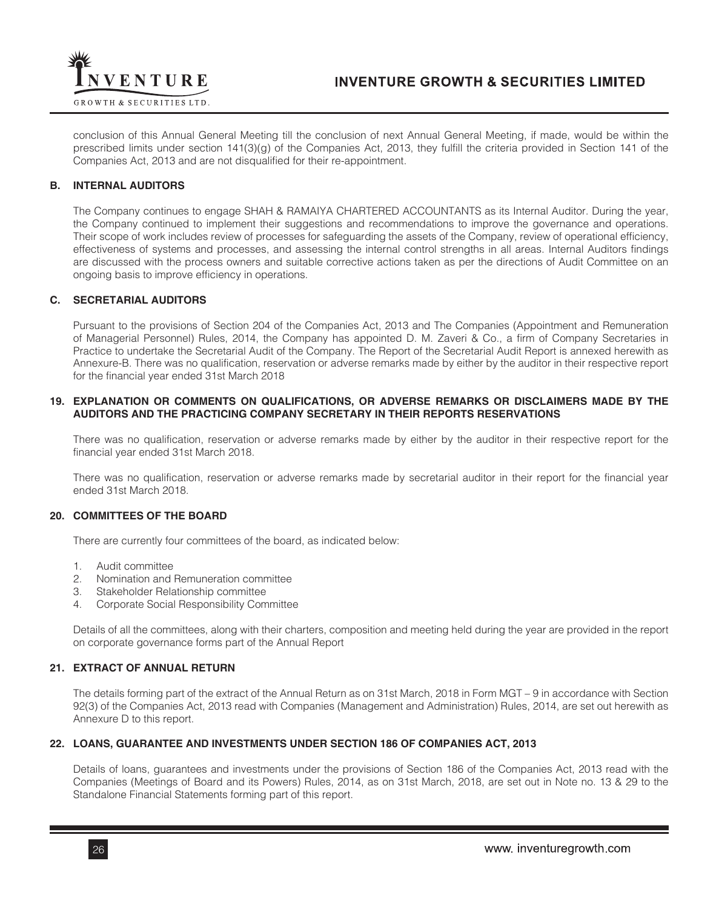

conclusion of this Annual General Meeting till the conclusion of next Annual General Meeting, if made, would be within the prescribed limits under section 141(3)(g) of the Companies Act, 2013, they fulfill the criteria provided in Section 141 of the Companies Act, 2013 and are not disqualified for their re-appointment.

## **B. INTERNAL AUDITORS**

The Company continues to engage SHAH & RAMAIYA CHARTERED ACCOUNTANTS as its Internal Auditor. During the year, the Company continued to implement their suggestions and recommendations to improve the governance and operations. Their scope of work includes review of processes for safeguarding the assets of the Company, review of operational efficiency, effectiveness of systems and processes, and assessing the internal control strengths in all areas. Internal Auditors findings are discussed with the process owners and suitable corrective actions taken as per the directions of Audit Committee on an ongoing basis to improve efficiency in operations.

## **C. SECRETARIAL AUDITORS**

Pursuant to the provisions of Section 204 of the Companies Act, 2013 and The Companies (Appointment and Remuneration of Managerial Personnel) Rules, 2014, the Company has appointed D. M. Zaveri & Co., a firm of Company Secretaries in Practice to undertake the Secretarial Audit of the Company. The Report of the Secretarial Audit Report is annexed herewith as Annexure-B. There was no qualification, reservation or adverse remarks made by either by the auditor in their respective report for the financial year ended 31st March 2018

## **19. EXPLANATION OR COMMENTS ON QUALIFICATIONS, OR ADVERSE REMARKS OR DISCLAIMERS MADE BY THE AUDITORS AND THE PRACTICING COMPANY SECRETARY IN THEIR REPORTS RESERVATIONS**

There was no qualification, reservation or adverse remarks made by either by the auditor in their respective report for the financial year ended 31st March 2018.

There was no qualification, reservation or adverse remarks made by secretarial auditor in their report for the financial year ended 31st March 2018.

## **20. COMMITTEES OF THE BOARD**

There are currently four committees of the board, as indicated below:

- 1. Audit committee
- 2. Nomination and Remuneration committee
- 3. Stakeholder Relationship committee
- 4. Corporate Social Responsibility Committee

Details of all the committees, along with their charters, composition and meeting held during the year are provided in the report on corporate governance forms part of the Annual Report

## **21. EXTRACT OF ANNUAL RETURN**

The details forming part of the extract of the Annual Return as on 31st March, 2018 in Form MGT – 9 in accordance with Section 92(3) of the Companies Act, 2013 read with Companies (Management and Administration) Rules, 2014, are set out herewith as Annexure D to this report.

## **22. LOANS, GUARANTEE AND INVESTMENTS UNDER SECTION 186 OF COMPANIES ACT, 2013**

Details of loans, guarantees and investments under the provisions of Section 186 of the Companies Act, 2013 read with the Companies (Meetings of Board and its Powers) Rules, 2014, as on 31st March, 2018, are set out in Note no. 13 & 29 to the Standalone Financial Statements forming part of this report.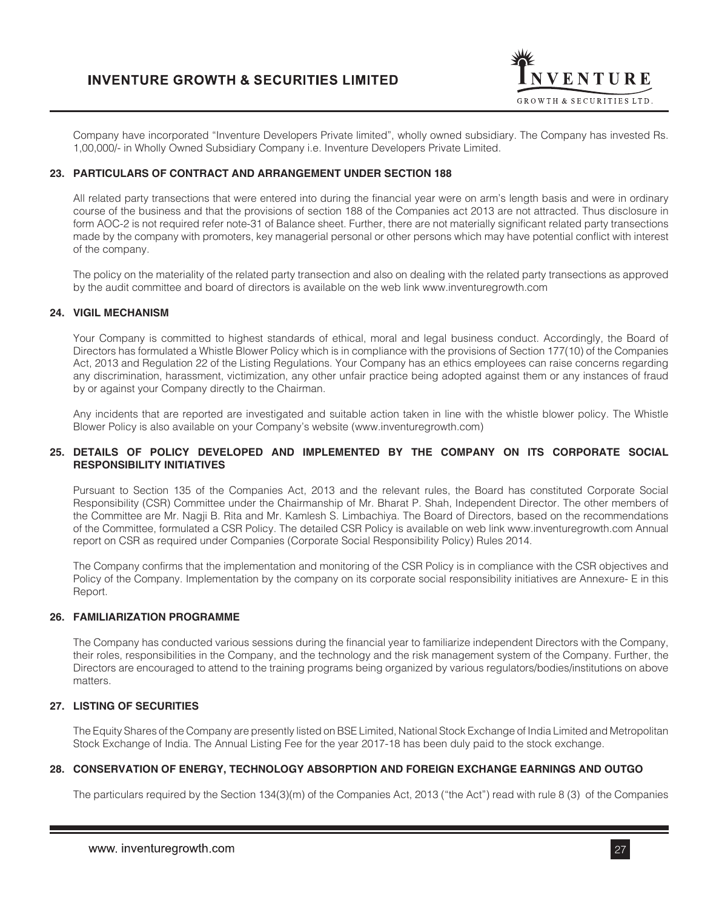

Company have incorporated "Inventure Developers Private limited", wholly owned subsidiary. The Company has invested Rs. 1,00,000/- in Wholly Owned Subsidiary Company i.e. Inventure Developers Private Limited.

# **23. PARTICULARS OF CONTRACT AND ARRANGEMENT UNDER SECTION 188**

All related party transections that were entered into during the financial year were on arm's length basis and were in ordinary course of the business and that the provisions of section 188 of the Companies act 2013 are not attracted. Thus disclosure in form AOC-2 is not required refer note-31 of Balance sheet. Further, there are not materially significant related party transections made by the company with promoters, key managerial personal or other persons which may have potential conflict with interest of the company.

The policy on the materiality of the related party transection and also on dealing with the related party transections as approved by the audit committee and board of directors is available on the web link www.inventuregrowth.com

## **24. VIGIL MECHANISM**

Your Company is committed to highest standards of ethical, moral and legal business conduct. Accordingly, the Board of Directors has formulated a Whistle Blower Policy which is in compliance with the provisions of Section 177(10) of the Companies Act, 2013 and Regulation 22 of the Listing Regulations. Your Company has an ethics employees can raise concerns regarding any discrimination, harassment, victimization, any other unfair practice being adopted against them or any instances of fraud by or against your Company directly to the Chairman.

Any incidents that are reported are investigated and suitable action taken in line with the whistle blower policy. The Whistle Blower Policy is also available on your Company's website (www.inventuregrowth.com)

## **25. DETAILS OF POLICY DEVELOPED AND IMPLEMENTED BY THE COMPANY ON ITS CORPORATE SOCIAL RESPONSIBILITY INITIATIVES**

Pursuant to Section 135 of the Companies Act, 2013 and the relevant rules, the Board has constituted Corporate Social Responsibility (CSR) Committee under the Chairmanship of Mr. Bharat P. Shah, Independent Director. The other members of the Committee are Mr. Nagji B. Rita and Mr. Kamlesh S. Limbachiya. The Board of Directors, based on the recommendations of the Committee, formulated a CSR Policy. The detailed CSR Policy is available on web link www.inventuregrowth.com Annual report on CSR as required under Companies (Corporate Social Responsibility Policy) Rules 2014.

The Company confirms that the implementation and monitoring of the CSR Policy is in compliance with the CSR objectives and Policy of the Company. Implementation by the company on its corporate social responsibility initiatives are Annexure- E in this Report.

# **26. FAMILIARIZATION PROGRAMME**

The Company has conducted various sessions during the financial year to familiarize independent Directors with the Company, their roles, responsibilities in the Company, and the technology and the risk management system of the Company. Further, the Directors are encouraged to attend to the training programs being organized by various regulators/bodies/institutions on above matters.

# **27. LISTING OF SECURITIES**

The Equity Shares of the Company are presently listed on BSE Limited, National Stock Exchange of India Limited and Metropolitan Stock Exchange of India. The Annual Listing Fee for the year 2017-18 has been duly paid to the stock exchange.

# **28. CONSERVATION OF ENERGY, TECHNOLOGY ABSORPTION AND FOREIGN EXCHANGE EARNINGS AND OUTGO**

The particulars required by the Section 134(3)(m) of the Companies Act, 2013 ("the Act") read with rule 8 (3) of the Companies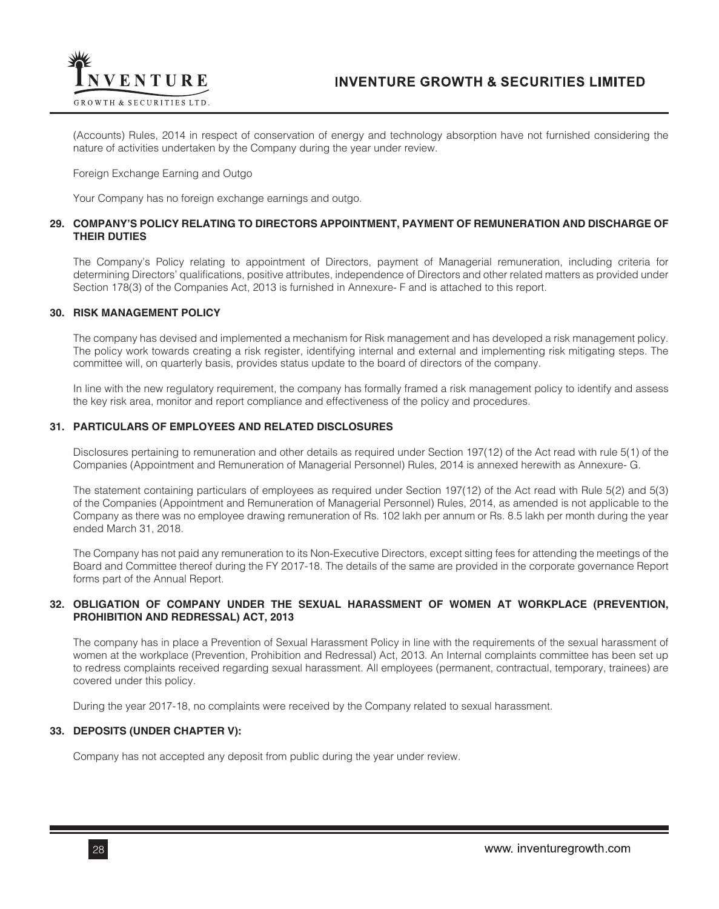

(Accounts) Rules, 2014 in respect of conservation of energy and technology absorption have not furnished considering the nature of activities undertaken by the Company during the year under review.

#### Foreign Exchange Earning and Outgo

Your Company has no foreign exchange earnings and outgo.

## **29. COMPANY'S POLICY RELATING TO DIRECTORS APPOINTMENT, PAYMENT OF REMUNERATION AND DISCHARGE OF THEIR DUTIES**

The Company's Policy relating to appointment of Directors, payment of Managerial remuneration, including criteria for determining Directors' qualifications, positive attributes, independence of Directors and other related matters as provided under Section 178(3) of the Companies Act, 2013 is furnished in Annexure- F and is attached to this report.

#### **30. RISK MANAGEMENT POLICY**

The company has devised and implemented a mechanism for Risk management and has developed a risk management policy. The policy work towards creating a risk register, identifying internal and external and implementing risk mitigating steps. The committee will, on quarterly basis, provides status update to the board of directors of the company.

In line with the new regulatory requirement, the company has formally framed a risk management policy to identify and assess the key risk area, monitor and report compliance and effectiveness of the policy and procedures.

#### **31. PARTICULARS OF EMPLOYEES AND RELATED DISCLOSURES**

Disclosures pertaining to remuneration and other details as required under Section 197(12) of the Act read with rule 5(1) of the Companies (Appointment and Remuneration of Managerial Personnel) Rules, 2014 is annexed herewith as Annexure- G.

The statement containing particulars of employees as required under Section 197(12) of the Act read with Rule 5(2) and 5(3) of the Companies (Appointment and Remuneration of Managerial Personnel) Rules, 2014, as amended is not applicable to the Company as there was no employee drawing remuneration of Rs. 102 lakh per annum or Rs. 8.5 lakh per month during the year ended March 31, 2018.

The Company has not paid any remuneration to its Non-Executive Directors, except sitting fees for attending the meetings of the Board and Committee thereof during the FY 2017-18. The details of the same are provided in the corporate governance Report forms part of the Annual Report.

## **32. OBLIGATION OF COMPANY UNDER THE SEXUAL HARASSMENT OF WOMEN AT WORKPLACE (PREVENTION, PROHIBITION AND REDRESSAL) ACT, 2013**

The company has in place a Prevention of Sexual Harassment Policy in line with the requirements of the sexual harassment of women at the workplace (Prevention, Prohibition and Redressal) Act, 2013. An Internal complaints committee has been set up to redress complaints received regarding sexual harassment. All employees (permanent, contractual, temporary, trainees) are covered under this policy.

During the year 2017-18, no complaints were received by the Company related to sexual harassment.

# **33. DEPOSITS (UNDER CHAPTER V):**

Company has not accepted any deposit from public during the year under review.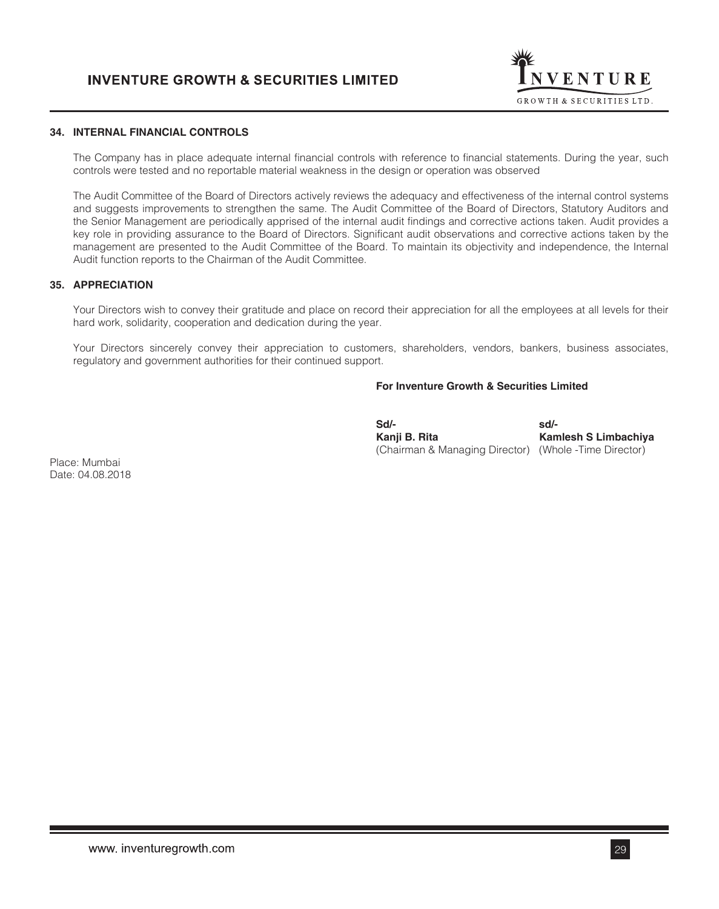

# **34. INTERNAL FINANCIAL CONTROLS**

The Company has in place adequate internal financial controls with reference to financial statements. During the year, such controls were tested and no reportable material weakness in the design or operation was observed

The Audit Committee of the Board of Directors actively reviews the adequacy and effectiveness of the internal control systems and suggests improvements to strengthen the same. The Audit Committee of the Board of Directors, Statutory Auditors and the Senior Management are periodically apprised of the internal audit findings and corrective actions taken. Audit provides a key role in providing assurance to the Board of Directors. Significant audit observations and corrective actions taken by the management are presented to the Audit Committee of the Board. To maintain its objectivity and independence, the Internal Audit function reports to the Chairman of the Audit Committee.

## **35. APPRECIATION**

Your Directors wish to convey their gratitude and place on record their appreciation for all the employees at all levels for their hard work, solidarity, cooperation and dedication during the year.

Your Directors sincerely convey their appreciation to customers, shareholders, vendors, bankers, business associates, regulatory and government authorities for their continued support.

# **For Inventure Growth & Securities Limited**

 **Sd/- sd/- Kanji B. Rita Kamlesh S Limbachiya** (Chairman & Managing Director) (Whole -Time Director)

Place: Mumbai Date: 04.08.2018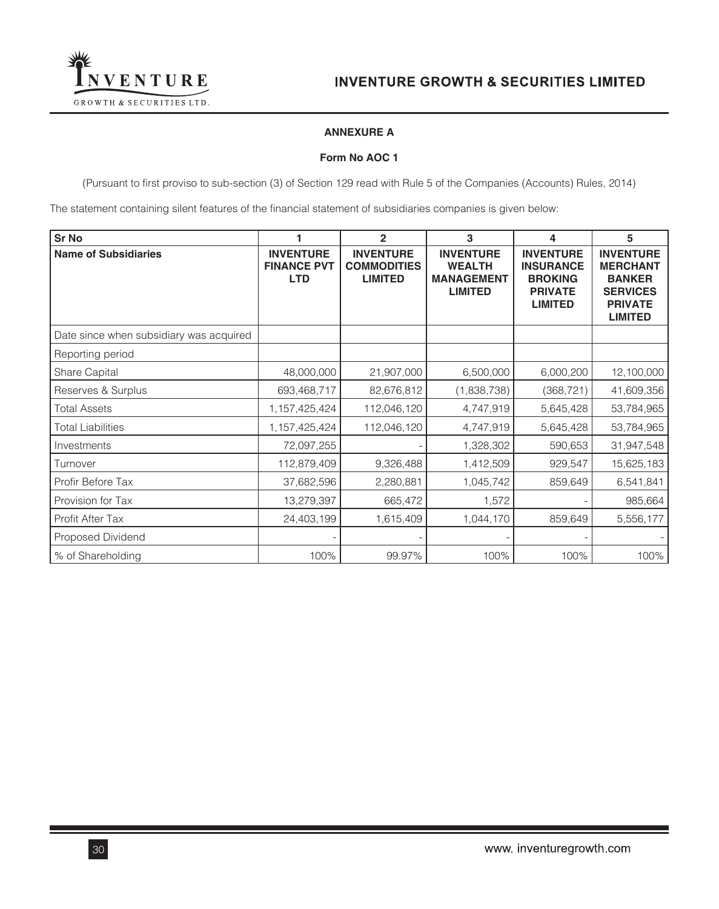

# **ANNEXURE A**

## **Form No AOC 1**

(Pursuant to first proviso to sub-section (3) of Section 129 read with Rule 5 of the Companies (Accounts) Rules, 2014)

The statement containing silent features of the financial statement of subsidiaries companies is given below:

| <b>Sr No</b>                            | 1                                                    | $\overline{2}$                                           | 3                                                                        | 4                                                                                          | 5                                                                                                           |
|-----------------------------------------|------------------------------------------------------|----------------------------------------------------------|--------------------------------------------------------------------------|--------------------------------------------------------------------------------------------|-------------------------------------------------------------------------------------------------------------|
| <b>Name of Subsidiaries</b>             | <b>INVENTURE</b><br><b>FINANCE PVT</b><br><b>LTD</b> | <b>INVENTURE</b><br><b>COMMODITIES</b><br><b>LIMITED</b> | <b>INVENTURE</b><br><b>WEALTH</b><br><b>MANAGEMENT</b><br><b>LIMITED</b> | <b>INVENTURE</b><br><b>INSURANCE</b><br><b>BROKING</b><br><b>PRIVATE</b><br><b>LIMITED</b> | <b>INVENTURE</b><br><b>MERCHANT</b><br><b>BANKER</b><br><b>SERVICES</b><br><b>PRIVATE</b><br><b>LIMITED</b> |
| Date since when subsidiary was acquired |                                                      |                                                          |                                                                          |                                                                                            |                                                                                                             |
| Reporting period                        |                                                      |                                                          |                                                                          |                                                                                            |                                                                                                             |
| Share Capital                           | 48,000,000                                           | 21,907,000                                               | 6,500,000                                                                | 6,000,200                                                                                  | 12,100,000                                                                                                  |
| Reserves & Surplus                      | 693,468,717                                          | 82,676,812                                               | (1,838,738)                                                              | (368, 721)                                                                                 | 41,609,356                                                                                                  |
| <b>Total Assets</b>                     | 1,157,425,424                                        | 112,046,120                                              | 4,747,919                                                                | 5,645,428                                                                                  | 53,784,965                                                                                                  |
| <b>Total Liabilities</b>                | 1,157,425,424                                        | 112,046,120                                              | 4,747,919                                                                | 5,645,428                                                                                  | 53,784,965                                                                                                  |
| Investments                             | 72,097,255                                           |                                                          | 1,328,302                                                                | 590,653                                                                                    | 31,947,548                                                                                                  |
| Turnover                                | 112,879,409                                          | 9,326,488                                                | 1,412,509                                                                | 929,547                                                                                    | 15,625,183                                                                                                  |
| Profir Before Tax                       | 37,682,596                                           | 2,280,881                                                | 1,045,742                                                                | 859,649                                                                                    | 6,541,841                                                                                                   |
| Provision for Tax                       | 13,279,397                                           | 665,472                                                  | 1,572                                                                    |                                                                                            | 985,664                                                                                                     |
| Profit After Tax                        | 24,403,199                                           | 1,615,409                                                | 1,044,170                                                                | 859,649                                                                                    | 5,556,177                                                                                                   |
| Proposed Dividend                       |                                                      |                                                          |                                                                          |                                                                                            |                                                                                                             |
| % of Shareholding                       | 100%                                                 | 99.97%                                                   | 100%                                                                     | 100%                                                                                       | 100%                                                                                                        |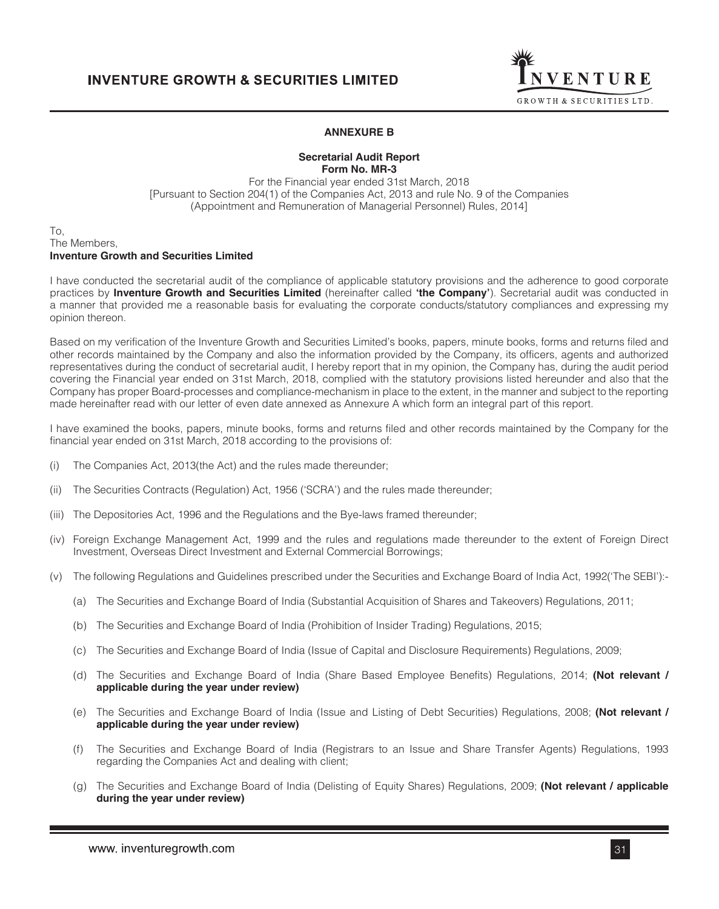

## **ANNEXURE B**

### **Secretarial Audit Report Form No. MR-3**

For the Financial year ended 31st March, 2018 [Pursuant to Section 204(1) of the Companies Act, 2013 and rule No. 9 of the Companies (Appointment and Remuneration of Managerial Personnel) Rules, 2014]

#### To, The Members, **Inventure Growth and Securities Limited**

I have conducted the secretarial audit of the compliance of applicable statutory provisions and the adherence to good corporate practices by **Inventure Growth and Securities Limited** (hereinafter called **'the Company'**). Secretarial audit was conducted in a manner that provided me a reasonable basis for evaluating the corporate conducts/statutory compliances and expressing my opinion thereon.

Based on my verification of the Inventure Growth and Securities Limited's books, papers, minute books, forms and returns filed and other records maintained by the Company and also the information provided by the Company, its officers, agents and authorized representatives during the conduct of secretarial audit, I hereby report that in my opinion, the Company has, during the audit period covering the Financial year ended on 31st March, 2018, complied with the statutory provisions listed hereunder and also that the Company has proper Board-processes and compliance-mechanism in place to the extent, in the manner and subject to the reporting made hereinafter read with our letter of even date annexed as Annexure A which form an integral part of this report.

I have examined the books, papers, minute books, forms and returns filed and other records maintained by the Company for the financial year ended on 31st March, 2018 according to the provisions of:

- (i) The Companies Act, 2013(the Act) and the rules made thereunder;
- (ii) The Securities Contracts (Regulation) Act, 1956 ('SCRA') and the rules made thereunder;
- (iii) The Depositories Act, 1996 and the Regulations and the Bye-laws framed thereunder;
- (iv) Foreign Exchange Management Act, 1999 and the rules and regulations made thereunder to the extent of Foreign Direct Investment, Overseas Direct Investment and External Commercial Borrowings;
- (v) The following Regulations and Guidelines prescribed under the Securities and Exchange Board of India Act, 1992('The SEBI'):-
	- (a) The Securities and Exchange Board of India (Substantial Acquisition of Shares and Takeovers) Regulations, 2011;
	- (b) The Securities and Exchange Board of India (Prohibition of Insider Trading) Regulations, 2015;
	- (c) The Securities and Exchange Board of India (Issue of Capital and Disclosure Requirements) Regulations, 2009;
	- (d) The Securities and Exchange Board of India (Share Based Employee Benefits) Regulations, 2014; **(Not relevant / applicable during the year under review)**
	- (e) The Securities and Exchange Board of India (Issue and Listing of Debt Securities) Regulations, 2008; **(Not relevant / applicable during the year under review)**
	- (f) The Securities and Exchange Board of India (Registrars to an Issue and Share Transfer Agents) Regulations, 1993 regarding the Companies Act and dealing with client;
	- (g) The Securities and Exchange Board of India (Delisting of Equity Shares) Regulations, 2009; **(Not relevant / applicable during the year under review)**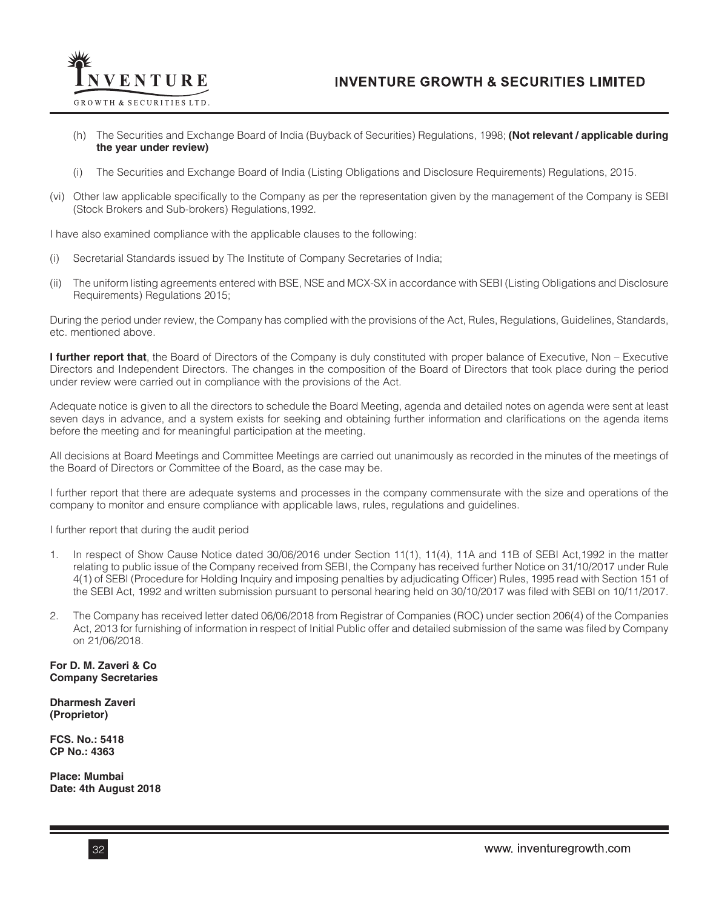

- (h) The Securities and Exchange Board of India (Buyback of Securities) Regulations, 1998; **(Not relevant / applicable during the year under review)**
- (i) The Securities and Exchange Board of India (Listing Obligations and Disclosure Requirements) Regulations, 2015.
- (vi) Other law applicable specifically to the Company as per the representation given by the management of the Company is SEBI (Stock Brokers and Sub-brokers) Regulations,1992.

I have also examined compliance with the applicable clauses to the following:

- (i) Secretarial Standards issued by The Institute of Company Secretaries of India;
- (ii) The uniform listing agreements entered with BSE, NSE and MCX-SX in accordance with SEBI (Listing Obligations and Disclosure Requirements) Regulations 2015;

During the period under review, the Company has complied with the provisions of the Act, Rules, Regulations, Guidelines, Standards, etc. mentioned above.

**I further report that**, the Board of Directors of the Company is duly constituted with proper balance of Executive, Non – Executive Directors and Independent Directors. The changes in the composition of the Board of Directors that took place during the period under review were carried out in compliance with the provisions of the Act.

Adequate notice is given to all the directors to schedule the Board Meeting, agenda and detailed notes on agenda were sent at least seven days in advance, and a system exists for seeking and obtaining further information and clarifications on the agenda items before the meeting and for meaningful participation at the meeting.

All decisions at Board Meetings and Committee Meetings are carried out unanimously as recorded in the minutes of the meetings of the Board of Directors or Committee of the Board, as the case may be.

I further report that there are adequate systems and processes in the company commensurate with the size and operations of the company to monitor and ensure compliance with applicable laws, rules, regulations and guidelines.

I further report that during the audit period

- 1. In respect of Show Cause Notice dated 30/06/2016 under Section 11(1), 11(4), 11A and 11B of SEBI Act,1992 in the matter relating to public issue of the Company received from SEBI, the Company has received further Notice on 31/10/2017 under Rule 4(1) of SEBI (Procedure for Holding Inquiry and imposing penalties by adjudicating Officer) Rules, 1995 read with Section 151 of the SEBI Act, 1992 and written submission pursuant to personal hearing held on 30/10/2017 was filed with SEBI on 10/11/2017.
- 2. The Company has received letter dated 06/06/2018 from Registrar of Companies (ROC) under section 206(4) of the Companies Act, 2013 for furnishing of information in respect of Initial Public offer and detailed submission of the same was filed by Company on 21/06/2018.

**For D. M. Zaveri & Co Company Secretaries**

**Dharmesh Zaveri (Proprietor)**

**FCS. No.: 5418 CP No.: 4363**

**Place: Mumbai Date: 4th August 2018**

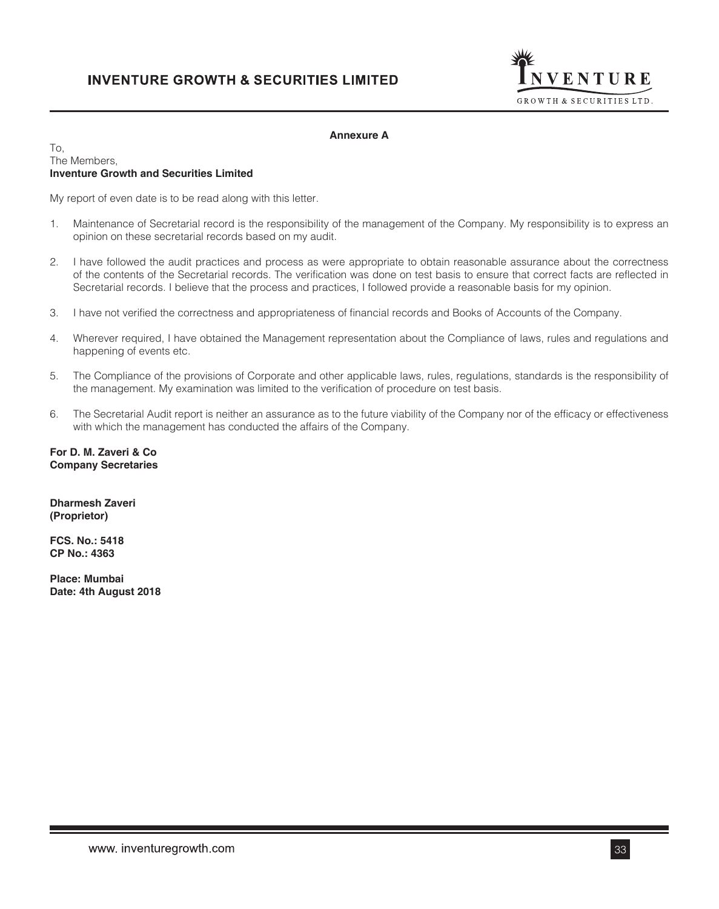

# **Annexure A**

## To, The Members, **Inventure Growth and Securities Limited**

My report of even date is to be read along with this letter.

- 1. Maintenance of Secretarial record is the responsibility of the management of the Company. My responsibility is to express an opinion on these secretarial records based on my audit.
- 2. I have followed the audit practices and process as were appropriate to obtain reasonable assurance about the correctness of the contents of the Secretarial records. The verification was done on test basis to ensure that correct facts are reflected in Secretarial records. I believe that the process and practices, I followed provide a reasonable basis for my opinion.
- 3. I have not verified the correctness and appropriateness of financial records and Books of Accounts of the Company.
- 4. Wherever required, I have obtained the Management representation about the Compliance of laws, rules and regulations and happening of events etc.
- 5. The Compliance of the provisions of Corporate and other applicable laws, rules, regulations, standards is the responsibility of the management. My examination was limited to the verification of procedure on test basis.
- 6. The Secretarial Audit report is neither an assurance as to the future viability of the Company nor of the efficacy or effectiveness with which the management has conducted the affairs of the Company.

**For D. M. Zaveri & Co Company Secretaries**

**Dharmesh Zaveri (Proprietor)**

**FCS. No.: 5418 CP No.: 4363**

**Place: Mumbai Date: 4th August 2018**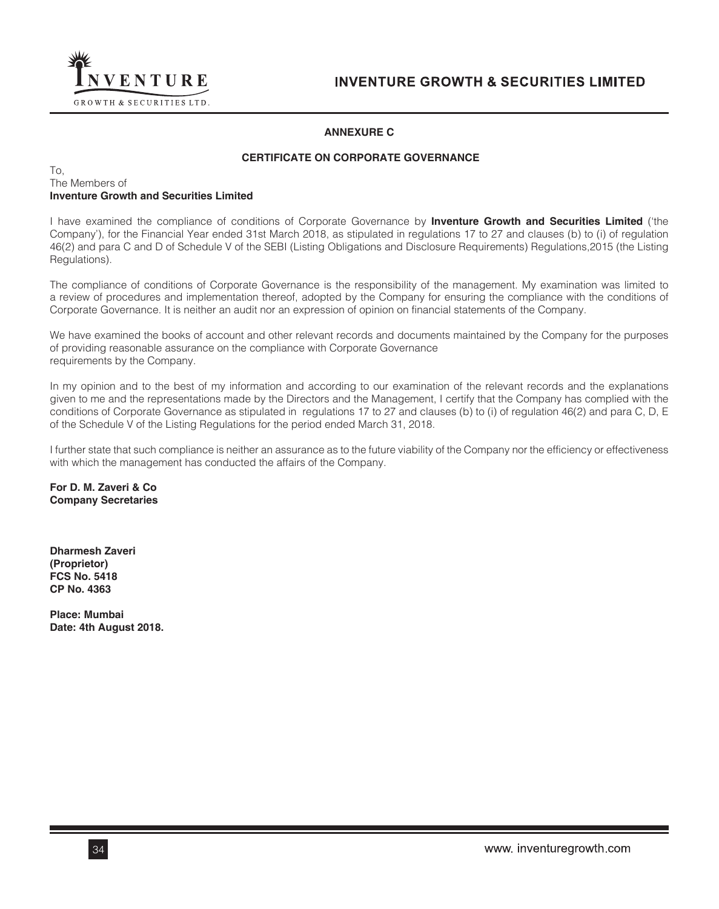

# **ANNEXURE C**

# **CERTIFICATE ON CORPORATE GOVERNANCE**

## To, The Members of **Inventure Growth and Securities Limited**

I have examined the compliance of conditions of Corporate Governance by **Inventure Growth and Securities Limited** ('the Company'), for the Financial Year ended 31st March 2018, as stipulated in regulations 17 to 27 and clauses (b) to (i) of regulation 46(2) and para C and D of Schedule V of the SEBI (Listing Obligations and Disclosure Requirements) Regulations,2015 (the Listing Regulations).

The compliance of conditions of Corporate Governance is the responsibility of the management. My examination was limited to a review of procedures and implementation thereof, adopted by the Company for ensuring the compliance with the conditions of Corporate Governance. It is neither an audit nor an expression of opinion on financial statements of the Company.

We have examined the books of account and other relevant records and documents maintained by the Company for the purposes of providing reasonable assurance on the compliance with Corporate Governance requirements by the Company.

In my opinion and to the best of my information and according to our examination of the relevant records and the explanations given to me and the representations made by the Directors and the Management, I certify that the Company has complied with the conditions of Corporate Governance as stipulated in regulations 17 to 27 and clauses (b) to (i) of regulation 46(2) and para C, D, E of the Schedule V of the Listing Regulations for the period ended March 31, 2018.

I further state that such compliance is neither an assurance as to the future viability of the Company nor the efficiency or effectiveness with which the management has conducted the affairs of the Company.

**For D. M. Zaveri & Co Company Secretaries**

**Dharmesh Zaveri (Proprietor) FCS No. 5418 CP No. 4363**

**Place: Mumbai Date: 4th August 2018.**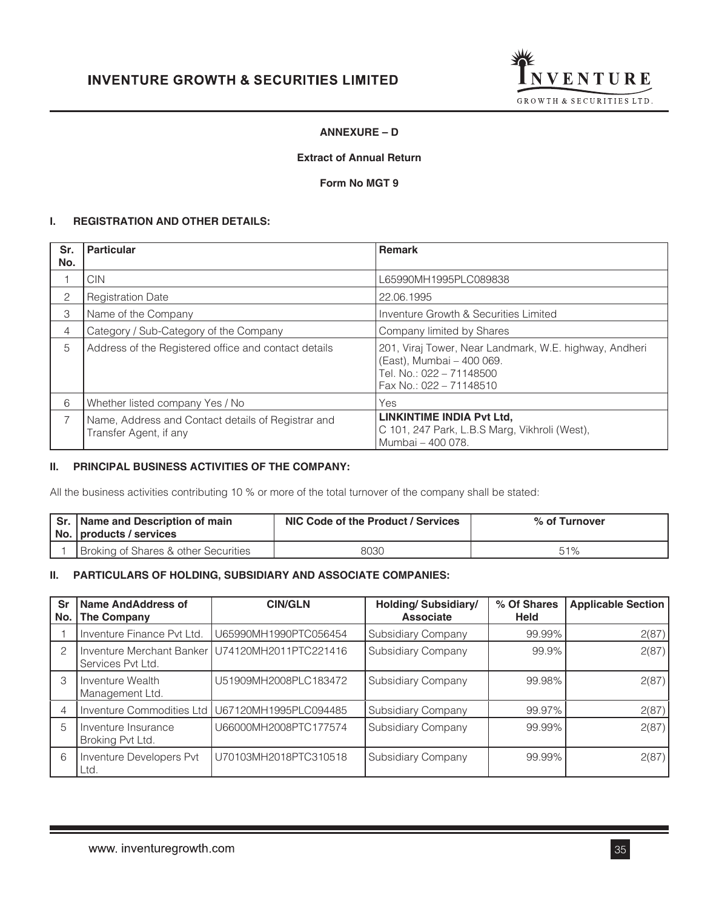

# **ANNEXURE – D**

## **Extract of Annual Return**

# **Form No MGT 9**

## **I. REGISTRATION AND OTHER DETAILS:**

| Sr.<br>No. | <b>Particular</b>                                                            | <b>Remark</b>                                                                                                                              |
|------------|------------------------------------------------------------------------------|--------------------------------------------------------------------------------------------------------------------------------------------|
|            | CIN.                                                                         | L65990MH1995PLC089838                                                                                                                      |
| 2          | <b>Registration Date</b>                                                     | 22.06.1995                                                                                                                                 |
| 3          | Name of the Company                                                          | Inventure Growth & Securities Limited                                                                                                      |
| 4          | Category / Sub-Category of the Company                                       | Company limited by Shares                                                                                                                  |
| 5          | Address of the Registered office and contact details                         | 201, Viraj Tower, Near Landmark, W.E. highway, Andheri<br>(East), Mumbai - 400 069.<br>Tel. No.: 022 - 71148500<br>Fax No.: 022 - 71148510 |
| 6          | Whether listed company Yes / No                                              | Yes                                                                                                                                        |
| 7          | Name, Address and Contact details of Registrar and<br>Transfer Agent, if any | <b>LINKINTIME INDIA Pvt Ltd.</b><br>C 101, 247 Park, L.B.S Marg, Vikhroli (West),<br>Mumbai - 400 078.                                     |

# **II. PRINCIPAL BUSINESS ACTIVITIES OF THE COMPANY:**

All the business activities contributing 10 % or more of the total turnover of the company shall be stated:

| Sr. Name and Description of main<br>No. products / services | NIC Code of the Product / Services | % of Turnover |  |  |
|-------------------------------------------------------------|------------------------------------|---------------|--|--|
| <b>Broking of Shares &amp; other Securities</b>             | 8030                               | 51%           |  |  |

## **II. PARTICULARS OF HOLDING, SUBSIDIARY AND ASSOCIATE COMPANIES:**

| Sr<br>No. | <b>Name AndAddress of</b><br>The Company | <b>CIN/GLN</b>                                    | <b>Holding/ Subsidiary/</b><br><b>Associate</b> | % Of Shares<br><b>Held</b> | <b>Applicable Section</b> |  |
|-----------|------------------------------------------|---------------------------------------------------|-------------------------------------------------|----------------------------|---------------------------|--|
|           | Inventure Finance Pvt Ltd.               | U65990MH1990PTC056454                             | <b>Subsidiary Company</b>                       | 99.99%                     | 2(87)                     |  |
|           | Services Pvt Ltd.                        | Inventure Merchant Banker U74120MH2011PTC221416   | Subsidiary Company                              | 99.9%                      | 2(87)                     |  |
| 3         | Inventure Wealth<br>Management Ltd.      | U51909MH2008PLC183472                             | Subsidiary Company                              | 99.98%                     | 2(87)                     |  |
|           |                                          | Inventure Commodities Ltd   U67120MH1995PLC094485 | <b>Subsidiary Company</b>                       | 99.97%                     | 2(87)                     |  |
| 5         | Inventure Insurance<br>Broking Pvt Ltd.  | U66000MH2008PTC177574                             | Subsidiary Company                              | 99.99%                     | 2(87)                     |  |
| 6         | Inventure Developers Pvt<br>Ltd.         | U70103MH2018PTC310518                             | Subsidiary Company                              | 99.99%                     | 2(87)                     |  |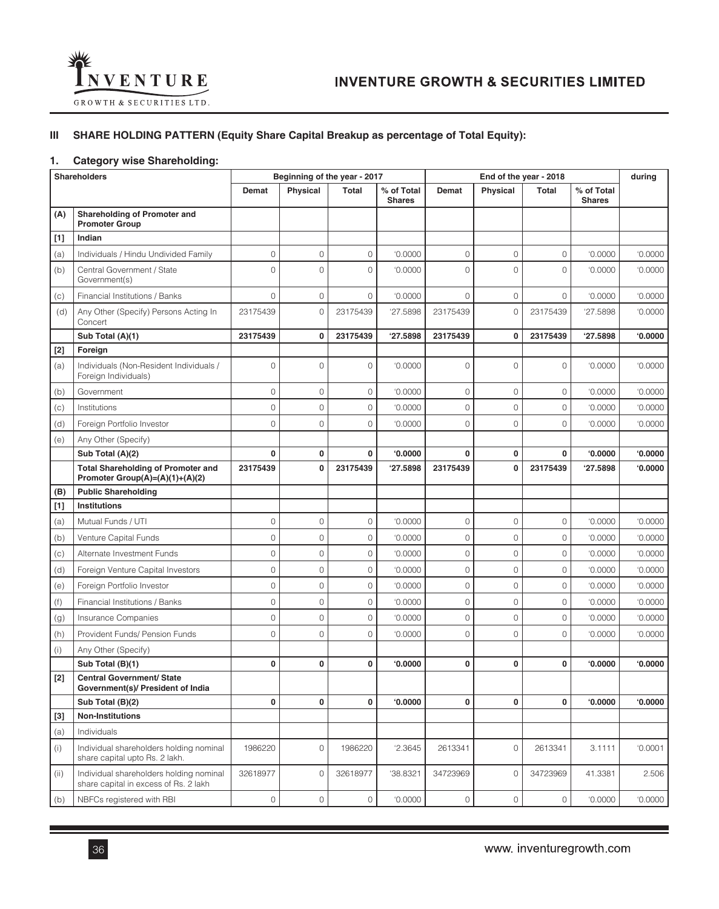

# **III SHARE HOLDING PATTERN (Equity Share Capital Breakup as percentage of Total Equity):**

# **1. Category wise Shareholding:**

| <b>Shareholders</b> |                                                                                  | Beginning of the year - 2017 |                     |                     | End of the year - 2018      |                     |             | during              |                             |         |
|---------------------|----------------------------------------------------------------------------------|------------------------------|---------------------|---------------------|-----------------------------|---------------------|-------------|---------------------|-----------------------------|---------|
|                     |                                                                                  | Demat                        | Physical            | <b>Total</b>        | % of Total<br><b>Shares</b> | Demat               | Physical    | <b>Total</b>        | % of Total<br><b>Shares</b> |         |
| (A)                 | Shareholding of Promoter and<br><b>Promoter Group</b>                            |                              |                     |                     |                             |                     |             |                     |                             |         |
| $[1]$               | Indian                                                                           |                              |                     |                     |                             |                     |             |                     |                             |         |
| (a)                 | Individuals / Hindu Undivided Family                                             | 0                            | $\mathsf{O}\xspace$ | 0                   | '0.0000                     | $\circ$             | 0           | $\circ$             | '0.0000                     | '0.0000 |
| (b)                 | Central Government / State<br>Government(s)                                      | 0                            | 0                   | $\mathbf 0$         | '0.0000                     | $\overline{O}$      | 0           | $\circ$             | '0.0000                     | '0.0000 |
| (c)                 | Financial Institutions / Banks                                                   | 0                            | $\mathsf{O}\xspace$ | $\circ$             | '0.0000                     | $\circ$             | 0           | $\circ$             | '0.0000                     | '0.0000 |
| (d)                 | Any Other (Specify) Persons Acting In<br>Concert                                 | 23175439                     | 0                   | 23175439            | '27.5898                    | 23175439            | 0           | 23175439            | '27.5898                    | '0.0000 |
|                     | Sub Total (A)(1)                                                                 | 23175439                     | $\bf{0}$            | 23175439            | '27.5898                    | 23175439            | $\mathbf 0$ | 23175439            | '27.5898                    | 0.0000  |
| $[2]$               | Foreign                                                                          |                              |                     |                     |                             |                     |             |                     |                             |         |
| (a)                 | Individuals (Non-Resident Individuals /<br>Foreign Individuals)                  | 0                            | $\circ$             | $\mathbf 0$         | '0.0000                     | $\mathbf 0$         | 0           | $\circ$             | '0.0000                     | '0.0000 |
| (b)                 | Government                                                                       | 0                            | $\circ$             | 0                   | '0.0000                     | 0                   | 0           | $\circ$             | '0.0000                     | '0.0000 |
| (c)                 | Institutions                                                                     | 0                            | 0                   | $\mathbf 0$         | '0.0000                     | 0                   | 0           | $\circ$             | '0.0000                     | '0.0000 |
| (d)                 | Foreign Portfolio Investor                                                       | $\circ$                      | 0                   | $\mathbf 0$         | '0.0000                     | $\circ$             | 0           | $\circ$             | '0.0000                     | '0.0000 |
| (e)                 | Any Other (Specify)                                                              |                              |                     |                     |                             |                     |             |                     |                             |         |
|                     | Sub Total (A)(2)                                                                 | 0                            | $\mathbf 0$         | $\bf{0}$            | 0.0000                      | $\bf{0}$            | 0           | $\mathbf{0}$        | 0.0000                      | 0.0000  |
|                     | <b>Total Shareholding of Promoter and</b><br>Promoter Group(A)=(A)(1)+(A)(2)     | 23175439                     | 0                   | 23175439            | '27.5898                    | 23175439            | 0           | 23175439            | 27.5898                     | 0.0000  |
| (B)                 | <b>Public Shareholding</b>                                                       |                              |                     |                     |                             |                     |             |                     |                             |         |
| $[1]$               | Institutions                                                                     |                              |                     |                     |                             |                     |             |                     |                             |         |
| (a)                 | Mutual Funds / UTI                                                               | 0                            | $\mathsf{O}\xspace$ | 0                   | '0.0000                     | $\mathsf{O}\xspace$ | 0           | $\circ$             | '0.0000                     | '0.0000 |
| (b)                 | Venture Capital Funds                                                            | 0                            | 0                   | $\mathbf 0$         | '0.0000                     | 0                   | 0           | $\mathsf{O}\xspace$ | '0.0000                     | '0.0000 |
| (c)                 | Alternate Investment Funds                                                       | 0                            | $\circ$             | 0                   | '0.0000                     | $\circ$             | 0           | $\mathsf{O}\xspace$ | '0.0000                     | '0.0000 |
| (d)                 | Foreign Venture Capital Investors                                                | 0                            | 0                   | 0                   | '0.0000                     | 0                   | 0           | $\mathsf{O}\xspace$ | '0.0000                     | '0.0000 |
| (e)                 | Foreign Portfolio Investor                                                       | 0                            | $\circ$             | $\mathsf{O}\xspace$ | '0.0000                     | $\mathsf{O}\xspace$ | 0           | $\circ$             | '0.0000                     | '0.0000 |
| (f)                 | Financial Institutions / Banks                                                   | 0                            | $\mathbf 0$         | 0                   | '0.0000                     | 0                   | 0           | $\circ$             | '0.0000                     | '0.0000 |
| (g)                 | Insurance Companies                                                              | 0                            | $\mathbf 0$         | $\circ$             | '0.0000                     | 0                   | 0           | $\circ$             | '0.0000                     | '0.0000 |
| (h)                 | Provident Funds/ Pension Funds                                                   | 0                            | $\circ$             | 0                   | '0.0000                     | $\overline{0}$      | 0           | $\circ$             | '0.0000                     | '0.0000 |
| (i)                 | Any Other (Specify)                                                              |                              |                     |                     |                             |                     |             |                     |                             |         |
|                     | Sub Total (B)(1)                                                                 | 0                            | $\bf{0}$            | 0                   | 0.0000                      | $\bf{0}$            | 0           | $\mathbf 0$         | 0.0000                      | 0.0000  |
| $[2]$               | <b>Central Government/ State</b><br>Government(s)/ President of India            |                              |                     |                     |                             |                     |             |                     |                             |         |
|                     | Sub Total (B)(2)                                                                 | 0                            | 0                   | 0                   | 0.0000                      | 0                   | 0           | 0                   | 0.0000                      | 0.0000  |
| $[3]$               | <b>Non-Institutions</b>                                                          |                              |                     |                     |                             |                     |             |                     |                             |         |
| (a)                 | Individuals                                                                      |                              |                     |                     |                             |                     |             |                     |                             |         |
| (i)                 | Individual shareholders holding nominal<br>share capital upto Rs. 2 lakh.        | 1986220                      | $\circ$             | 1986220             | '2.3645                     | 2613341             | 0           | 2613341             | 3.1111                      | '0.0001 |
| (ii)                | Individual shareholders holding nominal<br>share capital in excess of Rs. 2 lakh | 32618977                     | $\circ$             | 32618977            | '38.8321                    | 34723969            | 0           | 34723969            | 41.3381                     | 2.506   |
| (b)                 | NBFCs registered with RBI                                                        | 0                            | $\mathsf{O}\xspace$ | 0                   | 0.0000                      | $\mathsf{O}\xspace$ | 0           | $\mathsf{O}\xspace$ | 0.0000                      | 0.0000  |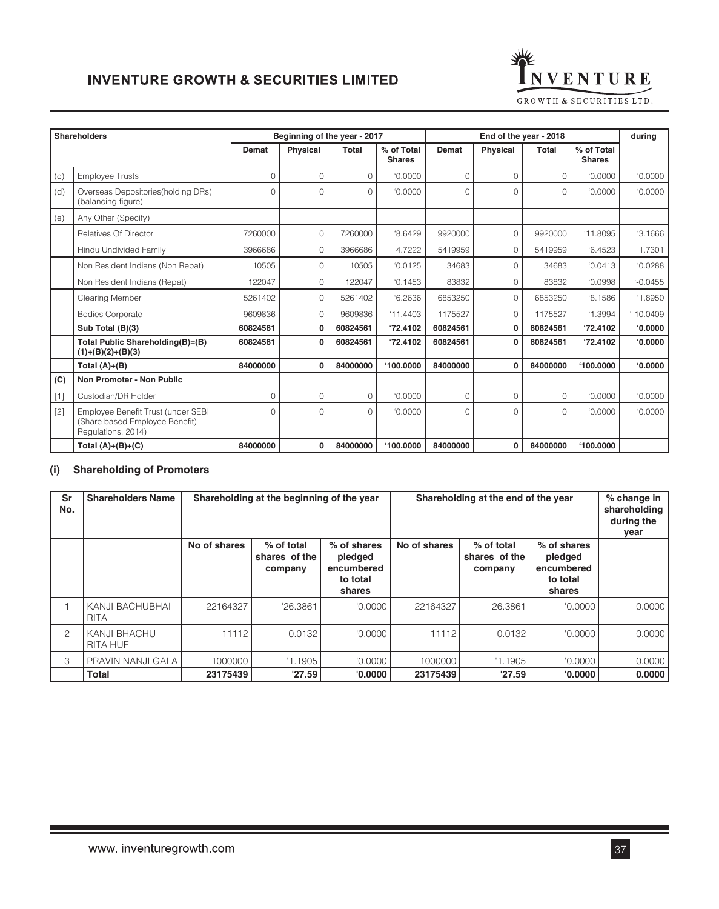

|       | <b>Shareholders</b>                                                                        |          | Beginning of the year - 2017 |              |                             |              | End of the year - 2018 |              |                             | durina     |
|-------|--------------------------------------------------------------------------------------------|----------|------------------------------|--------------|-----------------------------|--------------|------------------------|--------------|-----------------------------|------------|
|       |                                                                                            | Demat    | <b>Physical</b>              | <b>Total</b> | % of Total<br><b>Shares</b> | <b>Demat</b> | <b>Physical</b>        | <b>Total</b> | % of Total<br><b>Shares</b> |            |
| (c)   | <b>Employee Trusts</b>                                                                     | $\Omega$ | $\Omega$                     | $\Omega$     | '0.0000                     | 0            | 0                      | $\Omega$     | '0.0000                     | '0.0000    |
| (d)   | Overseas Depositories (holding DRs)<br>(balancing figure)                                  | $\Omega$ | $\Omega$                     | $\Omega$     | '0.0000                     | $\Omega$     | $\Omega$               | $\Omega$     | '0.0000                     | '0.0000    |
| (e)   | Any Other (Specify)                                                                        |          |                              |              |                             |              |                        |              |                             |            |
|       | Relatives Of Director                                                                      | 7260000  | $\mathbf 0$                  | 7260000      | 8.6429                      | 9920000      | 0                      | 9920000      | '11.8095                    | '3.1666    |
|       | Hindu Undivided Family                                                                     | 3966686  | 0                            | 3966686      | 4.7222                      | 5419959      | 0                      | 5419959      | 6.4523                      | 1.7301     |
|       | Non Resident Indians (Non Repat)                                                           | 10505    | $\Omega$                     | 10505        | '0.0125                     | 34683        | 0                      | 34683        | '0.0413                     | '0.0288    |
|       | Non Resident Indians (Repat)                                                               | 122047   | 0                            | 122047       | '0.1453                     | 83832        | 0                      | 83832        | '0.0998                     | $-0.0455$  |
|       | Clearing Member                                                                            | 5261402  | 0                            | 5261402      | 6.2636                      | 6853250      | $\Omega$               | 6853250      | $^{\circ}8.1586$            | '1.8950    |
|       | <b>Bodies Corporate</b>                                                                    | 9609836  | $\Omega$                     | 9609836      | '11.4403                    | 1175527      | $\Omega$               | 1175527      | '1.3994                     | $-10.0409$ |
|       | Sub Total (B)(3)                                                                           | 60824561 | 0                            | 60824561     | '72.4102                    | 60824561     | 0                      | 60824561     | '72.4102                    | 0.0000     |
|       | Total Public Shareholding(B)=(B)<br>$(1)+(B)(2)+(B)(3)$                                    | 60824561 | 0                            | 60824561     | '72.4102                    | 60824561     | $\bf{0}$               | 60824561     | '72.4102                    | 0.0000     |
|       | Total $(A)+(B)$                                                                            | 84000000 | $\bf{0}$                     | 84000000     | 100.0000                    | 84000000     | $\bf{0}$               | 84000000     | 100,0000                    | 0.0000     |
| (C)   | Non Promoter - Non Public                                                                  |          |                              |              |                             |              |                        |              |                             |            |
| $[1]$ | Custodian/DR Holder                                                                        | $\Omega$ | $\Omega$                     | $\circ$      | '0.0000                     | 0            | 0                      | $\circ$      | '0.0000                     | '0.0000    |
| [2]   | Employee Benefit Trust (under SEBI<br>(Share based Employee Benefit)<br>Regulations, 2014) | $\Omega$ | $\Omega$                     | $\Omega$     | '0.0000                     | $\Omega$     | $\Omega$               | $\Omega$     | '0.0000                     | '0.0000    |
|       | Total $(A)+(B)+(C)$                                                                        | 84000000 | 0                            | 84000000     | '100.0000                   | 84000000     | 0                      | 84000000     | 100,0000                    |            |

## **(i) Shareholding of Promoters**

| Sr<br>No.     | <b>Shareholders Name</b>               | Shareholding at the beginning of the year<br>Shareholding at the end of the year |                                        |                                                            |              | % change in<br>shareholding<br>during the<br>year |                                                              |        |
|---------------|----------------------------------------|----------------------------------------------------------------------------------|----------------------------------------|------------------------------------------------------------|--------------|---------------------------------------------------|--------------------------------------------------------------|--------|
|               |                                        | No of shares                                                                     | % of total<br>shares of the<br>company | % of shares<br>pledged<br>encumbered<br>to total<br>shares | No of shares | % of total<br>shares of the<br>company            | $%$ of shares<br>pledged<br>encumbered<br>to total<br>shares |        |
|               | <b>KANJI BACHUBHAI</b><br><b>RITA</b>  | 22164327                                                                         | '26.3861                               | '0.0000                                                    | 22164327     | '26.3861                                          | '0.0000                                                      | 0.0000 |
| $\mathcal{P}$ | <b>KANJI BHACHU</b><br><b>RITA HUF</b> | 11112                                                                            | 0.0132                                 | '0.0000                                                    | 11112        | 0.0132                                            | '0.0000                                                      | 0.0000 |
| 3             | PRAVIN NANJI GALA                      | 1000000                                                                          | '1.1905                                | '0.0000                                                    | 1000000      | '1.1905                                           | '0.0000                                                      | 0.0000 |
|               | Total                                  | 23175439                                                                         | '27.59'                                | '0.0000                                                    | 23175439     | '27.59                                            | '0.0000                                                      | 0.0000 |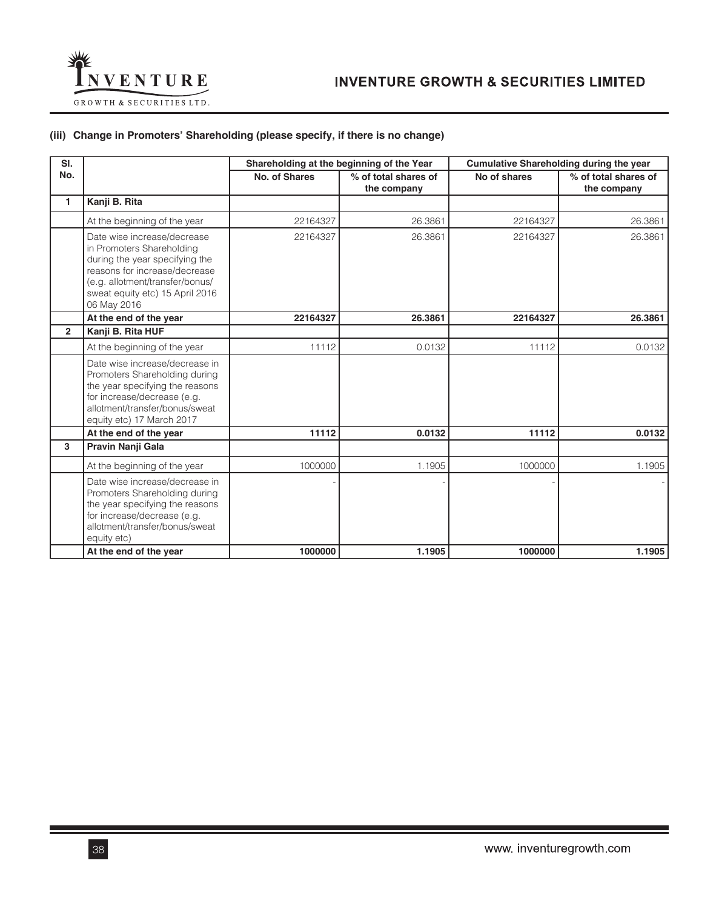

## **(iii) Change in Promoters' Shareholding (please specify, if there is no change)**

| SI.            |                                                                                                                                                                                                                  | Shareholding at the beginning of the Year |                                     | Cumulative Shareholding during the year |                                     |  |
|----------------|------------------------------------------------------------------------------------------------------------------------------------------------------------------------------------------------------------------|-------------------------------------------|-------------------------------------|-----------------------------------------|-------------------------------------|--|
| No.            |                                                                                                                                                                                                                  | No. of Shares                             | % of total shares of<br>the company | No of shares                            | % of total shares of<br>the company |  |
| 1              | Kanji B. Rita                                                                                                                                                                                                    |                                           |                                     |                                         |                                     |  |
|                | At the beginning of the year                                                                                                                                                                                     | 22164327                                  | 26.3861                             | 22164327                                | 26.3861                             |  |
|                | Date wise increase/decrease<br>in Promoters Shareholding<br>during the year specifying the<br>reasons for increase/decrease<br>(e.g. allotment/transfer/bonus/<br>sweat equity etc) 15 April 2016<br>06 May 2016 | 22164327                                  | 26.3861                             | 22164327                                | 26.3861                             |  |
|                | At the end of the year                                                                                                                                                                                           | 22164327                                  | 26.3861                             | 22164327                                | 26.3861                             |  |
| $\overline{2}$ | Kanji B. Rita HUF                                                                                                                                                                                                |                                           |                                     |                                         |                                     |  |
|                | At the beginning of the year                                                                                                                                                                                     | 11112                                     | 0.0132                              | 11112                                   | 0.0132                              |  |
|                | Date wise increase/decrease in<br>Promoters Shareholding during<br>the year specifying the reasons<br>for increase/decrease (e.g.<br>allotment/transfer/bonus/sweat<br>equity etc) 17 March 2017                 |                                           |                                     |                                         |                                     |  |
|                | At the end of the year                                                                                                                                                                                           | 11112                                     | 0.0132                              | 11112                                   | 0.0132                              |  |
| 3              | Pravin Nanji Gala                                                                                                                                                                                                |                                           |                                     |                                         |                                     |  |
|                | At the beginning of the year                                                                                                                                                                                     | 1000000                                   | 1.1905                              | 1000000                                 | 1.1905                              |  |
|                | Date wise increase/decrease in<br>Promoters Shareholding during<br>the year specifying the reasons<br>for increase/decrease (e.g.<br>allotment/transfer/bonus/sweat<br>equity etc)                               |                                           |                                     |                                         |                                     |  |
|                | At the end of the year                                                                                                                                                                                           | 1000000                                   | 1.1905                              | 1000000                                 | 1.1905                              |  |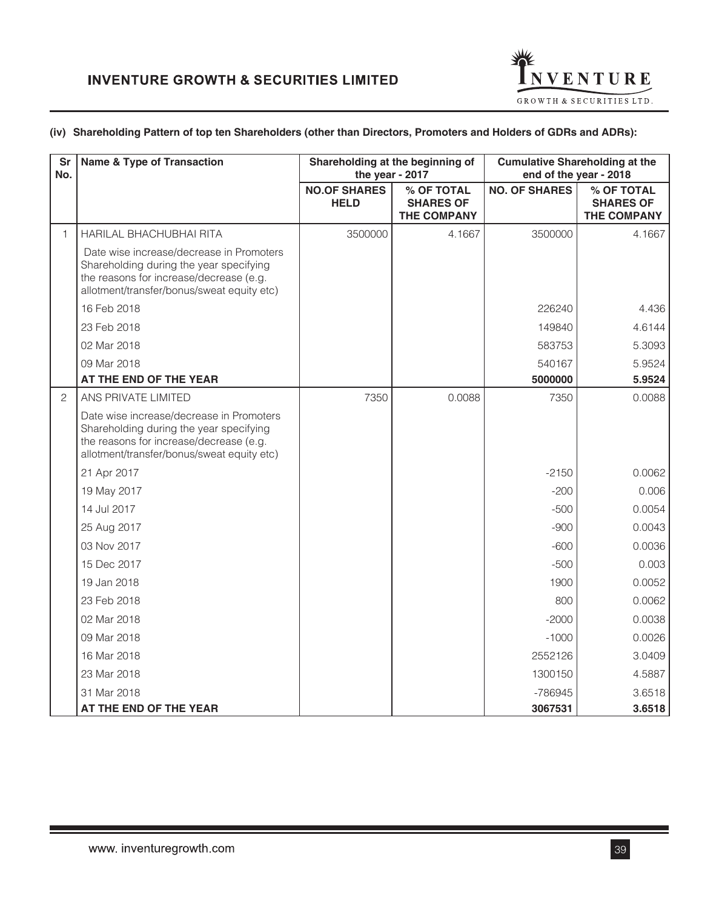

## **(iv) Shareholding Pattern of top ten Shareholders (other than Directors, Promoters and Holders of GDRs and ADRs):**

| <b>Sr</b><br>No. | <b>Name &amp; Type of Transaction</b>                                                                                                                                        |                                    | Shareholding at the beginning of<br>the year - 2017  |                      | <b>Cumulative Shareholding at the</b><br>end of the year - 2018 |
|------------------|------------------------------------------------------------------------------------------------------------------------------------------------------------------------------|------------------------------------|------------------------------------------------------|----------------------|-----------------------------------------------------------------|
|                  |                                                                                                                                                                              | <b>NO.OF SHARES</b><br><b>HELD</b> | % OF TOTAL<br><b>SHARES OF</b><br><b>THE COMPANY</b> | <b>NO. OF SHARES</b> | % OF TOTAL<br><b>SHARES OF</b><br>THE COMPANY                   |
| $\mathbf{1}$     | HARILAL BHACHUBHAI RITA                                                                                                                                                      | 3500000                            | 4.1667                                               | 3500000              | 4.1667                                                          |
|                  | Date wise increase/decrease in Promoters<br>Shareholding during the year specifying<br>the reasons for increase/decrease (e.g.<br>allotment/transfer/bonus/sweat equity etc) |                                    |                                                      |                      |                                                                 |
|                  | 16 Feb 2018                                                                                                                                                                  |                                    |                                                      | 226240               | 4.436                                                           |
|                  | 23 Feb 2018                                                                                                                                                                  |                                    |                                                      | 149840               | 4.6144                                                          |
|                  | 02 Mar 2018                                                                                                                                                                  |                                    |                                                      | 583753               | 5.3093                                                          |
|                  | 09 Mar 2018                                                                                                                                                                  |                                    |                                                      | 540167               | 5.9524                                                          |
|                  | AT THE END OF THE YEAR                                                                                                                                                       |                                    |                                                      | 5000000              | 5.9524                                                          |
| $\mathbf{2}$     | ANS PRIVATE LIMITED                                                                                                                                                          | 7350                               | 0.0088                                               | 7350                 | 0.0088                                                          |
|                  | Date wise increase/decrease in Promoters<br>Shareholding during the year specifying<br>the reasons for increase/decrease (e.g.<br>allotment/transfer/bonus/sweat equity etc) |                                    |                                                      |                      |                                                                 |
|                  | 21 Apr 2017                                                                                                                                                                  |                                    |                                                      | $-2150$              | 0.0062                                                          |
|                  | 19 May 2017                                                                                                                                                                  |                                    |                                                      | $-200$               | 0.006                                                           |
|                  | 14 Jul 2017                                                                                                                                                                  |                                    |                                                      | $-500$               | 0.0054                                                          |
|                  | 25 Aug 2017                                                                                                                                                                  |                                    |                                                      | $-900$               | 0.0043                                                          |
|                  | 03 Nov 2017                                                                                                                                                                  |                                    |                                                      | $-600$               | 0.0036                                                          |
|                  | 15 Dec 2017                                                                                                                                                                  |                                    |                                                      | $-500$               | 0.003                                                           |
|                  | 19 Jan 2018                                                                                                                                                                  |                                    |                                                      | 1900                 | 0.0052                                                          |
|                  | 23 Feb 2018                                                                                                                                                                  |                                    |                                                      | 800                  | 0.0062                                                          |
|                  | 02 Mar 2018                                                                                                                                                                  |                                    |                                                      | $-2000$              | 0.0038                                                          |
|                  | 09 Mar 2018                                                                                                                                                                  |                                    |                                                      | $-1000$              | 0.0026                                                          |
|                  | 16 Mar 2018                                                                                                                                                                  |                                    |                                                      | 2552126              | 3.0409                                                          |
|                  | 23 Mar 2018                                                                                                                                                                  |                                    |                                                      | 1300150              | 4.5887                                                          |
|                  | 31 Mar 2018                                                                                                                                                                  |                                    |                                                      | -786945              | 3.6518                                                          |
|                  | AT THE END OF THE YEAR                                                                                                                                                       |                                    |                                                      | 3067531              | 3.6518                                                          |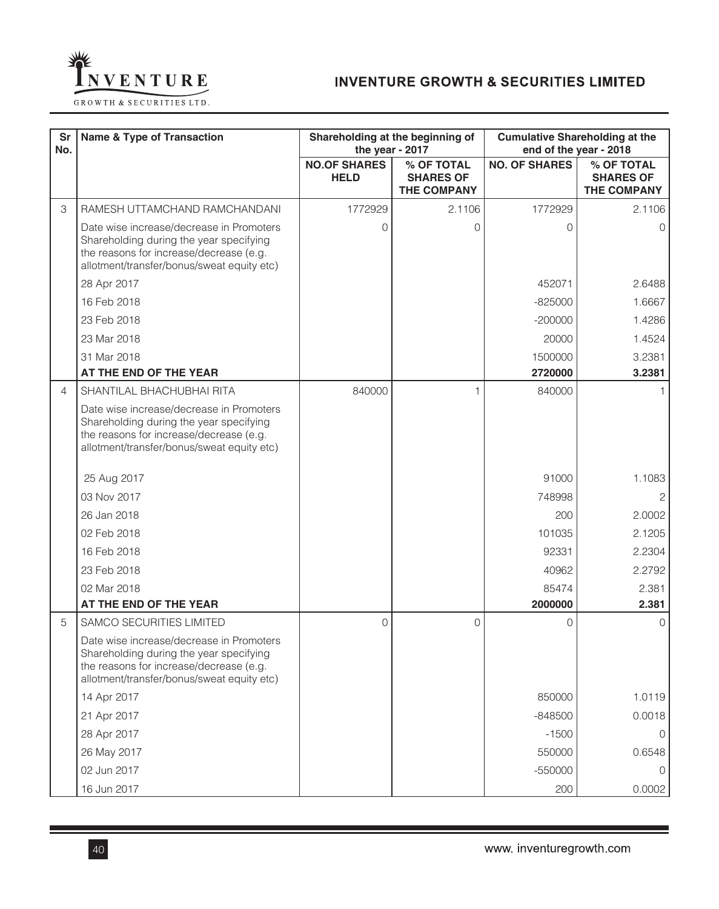

| Sr<br>No. | <b>Name &amp; Type of Transaction</b>                                                                                                                                        |                                    | Shareholding at the beginning of<br>the year - 2017  | <b>Cumulative Shareholding at the</b> | end of the year - 2018                        |
|-----------|------------------------------------------------------------------------------------------------------------------------------------------------------------------------------|------------------------------------|------------------------------------------------------|---------------------------------------|-----------------------------------------------|
|           |                                                                                                                                                                              | <b>NO.OF SHARES</b><br><b>HELD</b> | % OF TOTAL<br><b>SHARES OF</b><br><b>THE COMPANY</b> | <b>NO. OF SHARES</b>                  | % OF TOTAL<br><b>SHARES OF</b><br>THE COMPANY |
| 3         | RAMESH UTTAMCHAND RAMCHANDANI                                                                                                                                                | 1772929                            | 2.1106                                               | 1772929                               | 2.1106                                        |
|           | Date wise increase/decrease in Promoters<br>Shareholding during the year specifying<br>the reasons for increase/decrease (e.g.<br>allotment/transfer/bonus/sweat equity etc) | 0                                  | O                                                    | O                                     | $\Omega$                                      |
|           | 28 Apr 2017                                                                                                                                                                  |                                    |                                                      | 452071                                | 2.6488                                        |
|           | 16 Feb 2018                                                                                                                                                                  |                                    |                                                      | $-825000$                             | 1.6667                                        |
|           | 23 Feb 2018                                                                                                                                                                  |                                    |                                                      | $-200000$                             | 1.4286                                        |
|           | 23 Mar 2018                                                                                                                                                                  |                                    |                                                      | 20000                                 | 1.4524                                        |
|           | 31 Mar 2018                                                                                                                                                                  |                                    |                                                      | 1500000                               | 3.2381                                        |
|           | AT THE END OF THE YEAR                                                                                                                                                       |                                    |                                                      | 2720000                               | 3.2381                                        |
| 4         | SHANTILAL BHACHUBHAI RITA                                                                                                                                                    | 840000                             | 1                                                    | 840000                                |                                               |
|           | Date wise increase/decrease in Promoters<br>Shareholding during the year specifying<br>the reasons for increase/decrease (e.g.<br>allotment/transfer/bonus/sweat equity etc) |                                    |                                                      |                                       |                                               |
|           | 25 Aug 2017                                                                                                                                                                  |                                    |                                                      | 91000                                 | 1.1083                                        |
|           | 03 Nov 2017                                                                                                                                                                  |                                    |                                                      | 748998                                |                                               |
|           | 26 Jan 2018                                                                                                                                                                  |                                    |                                                      | 200                                   | 2.0002                                        |
|           | 02 Feb 2018                                                                                                                                                                  |                                    |                                                      | 101035                                | 2.1205                                        |
|           | 16 Feb 2018                                                                                                                                                                  |                                    |                                                      | 92331                                 | 2.2304                                        |
|           | 23 Feb 2018                                                                                                                                                                  |                                    |                                                      | 40962                                 | 2.2792                                        |
|           | 02 Mar 2018                                                                                                                                                                  |                                    |                                                      | 85474                                 | 2.381                                         |
|           | AT THE END OF THE YEAR                                                                                                                                                       |                                    |                                                      | 2000000                               | 2.381                                         |
| 5         | <b>SAMCO SECURITIES LIMITED</b>                                                                                                                                              | $\overline{O}$                     | $\Omega$                                             | $\Omega$                              | $\Omega$                                      |
|           | Date wise increase/decrease in Promoters<br>Shareholding during the year specifying<br>the reasons for increase/decrease (e.g.<br>allotment/transfer/bonus/sweat equity etc) |                                    |                                                      |                                       |                                               |
|           | 14 Apr 2017                                                                                                                                                                  |                                    |                                                      | 850000                                | 1.0119                                        |
|           | 21 Apr 2017                                                                                                                                                                  |                                    |                                                      | $-848500$                             | 0.0018                                        |
|           | 28 Apr 2017                                                                                                                                                                  |                                    |                                                      | $-1500$                               | $\Omega$                                      |
|           | 26 May 2017                                                                                                                                                                  |                                    |                                                      | 550000                                | 0.6548                                        |
|           | 02 Jun 2017                                                                                                                                                                  |                                    |                                                      | $-550000$                             | $\Omega$                                      |
|           | 16 Jun 2017                                                                                                                                                                  |                                    |                                                      | 200                                   | 0.0002                                        |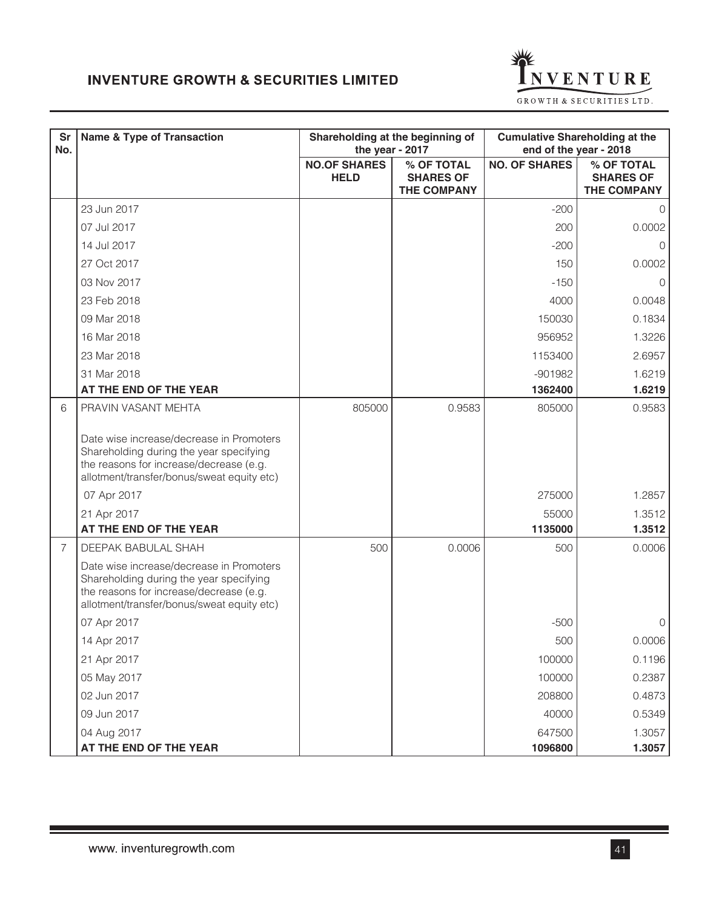

| <b>Sr</b><br>No. | <b>Name &amp; Type of Transaction</b>                                                                                                                                        | the year - 2017                    | Shareholding at the beginning of                     | <b>Cumulative Shareholding at the</b><br>end of the year - 2018 |                                                      |
|------------------|------------------------------------------------------------------------------------------------------------------------------------------------------------------------------|------------------------------------|------------------------------------------------------|-----------------------------------------------------------------|------------------------------------------------------|
|                  |                                                                                                                                                                              | <b>NO.OF SHARES</b><br><b>HELD</b> | % OF TOTAL<br><b>SHARES OF</b><br><b>THE COMPANY</b> | <b>NO. OF SHARES</b>                                            | % OF TOTAL<br><b>SHARES OF</b><br><b>THE COMPANY</b> |
|                  | 23 Jun 2017                                                                                                                                                                  |                                    |                                                      | $-200$                                                          | $\Omega$                                             |
|                  | 07 Jul 2017                                                                                                                                                                  |                                    |                                                      | 200                                                             | 0.0002                                               |
|                  | 14 Jul 2017                                                                                                                                                                  |                                    |                                                      | $-200$                                                          | $\Omega$                                             |
|                  | 27 Oct 2017                                                                                                                                                                  |                                    |                                                      | 150                                                             | 0.0002                                               |
|                  | 03 Nov 2017                                                                                                                                                                  |                                    |                                                      | $-150$                                                          | 0                                                    |
|                  | 23 Feb 2018                                                                                                                                                                  |                                    |                                                      | 4000                                                            | 0.0048                                               |
|                  | 09 Mar 2018                                                                                                                                                                  |                                    |                                                      | 150030                                                          | 0.1834                                               |
|                  | 16 Mar 2018                                                                                                                                                                  |                                    |                                                      | 956952                                                          | 1.3226                                               |
|                  | 23 Mar 2018                                                                                                                                                                  |                                    |                                                      | 1153400                                                         | 2.6957                                               |
|                  | 31 Mar 2018                                                                                                                                                                  |                                    |                                                      | $-901982$                                                       | 1.6219                                               |
|                  | AT THE END OF THE YEAR                                                                                                                                                       |                                    |                                                      | 1362400                                                         | 1.6219                                               |
| 6                | PRAVIN VASANT MEHTA                                                                                                                                                          | 805000                             | 0.9583                                               | 805000                                                          | 0.9583                                               |
|                  | Date wise increase/decrease in Promoters<br>Shareholding during the year specifying<br>the reasons for increase/decrease (e.g.<br>allotment/transfer/bonus/sweat equity etc) |                                    |                                                      |                                                                 |                                                      |
|                  | 07 Apr 2017                                                                                                                                                                  |                                    |                                                      | 275000                                                          | 1.2857                                               |
|                  | 21 Apr 2017                                                                                                                                                                  |                                    |                                                      | 55000                                                           | 1.3512                                               |
|                  | AT THE END OF THE YEAR                                                                                                                                                       |                                    |                                                      | 1135000                                                         | 1.3512                                               |
| $\overline{7}$   | DEEPAK BABULAL SHAH                                                                                                                                                          | 500                                | 0.0006                                               | 500                                                             | 0.0006                                               |
|                  | Date wise increase/decrease in Promoters<br>Shareholding during the year specifying<br>the reasons for increase/decrease (e.g.<br>allotment/transfer/bonus/sweat equity etc) |                                    |                                                      |                                                                 |                                                      |
|                  | 07 Apr 2017                                                                                                                                                                  |                                    |                                                      | $-500$                                                          | O                                                    |
|                  | 14 Apr 2017                                                                                                                                                                  |                                    |                                                      | 500                                                             | 0.0006                                               |
|                  | 21 Apr 2017                                                                                                                                                                  |                                    |                                                      | 100000                                                          | 0.1196                                               |
|                  | 05 May 2017                                                                                                                                                                  |                                    |                                                      | 100000                                                          | 0.2387                                               |
|                  | 02 Jun 2017                                                                                                                                                                  |                                    |                                                      | 208800                                                          | 0.4873                                               |
|                  | 09 Jun 2017                                                                                                                                                                  |                                    |                                                      | 40000                                                           | 0.5349                                               |
|                  | 04 Aug 2017                                                                                                                                                                  |                                    |                                                      | 647500                                                          | 1.3057                                               |
|                  | AT THE END OF THE YEAR                                                                                                                                                       |                                    |                                                      | 1096800                                                         | 1.3057                                               |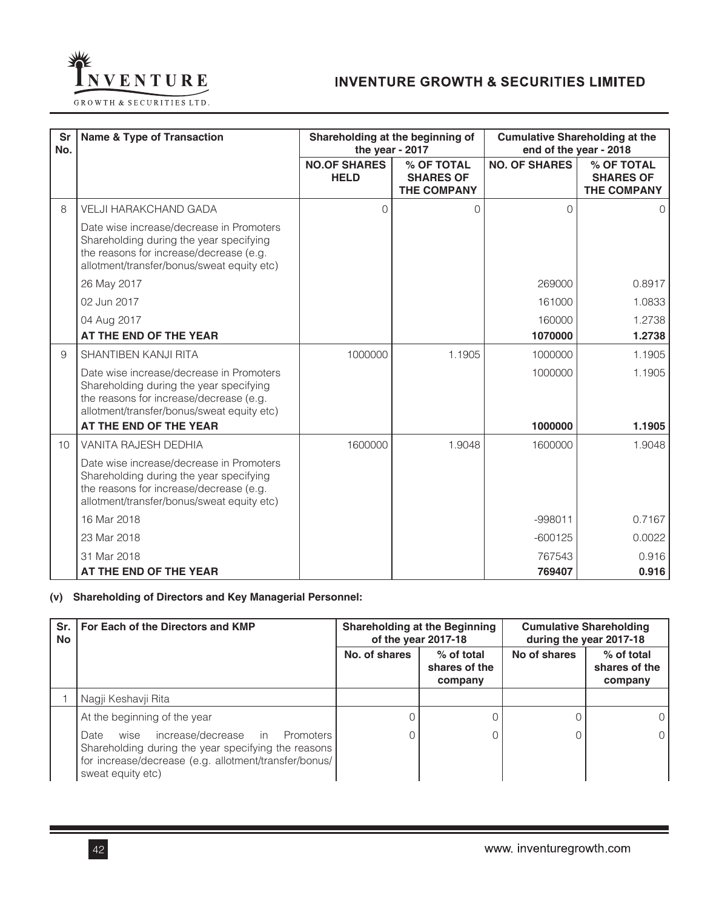

| <b>Sr</b><br>No. | <b>Name &amp; Type of Transaction</b>                                                                                                                                        |                                    | Shareholding at the beginning of<br>the year - 2017  |                      | <b>Cumulative Shareholding at the</b><br>end of the year - 2018 |
|------------------|------------------------------------------------------------------------------------------------------------------------------------------------------------------------------|------------------------------------|------------------------------------------------------|----------------------|-----------------------------------------------------------------|
|                  |                                                                                                                                                                              | <b>NO.OF SHARES</b><br><b>HELD</b> | % OF TOTAL<br><b>SHARES OF</b><br><b>THE COMPANY</b> | <b>NO. OF SHARES</b> | % OF TOTAL<br><b>SHARES OF</b><br><b>THE COMPANY</b>            |
| 8                | <b>VELJI HARAKCHAND GADA</b>                                                                                                                                                 | $\Omega$                           | O                                                    | $\Omega$             | $\Omega$                                                        |
|                  | Date wise increase/decrease in Promoters<br>Shareholding during the year specifying<br>the reasons for increase/decrease (e.g.<br>allotment/transfer/bonus/sweat equity etc) |                                    |                                                      |                      |                                                                 |
|                  | 26 May 2017                                                                                                                                                                  |                                    |                                                      | 269000               | 0.8917                                                          |
|                  | 02 Jun 2017                                                                                                                                                                  |                                    |                                                      | 161000               | 1.0833                                                          |
|                  | 04 Aug 2017                                                                                                                                                                  |                                    |                                                      | 160000               | 1.2738                                                          |
|                  | AT THE END OF THE YEAR                                                                                                                                                       |                                    |                                                      | 1070000              | 1.2738                                                          |
| 9                | <b>SHANTIBEN KANJI RITA</b>                                                                                                                                                  | 1000000                            | 1.1905                                               | 1000000              | 1.1905                                                          |
|                  | Date wise increase/decrease in Promoters<br>Shareholding during the year specifying<br>the reasons for increase/decrease (e.g.<br>allotment/transfer/bonus/sweat equity etc) |                                    |                                                      | 1000000              | 1.1905                                                          |
|                  | AT THE END OF THE YEAR                                                                                                                                                       |                                    |                                                      | 1000000              | 1.1905                                                          |
| 10               | VANITA RAJESH DEDHIA                                                                                                                                                         | 1600000                            | 1.9048                                               | 1600000              | 1.9048                                                          |
|                  | Date wise increase/decrease in Promoters<br>Shareholding during the year specifying<br>the reasons for increase/decrease (e.g.<br>allotment/transfer/bonus/sweat equity etc) |                                    |                                                      |                      |                                                                 |
|                  | 16 Mar 2018                                                                                                                                                                  |                                    |                                                      | $-998011$            | 0.7167                                                          |
|                  | 23 Mar 2018                                                                                                                                                                  |                                    |                                                      | $-600125$            | 0.0022                                                          |
|                  | 31 Mar 2018                                                                                                                                                                  |                                    |                                                      | 767543               | 0.916                                                           |
|                  | AT THE END OF THE YEAR                                                                                                                                                       |                                    |                                                      | 769407               | 0.916                                                           |

## **(v) Shareholding of Directors and Key Managerial Personnel:**

| <b>No</b> | Sr.   For Each of the Directors and KMP                                                                                                                                                | <b>Shareholding at the Beginning</b><br>of the year 2017-18 |                                          |              | <b>Cumulative Shareholding</b><br>during the year 2017-18 |
|-----------|----------------------------------------------------------------------------------------------------------------------------------------------------------------------------------------|-------------------------------------------------------------|------------------------------------------|--------------|-----------------------------------------------------------|
|           |                                                                                                                                                                                        | No. of shares                                               | $%$ of total<br>shares of the<br>company | No of shares | % of total<br>shares of the<br>company                    |
|           | Nagji Keshavji Rita                                                                                                                                                                    |                                                             |                                          |              |                                                           |
|           | At the beginning of the year                                                                                                                                                           |                                                             |                                          |              | $\Omega$                                                  |
|           | increase/decrease in<br>Promoters<br>Date<br>wise<br>Shareholding during the year specifying the reasons<br>for increase/decrease (e.g. allotment/transfer/bonus/<br>sweat equity etc) |                                                             |                                          |              | $\Omega$                                                  |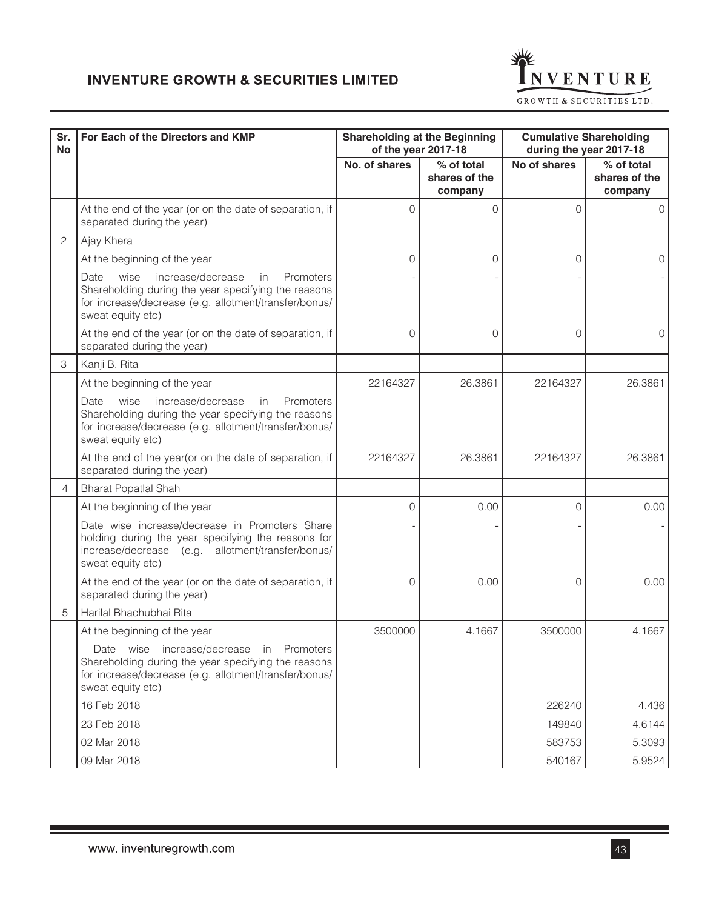

| Sr.<br><b>No</b> | For Each of the Directors and KMP                                                                                                                                                          |               | <b>Shareholding at the Beginning</b><br>of the year 2017-18 | during the year 2017-18 | <b>Cumulative Shareholding</b>         |
|------------------|--------------------------------------------------------------------------------------------------------------------------------------------------------------------------------------------|---------------|-------------------------------------------------------------|-------------------------|----------------------------------------|
|                  |                                                                                                                                                                                            | No. of shares | % of total<br>shares of the<br>company                      | No of shares            | % of total<br>shares of the<br>company |
|                  | At the end of the year (or on the date of separation, if<br>separated during the year)                                                                                                     | 0             | $\Omega$                                                    | $\Omega$                | $\Omega$                               |
| 2                | Ajay Khera                                                                                                                                                                                 |               |                                                             |                         |                                        |
|                  | At the beginning of the year                                                                                                                                                               | 0             | 0                                                           | $\Omega$                | $\Omega$                               |
|                  | wise<br>increase/decrease<br>Date<br>Promoters<br>in<br>Shareholding during the year specifying the reasons<br>for increase/decrease (e.g. allotment/transfer/bonus/<br>sweat equity etc)  |               |                                                             |                         |                                        |
|                  | At the end of the year (or on the date of separation, if<br>separated during the year)                                                                                                     | 0             | 0                                                           | 0                       | $\Omega$                               |
| 3                | Kanji B. Rita                                                                                                                                                                              |               |                                                             |                         |                                        |
|                  | At the beginning of the year                                                                                                                                                               | 22164327      | 26.3861                                                     | 22164327                | 26.3861                                |
|                  | wise<br>increase/decrease<br>Date<br>Promoters<br>in.<br>Shareholding during the year specifying the reasons<br>for increase/decrease (e.g. allotment/transfer/bonus/<br>sweat equity etc) |               |                                                             |                         |                                        |
|                  | At the end of the year(or on the date of separation, if<br>separated during the year)                                                                                                      | 22164327      | 26.3861                                                     | 22164327                | 26.3861                                |
| 4                | <b>Bharat Popatlal Shah</b>                                                                                                                                                                |               |                                                             |                         |                                        |
|                  | At the beginning of the year                                                                                                                                                               | $\Omega$      | 0.00                                                        | $\Omega$                | 0.00                                   |
|                  | Date wise increase/decrease in Promoters Share<br>holding during the year specifying the reasons for<br>increase/decrease (e.g. allotment/transfer/bonus/<br>sweat equity etc)             |               |                                                             |                         |                                        |
|                  | At the end of the year (or on the date of separation, if<br>separated during the year)                                                                                                     | 0             | 0.00                                                        | 0                       | 0.00                                   |
| 5                | Harilal Bhachubhai Rita                                                                                                                                                                    |               |                                                             |                         |                                        |
|                  | At the beginning of the year                                                                                                                                                               | 3500000       | 4.1667                                                      | 3500000                 | 4.1667                                 |
|                  | Date wise increase/decrease in Promoters<br>Shareholding during the year specifying the reasons<br>for increase/decrease (e.g. allotment/transfer/bonus/<br>sweat equity etc)              |               |                                                             |                         |                                        |
|                  | 16 Feb 2018                                                                                                                                                                                |               |                                                             | 226240                  | 4.436                                  |
|                  | 23 Feb 2018                                                                                                                                                                                |               |                                                             | 149840                  | 4.6144                                 |
|                  | 02 Mar 2018                                                                                                                                                                                |               |                                                             | 583753                  | 5.3093                                 |
|                  | 09 Mar 2018                                                                                                                                                                                |               |                                                             | 540167                  | 5.9524                                 |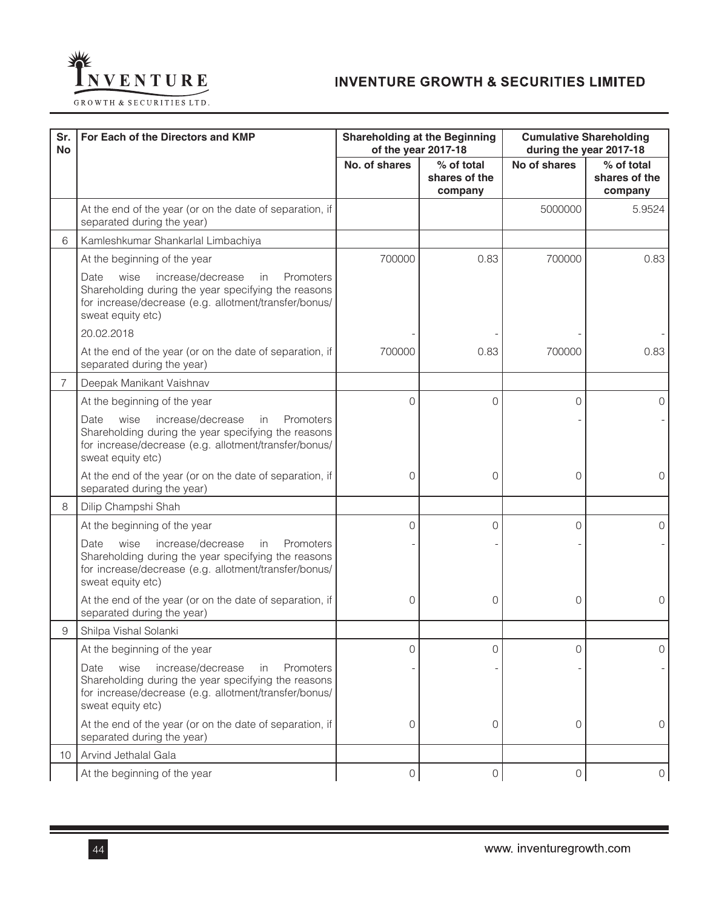

| Sr.<br><b>No</b> | For Each of the Directors and KMP                                                                                                                                                          |               | <b>Shareholding at the Beginning</b><br>of the year 2017-18 | <b>Cumulative Shareholding</b><br>during the year 2017-18 |                                        |  |
|------------------|--------------------------------------------------------------------------------------------------------------------------------------------------------------------------------------------|---------------|-------------------------------------------------------------|-----------------------------------------------------------|----------------------------------------|--|
|                  |                                                                                                                                                                                            | No. of shares | % of total<br>shares of the<br>company                      | No of shares                                              | % of total<br>shares of the<br>company |  |
|                  | At the end of the year (or on the date of separation, if<br>separated during the year)                                                                                                     |               |                                                             | 5000000                                                   | 5.9524                                 |  |
| 6                | Kamleshkumar Shankarlal Limbachiya                                                                                                                                                         |               |                                                             |                                                           |                                        |  |
|                  | At the beginning of the year                                                                                                                                                               | 700000        | 0.83                                                        | 700000                                                    | 0.83                                   |  |
|                  | wise<br>increase/decrease<br>Date.<br>in<br>Promoters<br>Shareholding during the year specifying the reasons<br>for increase/decrease (e.g. allotment/transfer/bonus/<br>sweat equity etc) |               |                                                             |                                                           |                                        |  |
|                  | 20.02.2018                                                                                                                                                                                 |               |                                                             |                                                           |                                        |  |
|                  | At the end of the year (or on the date of separation, if<br>separated during the year)                                                                                                     | 700000        | 0.83                                                        | 700000                                                    | 0.83                                   |  |
| 7                | Deepak Manikant Vaishnav                                                                                                                                                                   |               |                                                             |                                                           |                                        |  |
|                  | At the beginning of the year                                                                                                                                                               | $\Omega$      | 0                                                           | 0                                                         | 0                                      |  |
|                  | increase/decrease<br>Date<br>wise<br>in<br>Promoters<br>Shareholding during the year specifying the reasons<br>for increase/decrease (e.g. allotment/transfer/bonus/<br>sweat equity etc)  |               |                                                             |                                                           |                                        |  |
|                  | At the end of the year (or on the date of separation, if<br>separated during the year)                                                                                                     | 0             | 0                                                           | 0                                                         | 0                                      |  |
| 8                | Dilip Champshi Shah                                                                                                                                                                        |               |                                                             |                                                           |                                        |  |
|                  | At the beginning of the year                                                                                                                                                               | 0             | 0                                                           | 0                                                         | 0                                      |  |
|                  | wise<br>increase/decrease<br>Date<br>in<br>Promoters<br>Shareholding during the year specifying the reasons<br>for increase/decrease (e.g. allotment/transfer/bonus/<br>sweat equity etc)  |               |                                                             |                                                           |                                        |  |
|                  | At the end of the year (or on the date of separation, if<br>separated during the year)                                                                                                     | 0             | 0                                                           | 0                                                         | 0                                      |  |
| 9                | Shilpa Vishal Solanki                                                                                                                                                                      |               |                                                             |                                                           |                                        |  |
|                  | At the beginning of the year                                                                                                                                                               | 0             | $\cap$                                                      | $\cap$                                                    |                                        |  |
|                  | wise<br>increase/decrease<br>Promoters<br>Date<br>in<br>Shareholding during the year specifying the reasons<br>for increase/decrease (e.g. allotment/transfer/bonus/<br>sweat equity etc)  |               |                                                             |                                                           |                                        |  |
|                  | At the end of the year (or on the date of separation, if<br>separated during the year)                                                                                                     | 0             | 0                                                           | 0                                                         | $\Omega$                               |  |
| 10               | Arvind Jethalal Gala                                                                                                                                                                       |               |                                                             |                                                           |                                        |  |
|                  | At the beginning of the year                                                                                                                                                               | 0             | 0                                                           | 0                                                         | 0                                      |  |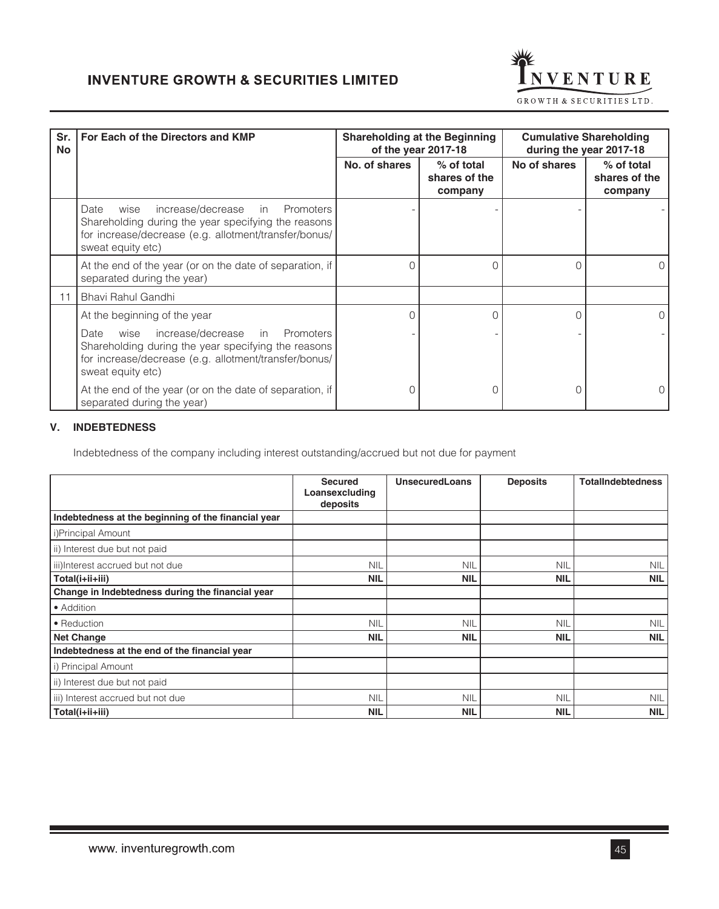

| Sr.<br><b>No</b> | For Each of the Directors and KMP                                                                                                                                                   | <b>Shareholding at the Beginning</b><br>of the year 2017-18 |                                        | <b>Cumulative Shareholding</b><br>during the year 2017-18 |                                        |
|------------------|-------------------------------------------------------------------------------------------------------------------------------------------------------------------------------------|-------------------------------------------------------------|----------------------------------------|-----------------------------------------------------------|----------------------------------------|
|                  |                                                                                                                                                                                     | No. of shares                                               | % of total<br>shares of the<br>company | No of shares                                              | % of total<br>shares of the<br>company |
|                  | increase/decrease in Promoters<br>Date<br>wise<br>Shareholding during the year specifying the reasons<br>for increase/decrease (e.g. allotment/transfer/bonus/<br>sweat equity etc) |                                                             |                                        |                                                           |                                        |
|                  | At the end of the year (or on the date of separation, if<br>separated during the year)                                                                                              | O                                                           | $\Omega$                               | $\Omega$                                                  | O                                      |
| 11               | Bhavi Rahul Gandhi                                                                                                                                                                  |                                                             |                                        |                                                           |                                        |
|                  | At the beginning of the year                                                                                                                                                        | 0                                                           | $\Omega$                               | $\Omega$                                                  | 0                                      |
|                  | wise increase/decrease in Promoters<br>Date<br>Shareholding during the year specifying the reasons<br>for increase/decrease (e.g. allotment/transfer/bonus/<br>sweat equity etc)    |                                                             |                                        |                                                           |                                        |
|                  | At the end of the year (or on the date of separation, if<br>separated during the year)                                                                                              |                                                             |                                        |                                                           |                                        |

## **V. INDEBTEDNESS**

Indebtedness of the company including interest outstanding/accrued but not due for payment

|                                                     | <b>Secured</b><br>Loansexcluding<br>deposits | <b>UnsecuredLoans</b> | <b>Deposits</b> | <b>TotalIndebtedness</b> |
|-----------------------------------------------------|----------------------------------------------|-----------------------|-----------------|--------------------------|
| Indebtedness at the beginning of the financial year |                                              |                       |                 |                          |
| i)Principal Amount                                  |                                              |                       |                 |                          |
| ii) Interest due but not paid                       |                                              |                       |                 |                          |
| iii)Interest accrued but not due                    | <b>NIL</b>                                   | <b>NIL</b>            | <b>NIL</b>      | <b>NIL</b>               |
| Total(i+ii+iii)                                     | <b>NIL</b>                                   | <b>NIL</b>            | <b>NIL</b>      | <b>NIL</b>               |
| Change in Indebtedness during the financial year    |                                              |                       |                 |                          |
| • Addition                                          |                                              |                       |                 |                          |
| • Reduction                                         | <b>NIL</b>                                   | <b>NIL</b>            | <b>NIL</b>      | <b>NIL</b>               |
| <b>Net Change</b>                                   | <b>NIL</b>                                   | <b>NIL</b>            | <b>NIL</b>      | <b>NIL</b>               |
| Indebtedness at the end of the financial year       |                                              |                       |                 |                          |
| i) Principal Amount                                 |                                              |                       |                 |                          |
| ii) Interest due but not paid                       |                                              |                       |                 |                          |
| iii) Interest accrued but not due                   | <b>NIL</b>                                   | <b>NIL</b>            | <b>NIL</b>      | <b>NIL</b>               |
| Total(i+ii+iii)                                     | <b>NIL</b>                                   | <b>NIL</b>            | <b>NIL</b>      | <b>NIL</b>               |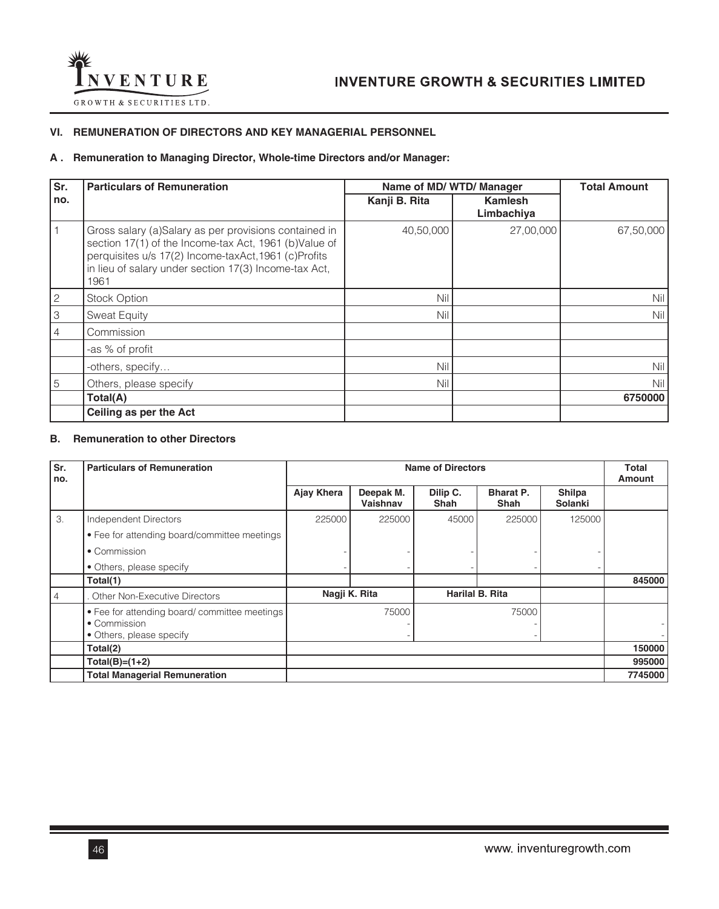

## **VI. REMUNERATION OF DIRECTORS AND KEY MANAGERIAL PERSONNEL**

## **A . Remuneration to Managing Director, Whole-time Directors and/or Manager:**

| Sr.          | <b>Particulars of Remuneration</b>                                                                                                                                                                                                      |               | Name of MD/WTD/Manager |           |  |  |
|--------------|-----------------------------------------------------------------------------------------------------------------------------------------------------------------------------------------------------------------------------------------|---------------|------------------------|-----------|--|--|
| no.          |                                                                                                                                                                                                                                         | Kanji B. Rita | Kamlesh<br>Limbachiya  |           |  |  |
|              | Gross salary (a)Salary as per provisions contained in<br>section 17(1) of the Income-tax Act, 1961 (b)Value of<br>perquisites u/s 17(2) Income-taxAct, 1961 (c)Profits<br>in lieu of salary under section 17(3) Income-tax Act,<br>1961 | 40,50,000     | 27,00,000              | 67,50,000 |  |  |
| $\mathbf{2}$ | <b>Stock Option</b>                                                                                                                                                                                                                     | Nil           |                        | Nil       |  |  |
| 3            | <b>Sweat Equity</b>                                                                                                                                                                                                                     | Nil           |                        | Nil       |  |  |
|              | Commission                                                                                                                                                                                                                              |               |                        |           |  |  |
|              | -as % of profit                                                                                                                                                                                                                         |               |                        |           |  |  |
|              | -others, specify                                                                                                                                                                                                                        | Nil           |                        | Nil       |  |  |
| 5            | Others, please specify                                                                                                                                                                                                                  | Nil           |                        | Nil       |  |  |
|              | Total(A)                                                                                                                                                                                                                                |               |                        | 6750000   |  |  |
|              | Ceiling as per the Act                                                                                                                                                                                                                  |               |                        |           |  |  |

## **B. Remuneration to other Directors**

| Sr.<br>no. | <b>Particulars of Remuneration</b>           |            | <b>Name of Directors</b> |                  |                          |                          |         |
|------------|----------------------------------------------|------------|--------------------------|------------------|--------------------------|--------------------------|---------|
|            |                                              | Ajay Khera | Deepak M.<br>Vaishnav    | Dilip C.<br>Shah | <b>Bharat P.</b><br>Shah | Shilpa<br><b>Solanki</b> |         |
| 3.         | Independent Directors                        | 225000     | 225000                   | 45000            | 225000                   | 125000                   |         |
|            | • Fee for attending board/committee meetings |            |                          |                  |                          |                          |         |
|            | • Commission                                 |            |                          |                  |                          |                          |         |
|            | • Others, please specify                     |            |                          |                  |                          |                          |         |
|            | Total(1)                                     |            |                          |                  |                          |                          | 845000  |
| 4          | Other Non-Executive Directors                |            | Nagji K. Rita            |                  | <b>Harilal B. Rita</b>   |                          |         |
|            | • Fee for attending board/committee meetings |            | 75000                    |                  | 75000                    |                          |         |
|            | • Commission<br>• Others, please specify     |            |                          |                  |                          |                          |         |
|            | Total(2)                                     |            |                          |                  |                          |                          | 150000  |
|            | $Total(B)=(1+2)$                             |            |                          |                  | 995000                   |                          |         |
|            | <b>Total Managerial Remuneration</b>         |            |                          |                  |                          |                          | 7745000 |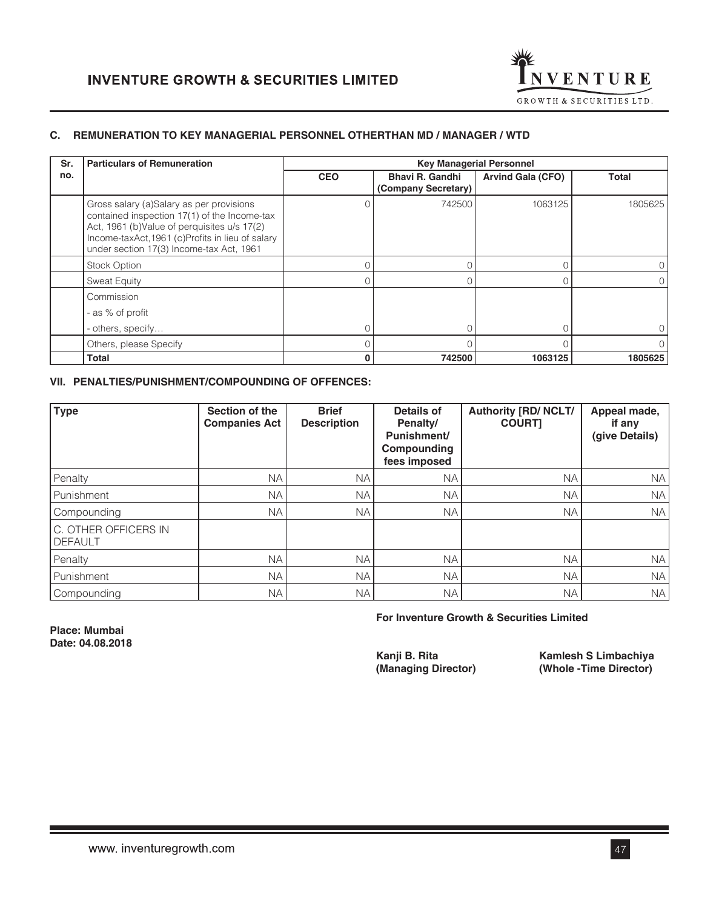

## **C. REMUNERATION TO KEY MANAGERIAL PERSONNEL OTHERTHAN MD / MANAGER / WTD**

| Sr. | <b>Particulars of Remuneration</b>                                                                                                                                                                                                       |            | <b>Key Managerial Personnel</b>               |                          |              |  |
|-----|------------------------------------------------------------------------------------------------------------------------------------------------------------------------------------------------------------------------------------------|------------|-----------------------------------------------|--------------------------|--------------|--|
| no. |                                                                                                                                                                                                                                          | <b>CEO</b> | <b>Bhavi R. Gandhi</b><br>(Company Secretary) | <b>Arvind Gala (CFO)</b> | <b>Total</b> |  |
|     | Gross salary (a)Salary as per provisions<br>contained inspection 17(1) of the Income-tax<br>Act, 1961 (b) Value of perquisites u/s 17(2)<br>Income-taxAct, 1961 (c)Profits in lieu of salary<br>under section 17(3) Income-tax Act, 1961 |            | 742500                                        | 1063125                  | 1805625      |  |
|     | <b>Stock Option</b>                                                                                                                                                                                                                      |            |                                               | 0                        |              |  |
|     | <b>Sweat Equity</b>                                                                                                                                                                                                                      |            |                                               | 0                        |              |  |
|     | Commission<br>- as % of profit                                                                                                                                                                                                           |            |                                               |                          |              |  |
|     |                                                                                                                                                                                                                                          |            |                                               |                          |              |  |
|     | - others, specify                                                                                                                                                                                                                        | $\Omega$   |                                               | $\Omega$                 |              |  |
|     | Others, please Specify                                                                                                                                                                                                                   |            |                                               |                          |              |  |
|     | <b>Total</b>                                                                                                                                                                                                                             | $\bf{0}$   | 742500                                        | 1063125                  | 1805625      |  |

## **VII. PENALTIES/PUNISHMENT/COMPOUNDING OF OFFENCES:**

| <b>Type</b>                            | Section of the<br><b>Companies Act</b> | <b>Brief</b><br><b>Description</b> | Details of<br>Penalty/<br>Punishment/<br>Compounding<br>fees imposed | <b>Authority [RD/ NCLT/</b><br><b>COURT1</b> | Appeal made,<br>if any<br>(give Details) |
|----------------------------------------|----------------------------------------|------------------------------------|----------------------------------------------------------------------|----------------------------------------------|------------------------------------------|
| Penalty                                | <b>NA</b>                              | <b>NA</b>                          | <b>NA</b>                                                            | <b>NA</b>                                    | <b>NA</b>                                |
| Punishment                             | <b>NA</b>                              | <b>NA</b>                          | <b>NA</b>                                                            | <b>NA</b>                                    | <b>NA</b>                                |
| Compounding                            | <b>NA</b>                              | <b>NA</b>                          | NA.                                                                  | <b>NA</b>                                    | <b>NA</b>                                |
| C. OTHER OFFICERS IN<br><b>DEFAULT</b> |                                        |                                    |                                                                      |                                              |                                          |
| Penalty                                | <b>NA</b>                              | <b>NA</b>                          | <b>NA</b>                                                            | <b>NA</b>                                    | <b>NA</b>                                |
| Punishment                             | <b>NA</b>                              | <b>NA</b>                          | <b>NA</b>                                                            | <b>NA</b>                                    | <b>NA</b>                                |
| Compounding                            | NA.                                    | NA.                                | NA.                                                                  | <b>NA</b>                                    | <b>NA</b>                                |

 **For Inventure Growth & Securities Limited**

**Place: Mumbai Date: 04.08.2018**

**The Kangler Consoler Consoler Kamlesh S Limbachiya**<br> **(Whole -Time Director)** (Whole -Time Director) **(Managing Director) (Whole -Time Director)**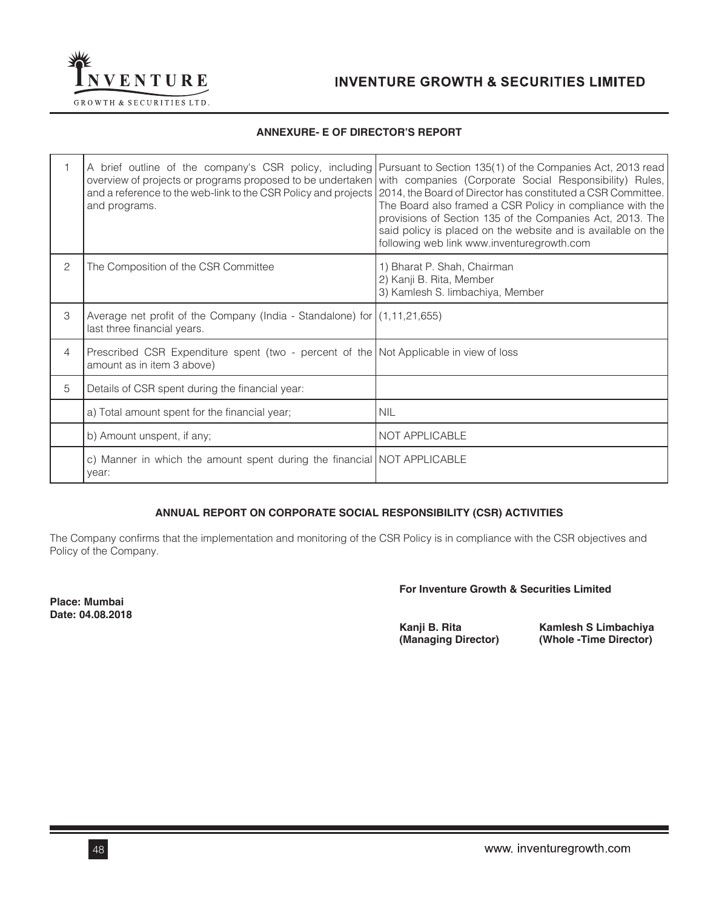

## **ANNEXURE- E OF DIRECTOR'S REPORT**

|   | and a reference to the web-link to the CSR Policy and projects<br>and programs.                                     | A brief outline of the company's CSR policy, including Pursuant to Section 135(1) of the Companies Act, 2013 read<br>overview of projects or programs proposed to be undertaken with companies (Corporate Social Responsibility) Rules,<br>2014, the Board of Director has constituted a CSR Committee.<br>The Board also framed a CSR Policy in compliance with the<br>provisions of Section 135 of the Companies Act, 2013. The<br>said policy is placed on the website and is available on the<br>following web link www.inventuregrowth.com |
|---|---------------------------------------------------------------------------------------------------------------------|-------------------------------------------------------------------------------------------------------------------------------------------------------------------------------------------------------------------------------------------------------------------------------------------------------------------------------------------------------------------------------------------------------------------------------------------------------------------------------------------------------------------------------------------------|
| 2 | The Composition of the CSR Committee                                                                                | 1) Bharat P. Shah, Chairman<br>2) Kanji B. Rita, Member<br>3) Kamlesh S. limbachiya, Member                                                                                                                                                                                                                                                                                                                                                                                                                                                     |
| 3 | Average net profit of the Company (India - Standalone) for $(1,11,21,655)$<br>last three financial years.           |                                                                                                                                                                                                                                                                                                                                                                                                                                                                                                                                                 |
| 4 | Prescribed CSR Expenditure spent (two - percent of the Not Applicable in view of loss<br>amount as in item 3 above) |                                                                                                                                                                                                                                                                                                                                                                                                                                                                                                                                                 |
| 5 | Details of CSR spent during the financial year:                                                                     |                                                                                                                                                                                                                                                                                                                                                                                                                                                                                                                                                 |
|   | a) Total amount spent for the financial year;                                                                       | <b>NIL</b>                                                                                                                                                                                                                                                                                                                                                                                                                                                                                                                                      |
|   | b) Amount unspent, if any;                                                                                          | NOT APPLICABLE                                                                                                                                                                                                                                                                                                                                                                                                                                                                                                                                  |
|   | c) Manner in which the amount spent during the financial NOT APPLICABLE<br>year:                                    |                                                                                                                                                                                                                                                                                                                                                                                                                                                                                                                                                 |

## **ANNUAL REPORT ON CORPORATE SOCIAL RESPONSIBILITY (CSR) ACTIVITIES**

The Company confirms that the implementation and monitoring of the CSR Policy is in compliance with the CSR objectives and Policy of the Company.

**Place: Mumbai Date: 04.08.2018**

### **For Inventure Growth & Securities Limited**

**Kanji B. Rita** Kamlesh S Limbachiya<br>(Managing Director) (Whole -Time Director) **(Managing Director) (Whole -Time Director)**

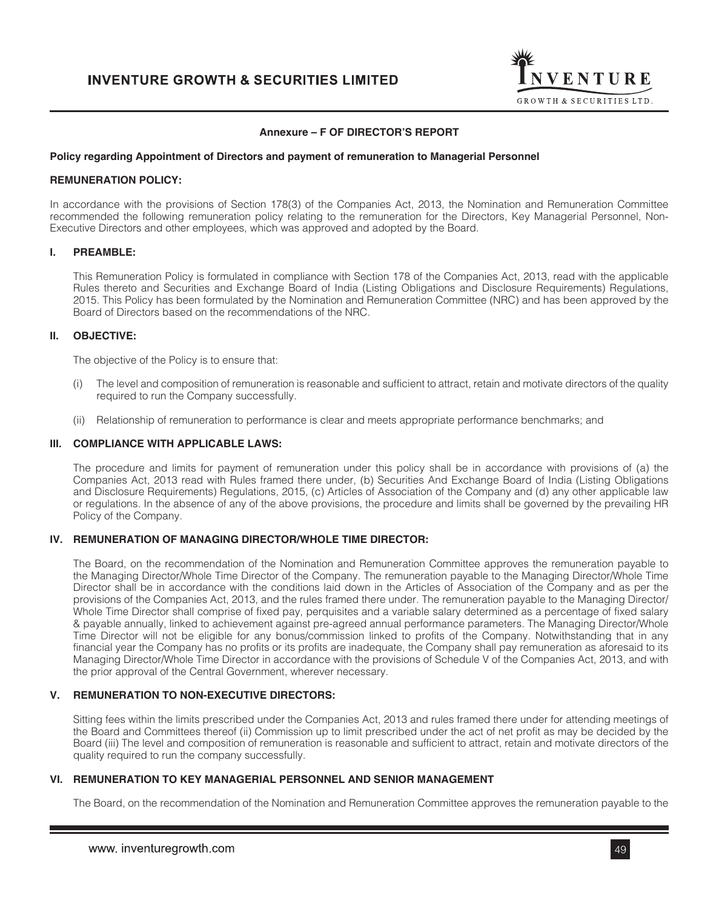

## **Annexure – F OF DIRECTOR'S REPORT**

#### **Policy regarding Appointment of Directors and payment of remuneration to Managerial Personnel**

### **REMUNERATION POLICY:**

In accordance with the provisions of Section 178(3) of the Companies Act, 2013, the Nomination and Remuneration Committee recommended the following remuneration policy relating to the remuneration for the Directors, Key Managerial Personnel, Non-Executive Directors and other employees, which was approved and adopted by the Board.

### **I. PREAMBLE:**

This Remuneration Policy is formulated in compliance with Section 178 of the Companies Act, 2013, read with the applicable Rules thereto and Securities and Exchange Board of India (Listing Obligations and Disclosure Requirements) Regulations, 2015. This Policy has been formulated by the Nomination and Remuneration Committee (NRC) and has been approved by the Board of Directors based on the recommendations of the NRC.

### **II. OBJECTIVE:**

The objective of the Policy is to ensure that:

- (i) The level and composition of remuneration is reasonable and sufficient to attract, retain and motivate directors of the quality required to run the Company successfully.
- (ii) Relationship of remuneration to performance is clear and meets appropriate performance benchmarks; and

### **III. COMPLIANCE WITH APPLICABLE LAWS:**

The procedure and limits for payment of remuneration under this policy shall be in accordance with provisions of (a) the Companies Act, 2013 read with Rules framed there under, (b) Securities And Exchange Board of India (Listing Obligations and Disclosure Requirements) Regulations, 2015, (c) Articles of Association of the Company and (d) any other applicable law or regulations. In the absence of any of the above provisions, the procedure and limits shall be governed by the prevailing HR Policy of the Company.

#### **IV. REMUNERATION OF MANAGING DIRECTOR/WHOLE TIME DIRECTOR:**

The Board, on the recommendation of the Nomination and Remuneration Committee approves the remuneration payable to the Managing Director/Whole Time Director of the Company. The remuneration payable to the Managing Director/Whole Time Director shall be in accordance with the conditions laid down in the Articles of Association of the Company and as per the provisions of the Companies Act, 2013, and the rules framed there under. The remuneration payable to the Managing Director/ Whole Time Director shall comprise of fixed pay, perquisites and a variable salary determined as a percentage of fixed salary & payable annually, linked to achievement against pre-agreed annual performance parameters. The Managing Director/Whole Time Director will not be eligible for any bonus/commission linked to profits of the Company. Notwithstanding that in any financial year the Company has no profits or its profits are inadequate, the Company shall pay remuneration as aforesaid to its Managing Director/Whole Time Director in accordance with the provisions of Schedule V of the Companies Act, 2013, and with the prior approval of the Central Government, wherever necessary.

### **V. REMUNERATION TO NON-EXECUTIVE DIRECTORS:**

Sitting fees within the limits prescribed under the Companies Act, 2013 and rules framed there under for attending meetings of the Board and Committees thereof (ii) Commission up to limit prescribed under the act of net profit as may be decided by the Board (iii) The level and composition of remuneration is reasonable and sufficient to attract, retain and motivate directors of the quality required to run the company successfully.

### **VI. REMUNERATION TO KEY MANAGERIAL PERSONNEL AND SENIOR MANAGEMENT**

The Board, on the recommendation of the Nomination and Remuneration Committee approves the remuneration payable to the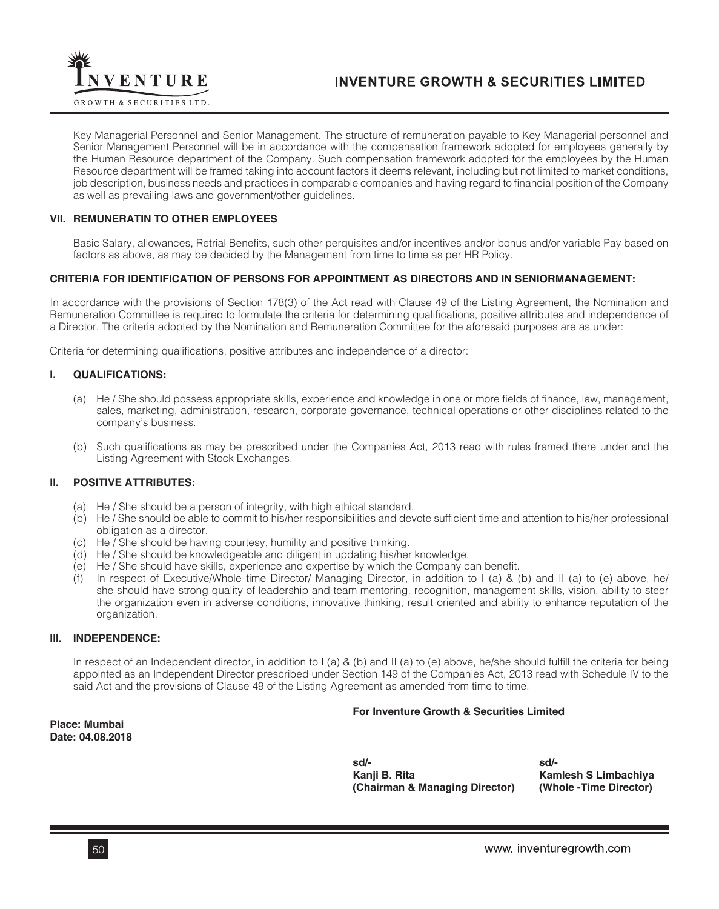

Key Managerial Personnel and Senior Management. The structure of remuneration payable to Key Managerial personnel and Senior Management Personnel will be in accordance with the compensation framework adopted for employees generally by the Human Resource department of the Company. Such compensation framework adopted for the employees by the Human Resource department will be framed taking into account factors it deems relevant, including but not limited to market conditions, job description, business needs and practices in comparable companies and having regard to financial position of the Company as well as prevailing laws and government/other guidelines.

### **VII. REMUNERATIN TO OTHER EMPLOYEES**

Basic Salary, allowances, Retrial Benefits, such other perquisites and/or incentives and/or bonus and/or variable Pay based on factors as above, as may be decided by the Management from time to time as per HR Policy.

### **CRITERIA FOR IDENTIFICATION OF PERSONS FOR APPOINTMENT AS DIRECTORS AND IN SENIORMANAGEMENT:**

In accordance with the provisions of Section 178(3) of the Act read with Clause 49 of the Listing Agreement, the Nomination and Remuneration Committee is required to formulate the criteria for determining qualifications, positive attributes and independence of a Director. The criteria adopted by the Nomination and Remuneration Committee for the aforesaid purposes are as under:

Criteria for determining qualifications, positive attributes and independence of a director:

### **I. QUALIFICATIONS:**

- (a) He / She should possess appropriate skills, experience and knowledge in one or more fields of finance, law, management, sales, marketing, administration, research, corporate governance, technical operations or other disciplines related to the company's business.
- (b) Such qualifications as may be prescribed under the Companies Act, 2013 read with rules framed there under and the Listing Agreement with Stock Exchanges.

### **II. POSITIVE ATTRIBUTES:**

- (a) He / She should be a person of integrity, with high ethical standard.
- (b) He / She should be able to commit to his/her responsibilities and devote sufficient time and attention to his/her professional obligation as a director.
- (c) He / She should be having courtesy, humility and positive thinking.
- (d) He / She should be knowledgeable and diligent in updating his/her knowledge.
- (e) He / She should have skills, experience and expertise by which the Company can benefit.
- (f) In respect of Executive/Whole time Director/ Managing Director, in addition to I (a) & (b) and II (a) to (e) above, he/ she should have strong quality of leadership and team mentoring, recognition, management skills, vision, ability to steer the organization even in adverse conditions, innovative thinking, result oriented and ability to enhance reputation of the organization.

### **III. INDEPENDENCE:**

In respect of an Independent director, in addition to I (a) & (b) and II (a) to (e) above, he/she should fulfill the criteria for being appointed as an Independent Director prescribed under Section 149 of the Companies Act, 2013 read with Schedule IV to the said Act and the provisions of Clause 49 of the Listing Agreement as amended from time to time.

### **For Inventure Growth & Securities Limited**

**Place: Mumbai Date: 04.08.2018**

 **sd/- sd/- Kanji B. Rita Kamlesh S Limbachiya (Chairman & Managing Director) (Whole -Time Director)**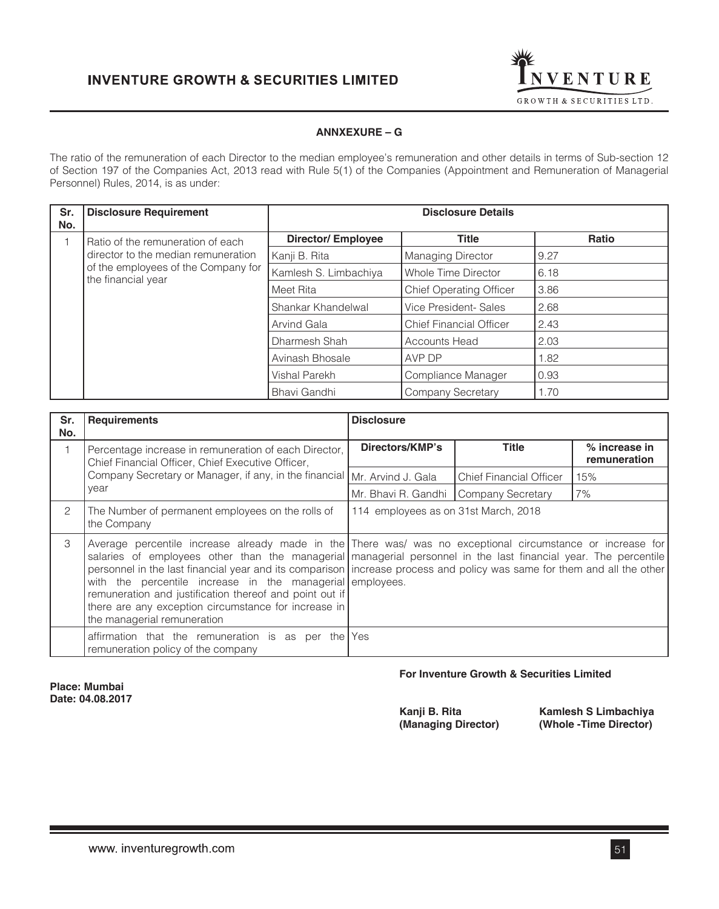

## **ANNXEXURE – G**

The ratio of the remuneration of each Director to the median employee's remuneration and other details in terms of Sub-section 12 of Section 197 of the Companies Act, 2013 read with Rule 5(1) of the Companies (Appointment and Remuneration of Managerial Personnel) Rules, 2014, is as under:

| Sr.<br>No. | <b>Disclosure Requirement</b>                                                                    | <b>Disclosure Details</b> |                                |       |  |  |
|------------|--------------------------------------------------------------------------------------------------|---------------------------|--------------------------------|-------|--|--|
|            | Ratio of the remuneration of each                                                                | <b>Director/Employee</b>  | <b>Title</b>                   | Ratio |  |  |
|            | director to the median remuneration<br>of the employees of the Company for<br>the financial year | Kanji B. Rita             | <b>Managing Director</b>       | 9.27  |  |  |
|            |                                                                                                  | Kamlesh S. Limbachiya     | Whole Time Director            | 6.18  |  |  |
|            |                                                                                                  | Meet Rita                 | <b>Chief Operating Officer</b> | 3.86  |  |  |
|            |                                                                                                  | Shankar Khandelwal        | Vice President- Sales          | 2.68  |  |  |
|            |                                                                                                  | Arvind Gala               | <b>Chief Financial Officer</b> | 2.43  |  |  |
|            |                                                                                                  | Dharmesh Shah             | <b>Accounts Head</b>           | 2.03  |  |  |
|            |                                                                                                  | Avinash Bhosale           | AVP DP                         | 1.82  |  |  |
|            |                                                                                                  | Vishal Parekh             | Compliance Manager             | 0.93  |  |  |
|            |                                                                                                  | Bhavi Gandhi              | Company Secretary              | 1.70  |  |  |

| Sr.<br>No. | <b>Requirements</b>                                                                                                                                                                                         | <b>Disclosure</b>                                                                                                                                                                                                                                                                                                                                        |                                |                               |  |
|------------|-------------------------------------------------------------------------------------------------------------------------------------------------------------------------------------------------------------|----------------------------------------------------------------------------------------------------------------------------------------------------------------------------------------------------------------------------------------------------------------------------------------------------------------------------------------------------------|--------------------------------|-------------------------------|--|
|            | Percentage increase in remuneration of each Director,<br>Chief Financial Officer, Chief Executive Officer,                                                                                                  | Directors/KMP's                                                                                                                                                                                                                                                                                                                                          | Title                          | % increase in<br>remuneration |  |
|            | Company Secretary or Manager, if any, in the financial   Mr. Arvind J. Gala                                                                                                                                 |                                                                                                                                                                                                                                                                                                                                                          | <b>Chief Financial Officer</b> | 15%                           |  |
|            | year                                                                                                                                                                                                        | Mr. Bhavi R. Gandhi   Company Secretary                                                                                                                                                                                                                                                                                                                  |                                | 7%                            |  |
| 2          | The Number of permanent employees on the rolls of<br>the Company                                                                                                                                            | 114 employees as on 31st March, 2018                                                                                                                                                                                                                                                                                                                     |                                |                               |  |
| 3          | with the percentile increase in the managerial employees.<br>remuneration and justification thereof and point out if<br>there are any exception circumstance for increase in<br>the managerial remuneration | Average percentile increase already made in the There was/ was no exceptional circumstance or increase for<br>salaries of employees other than the managerial managerial personnel in the last financial year. The percentile<br>personnel in the last financial year and its comparison increase process and policy was same for them and all the other |                                |                               |  |
|            | affirmation that the remuneration is as per the<br>remuneration policy of the company                                                                                                                       | Yes                                                                                                                                                                                                                                                                                                                                                      |                                |                               |  |

**Place: Mumbai Date: 04.08.2017**

## **For Inventure Growth & Securities Limited**

**Kanji B. Rita** Kamlesh S Limbachiya<br>(Managing Director) (Whole -Time Director) **(Managing Director) (Whole -Time Director)**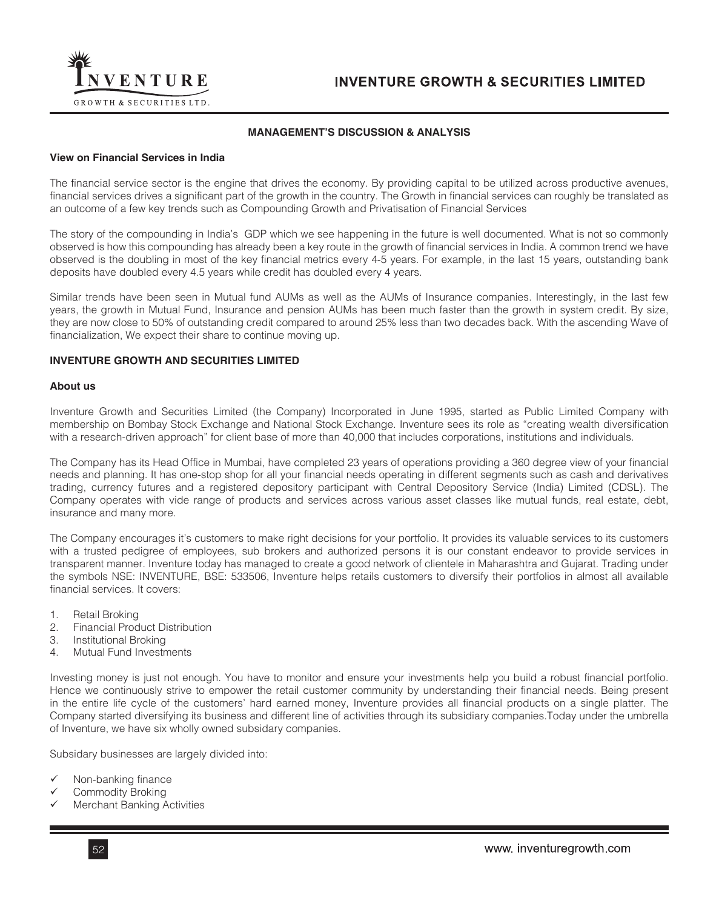

## **MANAGEMENT'S DISCUSSION & ANALYSIS**

### **View on Financial Services in India**

The financial service sector is the engine that drives the economy. By providing capital to be utilized across productive avenues, financial services drives a significant part of the growth in the country. The Growth in financial services can roughly be translated as an outcome of a few key trends such as Compounding Growth and Privatisation of Financial Services

The story of the compounding in India's GDP which we see happening in the future is well documented. What is not so commonly observed is how this compounding has already been a key route in the growth of financial services in India. A common trend we have observed is the doubling in most of the key financial metrics every 4-5 years. For example, in the last 15 years, outstanding bank deposits have doubled every 4.5 years while credit has doubled every 4 years.

Similar trends have been seen in Mutual fund AUMs as well as the AUMs of Insurance companies. Interestingly, in the last few years, the growth in Mutual Fund, Insurance and pension AUMs has been much faster than the growth in system credit. By size, they are now close to 50% of outstanding credit compared to around 25% less than two decades back. With the ascending Wave of financialization, We expect their share to continue moving up.

### **INVENTURE GROWTH AND SECURITIES LIMITED**

#### **About us**

Inventure Growth and Securities Limited (the Company) Incorporated in June 1995, started as Public Limited Company with membership on Bombay Stock Exchange and National Stock Exchange. Inventure sees its role as "creating wealth diversification with a research-driven approach" for client base of more than 40,000 that includes corporations, institutions and individuals.

The Company has its Head Office in Mumbai, have completed 23 years of operations providing a 360 degree view of your financial needs and planning. It has one-stop shop for all your financial needs operating in different segments such as cash and derivatives trading, currency futures and a registered depository participant with Central Depository Service (India) Limited (CDSL). The Company operates with vide range of products and services across various asset classes like mutual funds, real estate, debt, insurance and many more.

The Company encourages it's customers to make right decisions for your portfolio. It provides its valuable services to its customers with a trusted pedigree of employees, sub brokers and authorized persons it is our constant endeavor to provide services in transparent manner. Inventure today has managed to create a good network of clientele in Maharashtra and Gujarat. Trading under the symbols NSE: INVENTURE, BSE: 533506, Inventure helps retails customers to diversify their portfolios in almost all available financial services. It covers:

- 1. Retail Broking
- 2. Financial Product Distribution
- 3. Institutional Broking
- 4. Mutual Fund Investments

Investing money is just not enough. You have to monitor and ensure your investments help you build a robust financial portfolio. Hence we continuously strive to empower the retail customer community by understanding their financial needs. Being present in the entire life cycle of the customers' hard earned money, Inventure provides all financial products on a single platter. The Company started diversifying its business and different line of activities through its subsidiary companies.Today under the umbrella of Inventure, we have six wholly owned subsidary companies.

Subsidary businesses are largely divided into:

- Non-banking finance
- Commodity Broking
- Merchant Banking Activities

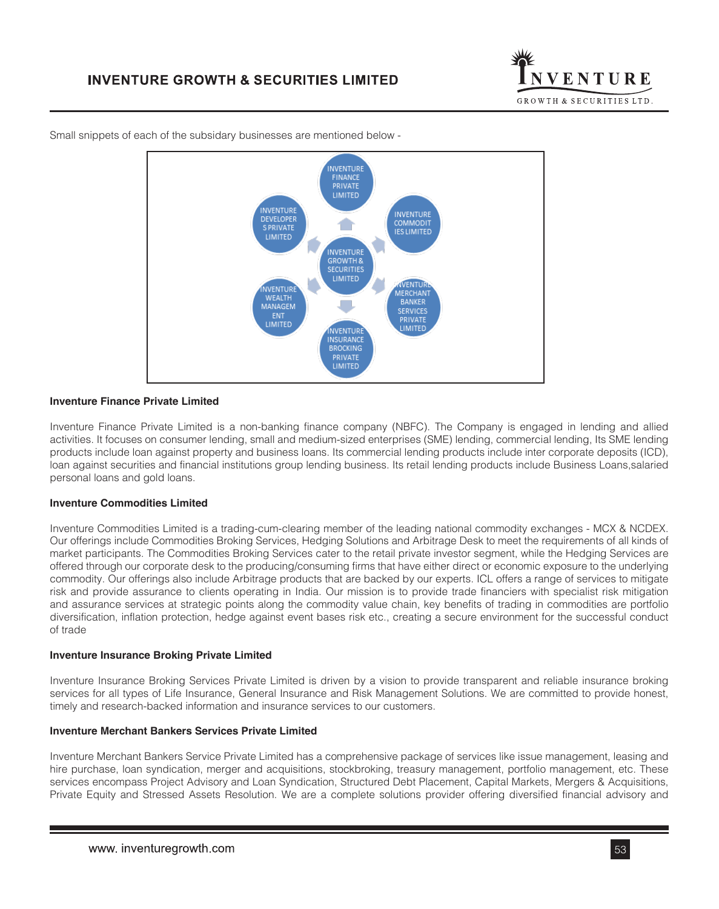



Small snippets of each of the subsidary businesses are mentioned below -

## **Inventure Finance Private Limited**

Inventure Finance Private Limited is a non-banking finance company (NBFC). The Company is engaged in lending and allied activities. It focuses on consumer lending, small and medium-sized enterprises (SME) lending, commercial lending, Its SME lending products include loan against property and business loans. Its commercial lending products include inter corporate deposits (ICD), loan against securities and financial institutions group lending business. Its retail lending products include Business Loans,salaried personal loans and gold loans.

#### **Inventure Commodities Limited**

Inventure Commodities Limited is a trading-cum-clearing member of the leading national commodity exchanges - MCX & NCDEX. Our offerings include Commodities Broking Services, Hedging Solutions and Arbitrage Desk to meet the requirements of all kinds of market participants. The Commodities Broking Services cater to the retail private investor segment, while the Hedging Services are offered through our corporate desk to the producing/consuming firms that have either direct or economic exposure to the underlying commodity. Our offerings also include Arbitrage products that are backed by our experts. ICL offers a range of services to mitigate risk and provide assurance to clients operating in India. Our mission is to provide trade financiers with specialist risk mitigation and assurance services at strategic points along the commodity value chain, key benefits of trading in commodities are portfolio diversification, inflation protection, hedge against event bases risk etc., creating a secure environment for the successful conduct of trade

### **Inventure Insurance Broking Private Limited**

Inventure Insurance Broking Services Private Limited is driven by a vision to provide transparent and reliable insurance broking services for all types of Life Insurance, General Insurance and Risk Management Solutions. We are committed to provide honest, timely and research-backed information and insurance services to our customers.

### **Inventure Merchant Bankers Services Private Limited**

Inventure Merchant Bankers Service Private Limited has a comprehensive package of services like issue management, leasing and hire purchase, loan syndication, merger and acquisitions, stockbroking, treasury management, portfolio management, etc. These services encompass Project Advisory and Loan Syndication, Structured Debt Placement, Capital Markets, Mergers & Acquisitions, Private Equity and Stressed Assets Resolution. We are a complete solutions provider offering diversified financial advisory and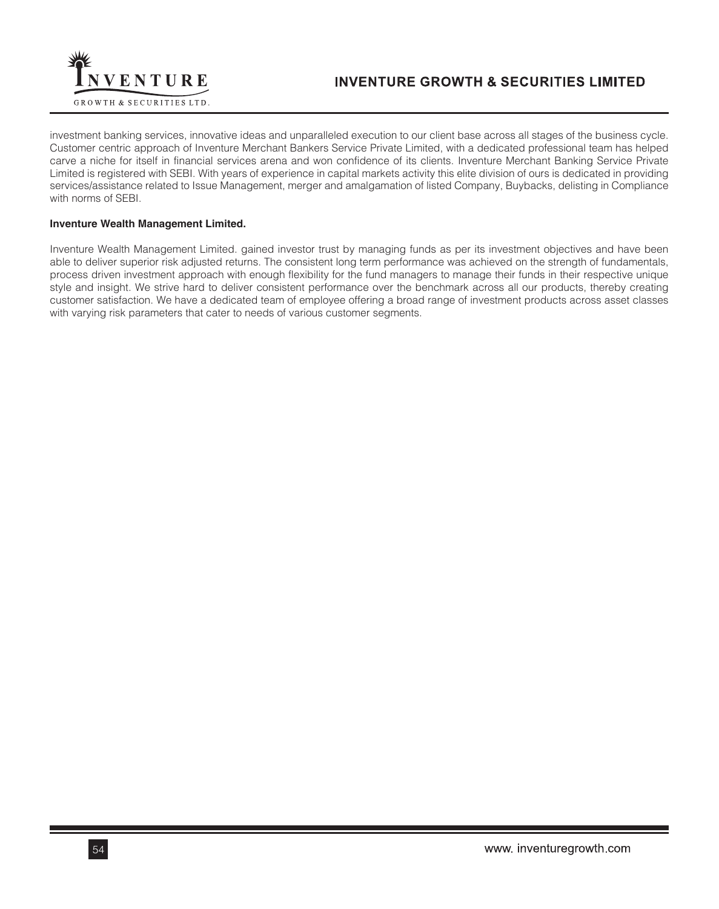

investment banking services, innovative ideas and unparalleled execution to our client base across all stages of the business cycle. Customer centric approach of Inventure Merchant Bankers Service Private Limited, with a dedicated professional team has helped carve a niche for itself in financial services arena and won confidence of its clients. Inventure Merchant Banking Service Private Limited is registered with SEBI. With years of experience in capital markets activity this elite division of ours is dedicated in providing services/assistance related to Issue Management, merger and amalgamation of listed Company, Buybacks, delisting in Compliance with norms of SEBI.

## **Inventure Wealth Management Limited.**

Inventure Wealth Management Limited. gained investor trust by managing funds as per its investment objectives and have been able to deliver superior risk adjusted returns. The consistent long term performance was achieved on the strength of fundamentals, process driven investment approach with enough flexibility for the fund managers to manage their funds in their respective unique style and insight. We strive hard to deliver consistent performance over the benchmark across all our products, thereby creating customer satisfaction. We have a dedicated team of employee offering a broad range of investment products across asset classes with varying risk parameters that cater to needs of various customer segments.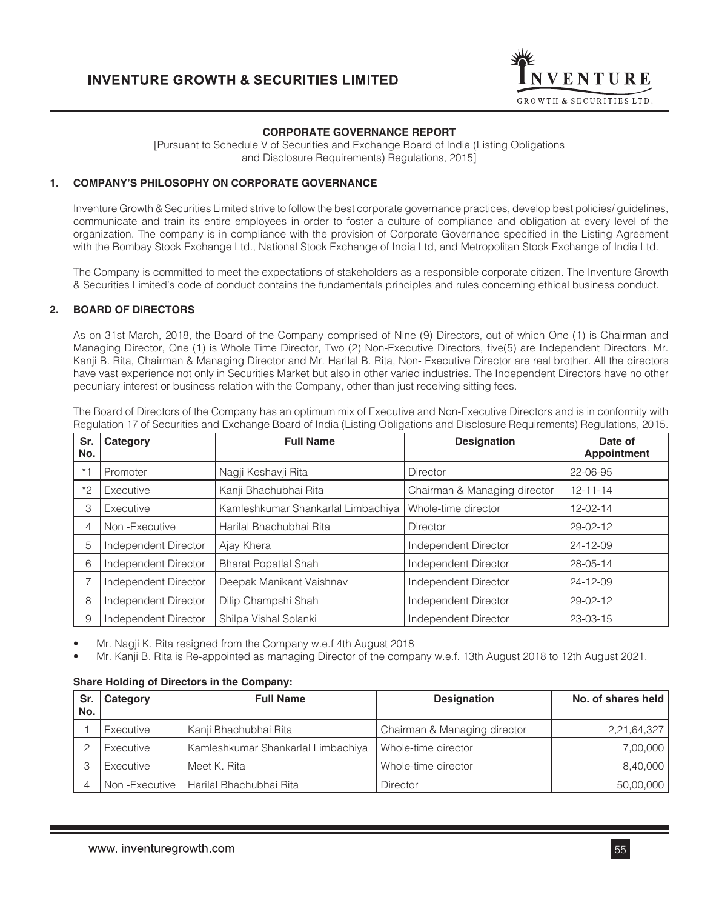

## **CORPORATE GOVERNANCE REPORT**

[Pursuant to Schedule V of Securities and Exchange Board of India (Listing Obligations and Disclosure Requirements) Regulations, 2015]

### **1. COMPANY'S PHILOSOPHY ON CORPORATE GOVERNANCE**

Inventure Growth & Securities Limited strive to follow the best corporate governance practices, develop best policies/ guidelines, communicate and train its entire employees in order to foster a culture of compliance and obligation at every level of the organization. The company is in compliance with the provision of Corporate Governance specified in the Listing Agreement with the Bombay Stock Exchange Ltd., National Stock Exchange of India Ltd, and Metropolitan Stock Exchange of India Ltd.

The Company is committed to meet the expectations of stakeholders as a responsible corporate citizen. The Inventure Growth & Securities Limited's code of conduct contains the fundamentals principles and rules concerning ethical business conduct.

### **2. BOARD OF DIRECTORS**

As on 31st March, 2018, the Board of the Company comprised of Nine (9) Directors, out of which One (1) is Chairman and Managing Director, One (1) is Whole Time Director, Two (2) Non-Executive Directors, five(5) are Independent Directors. Mr. Kanji B. Rita, Chairman & Managing Director and Mr. Harilal B. Rita, Non- Executive Director are real brother. All the directors have vast experience not only in Securities Market but also in other varied industries. The Independent Directors have no other pecuniary interest or business relation with the Company, other than just receiving sitting fees.

| Sr.<br>No. | Category             | <b>Designation</b><br><b>Full Name</b> |                              | Date of<br><b>Appointment</b> |
|------------|----------------------|----------------------------------------|------------------------------|-------------------------------|
| $* - 1$    | Promoter             | Nagji Keshavji Rita                    | <b>Director</b>              | 22-06-95                      |
| $*2$       | Executive            | Kanji Bhachubhai Rita                  | Chairman & Managing director | 12-11-14                      |
| 3          | Executive            | Kamleshkumar Shankarlal Limbachiya     | Whole-time director          | 12-02-14                      |
| 4          | Non-Executive        | Harilal Bhachubhai Rita                | <b>Director</b>              | 29-02-12                      |
| 5          | Independent Director | Ajay Khera                             | Independent Director         | 24-12-09                      |
| 6          | Independent Director | <b>Bharat Popatlal Shah</b>            | Independent Director         | 28-05-14                      |
|            | Independent Director | Deepak Manikant Vaishnav               | Independent Director         | 24-12-09                      |
| 8          | Independent Director | Dilip Champshi Shah                    | Independent Director         | 29-02-12                      |
| 9          | Independent Director | Shilpa Vishal Solanki                  | Independent Director         | 23-03-15                      |

The Board of Directors of the Company has an optimum mix of Executive and Non-Executive Directors and is in conformity with Regulation 17 of Securities and Exchange Board of India (Listing Obligations and Disclosure Requirements) Regulations, 2015.

• Mr. Nagji K. Rita resigned from the Company w.e.f 4th August 2018

• Mr. Kanji B. Rita is Re-appointed as managing Director of the company w.e.f. 13th August 2018 to 12th August 2021.

### **Share Holding of Directors in the Company:**

| Sr.<br>No. | Category  | <b>Full Name</b>                          | <b>Designation</b>           | No. of shares held |
|------------|-----------|-------------------------------------------|------------------------------|--------------------|
|            | Executive | Kanji Bhachubhai Rita                     | Chairman & Managing director | 2,21,64,327        |
| $\circ$    | Executive | Kamleshkumar Shankarlal Limbachiya        | Whole-time director          | 7,00,000           |
| 3          | Executive | Meet K. Rita                              | Whole-time director          | 8,40,000           |
|            |           | Non - Executive   Harilal Bhachubhai Rita | Director                     | 50,00,000          |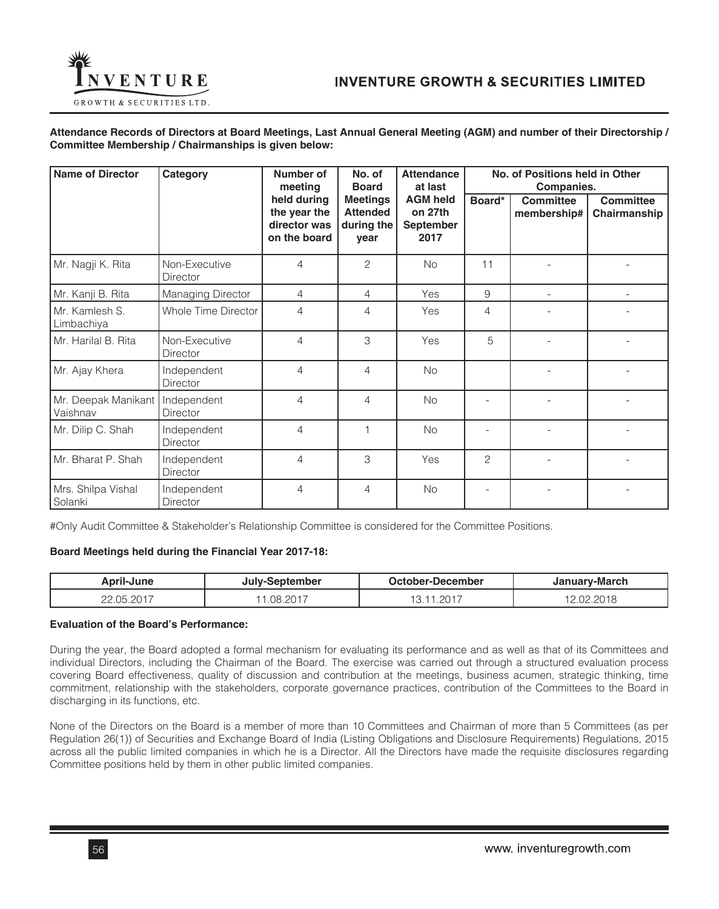

**Attendance Records of Directors at Board Meetings, Last Annual General Meeting (AGM) and number of their Directorship / Committee Membership / Chairmanships is given below:**

| <b>Name of Director</b>         | Category                         | Number of<br>meeting                                        | No. of<br><b>Board</b>                                   | <b>Attendance</b><br>at last                           | No. of Positions held in Other<br>Companies. |                                 |                                  |
|---------------------------------|----------------------------------|-------------------------------------------------------------|----------------------------------------------------------|--------------------------------------------------------|----------------------------------------------|---------------------------------|----------------------------------|
|                                 |                                  | held during<br>the year the<br>director was<br>on the board | <b>Meetings</b><br><b>Attended</b><br>during the<br>year | <b>AGM held</b><br>on 27th<br><b>September</b><br>2017 | Board*                                       | <b>Committee</b><br>membership# | <b>Committee</b><br>Chairmanship |
| Mr. Nagji K. Rita               | Non-Executive<br>Director        | 4                                                           | 2                                                        | No                                                     | 11                                           |                                 |                                  |
| Mr. Kanji B. Rita               | <b>Managing Director</b>         | 4                                                           | 4                                                        | Yes                                                    | 9                                            |                                 |                                  |
| Mr. Kamlesh S.<br>Limbachiya    | Whole Time Director              | $\overline{4}$                                              | 4                                                        | Yes                                                    | 4                                            |                                 |                                  |
| Mr. Harilal B. Rita             | Non-Executive<br><b>Director</b> | $\overline{4}$                                              | 3                                                        | Yes                                                    | 5                                            |                                 |                                  |
| Mr. Ajay Khera                  | Independent<br>Director          | $\overline{4}$                                              | 4                                                        | <b>No</b>                                              |                                              |                                 |                                  |
| Mr. Deepak Manikant<br>Vaishnav | Independent<br><b>Director</b>   | $\overline{4}$                                              | $\overline{4}$                                           | No                                                     |                                              |                                 |                                  |
| Mr. Dilip C. Shah               | Independent<br><b>Director</b>   | $\overline{4}$                                              |                                                          | No                                                     |                                              |                                 |                                  |
| Mr. Bharat P. Shah              | Independent<br><b>Director</b>   | $\overline{4}$                                              | 3                                                        | Yes                                                    | $\overline{c}$                               |                                 |                                  |
| Mrs. Shilpa Vishal<br>Solanki   | Independent<br><b>Director</b>   | $\overline{4}$                                              | 4                                                        | No                                                     |                                              |                                 |                                  |

#Only Audit Committee & Stakeholder's Relationship Committee is considered for the Committee Positions.

## **Board Meetings held during the Financial Year 2017-18:**

| btember<br><b>lune</b><br>_∿nril-… |          | . )ctober :<br>-December | เบลrv-March                          |  |
|------------------------------------|----------|--------------------------|--------------------------------------|--|
| 0.05.0017<br>∩∩                    | .08.2017 | ാറ≁<br>$-20$<br>∣ ∪ ,    | $\sim\sim\sim\sim$<br>.N2<br>– ∪ I Ö |  |

### **Evaluation of the Board's Performance:**

During the year, the Board adopted a formal mechanism for evaluating its performance and as well as that of its Committees and individual Directors, including the Chairman of the Board. The exercise was carried out through a structured evaluation process covering Board effectiveness, quality of discussion and contribution at the meetings, business acumen, strategic thinking, time commitment, relationship with the stakeholders, corporate governance practices, contribution of the Committees to the Board in discharging in its functions, etc.

None of the Directors on the Board is a member of more than 10 Committees and Chairman of more than 5 Committees (as per Regulation 26(1)) of Securities and Exchange Board of India (Listing Obligations and Disclosure Requirements) Regulations, 2015 across all the public limited companies in which he is a Director. All the Directors have made the requisite disclosures regarding Committee positions held by them in other public limited companies.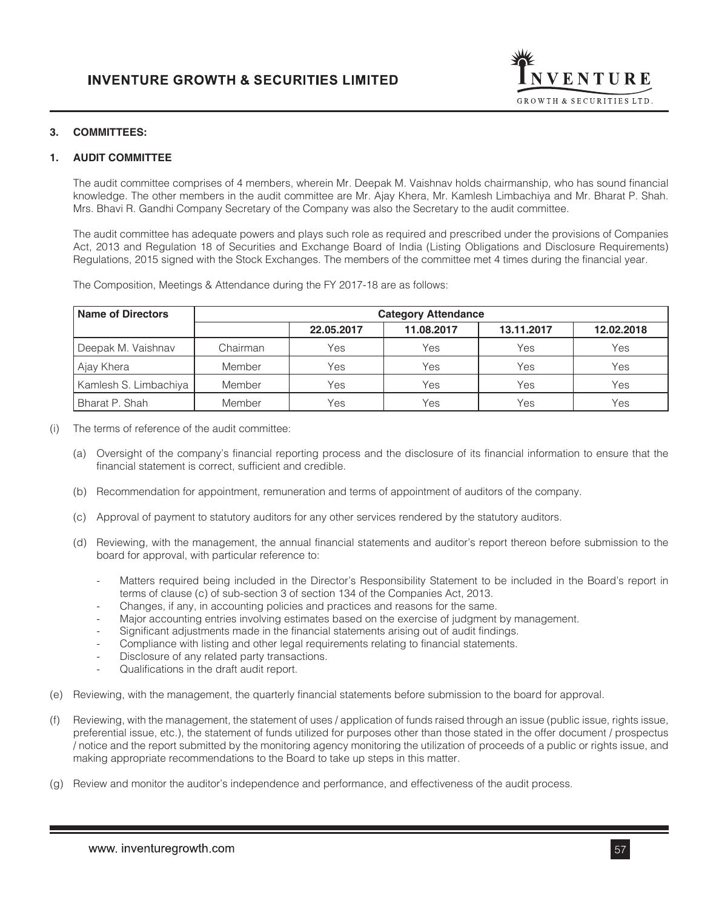

## **3. COMMITTEES:**

## **1. AUDIT COMMITTEE**

The audit committee comprises of 4 members, wherein Mr. Deepak M. Vaishnav holds chairmanship, who has sound financial knowledge. The other members in the audit committee are Mr. Ajay Khera, Mr. Kamlesh Limbachiya and Mr. Bharat P. Shah. Mrs. Bhavi R. Gandhi Company Secretary of the Company was also the Secretary to the audit committee.

The audit committee has adequate powers and plays such role as required and prescribed under the provisions of Companies Act, 2013 and Regulation 18 of Securities and Exchange Board of India (Listing Obligations and Disclosure Requirements) Regulations, 2015 signed with the Stock Exchanges. The members of the committee met 4 times during the financial year.

The Composition, Meetings & Attendance during the FY 2017-18 are as follows:

| <b>Name of Directors</b> | <b>Category Attendance</b> |            |            |            |            |  |  |
|--------------------------|----------------------------|------------|------------|------------|------------|--|--|
|                          |                            | 22.05.2017 | 11.08.2017 | 13.11.2017 | 12.02.2018 |  |  |
| Deepak M. Vaishnav       | Chairman                   | Yes        | Yes        | Yes        | Yes        |  |  |
| Ajay Khera               | Member                     | Yes        | Yes        | Yes        | Yes        |  |  |
| Kamlesh S. Limbachiya    | Member                     | Yes        | Yes        | Yes        | Yes        |  |  |
| Bharat P. Shah           | Member                     | Yes        | Yes        | Yes        | Yes        |  |  |

(i) The terms of reference of the audit committee:

- (a) Oversight of the company's financial reporting process and the disclosure of its financial information to ensure that the financial statement is correct, sufficient and credible.
- (b) Recommendation for appointment, remuneration and terms of appointment of auditors of the company.
- (c) Approval of payment to statutory auditors for any other services rendered by the statutory auditors.
- (d) Reviewing, with the management, the annual financial statements and auditor's report thereon before submission to the board for approval, with particular reference to:
	- Matters required being included in the Director's Responsibility Statement to be included in the Board's report in terms of clause (c) of sub-section 3 of section 134 of the Companies Act, 2013.
	- Changes, if any, in accounting policies and practices and reasons for the same.
	- Major accounting entries involving estimates based on the exercise of judgment by management.
	- Significant adjustments made in the financial statements arising out of audit findings.
	- Compliance with listing and other legal requirements relating to financial statements.
	- Disclosure of any related party transactions.
	- Qualifications in the draft audit report.
- (e) Reviewing, with the management, the quarterly financial statements before submission to the board for approval.
- (f) Reviewing, with the management, the statement of uses / application of funds raised through an issue (public issue, rights issue, preferential issue, etc.), the statement of funds utilized for purposes other than those stated in the offer document / prospectus / notice and the report submitted by the monitoring agency monitoring the utilization of proceeds of a public or rights issue, and making appropriate recommendations to the Board to take up steps in this matter.
- (g) Review and monitor the auditor's independence and performance, and effectiveness of the audit process.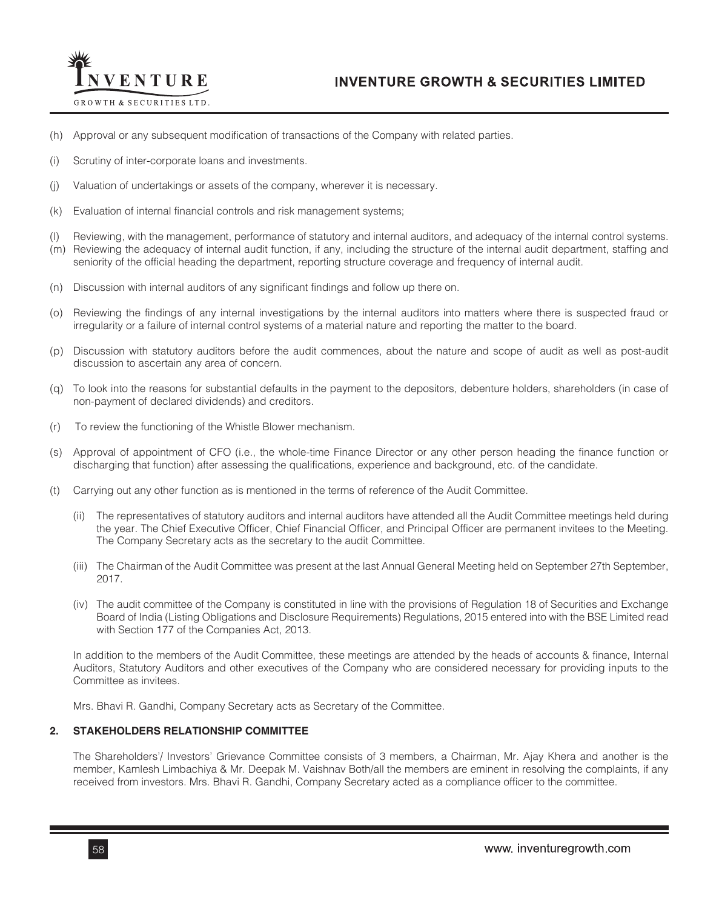

- (h) Approval or any subsequent modification of transactions of the Company with related parties.
- (i) Scrutiny of inter-corporate loans and investments.
- (j) Valuation of undertakings or assets of the company, wherever it is necessary.
- (k) Evaluation of internal financial controls and risk management systems;
- (l) Reviewing, with the management, performance of statutory and internal auditors, and adequacy of the internal control systems.
- (m) Reviewing the adequacy of internal audit function, if any, including the structure of the internal audit department, staffing and seniority of the official heading the department, reporting structure coverage and frequency of internal audit.
- (n) Discussion with internal auditors of any significant findings and follow up there on.
- (o) Reviewing the findings of any internal investigations by the internal auditors into matters where there is suspected fraud or irregularity or a failure of internal control systems of a material nature and reporting the matter to the board.
- (p) Discussion with statutory auditors before the audit commences, about the nature and scope of audit as well as post-audit discussion to ascertain any area of concern.
- (q) To look into the reasons for substantial defaults in the payment to the depositors, debenture holders, shareholders (in case of non-payment of declared dividends) and creditors.
- (r) To review the functioning of the Whistle Blower mechanism.
- (s) Approval of appointment of CFO (i.e., the whole-time Finance Director or any other person heading the finance function or discharging that function) after assessing the qualifications, experience and background, etc. of the candidate.
- (t) Carrying out any other function as is mentioned in the terms of reference of the Audit Committee.
	- (ii) The representatives of statutory auditors and internal auditors have attended all the Audit Committee meetings held during the year. The Chief Executive Officer, Chief Financial Officer, and Principal Officer are permanent invitees to the Meeting. The Company Secretary acts as the secretary to the audit Committee.
	- (iii) The Chairman of the Audit Committee was present at the last Annual General Meeting held on September 27th September, 2017.
	- (iv) The audit committee of the Company is constituted in line with the provisions of Regulation 18 of Securities and Exchange Board of India (Listing Obligations and Disclosure Requirements) Regulations, 2015 entered into with the BSE Limited read with Section 177 of the Companies Act, 2013.

In addition to the members of the Audit Committee, these meetings are attended by the heads of accounts & finance, Internal Auditors, Statutory Auditors and other executives of the Company who are considered necessary for providing inputs to the Committee as invitees.

Mrs. Bhavi R. Gandhi, Company Secretary acts as Secretary of the Committee.

### **2. STAKEHOLDERS RELATIONSHIP COMMITTEE**

The Shareholders'/ Investors' Grievance Committee consists of 3 members, a Chairman, Mr. Ajay Khera and another is the member, Kamlesh Limbachiya & Mr. Deepak M. Vaishnav Both/all the members are eminent in resolving the complaints, if any received from investors. Mrs. Bhavi R. Gandhi, Company Secretary acted as a compliance officer to the committee.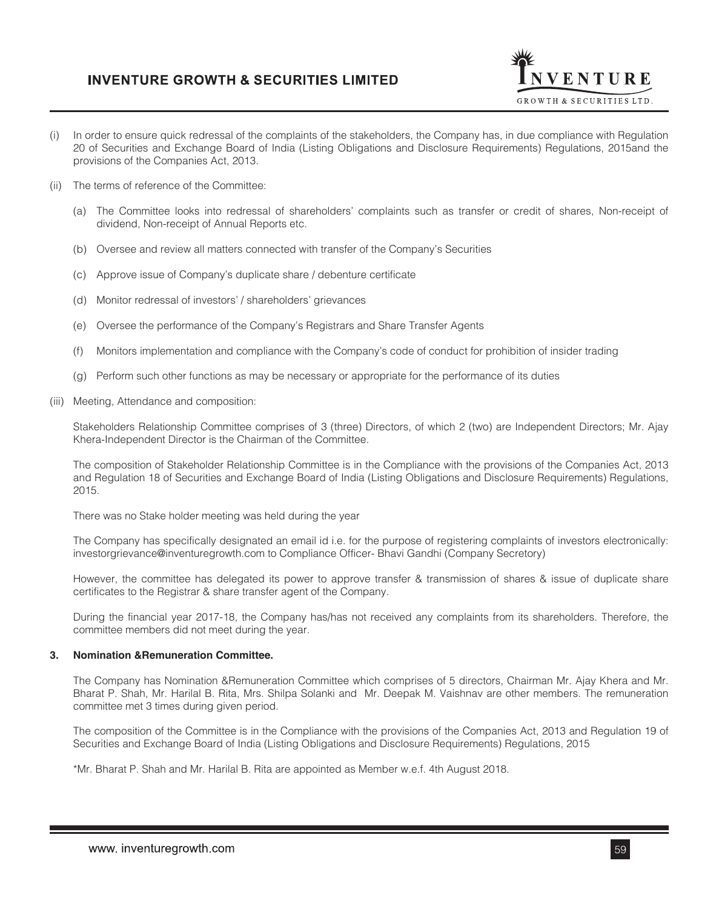

- (i) In order to ensure quick redressal of the complaints of the stakeholders, the Company has, in due compliance with Regulation 20 of Securities and Exchange Board of India (Listing Obligations and Disclosure Requirements) Regulations, 2015and the provisions of the Companies Act, 2013.
- (ii) The terms of reference of the Committee:
	- (a) The Committee looks into redressal of shareholders' complaints such as transfer or credit of shares, Non-receipt of dividend, Non-receipt of Annual Reports etc.
	- (b) Oversee and review all matters connected with transfer of the Company's Securities
	- (c) Approve issue of Company's duplicate share / debenture certificate
	- (d) Monitor redressal of investors' / shareholders' grievances
	- (e) Oversee the performance of the Company's Registrars and Share Transfer Agents
	- (f) Monitors implementation and compliance with the Company's code of conduct for prohibition of insider trading
	- (g) Perform such other functions as may be necessary or appropriate for the performance of its duties
- (iii) Meeting, Attendance and composition:

Stakeholders Relationship Committee comprises of 3 (three) Directors, of which 2 (two) are Independent Directors; Mr. Ajay Khera-Independent Director is the Chairman of the Committee.

The composition of Stakeholder Relationship Committee is in the Compliance with the provisions of the Companies Act, 2013 and Regulation 18 of Securities and Exchange Board of India (Listing Obligations and Disclosure Requirements) Regulations, 2015.

There was no Stake holder meeting was held during the year

The Company has specifically designated an email id i.e. for the purpose of registering complaints of investors electronically: investorgrievance@inventuregrowth.com to Compliance Officer- Bhavi Gandhi (Company Secretory)

However, the committee has delegated its power to approve transfer & transmission of shares & issue of duplicate share certificates to the Registrar & share transfer agent of the Company.

During the financial year 2017-18, the Company has/has not received any complaints from its shareholders. Therefore, the committee members did not meet during the year.

### **3. Nomination &Remuneration Committee.**

The Company has Nomination &Remuneration Committee which comprises of 5 directors, Chairman Mr. Ajay Khera and Mr. Bharat P. Shah, Mr. Harilal B. Rita, Mrs. Shilpa Solanki and Mr. Deepak M. Vaishnav are other members. The remuneration committee met 3 times during given period.

The composition of the Committee is in the Compliance with the provisions of the Companies Act, 2013 and Regulation 19 of Securities and Exchange Board of India (Listing Obligations and Disclosure Requirements) Regulations, 2015

\*Mr. Bharat P. Shah and Mr. Harilal B. Rita are appointed as Member w.e.f. 4th August 2018.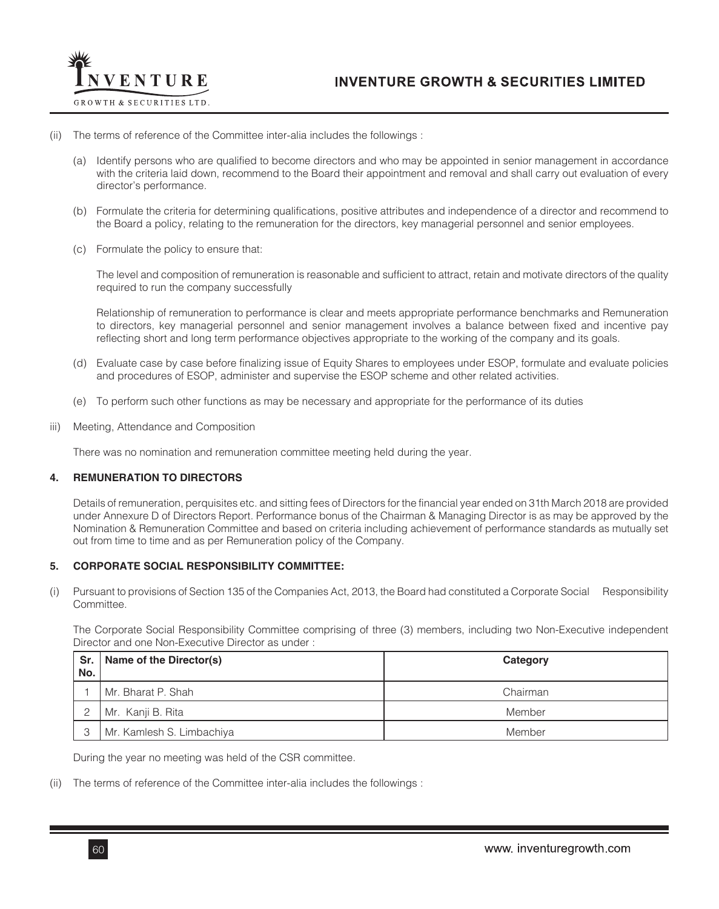

### (ii) The terms of reference of the Committee inter-alia includes the followings :

- (a) Identify persons who are qualified to become directors and who may be appointed in senior management in accordance with the criteria laid down, recommend to the Board their appointment and removal and shall carry out evaluation of every director's performance.
- (b) Formulate the criteria for determining qualifications, positive attributes and independence of a director and recommend to the Board a policy, relating to the remuneration for the directors, key managerial personnel and senior employees.
- (c) Formulate the policy to ensure that:

The level and composition of remuneration is reasonable and sufficient to attract, retain and motivate directors of the quality required to run the company successfully

Relationship of remuneration to performance is clear and meets appropriate performance benchmarks and Remuneration to directors, key managerial personnel and senior management involves a balance between fixed and incentive pay reflecting short and long term performance objectives appropriate to the working of the company and its goals.

- (d) Evaluate case by case before finalizing issue of Equity Shares to employees under ESOP, formulate and evaluate policies and procedures of ESOP, administer and supervise the ESOP scheme and other related activities.
- (e) To perform such other functions as may be necessary and appropriate for the performance of its duties
- iii) Meeting, Attendance and Composition

There was no nomination and remuneration committee meeting held during the year.

### **4. REMUNERATION TO DIRECTORS**

Details of remuneration, perquisites etc. and sitting fees of Directors for the financial year ended on 31th March 2018 are provided under Annexure D of Directors Report. Performance bonus of the Chairman & Managing Director is as may be approved by the Nomination & Remuneration Committee and based on criteria including achievement of performance standards as mutually set out from time to time and as per Remuneration policy of the Company.

### **5. CORPORATE SOCIAL RESPONSIBILITY COMMITTEE:**

(i) Pursuant to provisions of Section 135 of the Companies Act, 2013, the Board had constituted a Corporate Social Responsibility **Committee.** 

The Corporate Social Responsibility Committee comprising of three (3) members, including two Non-Executive independent Director and one Non-Executive Director as under :

| Sr.<br>No. | Name of the Director(s)   | Category |
|------------|---------------------------|----------|
|            | Mr. Bharat P. Shah        | Chairman |
|            | Mr. Kanji B. Rita         | Member   |
| ₽          | Mr. Kamlesh S. Limbachiya | Member   |

During the year no meeting was held of the CSR committee.

(ii) The terms of reference of the Committee inter-alia includes the followings :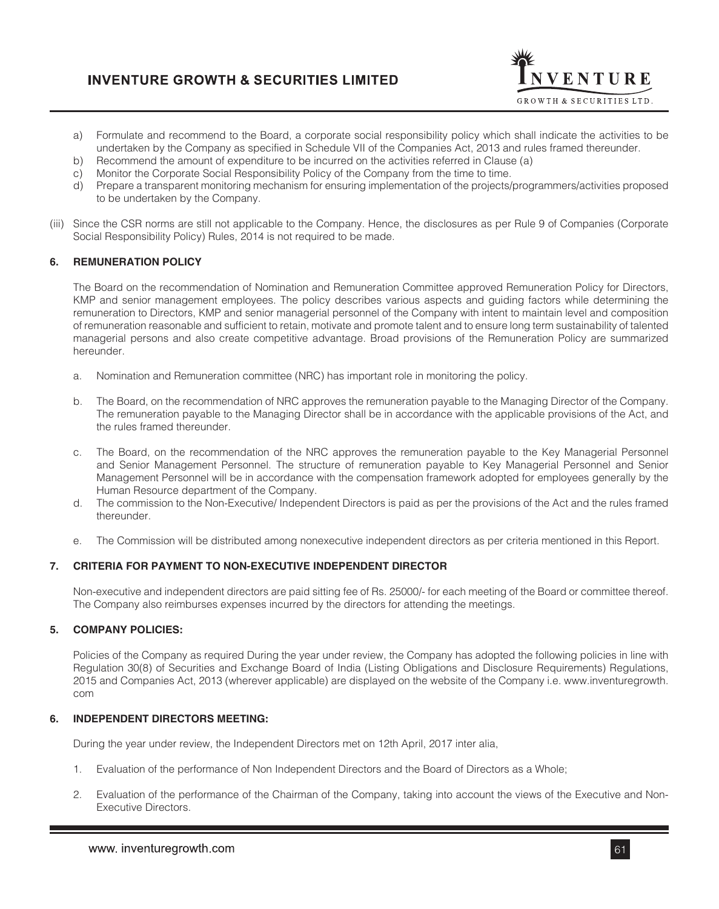

- a) Formulate and recommend to the Board, a corporate social responsibility policy which shall indicate the activities to be undertaken by the Company as specified in Schedule VII of the Companies Act, 2013 and rules framed thereunder.
- b) Recommend the amount of expenditure to be incurred on the activities referred in Clause (a)
- c) Monitor the Corporate Social Responsibility Policy of the Company from the time to time.
- d) Prepare a transparent monitoring mechanism for ensuring implementation of the projects/programmers/activities proposed to be undertaken by the Company.
- (iii) Since the CSR norms are still not applicable to the Company. Hence, the disclosures as per Rule 9 of Companies (Corporate Social Responsibility Policy) Rules, 2014 is not required to be made.

## **6. REMUNERATION POLICY**

The Board on the recommendation of Nomination and Remuneration Committee approved Remuneration Policy for Directors, KMP and senior management employees. The policy describes various aspects and guiding factors while determining the remuneration to Directors, KMP and senior managerial personnel of the Company with intent to maintain level and composition of remuneration reasonable and sufficient to retain, motivate and promote talent and to ensure long term sustainability of talented managerial persons and also create competitive advantage. Broad provisions of the Remuneration Policy are summarized hereunder.

- a. Nomination and Remuneration committee (NRC) has important role in monitoring the policy.
- b. The Board, on the recommendation of NRC approves the remuneration payable to the Managing Director of the Company. The remuneration payable to the Managing Director shall be in accordance with the applicable provisions of the Act, and the rules framed thereunder.
- c. The Board, on the recommendation of the NRC approves the remuneration payable to the Key Managerial Personnel and Senior Management Personnel. The structure of remuneration payable to Key Managerial Personnel and Senior Management Personnel will be in accordance with the compensation framework adopted for employees generally by the Human Resource department of the Company.
- d. The commission to the Non-Executive/ Independent Directors is paid as per the provisions of the Act and the rules framed thereunder.
- e. The Commission will be distributed among nonexecutive independent directors as per criteria mentioned in this Report.

### **7. CRITERIA FOR PAYMENT TO NON-EXECUTIVE INDEPENDENT DIRECTOR**

Non-executive and independent directors are paid sitting fee of Rs. 25000/- for each meeting of the Board or committee thereof. The Company also reimburses expenses incurred by the directors for attending the meetings.

## **5. COMPANY POLICIES:**

Policies of the Company as required During the year under review, the Company has adopted the following policies in line with Regulation 30(8) of Securities and Exchange Board of India (Listing Obligations and Disclosure Requirements) Regulations, 2015 and Companies Act, 2013 (wherever applicable) are displayed on the website of the Company i.e. www.inventuregrowth. com

### **6. INDEPENDENT DIRECTORS MEETING:**

During the year under review, the Independent Directors met on 12th April, 2017 inter alia,

- 1. Evaluation of the performance of Non Independent Directors and the Board of Directors as a Whole;
- 2. Evaluation of the performance of the Chairman of the Company, taking into account the views of the Executive and Non-Executive Directors.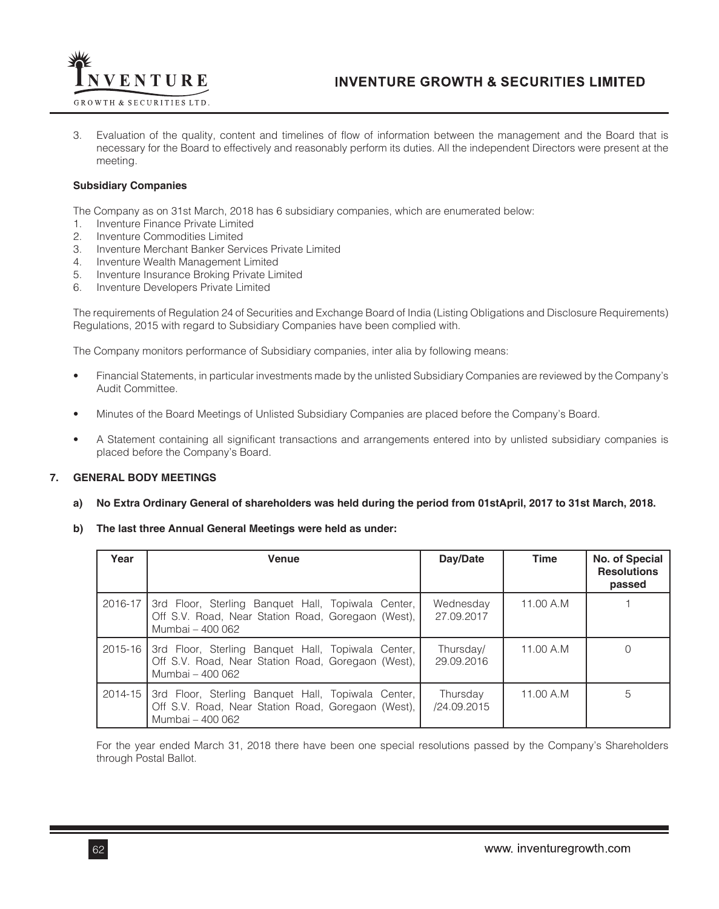

3. Evaluation of the quality, content and timelines of flow of information between the management and the Board that is necessary for the Board to effectively and reasonably perform its duties. All the independent Directors were present at the meeting.

## **Subsidiary Companies**

The Company as on 31st March, 2018 has 6 subsidiary companies, which are enumerated below:

- 1. Inventure Finance Private Limited
- 2. Inventure Commodities Limited
- 3. Inventure Merchant Banker Services Private Limited
- 4. Inventure Wealth Management Limited
- 5. Inventure Insurance Broking Private Limited
- 6. Inventure Developers Private Limited

The requirements of Regulation 24 of Securities and Exchange Board of India (Listing Obligations and Disclosure Requirements) Regulations, 2015 with regard to Subsidiary Companies have been complied with.

The Company monitors performance of Subsidiary companies, inter alia by following means:

- Financial Statements, in particular investments made by the unlisted Subsidiary Companies are reviewed by the Company's Audit Committee.
- Minutes of the Board Meetings of Unlisted Subsidiary Companies are placed before the Company's Board.
- A Statement containing all significant transactions and arrangements entered into by unlisted subsidiary companies is placed before the Company's Board.

## **7. GENERAL BODY MEETINGS**

### **a) No Extra Ordinary General of shareholders was held during the period from 01stApril, 2017 to 31st March, 2018.**

### **b) The last three Annual General Meetings were held as under:**

| Year        | <b>Venue</b>                                                                                                                 | Day/Date                | <b>Time</b> | No. of Special<br><b>Resolutions</b><br>passed |
|-------------|------------------------------------------------------------------------------------------------------------------------------|-------------------------|-------------|------------------------------------------------|
| 2016-17     | 3rd Floor, Sterling Banquet Hall, Topiwala Center,<br>Off S.V. Road, Near Station Road, Goregaon (West),<br>Mumbai - 400 062 | Wednesday<br>27.09.2017 | 11.00 A.M   |                                                |
| $2015 - 16$ | 3rd Floor, Sterling Banquet Hall, Topiwala Center,<br>Off S.V. Road, Near Station Road, Goregaon (West),<br>Mumbai - 400 062 | Thursday/<br>29.09.2016 | 11.00 A.M   |                                                |
| 2014-15     | 3rd Floor, Sterling Banquet Hall, Topiwala Center,<br>Off S.V. Road, Near Station Road, Goregaon (West),<br>Mumbai - 400 062 | Thursday<br>/24.09.2015 | 11.00 A.M   | 5                                              |

For the year ended March 31, 2018 there have been one special resolutions passed by the Company's Shareholders through Postal Ballot.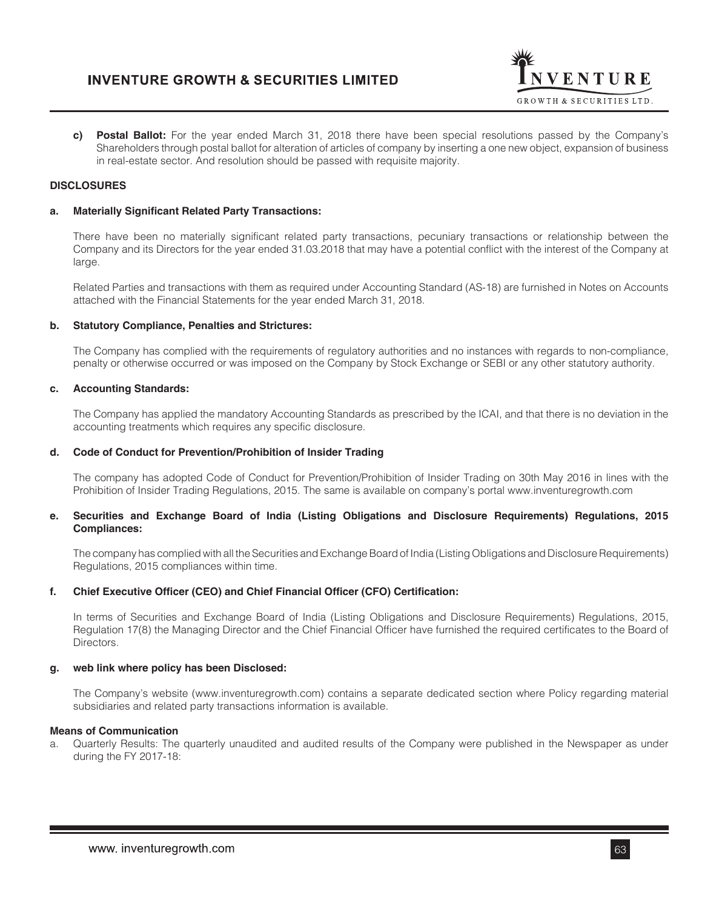

**c) Postal Ballot:** For the year ended March 31, 2018 there have been special resolutions passed by the Company's Shareholders through postal ballot for alteration of articles of company by inserting a one new object, expansion of business in real-estate sector. And resolution should be passed with requisite majority.

## **DISCLOSURES**

#### **a. Materially Significant Related Party Transactions:**

There have been no materially significant related party transactions, pecuniary transactions or relationship between the Company and its Directors for the year ended 31.03.2018 that may have a potential conflict with the interest of the Company at large.

Related Parties and transactions with them as required under Accounting Standard (AS-18) are furnished in Notes on Accounts attached with the Financial Statements for the year ended March 31, 2018.

### **b. Statutory Compliance, Penalties and Strictures:**

The Company has complied with the requirements of regulatory authorities and no instances with regards to non-compliance, penalty or otherwise occurred or was imposed on the Company by Stock Exchange or SEBI or any other statutory authority.

#### **c. Accounting Standards:**

The Company has applied the mandatory Accounting Standards as prescribed by the ICAI, and that there is no deviation in the accounting treatments which requires any specific disclosure.

#### **d. Code of Conduct for Prevention/Prohibition of Insider Trading**

The company has adopted Code of Conduct for Prevention/Prohibition of Insider Trading on 30th May 2016 in lines with the Prohibition of Insider Trading Regulations, 2015. The same is available on company's portal www.inventuregrowth.com

### **e. Securities and Exchange Board of India (Listing Obligations and Disclosure Requirements) Regulations, 2015 Compliances:**

The company has complied with all the Securities and Exchange Board of India (Listing Obligations and Disclosure Requirements) Regulations, 2015 compliances within time.

### **f. Chief Executive Officer (CEO) and Chief Financial Officer (CFO) Certification:**

In terms of Securities and Exchange Board of India (Listing Obligations and Disclosure Requirements) Regulations, 2015, Regulation 17(8) the Managing Director and the Chief Financial Officer have furnished the required certificates to the Board of Directors.

### **g. web link where policy has been Disclosed:**

The Company's website (www.inventuregrowth.com) contains a separate dedicated section where Policy regarding material subsidiaries and related party transactions information is available.

## **Means of Communication**

a. Quarterly Results: The quarterly unaudited and audited results of the Company were published in the Newspaper as under during the FY 2017-18: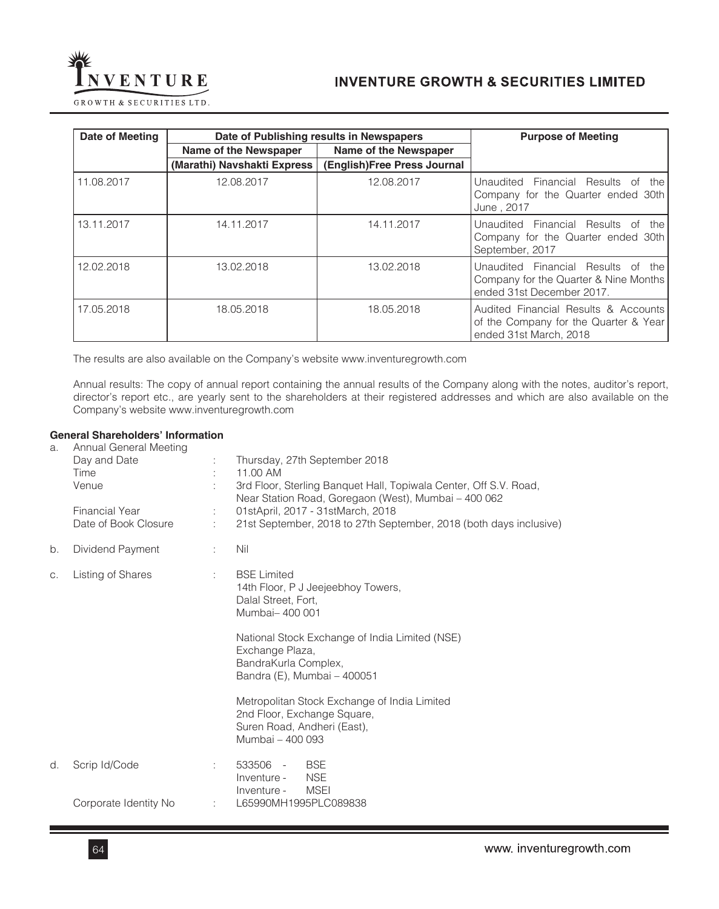

| Date of Meeting | Date of Publishing results in Newspapers | <b>Purpose of Meeting</b>   |                                                                                                             |
|-----------------|------------------------------------------|-----------------------------|-------------------------------------------------------------------------------------------------------------|
|                 | Name of the Newspaper                    | Name of the Newspaper       |                                                                                                             |
|                 | (Marathi) Navshakti Express              | (English)Free Press Journal |                                                                                                             |
| 11.08.2017      | 12.08.2017                               | 12.08.2017                  | Unaudited Financial Results of<br>the I<br>Company for the Quarter ended 30th<br>June, 2017                 |
| 13.11.2017      | 14.11.2017                               | 14.11.2017                  | Unaudited Financial Results of<br>the<br>Company for the Quarter ended 30th<br>September, 2017              |
| 12.02.2018      | 13.02.2018                               | 13.02.2018                  | Unaudited Financial Results of<br>the<br>Company for the Quarter & Nine Months<br>ended 31st December 2017. |
| 17.05.2018      | 18.05.2018                               | 18.05.2018                  | Audited Financial Results & Accounts<br>of the Company for the Quarter & Year<br>ended 31st March, 2018     |

The results are also available on the Company's website www.inventuregrowth.com

Annual results: The copy of annual report containing the annual results of the Company along with the notes, auditor's report, director's report etc., are yearly sent to the shareholders at their registered addresses and which are also available on the Company's website www.inventuregrowth.com

## **General Shareholders' Information**

| a. | Annual General Meeting<br>Day and Date<br>Time<br>Venue<br><b>Financial Year</b><br>Date of Book Closure | ÷                           | Thursday, 27th September 2018<br>11.00 AM<br>3rd Floor, Sterling Banquet Hall, Topiwala Center, Off S.V. Road,<br>Near Station Road, Goregaon (West), Mumbai - 400 062<br>01stApril, 2017 - 31stMarch, 2018<br>21st September, 2018 to 27th September, 2018 (both days inclusive) |
|----|----------------------------------------------------------------------------------------------------------|-----------------------------|-----------------------------------------------------------------------------------------------------------------------------------------------------------------------------------------------------------------------------------------------------------------------------------|
| b. | Dividend Payment                                                                                         | ÷                           | Nil                                                                                                                                                                                                                                                                               |
| C. | Listing of Shares                                                                                        | $\mathcal{L}^{\mathcal{L}}$ | <b>BSE Limited</b><br>14th Floor, P J Jeejeebhoy Towers,<br>Dalal Street, Fort,<br>Mumbai-400 001                                                                                                                                                                                 |
|    |                                                                                                          |                             | National Stock Exchange of India Limited (NSE)<br>Exchange Plaza,<br>BandraKurla Complex,<br>Bandra (E), Mumbai - 400051                                                                                                                                                          |
|    |                                                                                                          |                             | Metropolitan Stock Exchange of India Limited<br>2nd Floor, Exchange Square,<br>Suren Road, Andheri (East),<br>Mumbai - 400 093                                                                                                                                                    |
| d. | Scrip Id/Code                                                                                            | ÷                           | <b>BSE</b><br>533506 -<br><b>NSE</b><br>Inventure -<br>MSEI<br>Inventure -                                                                                                                                                                                                        |
|    | Corporate Identity No                                                                                    | ÷                           | L65990MH1995PLC089838                                                                                                                                                                                                                                                             |
|    |                                                                                                          |                             |                                                                                                                                                                                                                                                                                   |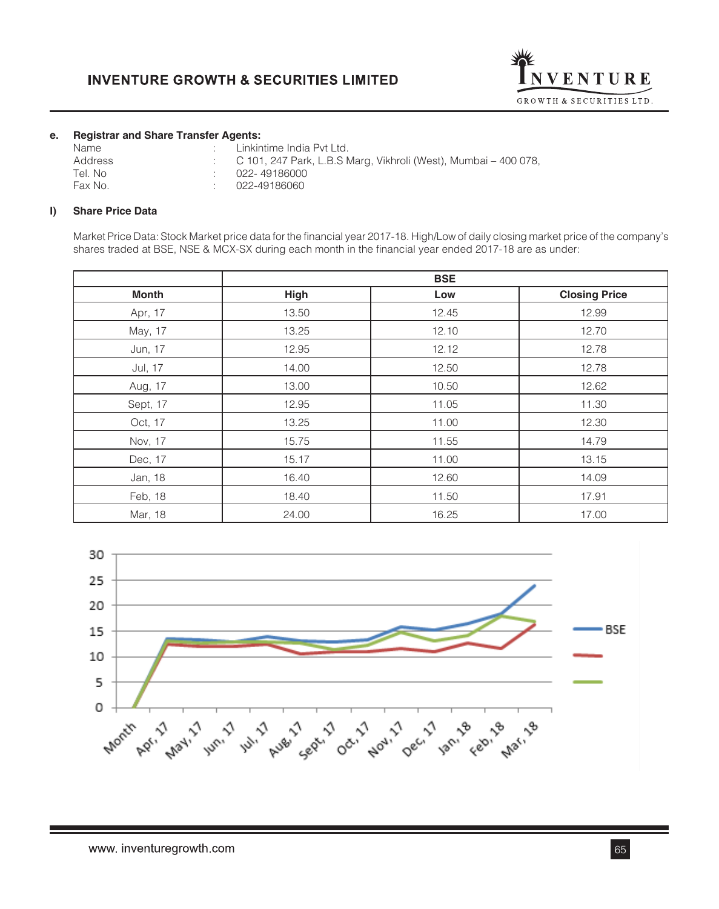

## **e. Registrar and Share Transfer Agents:**

| Linkintime India Pvt Ltd.                                         |
|-------------------------------------------------------------------|
| : C 101, 247 Park, L.B.S Marg, Vikhroli (West), Mumbai – 400 078, |
| 022-49186000                                                      |
| 022-49186060                                                      |
|                                                                   |

## **I) Share Price Data**

Market Price Data: Stock Market price data for the financial year 2017-18. High/Low of daily closing market price of the company's shares traded at BSE, NSE & MCX-SX during each month in the financial year ended 2017-18 are as under:

|              |             | <b>BSE</b> |                      |
|--------------|-------------|------------|----------------------|
| <b>Month</b> | <b>High</b> | Low        | <b>Closing Price</b> |
| Apr, 17      | 13.50       | 12.45      | 12.99                |
| May, 17      | 13.25       | 12.10      | 12.70                |
| Jun, 17      | 12.95       | 12.12      | 12.78                |
| Jul, 17      | 14.00       | 12.50      | 12.78                |
| Aug, 17      | 13.00       | 10.50      | 12.62                |
| Sept, 17     | 12.95       | 11.05      | 11.30                |
| Oct, 17      | 13.25       | 11.00      | 12.30                |
| Nov, 17      | 15.75       | 11.55      | 14.79                |
| Dec, 17      | 15.17       | 11.00      | 13.15                |
| Jan, 18      | 16.40       | 12.60      | 14.09                |
| Feb, 18      | 18.40       | 11.50      | 17.91                |
| Mar, 18      | 24.00       | 16.25      | 17.00                |

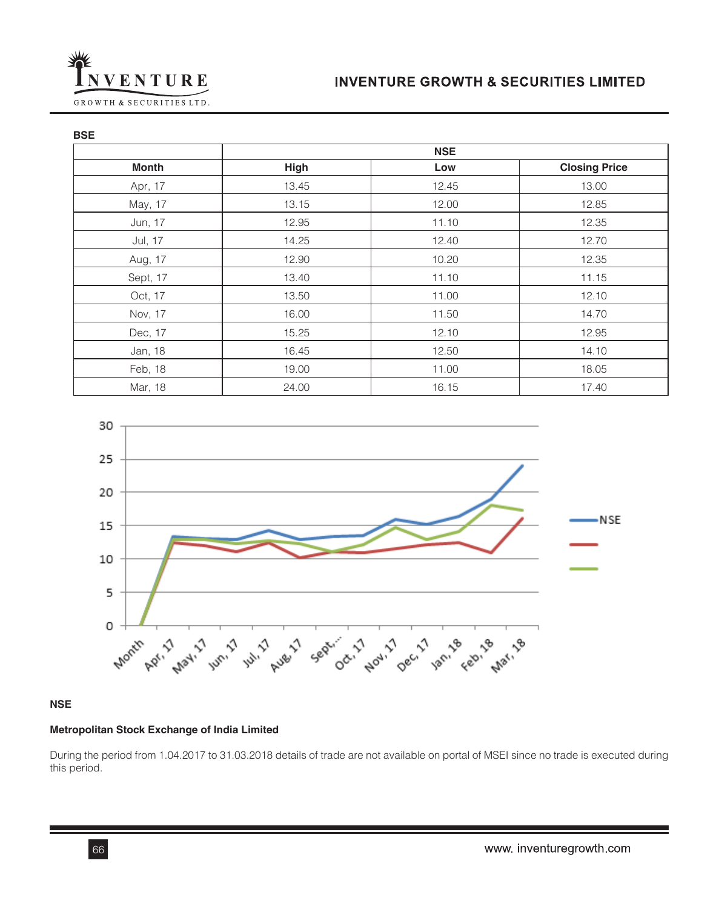

**BSE**

|              | <b>NSE</b> |       |                      |
|--------------|------------|-------|----------------------|
| <b>Month</b> | High       | Low   | <b>Closing Price</b> |
| Apr, 17      | 13.45      | 12.45 | 13.00                |
| May, 17      | 13.15      | 12.00 | 12.85                |
| Jun, 17      | 12.95      | 11.10 | 12.35                |
| Jul, 17      | 14.25      | 12.40 | 12.70                |
| Aug, 17      | 12.90      | 10.20 | 12.35                |
| Sept, 17     | 13.40      | 11.10 | 11.15                |
| Oct, 17      | 13.50      | 11.00 | 12.10                |
| Nov, 17      | 16.00      | 11.50 | 14.70                |
| Dec, 17      | 15.25      | 12.10 | 12.95                |
| Jan, 18      | 16.45      | 12.50 | 14.10                |
| Feb, 18      | 19.00      | 11.00 | 18.05                |
| Mar, 18      | 24.00      | 16.15 | 17.40                |



## **NSE**

## **Metropolitan Stock Exchange of India Limited**

During the period from 1.04.2017 to 31.03.2018 details of trade are not available on portal of MSEI since no trade is executed during this period.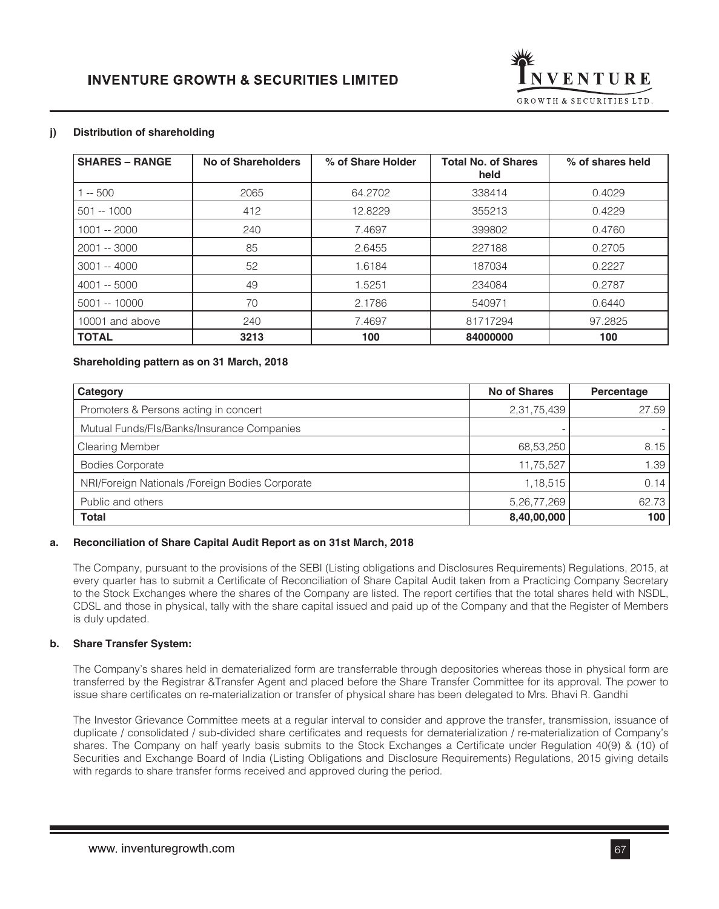

## **j) Distribution of shareholding**

| <b>SHARES – RANGE</b> | <b>No of Shareholders</b> | % of Share Holder | <b>Total No. of Shares</b><br>held | % of shares held |
|-----------------------|---------------------------|-------------------|------------------------------------|------------------|
| $-500$                | 2065                      | 64.2702           | 338414                             | 0.4029           |
| $501 - 1000$          | 412                       | 12.8229           | 355213                             | 0.4229           |
| $1001 - 2000$         | 240                       | 7.4697            | 399802                             | 0.4760           |
| 2001 -- 3000          | 85                        | 2.6455            | 227188                             | 0.2705           |
| 3001 -- 4000          | 52                        | 1.6184            | 187034                             | 0.2227           |
| 4001 -- 5000          | 49                        | 1.5251            | 234084                             | 0.2787           |
| $5001 - 10000$        | 70                        | 2.1786            | 540971                             | 0.6440           |
| 10001 and above       | 240                       | 7.4697            | 81717294                           | 97.2825          |
| <b>TOTAL</b>          | 3213                      | 100               | 84000000                           | 100              |

### **Shareholding pattern as on 31 March, 2018**

| Category                                        | <b>No of Shares</b> | Percentage |
|-------------------------------------------------|---------------------|------------|
| Promoters & Persons acting in concert           | 2,31,75,439         | 27.59      |
| Mutual Funds/Fls/Banks/Insurance Companies      |                     |            |
| <b>Clearing Member</b>                          | 68,53,250           | 8.15       |
| <b>Bodies Corporate</b>                         | 11,75,527           | 1.39       |
| NRI/Foreign Nationals /Foreign Bodies Corporate | 1,18,515            | 0.14       |
| Public and others                               | 5,26,77,269         | 62.73      |
| <b>Total</b>                                    | 8,40,00,000         | 100        |

### **a. Reconciliation of Share Capital Audit Report as on 31st March, 2018**

The Company, pursuant to the provisions of the SEBI (Listing obligations and Disclosures Requirements) Regulations, 2015, at every quarter has to submit a Certificate of Reconciliation of Share Capital Audit taken from a Practicing Company Secretary to the Stock Exchanges where the shares of the Company are listed. The report certifies that the total shares held with NSDL, CDSL and those in physical, tally with the share capital issued and paid up of the Company and that the Register of Members is duly updated.

### **b. Share Transfer System:**

The Company's shares held in dematerialized form are transferrable through depositories whereas those in physical form are transferred by the Registrar &Transfer Agent and placed before the Share Transfer Committee for its approval. The power to issue share certificates on re-materialization or transfer of physical share has been delegated to Mrs. Bhavi R. Gandhi

The Investor Grievance Committee meets at a regular interval to consider and approve the transfer, transmission, issuance of duplicate / consolidated / sub-divided share certificates and requests for dematerialization / re-materialization of Company's shares. The Company on half yearly basis submits to the Stock Exchanges a Certificate under Regulation 40(9) & (10) of Securities and Exchange Board of India (Listing Obligations and Disclosure Requirements) Regulations, 2015 giving details with regards to share transfer forms received and approved during the period.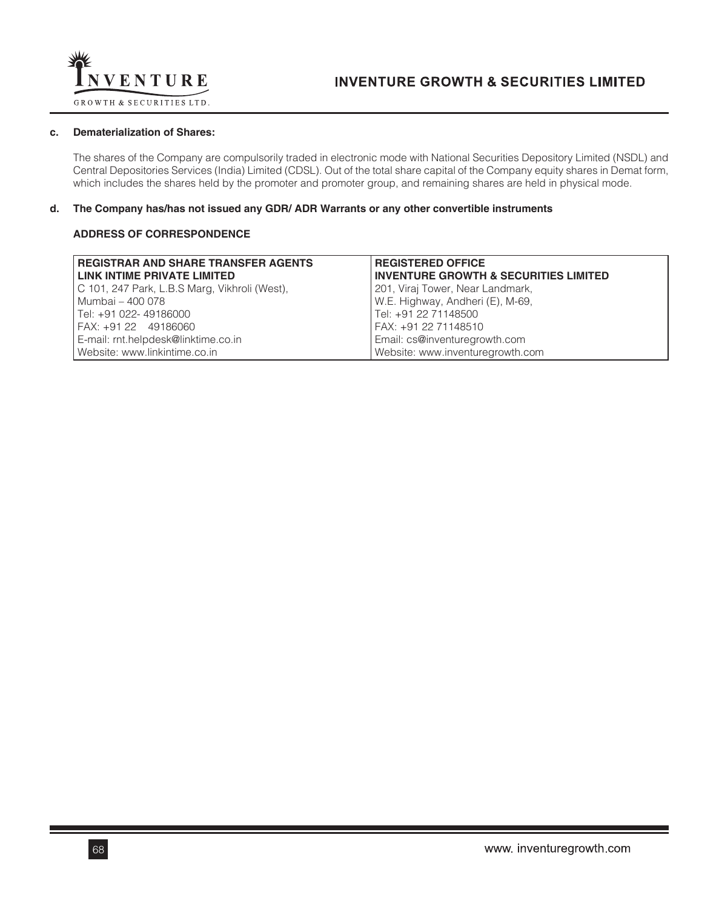

## **c. Dematerialization of Shares:**

The shares of the Company are compulsorily traded in electronic mode with National Securities Depository Limited (NSDL) and Central Depositories Services (India) Limited (CDSL). Out of the total share capital of the Company equity shares in Demat form, which includes the shares held by the promoter and promoter group, and remaining shares are held in physical mode.

### **d. The Company has/has not issued any GDR/ ADR Warrants or any other convertible instruments**

## **ADDRESS OF CORRESPONDENCE**

| <b>REGISTRAR AND SHARE TRANSFER AGENTS</b>    | <b>REGISTERED OFFICE</b>                         |
|-----------------------------------------------|--------------------------------------------------|
| <b>LINK INTIME PRIVATE LIMITED</b>            | <b>INVENTURE GROWTH &amp; SECURITIES LIMITED</b> |
| C 101, 247 Park, L.B.S Marg, Vikhroli (West), | 201, Viraj Tower, Near Landmark,                 |
| Mumbai – 400 078                              | W.E. Highway, Andheri (E), M-69,                 |
| l Tel: +91 022- 49186000                      | Tel: +91 22 71148500                             |
| FAX: +91 22 49186060                          | FAX: +91 22 71148510                             |
| E-mail: rnt.helpdesk@linktime.co.in           | Email: cs@inventuregrowth.com                    |
| Website: www.linkintime.co.in                 | Website: www.inventuregrowth.com                 |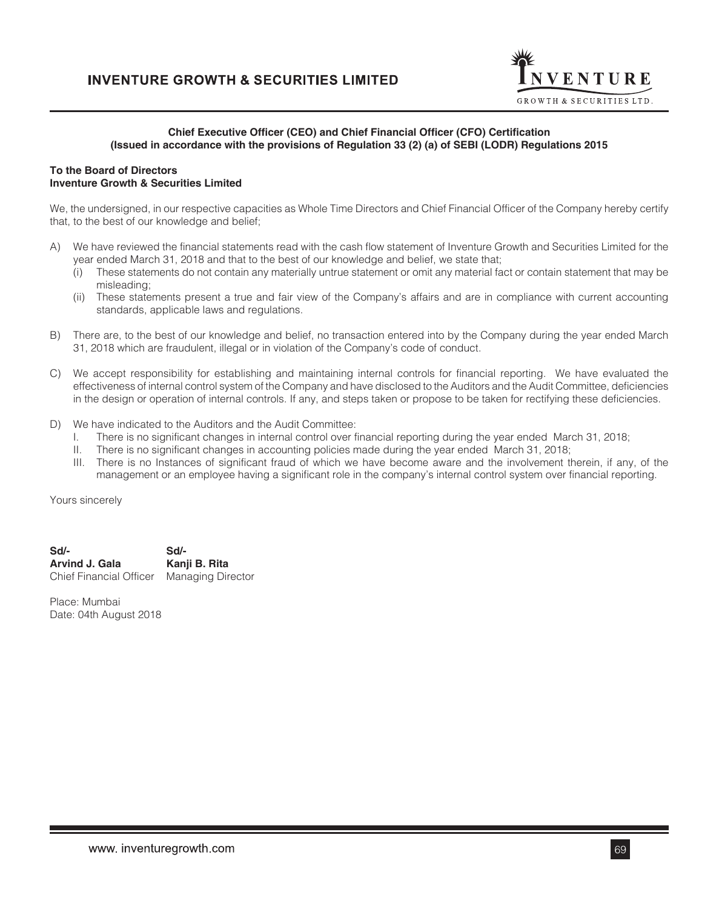

### **Chief Executive Officer (CEO) and Chief Financial Officer (CFO) Certification (Issued in accordance with the provisions of Regulation 33 (2) (a) of SEBI (LODR) Regulations 2015**

### **To the Board of Directors Inventure Growth & Securities Limited**

We, the undersigned, in our respective capacities as Whole Time Directors and Chief Financial Officer of the Company hereby certify that, to the best of our knowledge and belief;

- A) We have reviewed the financial statements read with the cash flow statement of Inventure Growth and Securities Limited for the year ended March 31, 2018 and that to the best of our knowledge and belief, we state that;
	- (i) These statements do not contain any materially untrue statement or omit any material fact or contain statement that may be misleading;
	- (ii) These statements present a true and fair view of the Company's affairs and are in compliance with current accounting standards, applicable laws and regulations.
- B) There are, to the best of our knowledge and belief, no transaction entered into by the Company during the year ended March 31, 2018 which are fraudulent, illegal or in violation of the Company's code of conduct.
- C) We accept responsibility for establishing and maintaining internal controls for financial reporting. We have evaluated the effectiveness of internal control system of the Company and have disclosed to the Auditors and the Audit Committee, deficiencies in the design or operation of internal controls. If any, and steps taken or propose to be taken for rectifying these deficiencies.
- D) We have indicated to the Auditors and the Audit Committee:
	- I. There is no significant changes in internal control over financial reporting during the year ended March 31, 2018;
	- II. There is no significant changes in accounting policies made during the year ended March 31, 2018;
	- III. There is no Instances of significant fraud of which we have become aware and the involvement therein, if any, of the management or an employee having a significant role in the company's internal control system over financial reporting.

Yours sincerely

**Sd/- Sd/- Arvind J. Gala** Chief Financial Officer Managing Director

Place: Mumbai Date: 04th August 2018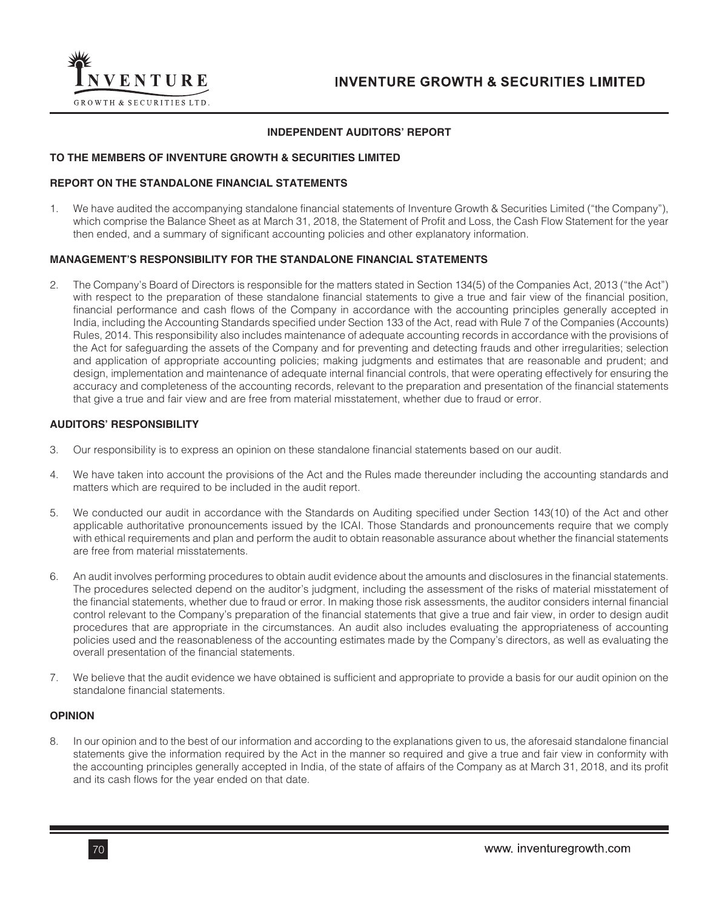

## **INDEPENDENT AUDITORS' REPORT**

## **TO THE MEMBERS OF INVENTURE GROWTH & SECURITIES LIMITED**

### **REPORT ON THE STANDALONE FINANCIAL STATEMENTS**

1. We have audited the accompanying standalone financial statements of Inventure Growth & Securities Limited ("the Company"), which comprise the Balance Sheet as at March 31, 2018, the Statement of Profit and Loss, the Cash Flow Statement for the year then ended, and a summary of significant accounting policies and other explanatory information.

### **MANAGEMENT'S RESPONSIBILITY FOR THE STANDALONE FINANCIAL STATEMENTS**

2. The Company's Board of Directors is responsible for the matters stated in Section 134(5) of the Companies Act, 2013 ("the Act") with respect to the preparation of these standalone financial statements to give a true and fair view of the financial position, financial performance and cash flows of the Company in accordance with the accounting principles generally accepted in India, including the Accounting Standards specified under Section 133 of the Act, read with Rule 7 of the Companies (Accounts) Rules, 2014. This responsibility also includes maintenance of adequate accounting records in accordance with the provisions of the Act for safeguarding the assets of the Company and for preventing and detecting frauds and other irregularities; selection and application of appropriate accounting policies; making judgments and estimates that are reasonable and prudent; and design, implementation and maintenance of adequate internal financial controls, that were operating effectively for ensuring the accuracy and completeness of the accounting records, relevant to the preparation and presentation of the financial statements that give a true and fair view and are free from material misstatement, whether due to fraud or error.

### **AUDITORS' RESPONSIBILITY**

- 3. Our responsibility is to express an opinion on these standalone financial statements based on our audit.
- 4. We have taken into account the provisions of the Act and the Rules made thereunder including the accounting standards and matters which are required to be included in the audit report.
- 5. We conducted our audit in accordance with the Standards on Auditing specified under Section 143(10) of the Act and other applicable authoritative pronouncements issued by the ICAI. Those Standards and pronouncements require that we comply with ethical requirements and plan and perform the audit to obtain reasonable assurance about whether the financial statements are free from material misstatements.
- 6. An audit involves performing procedures to obtain audit evidence about the amounts and disclosures in the financial statements. The procedures selected depend on the auditor's judgment, including the assessment of the risks of material misstatement of the financial statements, whether due to fraud or error. In making those risk assessments, the auditor considers internal financial control relevant to the Company's preparation of the financial statements that give a true and fair view, in order to design audit procedures that are appropriate in the circumstances. An audit also includes evaluating the appropriateness of accounting policies used and the reasonableness of the accounting estimates made by the Company's directors, as well as evaluating the overall presentation of the financial statements.
- 7. We believe that the audit evidence we have obtained is sufficient and appropriate to provide a basis for our audit opinion on the standalone financial statements.

### **OPINION**

8. In our opinion and to the best of our information and according to the explanations given to us, the aforesaid standalone financial statements give the information required by the Act in the manner so required and give a true and fair view in conformity with the accounting principles generally accepted in India, of the state of affairs of the Company as at March 31, 2018, and its profit and its cash flows for the year ended on that date.

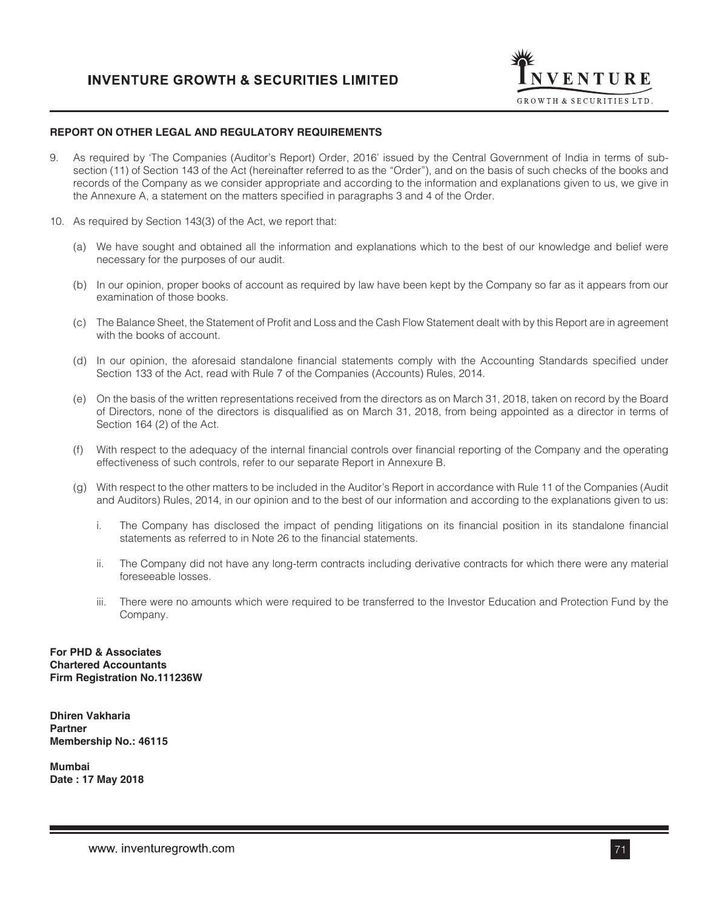

### **REPORT ON OTHER LEGAL AND REGULATORY REQUIREMENTS**

- 9. As required by 'The Companies (Auditor's Report) Order, 2016' issued by the Central Government of India in terms of subsection (11) of Section 143 of the Act (hereinafter referred to as the "Order"), and on the basis of such checks of the books and records of the Company as we consider appropriate and according to the information and explanations given to us, we give in the Annexure A, a statement on the matters specified in paragraphs 3 and 4 of the Order.
- 10. As required by Section 143(3) of the Act, we report that:
	- (a) We have sought and obtained all the information and explanations which to the best of our knowledge and belief were necessary for the purposes of our audit.
	- (b) In our opinion, proper books of account as required by law have been kept by the Company so far as it appears from our examination of those books.
	- (c) The Balance Sheet, the Statement of Profit and Loss and the Cash Flow Statement dealt with by this Report are in agreement with the books of account.
	- (d) In our opinion, the aforesaid standalone financial statements comply with the Accounting Standards specified under Section 133 of the Act, read with Rule 7 of the Companies (Accounts) Rules, 2014.
	- (e) On the basis of the written representations received from the directors as on March 31, 2018, taken on record by the Board of Directors, none of the directors is disqualified as on March 31, 2018, from being appointed as a director in terms of Section 164 (2) of the Act.
	- (f) With respect to the adequacy of the internal financial controls over financial reporting of the Company and the operating effectiveness of such controls, refer to our separate Report in Annexure B.
	- (g) With respect to the other matters to be included in the Auditor's Report in accordance with Rule 11 of the Companies (Audit and Auditors) Rules, 2014, in our opinion and to the best of our information and according to the explanations given to us:
		- i. The Company has disclosed the impact of pending litigations on its financial position in its standalone financial statements as referred to in Note 26 to the financial statements.
		- ii. The Company did not have any long-term contracts including derivative contracts for which there were any material foreseeable losses.
		- iii. There were no amounts which were required to be transferred to the Investor Education and Protection Fund by the Company.

**For PHD & Associates Chartered Accountants Firm Registration No.111236W**

**Dhiren Vakharia Partner Membership No.: 46115**

**Mumbai Date : 17 May 2018**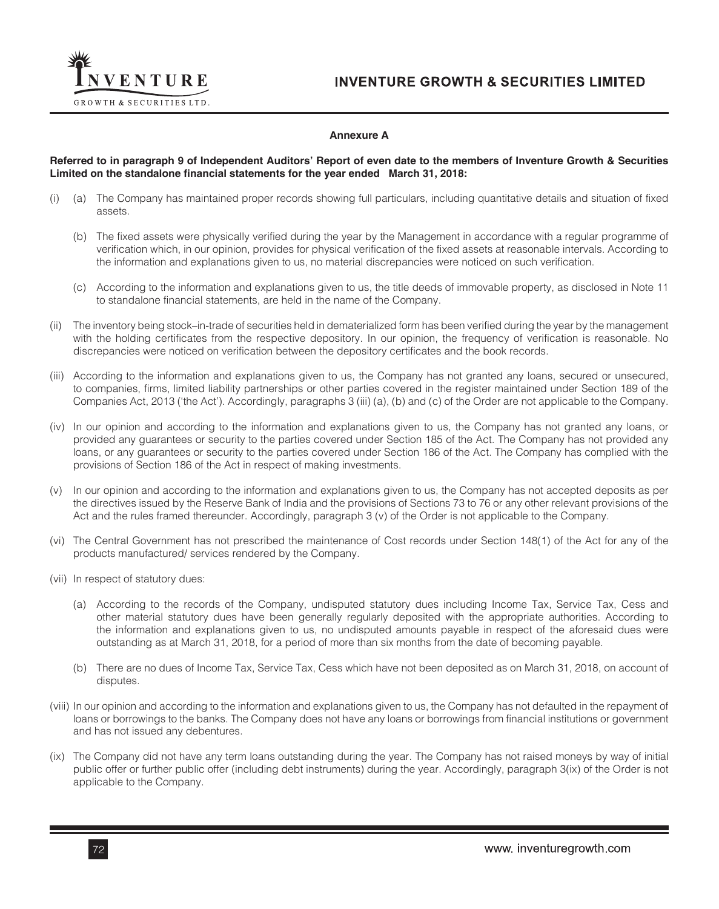

### **Annexure A**

### **Referred to in paragraph 9 of Independent Auditors' Report of even date to the members of Inventure Growth & Securities Limited on the standalone financial statements for the year ended March 31, 2018:**

- (i) (a) The Company has maintained proper records showing full particulars, including quantitative details and situation of fixed assets.
	- (b) The fixed assets were physically verified during the year by the Management in accordance with a regular programme of verification which, in our opinion, provides for physical verification of the fixed assets at reasonable intervals. According to the information and explanations given to us, no material discrepancies were noticed on such verification.
	- (c) According to the information and explanations given to us, the title deeds of immovable property, as disclosed in Note 11 to standalone financial statements, are held in the name of the Company.
- (ii) The inventory being stock–in-trade of securities held in dematerialized form has been verified during the year by the management with the holding certificates from the respective depository. In our opinion, the frequency of verification is reasonable. No discrepancies were noticed on verification between the depository certificates and the book records.
- (iii) According to the information and explanations given to us, the Company has not granted any loans, secured or unsecured, to companies, firms, limited liability partnerships or other parties covered in the register maintained under Section 189 of the Companies Act, 2013 ('the Act'). Accordingly, paragraphs 3 (iii) (a), (b) and (c) of the Order are not applicable to the Company.
- (iv) In our opinion and according to the information and explanations given to us, the Company has not granted any loans, or provided any guarantees or security to the parties covered under Section 185 of the Act. The Company has not provided any loans, or any guarantees or security to the parties covered under Section 186 of the Act. The Company has complied with the provisions of Section 186 of the Act in respect of making investments.
- (v) In our opinion and according to the information and explanations given to us, the Company has not accepted deposits as per the directives issued by the Reserve Bank of India and the provisions of Sections 73 to 76 or any other relevant provisions of the Act and the rules framed thereunder. Accordingly, paragraph 3 (v) of the Order is not applicable to the Company.
- (vi) The Central Government has not prescribed the maintenance of Cost records under Section 148(1) of the Act for any of the products manufactured/ services rendered by the Company.
- (vii) In respect of statutory dues:
	- (a) According to the records of the Company, undisputed statutory dues including Income Tax, Service Tax, Cess and other material statutory dues have been generally regularly deposited with the appropriate authorities. According to the information and explanations given to us, no undisputed amounts payable in respect of the aforesaid dues were outstanding as at March 31, 2018, for a period of more than six months from the date of becoming payable.
	- (b) There are no dues of Income Tax, Service Tax, Cess which have not been deposited as on March 31, 2018, on account of disputes.
- (viii) In our opinion and according to the information and explanations given to us, the Company has not defaulted in the repayment of loans or borrowings to the banks. The Company does not have any loans or borrowings from financial institutions or government and has not issued any debentures.
- (ix) The Company did not have any term loans outstanding during the year. The Company has not raised moneys by way of initial public offer or further public offer (including debt instruments) during the year. Accordingly, paragraph 3(ix) of the Order is not applicable to the Company.

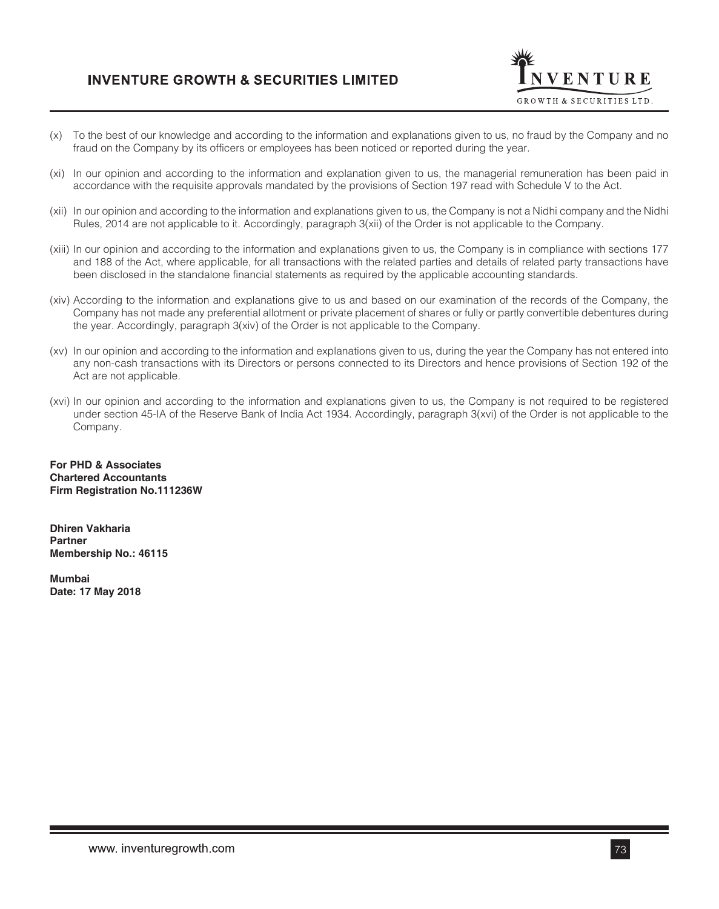

- (x) To the best of our knowledge and according to the information and explanations given to us, no fraud by the Company and no fraud on the Company by its officers or employees has been noticed or reported during the year.
- (xi) In our opinion and according to the information and explanation given to us, the managerial remuneration has been paid in accordance with the requisite approvals mandated by the provisions of Section 197 read with Schedule V to the Act.
- (xii) In our opinion and according to the information and explanations given to us, the Company is not a Nidhi company and the Nidhi Rules, 2014 are not applicable to it. Accordingly, paragraph 3(xii) of the Order is not applicable to the Company.
- (xiii) In our opinion and according to the information and explanations given to us, the Company is in compliance with sections 177 and 188 of the Act, where applicable, for all transactions with the related parties and details of related party transactions have been disclosed in the standalone financial statements as required by the applicable accounting standards.
- (xiv) According to the information and explanations give to us and based on our examination of the records of the Company, the Company has not made any preferential allotment or private placement of shares or fully or partly convertible debentures during the year. Accordingly, paragraph 3(xiv) of the Order is not applicable to the Company.
- (xv) In our opinion and according to the information and explanations given to us, during the year the Company has not entered into any non-cash transactions with its Directors or persons connected to its Directors and hence provisions of Section 192 of the Act are not applicable.
- (xvi) In our opinion and according to the information and explanations given to us, the Company is not required to be registered under section 45-IA of the Reserve Bank of India Act 1934. Accordingly, paragraph 3(xvi) of the Order is not applicable to the Company.

**For PHD & Associates Chartered Accountants Firm Registration No.111236W**

**Dhiren Vakharia Partner Membership No.: 46115**

**Mumbai Date: 17 May 2018**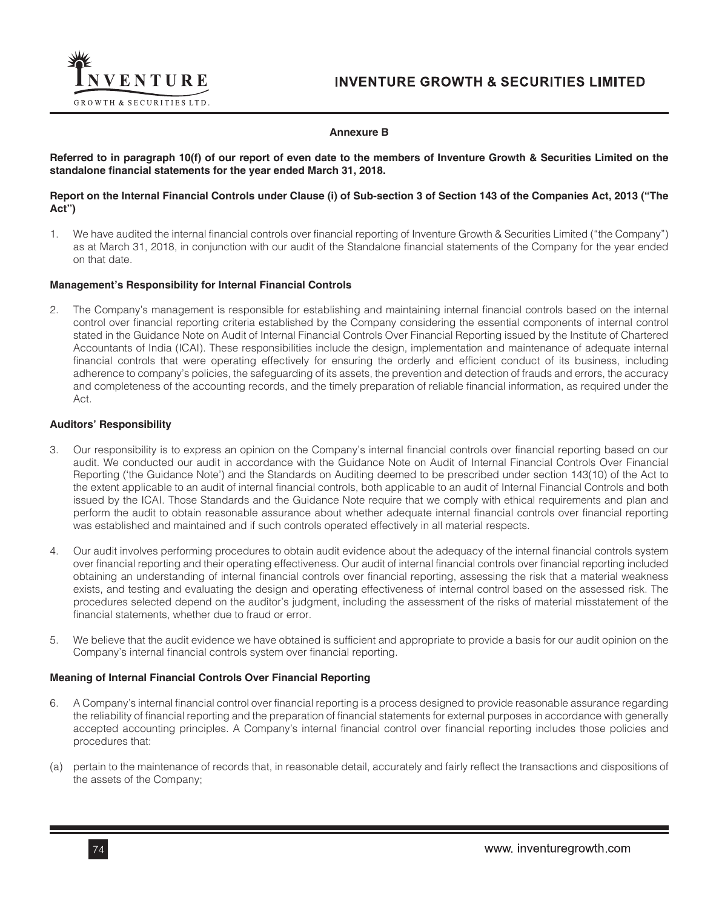

#### **Annexure B**

**Referred to in paragraph 10(f) of our report of even date to the members of Inventure Growth & Securities Limited on the standalone financial statements for the year ended March 31, 2018.**

#### **Report on the Internal Financial Controls under Clause (i) of Sub-section 3 of Section 143 of the Companies Act, 2013 ("The Act")**

1. We have audited the internal financial controls over financial reporting of Inventure Growth & Securities Limited ("the Company") as at March 31, 2018, in conjunction with our audit of the Standalone financial statements of the Company for the year ended on that date.

#### **Management's Responsibility for Internal Financial Controls**

2. The Company's management is responsible for establishing and maintaining internal financial controls based on the internal control over financial reporting criteria established by the Company considering the essential components of internal control stated in the Guidance Note on Audit of Internal Financial Controls Over Financial Reporting issued by the Institute of Chartered Accountants of India (ICAI). These responsibilities include the design, implementation and maintenance of adequate internal financial controls that were operating effectively for ensuring the orderly and efficient conduct of its business, including adherence to company's policies, the safeguarding of its assets, the prevention and detection of frauds and errors, the accuracy and completeness of the accounting records, and the timely preparation of reliable financial information, as required under the Act.

#### **Auditors' Responsibility**

- 3. Our responsibility is to express an opinion on the Company's internal financial controls over financial reporting based on our audit. We conducted our audit in accordance with the Guidance Note on Audit of Internal Financial Controls Over Financial Reporting ('the Guidance Note') and the Standards on Auditing deemed to be prescribed under section 143(10) of the Act to the extent applicable to an audit of internal financial controls, both applicable to an audit of Internal Financial Controls and both issued by the ICAI. Those Standards and the Guidance Note require that we comply with ethical requirements and plan and perform the audit to obtain reasonable assurance about whether adequate internal financial controls over financial reporting was established and maintained and if such controls operated effectively in all material respects.
- 4. Our audit involves performing procedures to obtain audit evidence about the adequacy of the internal financial controls system over financial reporting and their operating effectiveness. Our audit of internal financial controls over financial reporting included obtaining an understanding of internal financial controls over financial reporting, assessing the risk that a material weakness exists, and testing and evaluating the design and operating effectiveness of internal control based on the assessed risk. The procedures selected depend on the auditor's judgment, including the assessment of the risks of material misstatement of the financial statements, whether due to fraud or error.
- 5. We believe that the audit evidence we have obtained is sufficient and appropriate to provide a basis for our audit opinion on the Company's internal financial controls system over financial reporting.

## **Meaning of Internal Financial Controls Over Financial Reporting**

- 6. A Company's internal financial control over financial reporting is a process designed to provide reasonable assurance regarding the reliability of financial reporting and the preparation of financial statements for external purposes in accordance with generally accepted accounting principles. A Company's internal financial control over financial reporting includes those policies and procedures that:
- (a) pertain to the maintenance of records that, in reasonable detail, accurately and fairly reflect the transactions and dispositions of the assets of the Company;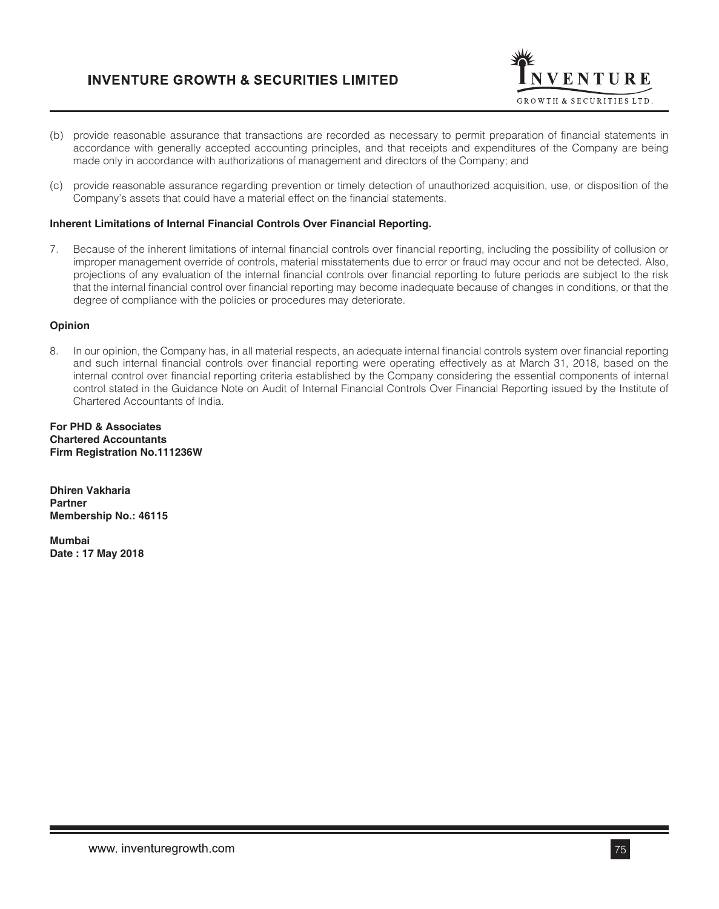

- (b) provide reasonable assurance that transactions are recorded as necessary to permit preparation of financial statements in accordance with generally accepted accounting principles, and that receipts and expenditures of the Company are being made only in accordance with authorizations of management and directors of the Company; and
- (c) provide reasonable assurance regarding prevention or timely detection of unauthorized acquisition, use, or disposition of the Company's assets that could have a material effect on the financial statements.

#### **Inherent Limitations of Internal Financial Controls Over Financial Reporting.**

7. Because of the inherent limitations of internal financial controls over financial reporting, including the possibility of collusion or improper management override of controls, material misstatements due to error or fraud may occur and not be detected. Also, projections of any evaluation of the internal financial controls over financial reporting to future periods are subject to the risk that the internal financial control over financial reporting may become inadequate because of changes in conditions, or that the degree of compliance with the policies or procedures may deteriorate.

### **Opinion**

8. In our opinion, the Company has, in all material respects, an adequate internal financial controls system over financial reporting and such internal financial controls over financial reporting were operating effectively as at March 31, 2018, based on the internal control over financial reporting criteria established by the Company considering the essential components of internal control stated in the Guidance Note on Audit of Internal Financial Controls Over Financial Reporting issued by the Institute of Chartered Accountants of India.

**For PHD & Associates Chartered Accountants Firm Registration No.111236W**

**Dhiren Vakharia Partner Membership No.: 46115**

**Mumbai Date : 17 May 2018**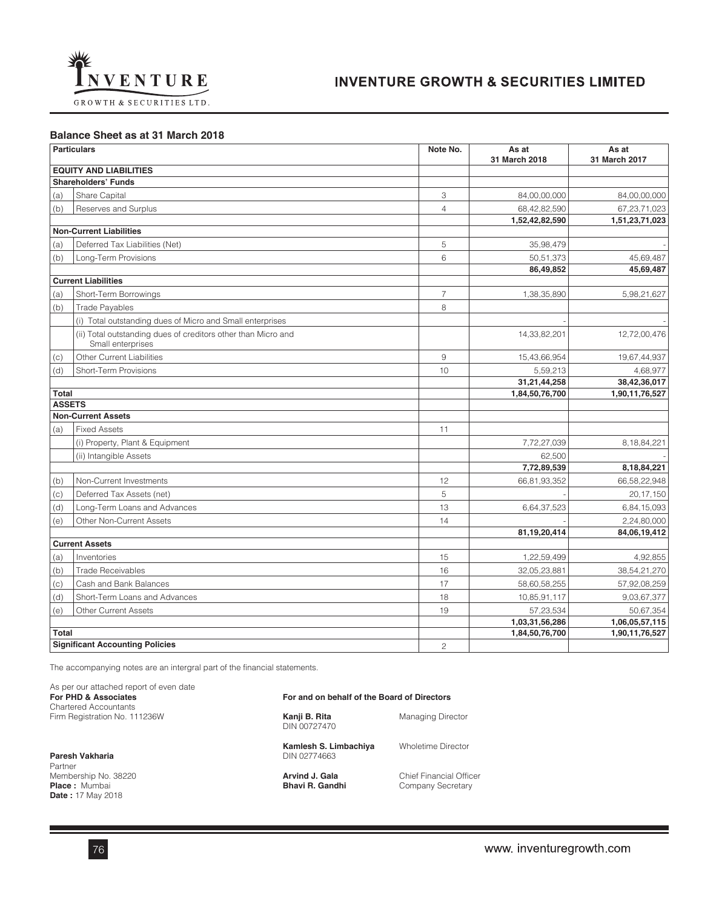

**Balance Sheet as at 31 March 2018** 

|               | <b>Particulars</b>                                                                 | Note No.       | As at<br>31 March 2018 | As at<br>31 March 2017 |
|---------------|------------------------------------------------------------------------------------|----------------|------------------------|------------------------|
|               | <b>EQUITY AND LIABILITIES</b>                                                      |                |                        |                        |
|               | <b>Shareholders' Funds</b>                                                         |                |                        |                        |
| (a)           | Share Capital                                                                      | 3              | 84,00,00,000           | 84,00,00,000           |
| (b)           | Reserves and Surplus                                                               | $\overline{4}$ | 68,42,82,590           | 67,23,71,023           |
|               |                                                                                    |                | 1,52,42,82,590         | 1,51,23,71,023         |
|               | <b>Non-Current Liabilities</b>                                                     |                |                        |                        |
| (a)           | Deferred Tax Liabilities (Net)                                                     | 5              | 35,98,479              |                        |
| (b)           | Long-Term Provisions                                                               | 6              | 50,51,373              | 45,69,487              |
|               |                                                                                    |                | 86,49,852              | 45,69,487              |
|               | <b>Current Liabilities</b>                                                         |                |                        |                        |
| (a)           | Short-Term Borrowings                                                              | $\overline{7}$ | 1,38,35,890            | 5,98,21,627            |
| (b)           | <b>Trade Payables</b>                                                              | 8              |                        |                        |
|               | (i) Total outstanding dues of Micro and Small enterprises                          |                |                        |                        |
|               | (ii) Total outstanding dues of creditors other than Micro and<br>Small enterprises |                | 14,33,82,201           | 12,72,00,476           |
| (c)           | Other Current Liabilities                                                          | 9              | 15,43,66,954           | 19,67,44,937           |
| (d)           | <b>Short-Term Provisions</b>                                                       | 10             | 5,59,213               | 4,68,977               |
|               |                                                                                    |                | 31,21,44,258           | 38,42,36,017           |
| Total         |                                                                                    |                | 1,84,50,76,700         | 1,90,11,76,527         |
| <b>ASSETS</b> |                                                                                    |                |                        |                        |
|               | <b>Non-Current Assets</b>                                                          |                |                        |                        |
| (a)           | <b>Fixed Assets</b>                                                                | 11             |                        |                        |
|               | (i) Property, Plant & Equipment                                                    |                | 7,72,27,039            | 8,18,84,221            |
|               | (ii) Intangible Assets                                                             |                | 62,500                 |                        |
|               |                                                                                    |                | 7,72,89,539            | 8,18,84,221            |
| (b)           | Non-Current Investments                                                            | 12             | 66,81,93,352           | 66,58,22,948           |
| (c)           | Deferred Tax Assets (net)                                                          | 5              |                        | 20,17,150              |
| (d)           | Long-Term Loans and Advances                                                       | 13             | 6,64,37,523            | 6,84,15,093            |
| (e)           | Other Non-Current Assets                                                           | 14             |                        | 2,24,80,000            |
|               | <b>Current Assets</b>                                                              |                | 81,19,20,414           | 84,06,19,412           |
|               |                                                                                    | 15             |                        |                        |
| (a)           | Inventories                                                                        |                | 1,22,59,499            | 4,92,855               |
| (b)           | <b>Trade Receivables</b>                                                           | 16             | 32,05,23,881           | 38,54,21,270           |
| (c)           | Cash and Bank Balances                                                             | 17             | 58,60,58,255           | 57,92,08,259           |
| (d)           | Short-Term Loans and Advances                                                      | 18             | 10,85,91,117           | 9,03,67,377            |
| (e)           | <b>Other Current Assets</b>                                                        | 19             | 57,23,534              | 50,67,354              |
|               |                                                                                    |                | 1,03,31,56,286         | 1,06,05,57,115         |
| <b>Total</b>  | <b>Significant Accounting Policies</b>                                             |                | 1,84,50,76,700         | 1,90,11,76,527         |
|               |                                                                                    | $\overline{c}$ |                        |                        |

The accompanying notes are an intergral part of the financial statements.

As per our attached report of even date **For PHD & Associates For and on behalf of the Board of Directors**  Chartered Accountants Firm Registration No. 111236W **Kanji B. Rita** Managing Director DIN 00727470 **Kamlesh S. Limbachiya** Wholetime Director

**Paresh Vakharia** Partner Membership No. 38220 **Arvind J. Gala** Chief Financial Officer<br> **Place**: Mumbai **Arving School Bhavi R. Gandhi** Company Secretary **Date :** 17 May 2018

**Philade in Mumber Bandhi**<br>Company Secretary

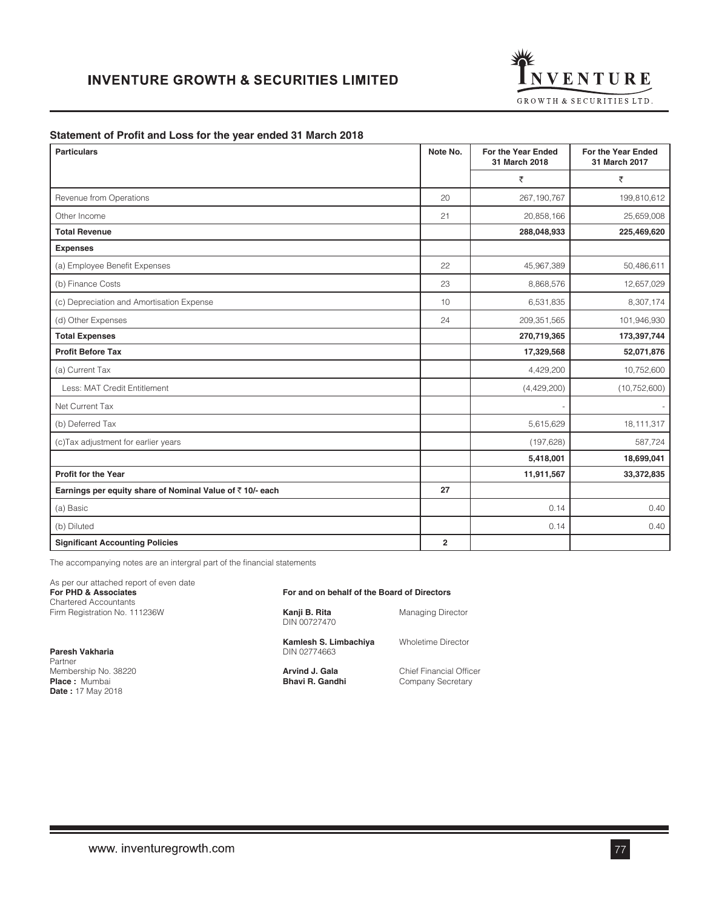

#### **Statement of Profit and Loss for the year ended 31 March 2018**

| <b>Particulars</b>                                       | Note No.       | For the Year Ended<br>31 March 2018 | For the Year Ended<br>31 March 2017 |
|----------------------------------------------------------|----------------|-------------------------------------|-------------------------------------|
|                                                          |                | ₹                                   | ₹                                   |
| Revenue from Operations                                  | 20             | 267,190,767                         | 199,810,612                         |
| Other Income                                             | 21             | 20,858,166                          | 25,659,008                          |
| <b>Total Revenue</b>                                     |                | 288,048,933                         | 225,469,620                         |
| <b>Expenses</b>                                          |                |                                     |                                     |
| (a) Employee Benefit Expenses                            | 22             | 45,967,389                          | 50,486,611                          |
| (b) Finance Costs                                        | 23             | 8,868,576                           | 12,657,029                          |
| (c) Depreciation and Amortisation Expense                | 10             | 6,531,835                           | 8,307,174                           |
| (d) Other Expenses                                       | 24             | 209,351,565                         | 101,946,930                         |
| <b>Total Expenses</b>                                    |                | 270,719,365                         | 173,397,744                         |
| <b>Profit Before Tax</b>                                 |                | 17,329,568                          | 52,071,876                          |
| (a) Current Tax                                          |                | 4,429,200                           | 10,752,600                          |
| Less: MAT Credit Entitlement                             |                | (4,429,200)                         | (10, 752, 600)                      |
| Net Current Tax                                          |                |                                     |                                     |
| (b) Deferred Tax                                         |                | 5,615,629                           | 18,111,317                          |
| (c) Tax adjustment for earlier years                     |                | (197, 628)                          | 587,724                             |
|                                                          |                | 5,418,001                           | 18,699,041                          |
| <b>Profit for the Year</b>                               |                | 11,911,567                          | 33,372,835                          |
| Earnings per equity share of Nominal Value of ₹10/- each | 27             |                                     |                                     |
| (a) Basic                                                |                | 0.14                                | 0.40                                |
| (b) Diluted                                              |                | 0.14                                | 0.40                                |
| <b>Significant Accounting Policies</b>                   | $\overline{2}$ |                                     |                                     |

The accompanying notes are an intergral part of the financial statements

As per our attached report of even date

Chartered Accountants Firm Registration No. 111236W **Kanji B. Rita** Managing Director

**Paresh Vakharia** Partner Membership No. 38220 **Arvind J. Gala** Chief Financial Officer<br> **Place :** Mumbai **Company Secretary Chief Financial Officer**<br> **Bhavi R. Gandhi** Company Secretary **Date :** 17 May 2018

**For PHD & Associates For and on behalf of the Board of Directors** 

DIN 00727470

**Kamlesh S. Limbachiya** Wholetime Director

**Company Secretary**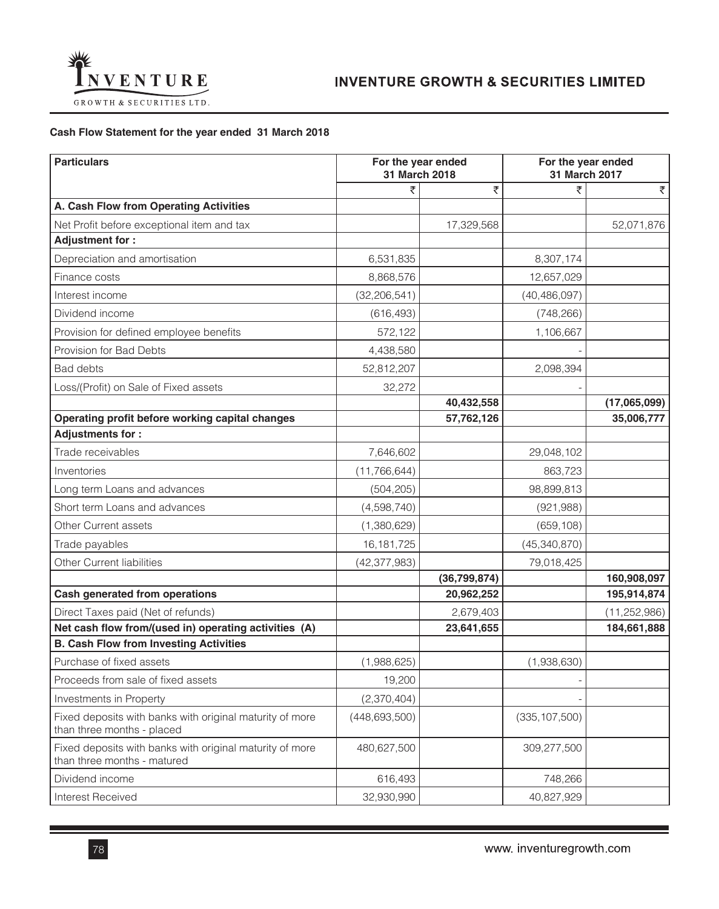

# **Cash Flow Statement for the year ended 31 March 2018**

| <b>Particulars</b>                                                                      | For the year ended<br>31 March 2018 |                | For the year ended<br>31 March 2017 |                |
|-----------------------------------------------------------------------------------------|-------------------------------------|----------------|-------------------------------------|----------------|
|                                                                                         | ₹                                   | ₹              | ₹                                   | ₹              |
| A. Cash Flow from Operating Activities                                                  |                                     |                |                                     |                |
| Net Profit before exceptional item and tax                                              |                                     | 17,329,568     |                                     | 52,071,876     |
| <b>Adjustment for:</b>                                                                  |                                     |                |                                     |                |
| Depreciation and amortisation                                                           | 6,531,835                           |                | 8,307,174                           |                |
| Finance costs                                                                           | 8,868,576                           |                | 12,657,029                          |                |
| Interest income                                                                         | (32, 206, 541)                      |                | (40, 486, 097)                      |                |
| Dividend income                                                                         | (616, 493)                          |                | (748, 266)                          |                |
| Provision for defined employee benefits                                                 | 572,122                             |                | 1,106,667                           |                |
| Provision for Bad Debts                                                                 | 4,438,580                           |                |                                     |                |
| <b>Bad debts</b>                                                                        | 52,812,207                          |                | 2,098,394                           |                |
| Loss/(Profit) on Sale of Fixed assets                                                   | 32,272                              |                |                                     |                |
|                                                                                         |                                     | 40,432,558     |                                     | (17,065,099)   |
| Operating profit before working capital changes                                         |                                     | 57,762,126     |                                     | 35,006,777     |
| <b>Adjustments for:</b>                                                                 |                                     |                |                                     |                |
| Trade receivables                                                                       | 7,646,602                           |                | 29,048,102                          |                |
| Inventories                                                                             | (11, 766, 644)                      |                | 863,723                             |                |
| Long term Loans and advances                                                            | (504, 205)                          |                | 98,899,813                          |                |
| Short term Loans and advances                                                           | (4,598,740)                         |                | (921, 988)                          |                |
| Other Current assets                                                                    | (1,380,629)                         |                | (659, 108)                          |                |
| Trade payables                                                                          | 16, 181, 725                        |                | (45, 340, 870)                      |                |
| Other Current liabilities                                                               | (42, 377, 983)                      |                | 79,018,425                          |                |
|                                                                                         |                                     | (36, 799, 874) |                                     | 160,908,097    |
| Cash generated from operations                                                          |                                     | 20,962,252     |                                     | 195,914,874    |
| Direct Taxes paid (Net of refunds)                                                      |                                     | 2,679,403      |                                     | (11, 252, 986) |
| Net cash flow from/(used in) operating activities (A)                                   |                                     | 23,641,655     |                                     | 184,661,888    |
| <b>B. Cash Flow from Investing Activities</b>                                           |                                     |                |                                     |                |
| Purchase of fixed assets                                                                | (1,988,625)                         |                | (1,938,630)                         |                |
| Proceeds from sale of fixed assets                                                      | 19,200                              |                |                                     |                |
| Investments in Property                                                                 | (2,370,404)                         |                |                                     |                |
| Fixed deposits with banks with original maturity of more<br>than three months - placed  | (448, 693, 500)                     |                | (335, 107, 500)                     |                |
| Fixed deposits with banks with original maturity of more<br>than three months - matured | 480,627,500                         |                | 309,277,500                         |                |
| Dividend income                                                                         | 616,493                             |                | 748,266                             |                |
| Interest Received                                                                       | 32,930,990                          |                | 40,827,929                          |                |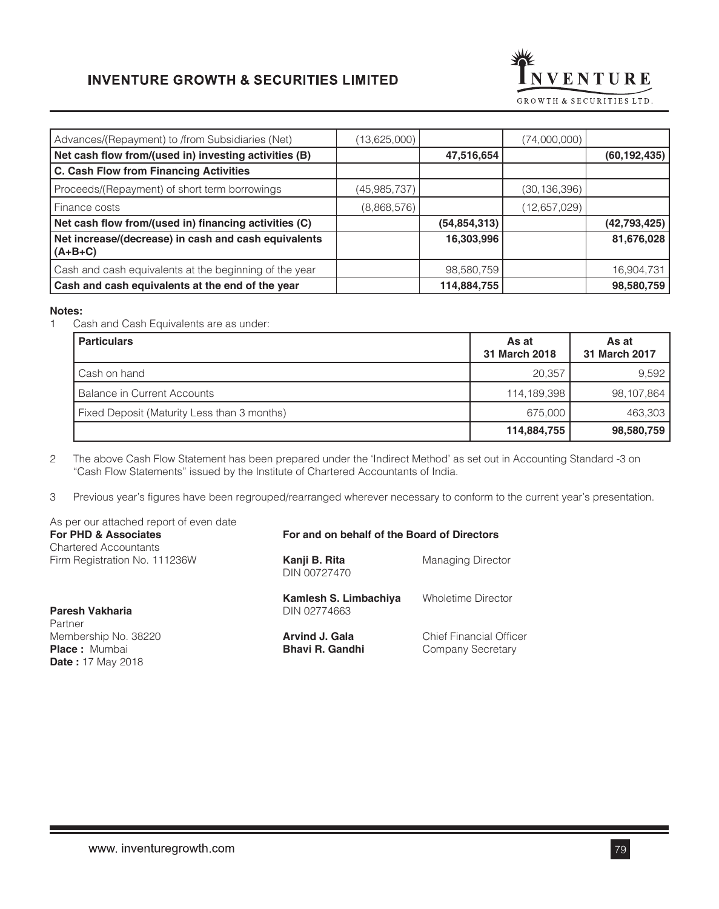

| (13,625,000) |                | (74,000,000)   |                |
|--------------|----------------|----------------|----------------|
|              | 47,516,654     |                | (60, 192, 435) |
|              |                |                |                |
| (45,985,737) |                | (30, 136, 396) |                |
| (8,868,576)  |                | (12,657,029)   |                |
|              | (54, 854, 313) |                | (42, 793, 425) |
|              | 16,303,996     |                | 81,676,028     |
|              | 98,580,759     |                | 16,904,731     |
|              | 114,884,755    |                | 98,580,759     |
|              |                |                |                |

#### **Notes:**

Ī

1 Cash and Cash Equivalents are as under:

| <b>Particulars</b>                          | As at<br>31 March 2018 | As at<br>31 March 2017 |
|---------------------------------------------|------------------------|------------------------|
| Cash on hand                                | 20.357                 | 9.592                  |
| Balance in Current Accounts                 | 114,189,398            | 98,107,864             |
| Fixed Deposit (Maturity Less than 3 months) | 675,000                | 463,303                |
|                                             | 114,884,755            | 98,580,759             |

2 The above Cash Flow Statement has been prepared under the 'Indirect Method' as set out in Accounting Standard -3 on "Cash Flow Statements" issued by the Institute of Chartered Accountants of India.

3 Previous year's figures have been regrouped/rearranged wherever necessary to conform to the current year's presentation.

| As per our attached report of even date<br><b>For PHD &amp; Associates</b> | For and on behalf of the Board of Directors     |                                                     |  |
|----------------------------------------------------------------------------|-------------------------------------------------|-----------------------------------------------------|--|
| <b>Chartered Accountants</b><br>Firm Registration No. 111236W              | Kanji B. Rita<br>DIN 00727470                   | <b>Managing Director</b>                            |  |
| Paresh Vakharia<br>Partner                                                 | Kamlesh S. Limbachiya<br>DIN 02774663           | <b>Wholetime Director</b>                           |  |
| Membership No. 38220<br><b>Place:</b> Mumbai<br><b>Date:</b> 17 May 2018   | <b>Arvind J. Gala</b><br><b>Bhavi R. Gandhi</b> | <b>Chief Financial Officer</b><br>Company Secretary |  |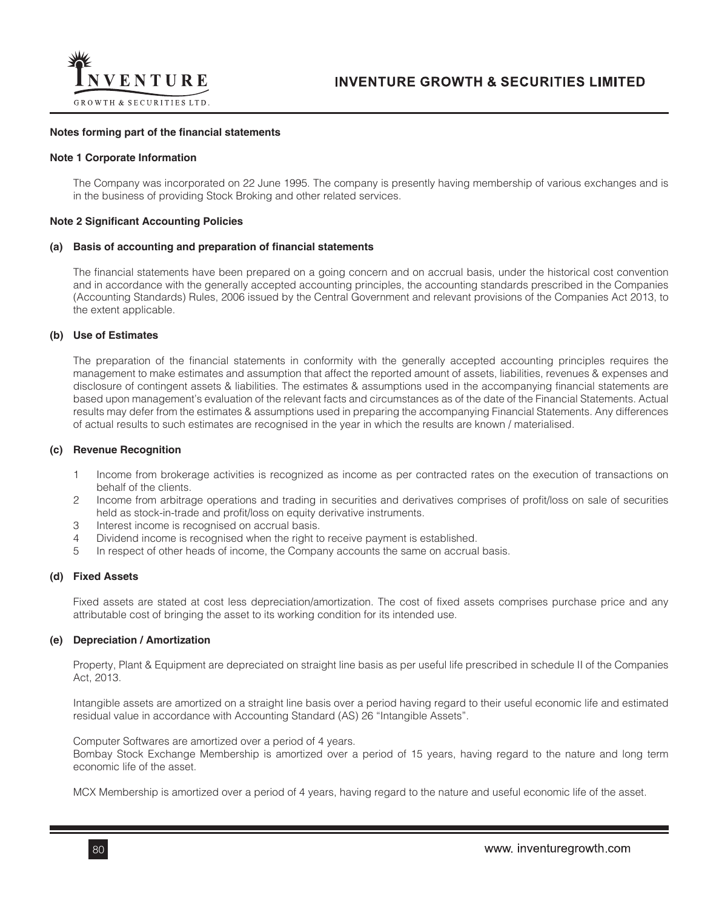

#### **Notes forming part of the financial statements**

#### **Note 1 Corporate Information**

The Company was incorporated on 22 June 1995. The company is presently having membership of various exchanges and is in the business of providing Stock Broking and other related services.

#### **Note 2 Significant Accounting Policies**

#### **(a) Basis of accounting and preparation of financial statements**

The financial statements have been prepared on a going concern and on accrual basis, under the historical cost convention and in accordance with the generally accepted accounting principles, the accounting standards prescribed in the Companies (Accounting Standards) Rules, 2006 issued by the Central Government and relevant provisions of the Companies Act 2013, to the extent applicable.

#### **(b) Use of Estimates**

The preparation of the financial statements in conformity with the generally accepted accounting principles requires the management to make estimates and assumption that affect the reported amount of assets, liabilities, revenues & expenses and disclosure of contingent assets & liabilities. The estimates & assumptions used in the accompanying financial statements are based upon management's evaluation of the relevant facts and circumstances as of the date of the Financial Statements. Actual results may defer from the estimates & assumptions used in preparing the accompanying Financial Statements. Any differences of actual results to such estimates are recognised in the year in which the results are known / materialised.

#### **(c) Revenue Recognition**

- 1 Income from brokerage activities is recognized as income as per contracted rates on the execution of transactions on behalf of the clients.
- 2 Income from arbitrage operations and trading in securities and derivatives comprises of profit/loss on sale of securities held as stock-in-trade and profit/loss on equity derivative instruments.
- 3 Interest income is recognised on accrual basis.
- 4 Dividend income is recognised when the right to receive payment is established.
- 5 In respect of other heads of income, the Company accounts the same on accrual basis.

#### **(d) Fixed Assets**

Fixed assets are stated at cost less depreciation/amortization. The cost of fixed assets comprises purchase price and any attributable cost of bringing the asset to its working condition for its intended use.

## **(e) Depreciation / Amortization**

Property, Plant & Equipment are depreciated on straight line basis as per useful life prescribed in schedule II of the Companies Act, 2013.

Intangible assets are amortized on a straight line basis over a period having regard to their useful economic life and estimated residual value in accordance with Accounting Standard (AS) 26 "Intangible Assets".

Computer Softwares are amortized over a period of 4 years. Bombay Stock Exchange Membership is amortized over a period of 15 years, having regard to the nature and long term economic life of the asset.

MCX Membership is amortized over a period of 4 years, having regard to the nature and useful economic life of the asset.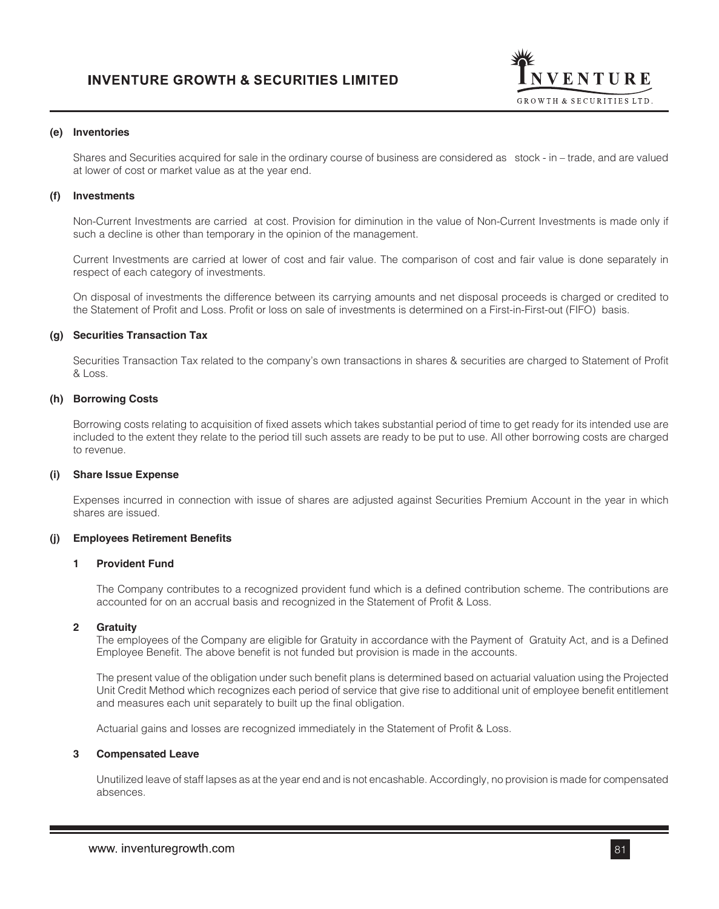

#### **(e) Inventories**

Shares and Securities acquired for sale in the ordinary course of business are considered as stock - in – trade, and are valued at lower of cost or market value as at the year end.

#### **(f) Investments**

Non-Current Investments are carried at cost. Provision for diminution in the value of Non-Current Investments is made only if such a decline is other than temporary in the opinion of the management.

Current Investments are carried at lower of cost and fair value. The comparison of cost and fair value is done separately in respect of each category of investments.

On disposal of investments the difference between its carrying amounts and net disposal proceeds is charged or credited to the Statement of Profit and Loss. Profit or loss on sale of investments is determined on a First-in-First-out (FIFO) basis.

#### **(g) Securities Transaction Tax**

Securities Transaction Tax related to the company's own transactions in shares & securities are charged to Statement of Profit & Loss.

#### **(h) Borrowing Costs**

Borrowing costs relating to acquisition of fixed assets which takes substantial period of time to get ready for its intended use are included to the extent they relate to the period till such assets are ready to be put to use. All other borrowing costs are charged to revenue.

#### **(i) Share Issue Expense**

Expenses incurred in connection with issue of shares are adjusted against Securities Premium Account in the year in which shares are issued.

#### **(j) Employees Retirement Benefits**

#### **1 Provident Fund**

The Company contributes to a recognized provident fund which is a defined contribution scheme. The contributions are accounted for on an accrual basis and recognized in the Statement of Profit & Loss.

#### **2 Gratuity**

The employees of the Company are eligible for Gratuity in accordance with the Payment of Gratuity Act, and is a Defined Employee Benefit. The above benefit is not funded but provision is made in the accounts.

The present value of the obligation under such benefit plans is determined based on actuarial valuation using the Projected Unit Credit Method which recognizes each period of service that give rise to additional unit of employee benefit entitlement and measures each unit separately to built up the final obligation.

Actuarial gains and losses are recognized immediately in the Statement of Profit & Loss.

#### **3 Compensated Leave**

Unutilized leave of staff lapses as at the year end and is not encashable. Accordingly, no provision is made for compensated absences.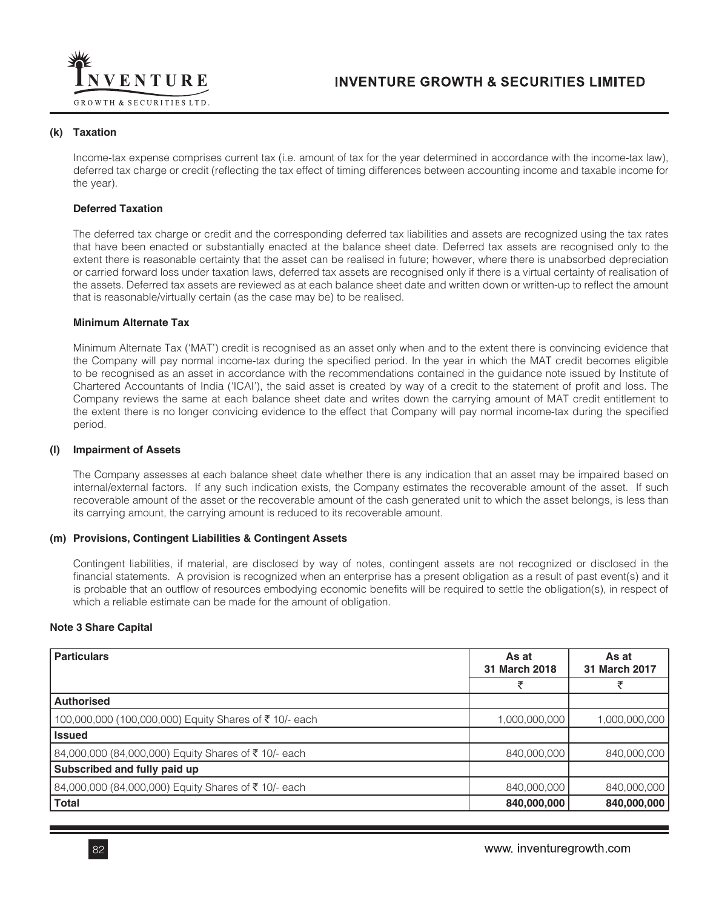

#### **(k) Taxation**

Income-tax expense comprises current tax (i.e. amount of tax for the year determined in accordance with the income-tax law), deferred tax charge or credit (reflecting the tax effect of timing differences between accounting income and taxable income for the year).

#### **Deferred Taxation**

The deferred tax charge or credit and the corresponding deferred tax liabilities and assets are recognized using the tax rates that have been enacted or substantially enacted at the balance sheet date. Deferred tax assets are recognised only to the extent there is reasonable certainty that the asset can be realised in future; however, where there is unabsorbed depreciation or carried forward loss under taxation laws, deferred tax assets are recognised only if there is a virtual certainty of realisation of the assets. Deferred tax assets are reviewed as at each balance sheet date and written down or written-up to reflect the amount that is reasonable/virtually certain (as the case may be) to be realised.

#### **Minimum Alternate Tax**

Minimum Alternate Tax ('MAT') credit is recognised as an asset only when and to the extent there is convincing evidence that the Company will pay normal income-tax during the specified period. In the year in which the MAT credit becomes eligible to be recognised as an asset in accordance with the recommendations contained in the guidance note issued by Institute of Chartered Accountants of India ('ICAI'), the said asset is created by way of a credit to the statement of profit and loss. The Company reviews the same at each balance sheet date and writes down the carrying amount of MAT credit entitlement to the extent there is no longer convicing evidence to the effect that Company will pay normal income-tax during the specified period.

#### **(l) Impairment of Assets**

The Company assesses at each balance sheet date whether there is any indication that an asset may be impaired based on internal/external factors. If any such indication exists, the Company estimates the recoverable amount of the asset. If such recoverable amount of the asset or the recoverable amount of the cash generated unit to which the asset belongs, is less than its carrying amount, the carrying amount is reduced to its recoverable amount.

#### **(m) Provisions, Contingent Liabilities & Contingent Assets**

Contingent liabilities, if material, are disclosed by way of notes, contingent assets are not recognized or disclosed in the financial statements. A provision is recognized when an enterprise has a present obligation as a result of past event(s) and it is probable that an outflow of resources embodying economic benefits will be required to settle the obligation(s), in respect of which a reliable estimate can be made for the amount of obligation.

#### **Note 3 Share Capital**

| <b>Particulars</b>                                    | As at<br>31 March 2018 |               |
|-------------------------------------------------------|------------------------|---------------|
|                                                       | ₹                      |               |
| <b>Authorised</b>                                     |                        |               |
| 100,000,000 (100,000,000) Equity Shares of ₹10/- each | 1,000,000,000          | 1,000,000,000 |
| <b>Issued</b>                                         |                        |               |
| 84,000,000 (84,000,000) Equity Shares of ₹10/- each   | 840,000,000            | 840,000,000   |
| Subscribed and fully paid up                          |                        |               |
| 84,000,000 (84,000,000) Equity Shares of ₹10/- each   | 840,000,000            | 840,000,000   |
| <b>Total</b>                                          | 840,000,000            | 840,000,000   |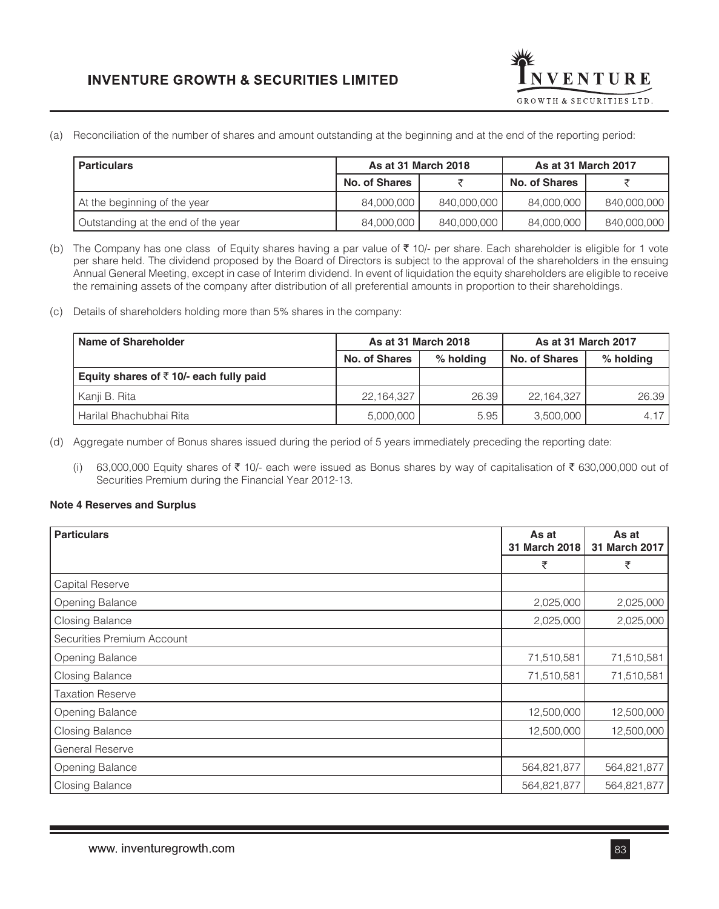

(a) Reconciliation of the number of shares and amount outstanding at the beginning and at the end of the reporting period:

| l Particulars                      | As at 31 March 2018  |             | As at 31 March 2017 |             |
|------------------------------------|----------------------|-------------|---------------------|-------------|
|                                    | <b>No. of Shares</b> |             | No. of Shares       |             |
| At the beginning of the year       | 84.000.000           | 840,000,000 | 84,000,000          | 840,000,000 |
| Outstanding at the end of the year | 84,000,000           | 840,000,000 | 84,000,000          | 840,000,000 |
|                                    |                      |             |                     |             |

(b) The Company has one class of Equity shares having a par value of  $\bar{\tau}$  10/- per share. Each shareholder is eligible for 1 vote per share held. The dividend proposed by the Board of Directors is subject to the approval of the shareholders in the ensuing Annual General Meeting, except in case of Interim dividend. In event of liquidation the equity shareholders are eligible to receive the remaining assets of the company after distribution of all preferential amounts in proportion to their shareholdings.

(c) Details of shareholders holding more than 5% shares in the company:

| Name of Shareholder                                | As at 31 March 2018 |           | As at 31 March 2017 |           |
|----------------------------------------------------|---------------------|-----------|---------------------|-----------|
|                                                    | No. of Shares       | % holding | No. of Shares       | % holding |
| Equity shares of $\bar{\tau}$ 10/- each fully paid |                     |           |                     |           |
| Kanji B. Rita                                      | 22, 164, 327        | 26.39     | 22,164,327          | 26.39     |
| Harilal Bhachubhai Rita                            | 5,000,000           | 5.95      | 3.500.000           | 4.17      |

(d) Aggregate number of Bonus shares issued during the period of 5 years immediately preceding the reporting date:

(i) 63,000,000 Equity shares of  $\bar{\tau}$  10/- each were issued as Bonus shares by way of capitalisation of  $\bar{\tau}$  630,000,000 out of Securities Premium during the Financial Year 2012-13.

## **Note 4 Reserves and Surplus**

| <b>Particulars</b>         | As at<br>31 March 2018 | As at<br>31 March 2017 |
|----------------------------|------------------------|------------------------|
|                            | ₹                      | ₹                      |
| Capital Reserve            |                        |                        |
| Opening Balance            | 2,025,000              | 2,025,000              |
| <b>Closing Balance</b>     | 2,025,000              | 2,025,000              |
| Securities Premium Account |                        |                        |
| <b>Opening Balance</b>     | 71,510,581             | 71,510,581             |
| <b>Closing Balance</b>     | 71,510,581             | 71,510,581             |
| <b>Taxation Reserve</b>    |                        |                        |
| <b>Opening Balance</b>     | 12,500,000             | 12,500,000             |
| <b>Closing Balance</b>     | 12,500,000             | 12,500,000             |
| General Reserve            |                        |                        |
| <b>Opening Balance</b>     | 564,821,877            | 564,821,877            |
| <b>Closing Balance</b>     | 564,821,877            | 564,821,877            |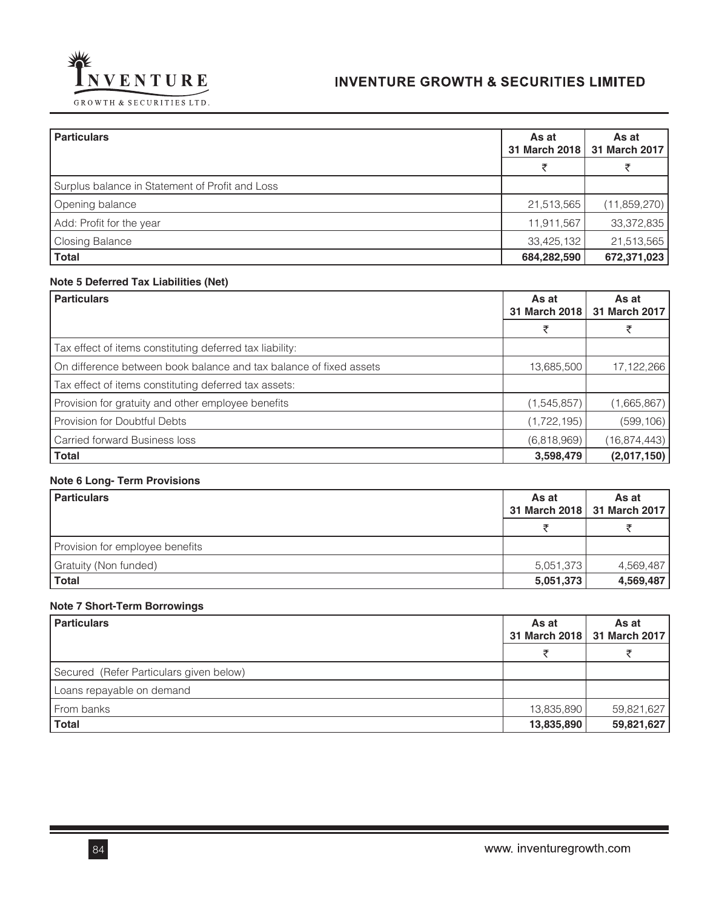



| <b>Particulars</b>                              | As at<br>31 March 2018 | As at<br>31 March 2017 |
|-------------------------------------------------|------------------------|------------------------|
|                                                 | ₹                      |                        |
| Surplus balance in Statement of Profit and Loss |                        |                        |
| Opening balance                                 | 21,513,565             | (11,859,270)           |
| Add: Profit for the year                        | 11,911,567             | 33,372,835             |
| Closing Balance                                 | 33,425,132             | 21,513,565             |
| <b>Total</b>                                    | 684,282,590            | 672,371,023            |

# **Note 5 Deferred Tax Liabilities (Net)**

| <b>Particulars</b>                                                 | As at<br>31 March 2018 | As at<br>31 March 2017 |
|--------------------------------------------------------------------|------------------------|------------------------|
|                                                                    |                        |                        |
| Tax effect of items constituting deferred tax liability:           |                        |                        |
| On difference between book balance and tax balance of fixed assets | 13,685,500             | 17,122,266             |
| Tax effect of items constituting deferred tax assets:              |                        |                        |
| Provision for gratuity and other employee benefits                 | (1,545,857)            | (1,665,867)            |
| Provision for Doubtful Debts                                       | (1, 722, 195)          | (599, 106)             |
| <b>Carried forward Business loss</b>                               | (6,818,969)            | (16, 874, 443)         |
| <b>Total</b>                                                       | 3,598,479              | (2,017,150)            |

# **Note 6 Long- Term Provisions**

| <b>Particulars</b>              | As at     | As at<br>31 March 2018   31 March 2017 |
|---------------------------------|-----------|----------------------------------------|
|                                 |           |                                        |
| Provision for employee benefits |           |                                        |
| Gratuity (Non funded)           | 5,051,373 | 4,569,487                              |
| <b>Total</b>                    | 5,051,373 | 4,569,487                              |

# **Note 7 Short-Term Borrowings**

| <b>Particulars</b>                      | As at      | As at<br>31 March 2018   31 March 2017 |
|-----------------------------------------|------------|----------------------------------------|
|                                         |            |                                        |
| Secured (Refer Particulars given below) |            |                                        |
| Loans repayable on demand               |            |                                        |
| From banks                              | 13,835,890 | 59,821,627                             |
| <b>Total</b>                            | 13,835,890 | 59,821,627                             |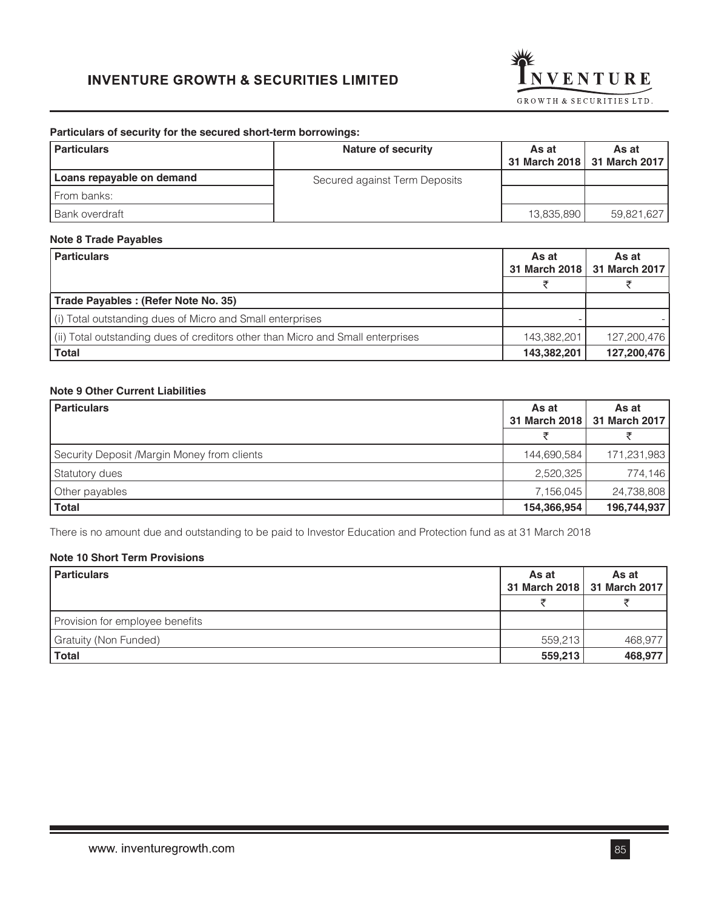

## **Particulars of security for the secured short-term borrowings:**

| <b>Particulars</b>        | <b>Nature of security</b>     | As at      | As at<br>31 March 2018   31 March 2017 |
|---------------------------|-------------------------------|------------|----------------------------------------|
| Loans repayable on demand | Secured against Term Deposits |            |                                        |
| From banks:               |                               |            |                                        |
| Bank overdraft            |                               | 13,835,890 | 59,821,627                             |

# **Note 8 Trade Payables**

| <b>Particulars</b>                                                              | As at       | As at<br>31 March 2018   31 March 2017 |
|---------------------------------------------------------------------------------|-------------|----------------------------------------|
|                                                                                 |             |                                        |
| Trade Payables: (Refer Note No. 35)                                             |             |                                        |
| (i) Total outstanding dues of Micro and Small enterprises                       |             |                                        |
| (ii) Total outstanding dues of creditors other than Micro and Small enterprises | 143,382,201 | 127,200,476                            |
| <b>Total</b>                                                                    | 143,382,201 | 127,200,476                            |

# **Note 9 Other Current Liabilities**

| <b>Particulars</b>                           | As at       | As at<br>31 March 2018   31 March 2017 |
|----------------------------------------------|-------------|----------------------------------------|
|                                              |             |                                        |
| Security Deposit / Margin Money from clients | 144,690,584 | 171,231,983                            |
| Statutory dues                               | 2,520,325   | 774,146                                |
| Other payables                               | 7,156,045   | 24,738,808                             |
| <b>Total</b>                                 | 154,366,954 | 196,744,937                            |

There is no amount due and outstanding to be paid to Investor Education and Protection fund as at 31 March 2018

# **Note 10 Short Term Provisions**

|         | As at<br>31 March 2018   31 March 2017 |
|---------|----------------------------------------|
|         |                                        |
|         |                                        |
| 559,213 | 468,977                                |
| 559,213 | 468,977                                |
|         |                                        |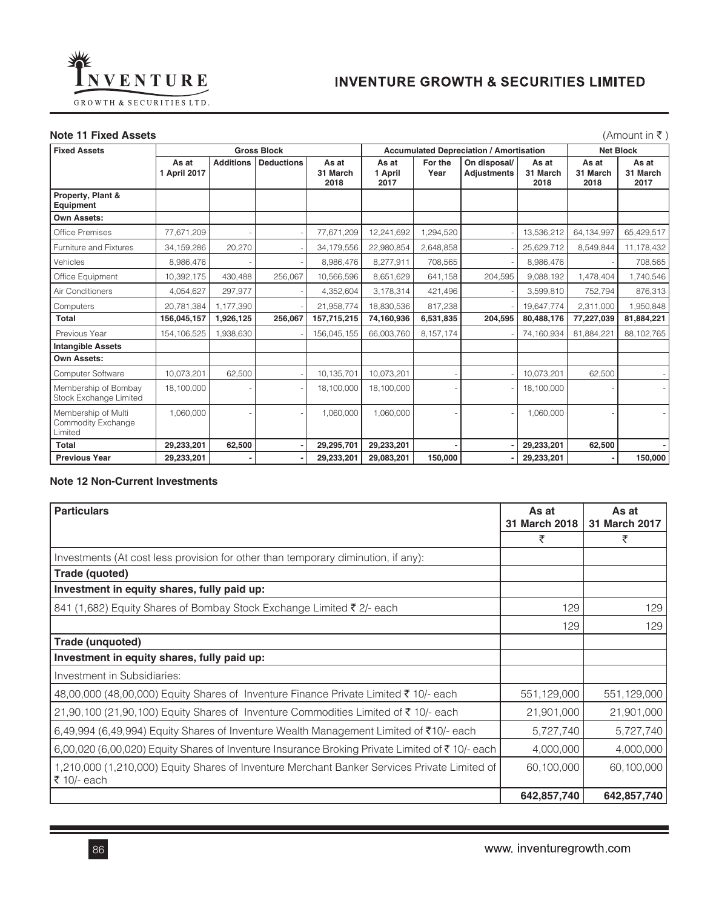

# **Note 11 Fixed Assets** (Amount in ₹ )

| <b>Fixed Assets</b>                                   |                       |                  | <b>Gross Block</b> |                           |                          |                 | <b>Accumulated Depreciation / Amortisation</b> |                           |                           | <b>Net Block</b>          |
|-------------------------------------------------------|-----------------------|------------------|--------------------|---------------------------|--------------------------|-----------------|------------------------------------------------|---------------------------|---------------------------|---------------------------|
|                                                       | As at<br>1 April 2017 | <b>Additions</b> | <b>Deductions</b>  | As at<br>31 March<br>2018 | As at<br>1 April<br>2017 | For the<br>Year | On disposal/<br><b>Adjustments</b>             | As at<br>31 March<br>2018 | As at<br>31 March<br>2018 | As at<br>31 March<br>2017 |
| Property, Plant &<br>Equipment                        |                       |                  |                    |                           |                          |                 |                                                |                           |                           |                           |
| <b>Own Assets:</b>                                    |                       |                  |                    |                           |                          |                 |                                                |                           |                           |                           |
| Office Premises                                       | 77,671,209            |                  |                    | 77,671,209                | 12,241,692               | ,294,520        |                                                | 13,536,212                | 64, 134, 997              | 65,429,517                |
| Furniture and Fixtures                                | 34, 159, 286          | 20,270           |                    | 34,179,556                | 22,980,854               | 2,648,858       |                                                | 25,629,712                | 8,549,844                 | 11,178,432                |
| Vehicles                                              | 8,986,476             |                  |                    | 8,986,476                 | 8,277,911                | 708,565         |                                                | 8,986,476                 |                           | 708,565                   |
| Office Equipment                                      | 10,392,175            | 430,488          | 256,067            | 10,566,596                | 8,651,629                | 641.158         | 204,595                                        | 9,088,192                 | 1,478,404                 | 1,740,546                 |
| Air Conditioners                                      | 4,054,627             | 297,977          |                    | 4,352,604                 | 3,178,314                | 421,496         |                                                | 3,599,810                 | 752,794                   | 876,313                   |
| Computers                                             | 20,781,384            | 1,177,390        |                    | 21,958,774                | 18,830,536               | 817,238         |                                                | 19,647,774                | 2,311,000                 | 1,950,848                 |
| Total                                                 | 156,045,157           | 1,926,125        | 256,067            | 157,715,215               | 74,160,936               | 6,531,835       | 204,595                                        | 80,488,176                | 77,227,039                | 81,884,221                |
| Previous Year                                         | 154, 106, 525         | 1,938,630        |                    | 156,045,155               | 66.003.760               | 8,157,174       |                                                | 74,160,934                | 81,884,221                | 88,102,765                |
| <b>Intangible Assets</b>                              |                       |                  |                    |                           |                          |                 |                                                |                           |                           |                           |
| Own Assets:                                           |                       |                  |                    |                           |                          |                 |                                                |                           |                           |                           |
| Computer Software                                     | 10,073,201            | 62,500           | ×                  | 10,135,701                | 10,073,201               |                 |                                                | 10,073,201                | 62,500                    |                           |
| Membership of Bombay<br><b>Stock Exchange Limited</b> | 18,100,000            |                  |                    | 18,100,000                | 18,100,000               |                 |                                                | 18,100,000                |                           |                           |
| Membership of Multi<br>Commodity Exchange<br>Limited  | 1,060,000             |                  |                    | 1,060,000                 | 1,060,000                |                 |                                                | 1,060,000                 |                           |                           |
| Total                                                 | 29,233,201            | 62,500           | ٠                  | 29,295,701                | 29,233,201               |                 |                                                | 29,233,201                | 62,500                    | ٠                         |
| <b>Previous Year</b>                                  | 29,233,201            |                  | ٠                  | 29,233,201                | 29,083,201               | 150,000         |                                                | 29,233,201                |                           | 150,000                   |

### **Note 12 Non-Current Investments**

| <b>Particulars</b>                                                                                          | As at<br>31 March 2018 | As at<br>31 March 2017 |  |
|-------------------------------------------------------------------------------------------------------------|------------------------|------------------------|--|
|                                                                                                             | ₹                      | ₹                      |  |
| Investments (At cost less provision for other than temporary diminution, if any):                           |                        |                        |  |
| Trade (quoted)                                                                                              |                        |                        |  |
| Investment in equity shares, fully paid up:                                                                 |                        |                        |  |
| 841 (1,682) Equity Shares of Bombay Stock Exchange Limited ₹ 2/- each                                       | 129                    | 129                    |  |
|                                                                                                             | 129                    | 129                    |  |
| Trade (unquoted)                                                                                            |                        |                        |  |
| Investment in equity shares, fully paid up:                                                                 |                        |                        |  |
| Investment in Subsidiaries:                                                                                 |                        |                        |  |
| 48,00,000 (48,00,000) Equity Shares of Inventure Finance Private Limited ₹ 10/- each                        | 551,129,000            | 551,129,000            |  |
| 21,90,100 (21,90,100) Equity Shares of Inventure Commodities Limited of $\bar{\tau}$ 10/- each              | 21,901,000             | 21,901,000             |  |
| 6,49,994 (6,49,994) Equity Shares of Inventure Wealth Management Limited of ₹10/- each                      | 5,727,740              | 5,727,740              |  |
| 6,00,020 (6,00,020) Equity Shares of Inventure Insurance Broking Private Limited of ₹10/- each              | 4,000,000              | 4,000,000              |  |
| 1,210,000 (1,210,000) Equity Shares of Inventure Merchant Banker Services Private Limited of<br>₹ 10/- each | 60,100,000             | 60,100,000             |  |
|                                                                                                             | 642,857,740            | 642,857,740            |  |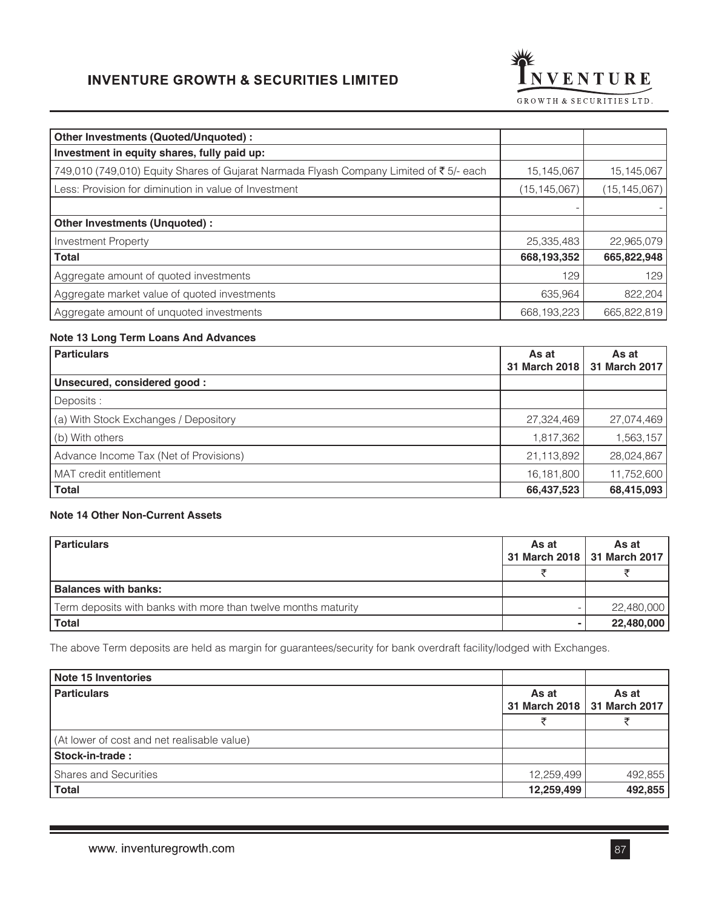

| Other Investments (Quoted/Unquoted) :                                                   |                |                |
|-----------------------------------------------------------------------------------------|----------------|----------------|
| Investment in equity shares, fully paid up:                                             |                |                |
| 749,010 (749,010) Equity Shares of Gujarat Narmada Flyash Company Limited of ₹ 5/- each | 15,145,067     | 15,145,067     |
| Less: Provision for diminution in value of Investment                                   | (15, 145, 067) | (15, 145, 067) |
|                                                                                         |                |                |
| Other Investments (Unquoted) :                                                          |                |                |
| <b>Investment Property</b>                                                              | 25,335,483     | 22,965,079     |
| <b>Total</b>                                                                            | 668,193,352    | 665,822,948    |
| Aggregate amount of quoted investments                                                  | 129            | 129            |
| Aggregate market value of quoted investments                                            | 635,964        | 822,204        |
| Aggregate amount of unquoted investments                                                | 668, 193, 223  | 665,822,819    |

# **Note 13 Long Term Loans And Advances**

| <b>Particulars</b>                     | As at         | As at         |
|----------------------------------------|---------------|---------------|
|                                        | 31 March 2018 | 31 March 2017 |
| Unsecured, considered good:            |               |               |
| Deposits :                             |               |               |
| (a) With Stock Exchanges / Depository  | 27,324,469    | 27,074,469    |
| (b) With others                        | 1,817,362     | 1,563,157     |
| Advance Income Tax (Net of Provisions) | 21,113,892    | 28,024,867    |
| MAT credit entitlement                 | 16,181,800    | 11,752,600    |
| <b>Total</b>                           | 66,437,523    | 68,415,093    |

# **Note 14 Other Non-Current Assets**

| <b>Particulars</b>                                             |  | As at<br>31 March 2018   31 March 2017 |  |
|----------------------------------------------------------------|--|----------------------------------------|--|
|                                                                |  |                                        |  |
| <b>Balances with banks:</b>                                    |  |                                        |  |
| Term deposits with banks with more than twelve months maturity |  | 22,480,000                             |  |
| <b>Total</b>                                                   |  | 22,480,000                             |  |

The above Term deposits are held as margin for guarantees/security for bank overdraft facility/lodged with Exchanges.

| Note 15 Inventories                         |            |                                        |  |
|---------------------------------------------|------------|----------------------------------------|--|
| <b>Particulars</b>                          |            | As at<br>31 March 2018   31 March 2017 |  |
|                                             |            |                                        |  |
| (At lower of cost and net realisable value) |            |                                        |  |
| Stock-in-trade:                             |            |                                        |  |
| <b>Shares and Securities</b>                | 12,259,499 | 492,855                                |  |
| <b>Total</b>                                | 12,259,499 | 492,855                                |  |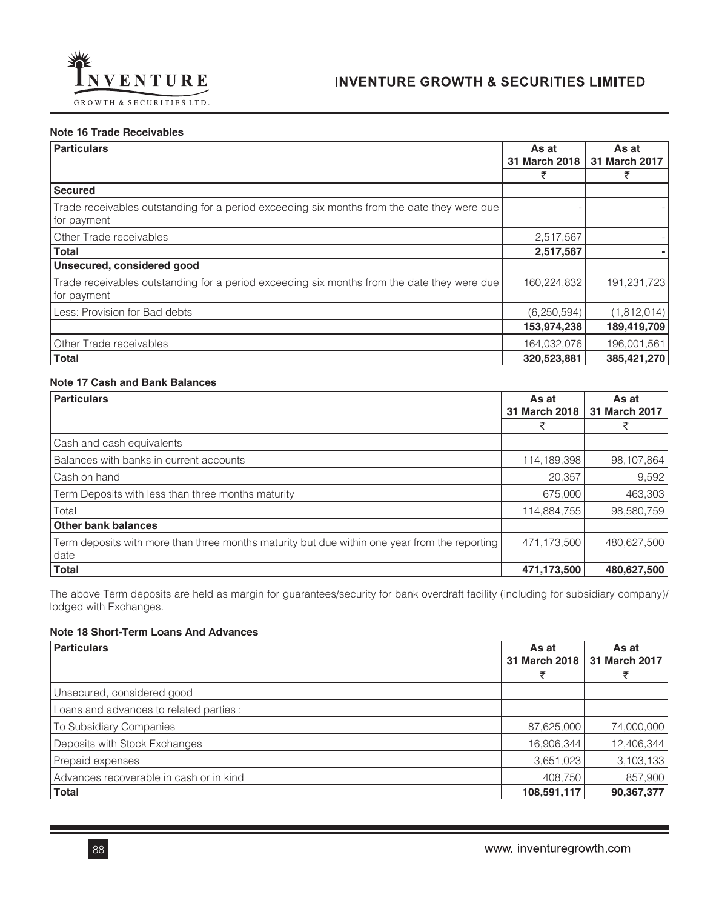

## **Note 16 Trade Receivables**

| <b>Particulars</b>                                                                                         | As at<br>31 March 2018 | As at<br>31 March 2017 |
|------------------------------------------------------------------------------------------------------------|------------------------|------------------------|
|                                                                                                            | ₹                      | ₹                      |
| <b>Secured</b>                                                                                             |                        |                        |
| Trade receivables outstanding for a period exceeding six months from the date they were due<br>for payment |                        |                        |
| Other Trade receivables                                                                                    | 2,517,567              |                        |
| <b>Total</b>                                                                                               | 2,517,567              |                        |
| Unsecured, considered good                                                                                 |                        |                        |
| Trade receivables outstanding for a period exceeding six months from the date they were due<br>for payment | 160,224,832            | 191,231,723            |
| Less: Provision for Bad debts                                                                              | (6, 250, 594)          | (1,812,014)            |
|                                                                                                            | 153,974,238            | 189,419,709            |
| Other Trade receivables                                                                                    | 164,032,076            | 196,001,561            |
| <b>Total</b>                                                                                               | 320,523,881            | 385,421,270            |

## **Note 17 Cash and Bank Balances**

| <b>Particulars</b>                                                                                    | As at<br>31 March 2018 | As at<br>31 March 2017 |
|-------------------------------------------------------------------------------------------------------|------------------------|------------------------|
|                                                                                                       | ₹                      | ₹                      |
| Cash and cash equivalents                                                                             |                        |                        |
| Balances with banks in current accounts                                                               | 114,189,398            | 98,107,864             |
| Cash on hand                                                                                          | 20,357                 | 9,592                  |
| Term Deposits with less than three months maturity                                                    | 675,000                | 463,303                |
| Total                                                                                                 | 114,884,755            | 98,580,759             |
| <b>Other bank balances</b>                                                                            |                        |                        |
| Term deposits with more than three months maturity but due within one year from the reporting<br>date | 471,173,500            | 480,627,500            |
| <b>Total</b>                                                                                          | 471,173,500            | 480,627,500            |

The above Term deposits are held as margin for guarantees/security for bank overdraft facility (including for subsidiary company)/ lodged with Exchanges.

# **Note 18 Short-Term Loans And Advances**

| <b>Particulars</b>                      | As at<br>31 March 2018 | As at<br><b>31 March 2017</b> |
|-----------------------------------------|------------------------|-------------------------------|
|                                         |                        |                               |
| Unsecured, considered good              |                        |                               |
| Loans and advances to related parties : |                        |                               |
| To Subsidiary Companies                 | 87,625,000             | 74,000,000                    |
| Deposits with Stock Exchanges           | 16,906,344             | 12,406,344                    |
| Prepaid expenses                        | 3,651,023              | 3,103,133                     |
| Advances recoverable in cash or in kind | 408,750                | 857,900                       |
| <b>Total</b>                            | 108,591,117            | 90,367,377                    |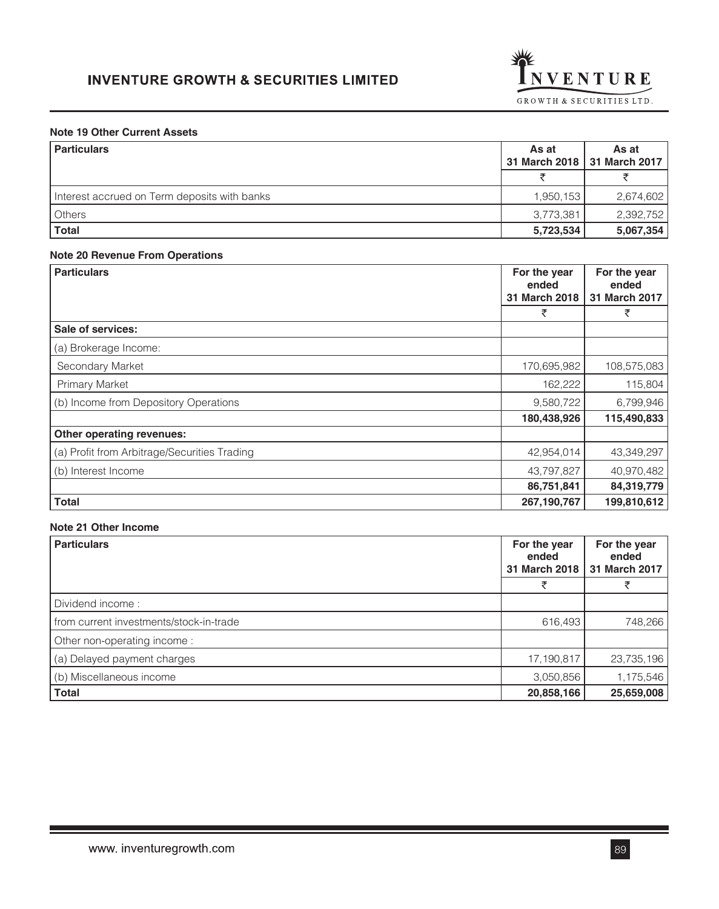

# **Note 19 Other Current Assets**

| <b>Particulars</b>                           | As at     | As at<br>31 March 2018   31 March 2017 |
|----------------------------------------------|-----------|----------------------------------------|
|                                              |           |                                        |
| Interest accrued on Term deposits with banks | 1,950,153 | 2,674,602                              |
| <b>Others</b>                                | 3,773,381 | 2,392,752                              |
| <b>Total</b>                                 | 5,723,534 | 5,067,354                              |

# **Note 20 Revenue From Operations**

| <b>Particulars</b>                           | For the year<br>ended<br>31 March 2018 | For the year<br>ended<br>31 March 2017 |
|----------------------------------------------|----------------------------------------|----------------------------------------|
|                                              | ₹                                      | ₹                                      |
| Sale of services:                            |                                        |                                        |
| (a) Brokerage Income:                        |                                        |                                        |
| Secondary Market                             | 170,695,982                            | 108,575,083                            |
| <b>Primary Market</b>                        | 162,222                                | 115,804                                |
| (b) Income from Depository Operations        | 9,580,722                              | 6,799,946                              |
|                                              | 180,438,926                            | 115,490,833                            |
| Other operating revenues:                    |                                        |                                        |
| (a) Profit from Arbitrage/Securities Trading | 42,954,014                             | 43,349,297                             |
| (b) Interest Income                          | 43,797,827                             | 40,970,482                             |
|                                              | 86,751,841                             | 84,319,779                             |
| <b>Total</b>                                 | 267,190,767                            | 199,810,612                            |

# **Note 21 Other Income**

| <b>Particulars</b>                      | For the year<br>ended<br>31 March 2018 | For the year<br>ended<br>31 March 2017 |
|-----------------------------------------|----------------------------------------|----------------------------------------|
|                                         |                                        |                                        |
| Dividend income:                        |                                        |                                        |
| from current investments/stock-in-trade | 616,493                                | 748,266                                |
| Other non-operating income:             |                                        |                                        |
| (a) Delayed payment charges             | 17,190,817                             | 23,735,196                             |
| (b) Miscellaneous income                | 3,050,856                              | 1,175,546                              |
| <b>Total</b>                            | 20,858,166                             | 25,659,008                             |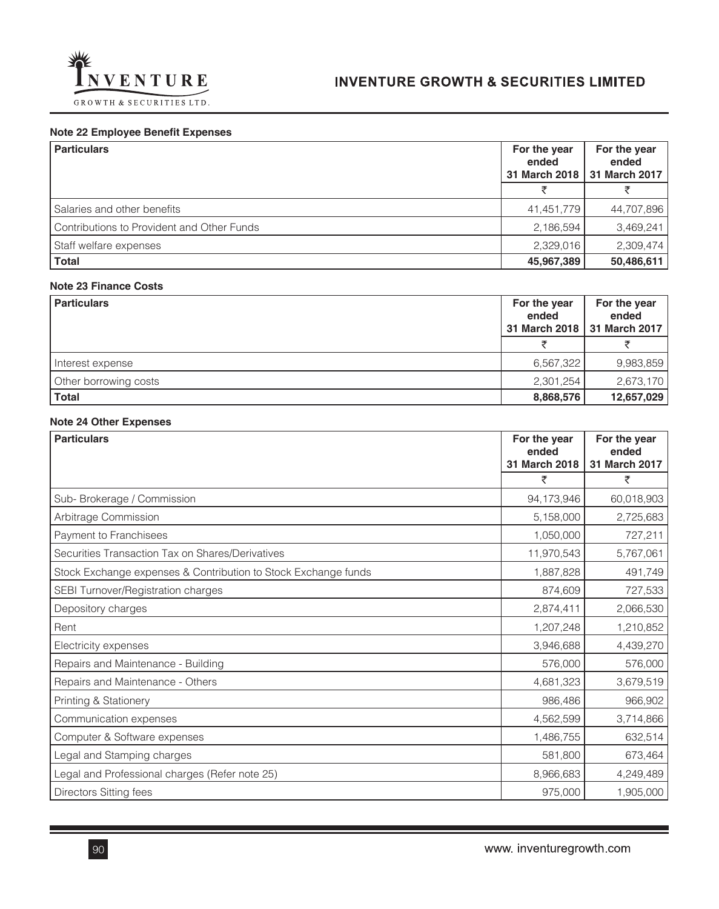

# **Note 22 Employee Benefit Expenses**

| <b>Particulars</b>                         | For the year<br>ended<br>31 March 2018 | For the year<br>ended<br>31 March 2017 |
|--------------------------------------------|----------------------------------------|----------------------------------------|
|                                            |                                        |                                        |
| Salaries and other benefits                | 41,451,779                             | 44,707,896                             |
| Contributions to Provident and Other Funds | 2,186,594                              | 3,469,241                              |
| Staff welfare expenses                     | 2,329,016                              | 2,309,474                              |
| <b>Total</b>                               | 45,967,389                             | 50,486,611                             |

# **Note 23 Finance Costs**

| <b>Particulars</b>    | For the year<br>ended | For the year<br>ended<br>31 March 2018   31 March 2017 |
|-----------------------|-----------------------|--------------------------------------------------------|
|                       |                       |                                                        |
| Interest expense      | 6,567,322             | 9,983,859                                              |
| Other borrowing costs | 2,301,254             | 2,673,170                                              |
| <b>Total</b>          | 8,868,576             | 12,657,029                                             |

## **Note 24 Other Expenses**

| <b>Particulars</b>                                             | For the year<br>ended<br>31 March 2018 | For the year<br>ended<br>31 March 2017 |
|----------------------------------------------------------------|----------------------------------------|----------------------------------------|
|                                                                | ₹                                      | ₹                                      |
| Sub-Brokerage / Commission                                     | 94,173,946                             | 60,018,903                             |
| Arbitrage Commission                                           | 5,158,000                              | 2,725,683                              |
| Payment to Franchisees                                         | 1,050,000                              | 727,211                                |
| Securities Transaction Tax on Shares/Derivatives               | 11,970,543                             | 5,767,061                              |
| Stock Exchange expenses & Contribution to Stock Exchange funds | 1,887,828                              | 491,749                                |
| SEBI Turnover/Registration charges                             | 874,609                                | 727,533                                |
| Depository charges                                             | 2,874,411                              | 2,066,530                              |
| Rent                                                           | 1,207,248                              | 1,210,852                              |
| Electricity expenses                                           | 3,946,688                              | 4,439,270                              |
| Repairs and Maintenance - Building                             | 576,000                                | 576,000                                |
| Repairs and Maintenance - Others                               | 4,681,323                              | 3,679,519                              |
| Printing & Stationery                                          | 986,486                                | 966,902                                |
| Communication expenses                                         | 4,562,599                              | 3,714,866                              |
| Computer & Software expenses                                   | 1,486,755                              | 632,514                                |
| Legal and Stamping charges                                     | 581,800                                | 673,464                                |
| Legal and Professional charges (Refer note 25)                 | 8,966,683                              | 4,249,489                              |
| <b>Directors Sitting fees</b>                                  | 975,000                                | 1,905,000                              |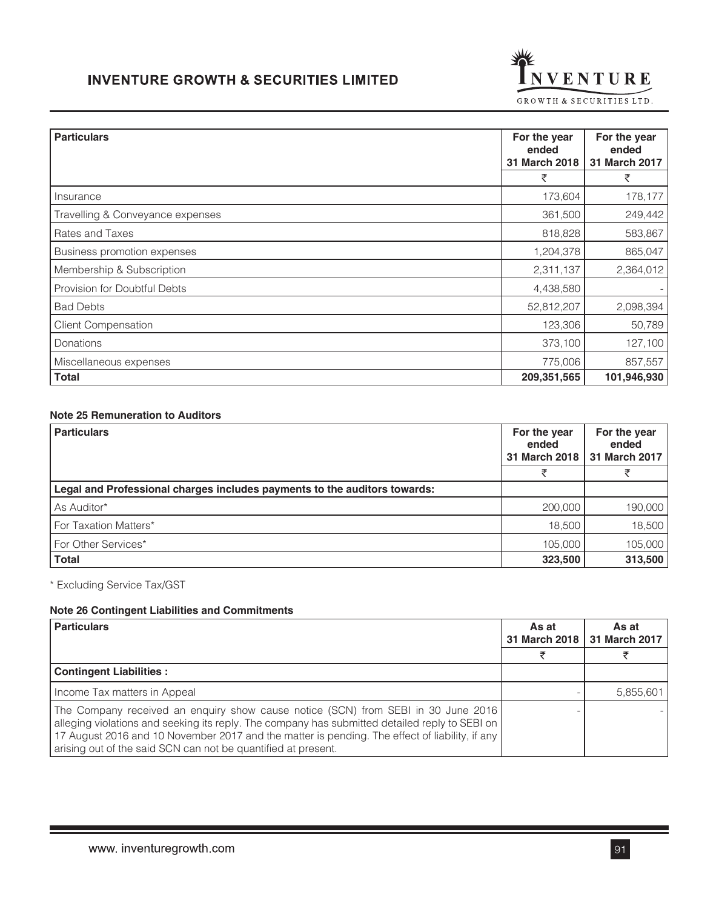

| <b>Particulars</b>               | For the year<br>ended<br>31 March 2018 | For the year<br>ended<br>31 March 2017 |
|----------------------------------|----------------------------------------|----------------------------------------|
|                                  | ₹                                      | ₹                                      |
| Insurance                        | 173,604                                | 178,177                                |
| Travelling & Conveyance expenses | 361,500                                | 249,442                                |
| Rates and Taxes                  | 818,828                                | 583,867                                |
| Business promotion expenses      | 1,204,378                              | 865,047                                |
| Membership & Subscription        | 2,311,137                              | 2,364,012                              |
| Provision for Doubtful Debts     | 4,438,580                              |                                        |
| <b>Bad Debts</b>                 | 52,812,207                             | 2,098,394                              |
| <b>Client Compensation</b>       | 123,306                                | 50,789                                 |
| Donations                        | 373,100                                | 127,100                                |
| Miscellaneous expenses           | 775,006                                | 857,557                                |
| <b>Total</b>                     | 209,351,565                            | 101,946,930                            |

# **Note 25 Remuneration to Auditors**

| <b>Particulars</b>                                                        | For the year<br>ended<br>31 March 2018 | For the year<br>ended<br>31 March 2017 |
|---------------------------------------------------------------------------|----------------------------------------|----------------------------------------|
|                                                                           |                                        |                                        |
| Legal and Professional charges includes payments to the auditors towards: |                                        |                                        |
| As Auditor*                                                               | 200,000                                | 190,000                                |
| For Taxation Matters*                                                     | 18.500                                 | 18,500                                 |
| For Other Services*                                                       | 105,000                                | 105,000                                |
| <b>Total</b>                                                              | 323,500                                | 313,500                                |

\* Excluding Service Tax/GST

## **Note 26 Contingent Liabilities and Commitments**

| <b>Particulars</b>                                                                                                                                                                                                                                                                                                                                     | As at<br>31 March 2018 | As at<br>31 March 2017 |
|--------------------------------------------------------------------------------------------------------------------------------------------------------------------------------------------------------------------------------------------------------------------------------------------------------------------------------------------------------|------------------------|------------------------|
|                                                                                                                                                                                                                                                                                                                                                        |                        |                        |
| <b>Contingent Liabilities:</b>                                                                                                                                                                                                                                                                                                                         |                        |                        |
| Income Tax matters in Appeal                                                                                                                                                                                                                                                                                                                           |                        | 5,855,601              |
| The Company received an enquiry show cause notice (SCN) from SEBI in 30 June 2016<br>alleging violations and seeking its reply. The company has submitted detailed reply to SEBI on<br>17 August 2016 and 10 November 2017 and the matter is pending. The effect of liability, if any<br>arising out of the said SCN can not be quantified at present. |                        |                        |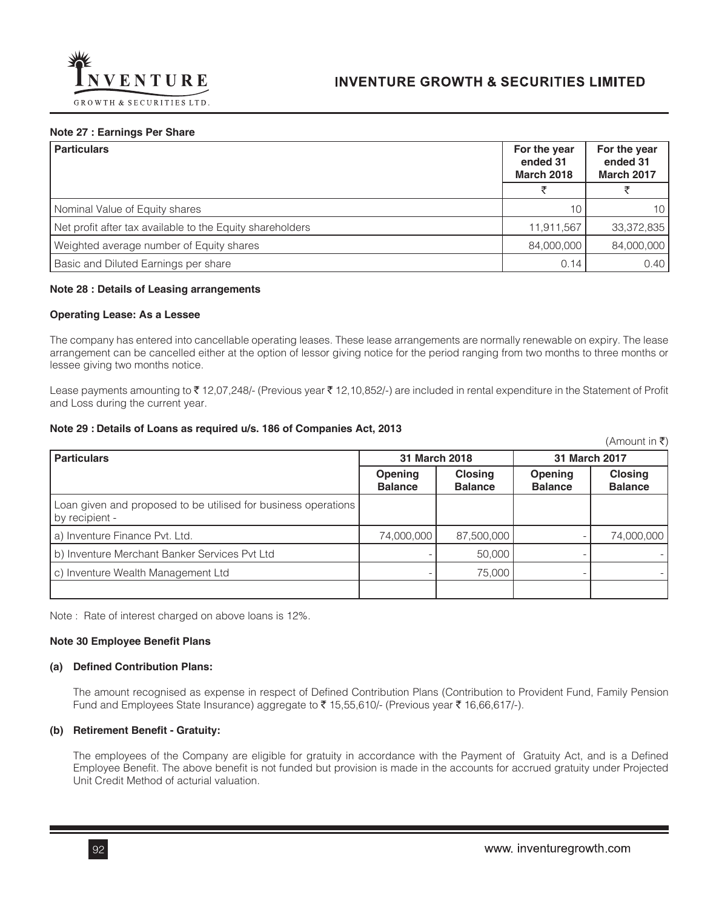

#### **Note 27 : Earnings Per Share**

| <b>Particulars</b>                                        | For the year<br>ended 31<br><b>March 2018</b> | For the year<br>ended 31<br><b>March 2017</b> |
|-----------------------------------------------------------|-----------------------------------------------|-----------------------------------------------|
|                                                           |                                               |                                               |
| Nominal Value of Equity shares                            | 10                                            | 10                                            |
| Net profit after tax available to the Equity shareholders | 11,911,567                                    | 33,372,835                                    |
| Weighted average number of Equity shares                  | 84,000,000                                    | 84,000,000                                    |
| Basic and Diluted Earnings per share                      | 0.14                                          | 0.40                                          |

#### **Note 28 : Details of Leasing arrangements**

#### **Operating Lease: As a Lessee**

The company has entered into cancellable operating leases. These lease arrangements are normally renewable on expiry. The lease arrangement can be cancelled either at the option of lessor giving notice for the period ranging from two months to three months or lessee giving two months notice.

Lease payments amounting to ₹12,07,248/- (Previous year ₹12,10,852/-) are included in rental expenditure in the Statement of Profit and Loss during the current year.

#### **Note 29 : Details of Loans as required u/s. 186 of Companies Act, 2013**

|                                                                                  |                           |                                  |                                  | $(A$ mount in ₹)                 |
|----------------------------------------------------------------------------------|---------------------------|----------------------------------|----------------------------------|----------------------------------|
| <b>Particulars</b>                                                               |                           | 31 March 2018                    | 31 March 2017                    |                                  |
|                                                                                  | Opening<br><b>Balance</b> | <b>Closing</b><br><b>Balance</b> | <b>Opening</b><br><b>Balance</b> | <b>Closing</b><br><b>Balance</b> |
| Loan given and proposed to be utilised for business operations<br>by recipient - |                           |                                  |                                  |                                  |
| a) Inventure Finance Pvt. Ltd.                                                   | 74,000,000                | 87,500,000                       |                                  | 74,000,000                       |
| b) Inventure Merchant Banker Services Pvt Ltd                                    |                           | 50,000                           |                                  |                                  |
| c) Inventure Wealth Management Ltd                                               |                           | 75,000                           |                                  |                                  |
|                                                                                  |                           |                                  |                                  |                                  |

Note : Rate of interest charged on above loans is 12%.

### **Note 30 Employee Benefit Plans**

#### **(a) Defined Contribution Plans:**

The amount recognised as expense in respect of Defined Contribution Plans (Contribution to Provident Fund, Family Pension Fund and Employees State Insurance) aggregate to  $\bar{\tau}$  15,55,610/- (Previous year  $\bar{\tau}$  16,66,617/-).

#### **(b) Retirement Benefit - Gratuity:**

The employees of the Company are eligible for gratuity in accordance with the Payment of Gratuity Act, and is a Defined Employee Benefit. The above benefit is not funded but provision is made in the accounts for accrued gratuity under Projected Unit Credit Method of acturial valuation.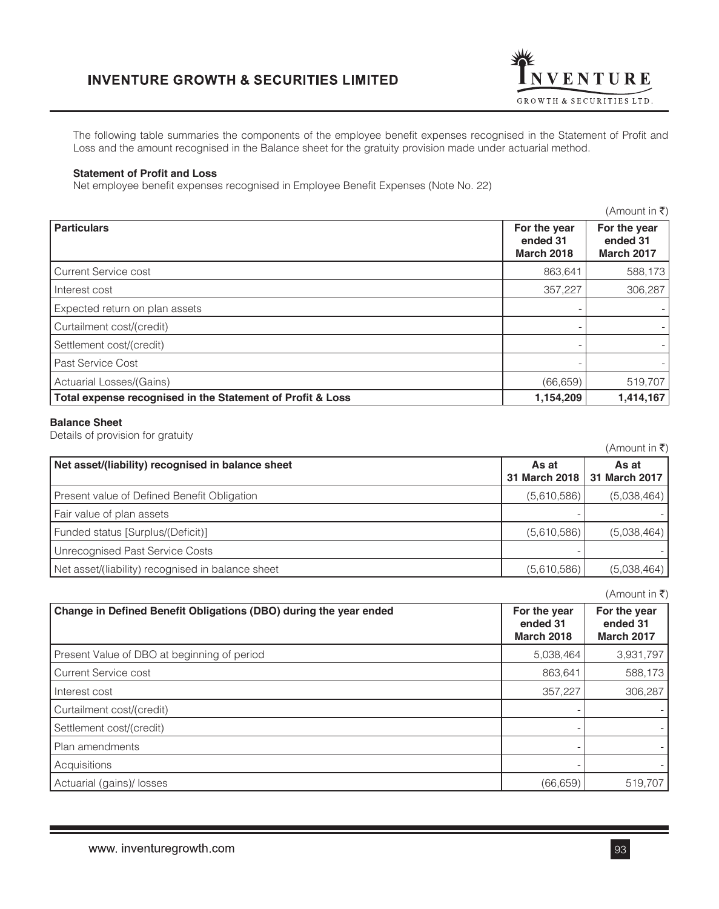

The following table summaries the components of the employee benefit expenses recognised in the Statement of Profit and Loss and the amount recognised in the Balance sheet for the gratuity provision made under actuarial method.

#### **Statement of Profit and Loss**

Net employee benefit expenses recognised in Employee Benefit Expenses (Note No. 22)

|                                                            |                                               | (Amount in ₹)                                 |
|------------------------------------------------------------|-----------------------------------------------|-----------------------------------------------|
| <b>Particulars</b>                                         | For the year<br>ended 31<br><b>March 2018</b> | For the year<br>ended 31<br><b>March 2017</b> |
| Current Service cost                                       | 863,641                                       | 588,173                                       |
| Interest cost                                              | 357,227                                       | 306,287                                       |
| Expected return on plan assets                             |                                               |                                               |
| Curtailment cost/(credit)                                  |                                               |                                               |
| Settlement cost/(credit)                                   |                                               |                                               |
| Past Service Cost                                          |                                               |                                               |
| Actuarial Losses/(Gains)                                   | (66, 659)                                     | 519,707                                       |
| Total expense recognised in the Statement of Profit & Loss | 1,154,209                                     | 1,414,167                                     |

### **Balance Sheet**

Details of provision for gratuity

|                                                   |               | $(7$ \ $(1)$ $\cup$ $\cup$ $(1)$ $\cup$ $(1)$ $\cup$ $(2)$ |
|---------------------------------------------------|---------------|------------------------------------------------------------|
| Net asset/(liability) recognised in balance sheet | As at         | As at                                                      |
|                                                   | 31 March 2018 | 31 March 2017                                              |
| Present value of Defined Benefit Obligation       | (5,610,586)   | (5,038,464)                                                |
| Fair value of plan assets                         |               |                                                            |
| Funded status [Surplus/(Deficit)]                 | (5,610,586)   | (5,038,464)                                                |
| Unrecognised Past Service Costs                   |               |                                                            |
| Net asset/(liability) recognised in balance sheet | (5,610,586)   | (5,038,464)                                                |

|                                                                   |                                               | $(A$ mount in ₹)                              |
|-------------------------------------------------------------------|-----------------------------------------------|-----------------------------------------------|
| Change in Defined Benefit Obligations (DBO) during the year ended | For the year<br>ended 31<br><b>March 2018</b> | For the year<br>ended 31<br><b>March 2017</b> |
| Present Value of DBO at beginning of period                       | 5,038,464                                     | 3,931,797                                     |
| <b>Current Service cost</b>                                       | 863,641                                       | 588,173                                       |
| Interest cost                                                     | 357,227                                       | 306,287                                       |
| Curtailment cost/(credit)                                         |                                               |                                               |
| Settlement cost/(credit)                                          |                                               |                                               |
| Plan amendments                                                   |                                               |                                               |
| Acquisitions                                                      |                                               |                                               |
| Actuarial (gains)/ losses                                         | (66, 659)                                     | 519,707                                       |

 $(\Delta$ mount in  $\bar{z}$ )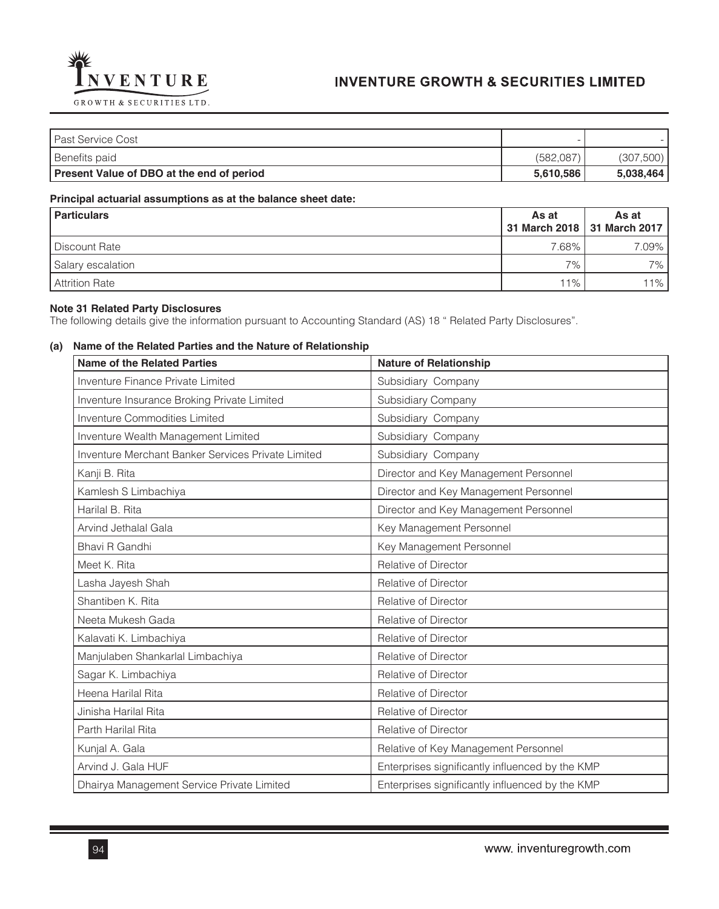

| l Past Service Cost                       |           |           |
|-------------------------------------------|-----------|-----------|
| Benefits paid                             | (582,087) | (307,500) |
| Present Value of DBO at the end of period | 5.610.586 | 5,038,464 |

## **Principal actuarial assumptions as at the balance sheet date:**

| <b>Particulars</b> | As at    | As at<br>31 March 2018   31 March 2017 |
|--------------------|----------|----------------------------------------|
| Discount Rate      | $7.68\%$ | $7.09\%$                               |
| Salary escalation  | $7\%$    | $7\%$ I                                |
| Attrition Rate     | $11\%$   | $11\%$                                 |

### **Note 31 Related Party Disclosures**

The following details give the information pursuant to Accounting Standard (AS) 18 " Related Party Disclosures".

## **(a) Name of the Related Parties and the Nature of Relationship**

| <b>Name of the Related Parties</b>                        | <b>Nature of Relationship</b>                   |
|-----------------------------------------------------------|-------------------------------------------------|
| <b>Inventure Finance Private Limited</b>                  | Subsidiary Company                              |
| Inventure Insurance Broking Private Limited               | <b>Subsidiary Company</b>                       |
| <b>Inventure Commodities Limited</b>                      | Subsidiary Company                              |
| Inventure Wealth Management Limited                       | Subsidiary Company                              |
| <b>Inventure Merchant Banker Services Private Limited</b> | Subsidiary Company                              |
| Kanji B. Rita                                             | Director and Key Management Personnel           |
| Kamlesh S Limbachiya                                      | Director and Key Management Personnel           |
| Harilal B. Rita                                           | Director and Key Management Personnel           |
| Arvind Jethalal Gala                                      | Key Management Personnel                        |
| Bhavi R Gandhi                                            | Key Management Personnel                        |
| Meet K. Rita                                              | Relative of Director                            |
| Lasha Jayesh Shah                                         | Relative of Director                            |
| Shantiben K. Rita                                         | Relative of Director                            |
| Neeta Mukesh Gada                                         | Relative of Director                            |
| Kalavati K. Limbachiya                                    | Relative of Director                            |
| Manjulaben Shankarlal Limbachiya                          | Relative of Director                            |
| Sagar K. Limbachiya                                       | Relative of Director                            |
| Heena Harilal Rita                                        | Relative of Director                            |
| Jinisha Harilal Rita                                      | Relative of Director                            |
| Parth Harilal Rita                                        | Relative of Director                            |
| Kunjal A. Gala                                            | Relative of Key Management Personnel            |
| Arvind J. Gala HUF                                        | Enterprises significantly influenced by the KMP |
| Dhairya Management Service Private Limited                | Enterprises significantly influenced by the KMP |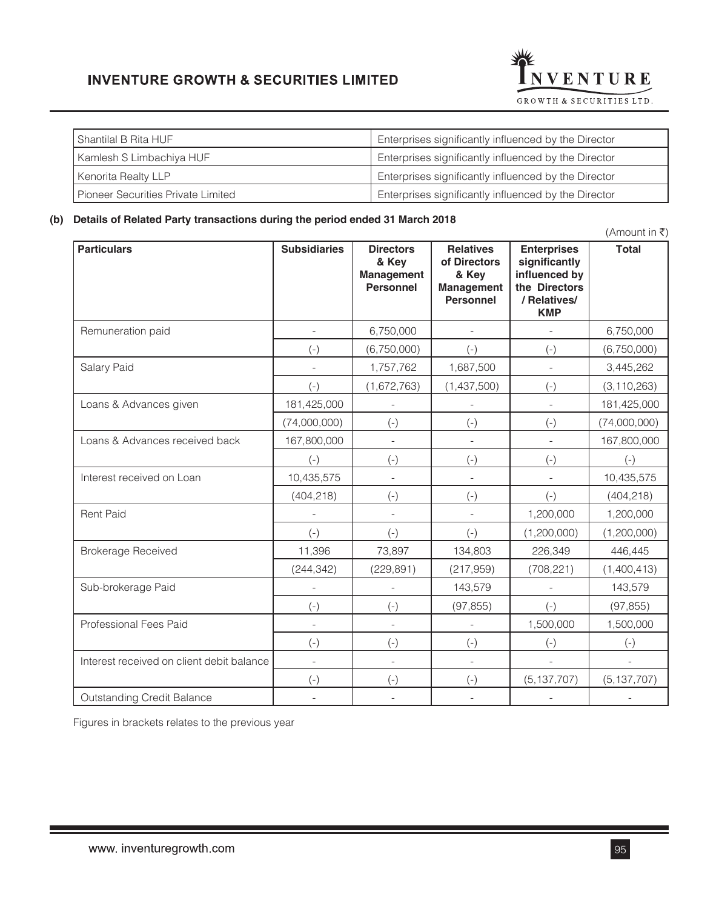

| Enterprises significantly influenced by the Director |
|------------------------------------------------------|
| Enterprises significantly influenced by the Director |
| Enterprises significantly influenced by the Director |
| Enterprises significantly influenced by the Director |
|                                                      |

## **(b) Details of Related Party transactions during the period ended 31 March 2018**

 $(\mathsf{Amount\ in\ }$ **Particulars Construction Construction Particulars Particulars in Particulars Acts Acts Acts Acts Acts Acts Acts & Key Management Personnel Relatives of Directors & Key Management Personnel Enterprises significantly influenced by the Directors / Relatives/ KMP Total** Remuneration paid **1980 - 1980 - 1980 - 1991 - 1991 - 1991 - 1991 - 1991 - 1991 - 1991 - 1991 - 1991 - 1991 - 1**  $(+)$   $(6,750,000)$   $(-)$   $(-)$   $(-)$   $(6,750,000)$ Salary Paid **1,757,762** 1,687,500 - 3,445,262  $(1,672,763)$   $(1,437,500)$   $(-)$   $(3,110,263)$ Loans & Advances given | 181,425,000 | - | - | - | 181,425,000  $(74,000,000)$  (-) (-) (-) (-) (-) (74,000,000) Loans & Advances received back 167,800,000 - - - 167,800,000 (-) (-) (-) (-) (-) Interest received on Loan 10,435,575 | - | - | - | 10,435,575  $(404,218)$  (-) (-) (-) (-) (404,218) Rent Paid 1,200,000 1 1,200,000 1 1,200,000 1 1,200,000 1 1,200,000 1 1,200,000 1 1,200,000 1 1,200,000 1 1,200  $(1,200,000)$   $(1,200,000)$   $(1,200,000)$ Brokerage Received 11,396 | 73,897 | 134,803 | 226,349 | 446,445 (244,342) (229,891) (217,959) (708,221) (1,400,413) Sub-brokerage Paid **143,579** - 143,579 - 143,579 - 143,579  $(+)$  (-)  $(97,855)$  (-)  $(97,855)$ Professional Fees Paid **1.500.000** 1, 1,500,000 1,500,000 1,500,000 1,500,000 1,500,000 (-) (-) (-) (-) (-) Interest received on client debit balance **Fig. 1. Containing the set of the container**  $\begin{bmatrix} 1 & 0 & 0 \\ 0 & -1 & 0 \\ 0 & 0 & 0 \end{bmatrix}$ (-)  $(-)$   $(-)$   $(-)$   $(-)$   $(5,137,707)$   $(5,137,707)$ Outstanding Credit Balance  $\begin{vmatrix} 1 & 1 & 1 \\ 1 & 1 & 1 \end{vmatrix}$  and  $\begin{vmatrix} 1 & 1 & 1 \\ 1 & 1 & 1 \end{vmatrix}$  and  $\begin{vmatrix} 1 & 1 & 1 \\ 1 & 1 & 1 \end{vmatrix}$  and  $\begin{vmatrix} 1 & 1 & 1 \\ 1 & 1 & 1 \end{vmatrix}$  and  $\begin{vmatrix} 1 & 1 & 1 \\ 1 & 1 & 1 \end{vmatrix}$  and  $\begin{vmatrix} 1 & 1 & 1$ 

Figures in brackets relates to the previous year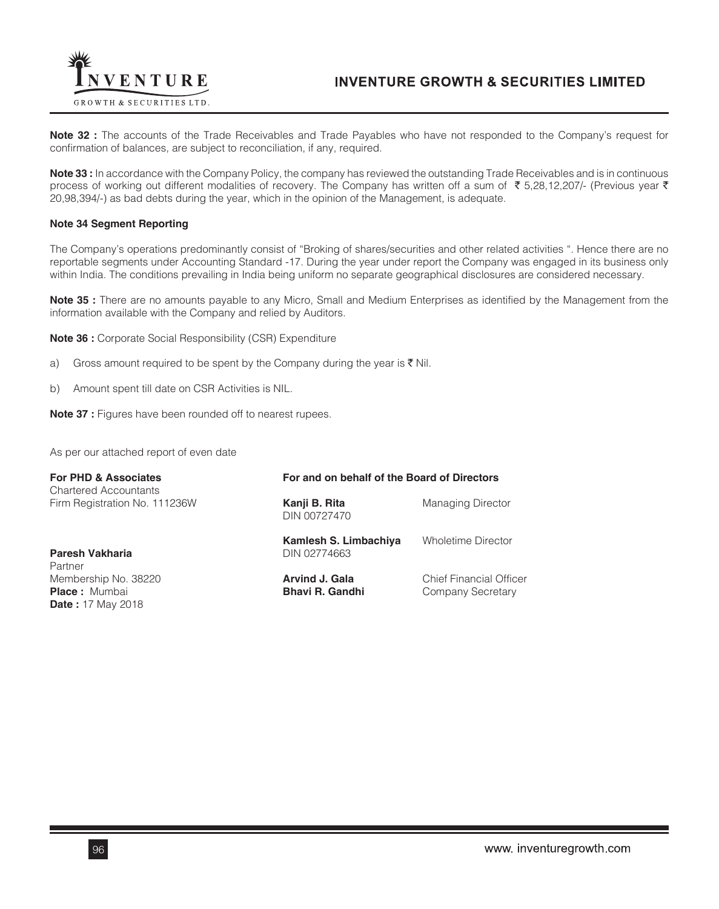

**Note 32 :** The accounts of the Trade Receivables and Trade Payables who have not responded to the Company's request for confirmation of balances, are subject to reconciliation, if any, required.

**Note 33 :** In accordance with the Company Policy, the company has reviewed the outstanding Trade Receivables and is in continuous process of working out different modalities of recovery. The Company has written off a sum of  $\bar{\tau}$  5,28,12,207/- (Previous year  $\bar{\tau}$ 20,98,394/-) as bad debts during the year, which in the opinion of the Management, is adequate.

#### **Note 34 Segment Reporting**

The Company's operations predominantly consist of "Broking of shares/securities and other related activities ". Hence there are no reportable segments under Accounting Standard -17. During the year under report the Company was engaged in its business only within India. The conditions prevailing in India being uniform no separate geographical disclosures are considered necessary.

**Note 35 :** There are no amounts payable to any Micro, Small and Medium Enterprises as identified by the Management from the information available with the Company and relied by Auditors.

**Note 36 :** Corporate Social Responsibility (CSR) Expenditure

- a) Gross amount required to be spent by the Company during the year is  $\bar{\tau}$  Nil.
- b) Amount spent till date on CSR Activities is NIL.

**Note 37 :** Figures have been rounded off to nearest rupees.

As per our attached report of even date

| <b>For PHD &amp; Associates</b>                                          |                                          | For and on behalf of the Board of Directors         |  |  |
|--------------------------------------------------------------------------|------------------------------------------|-----------------------------------------------------|--|--|
| <b>Chartered Accountants</b><br>Firm Registration No. 111236W            | Kanji B. Rita<br>DIN 00727470            | <b>Managing Director</b>                            |  |  |
| Paresh Vakharia<br>Partner                                               | Kamlesh S. Limbachiya<br>DIN 02774663    | <b>Wholetime Director</b>                           |  |  |
| Membership No. 38220<br><b>Place:</b> Mumbai<br><b>Date: 17 May 2018</b> | Arvind J. Gala<br><b>Bhavi R. Gandhi</b> | <b>Chief Financial Officer</b><br>Company Secretary |  |  |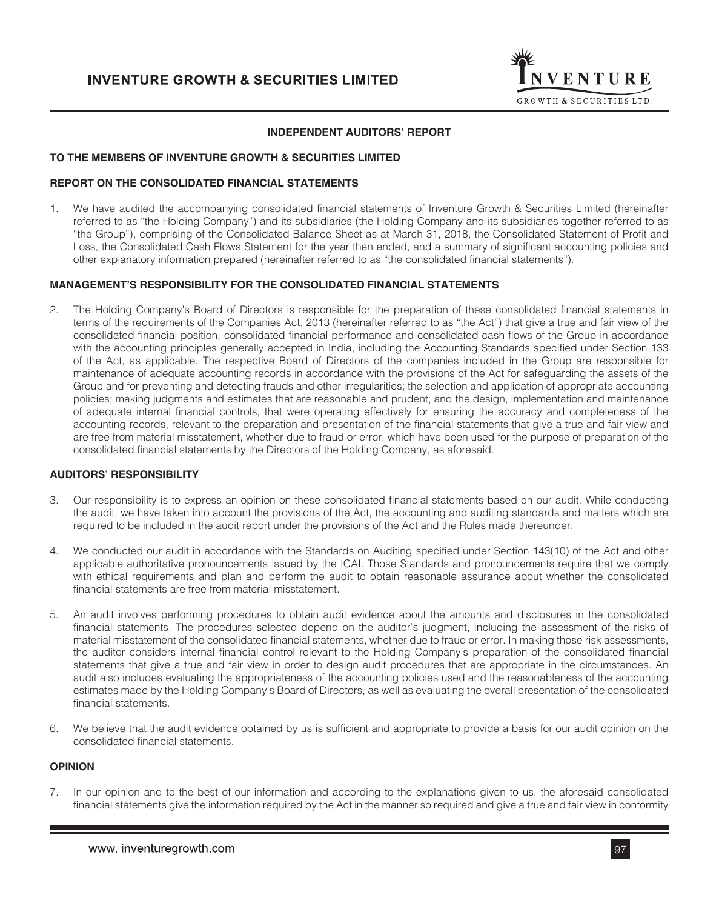

## **INDEPENDENT AUDITORS' REPORT**

### **TO THE MEMBERS OF INVENTURE GROWTH & SECURITIES LIMITED**

### **REPORT ON THE CONSOLIDATED FINANCIAL STATEMENTS**

1. We have audited the accompanying consolidated financial statements of Inventure Growth & Securities Limited (hereinafter referred to as "the Holding Company") and its subsidiaries (the Holding Company and its subsidiaries together referred to as "the Group"), comprising of the Consolidated Balance Sheet as at March 31, 2018, the Consolidated Statement of Profit and Loss, the Consolidated Cash Flows Statement for the year then ended, and a summary of significant accounting policies and other explanatory information prepared (hereinafter referred to as "the consolidated financial statements").

#### **MANAGEMENT'S RESPONSIBILITY FOR THE CONSOLIDATED FINANCIAL STATEMENTS**

2. The Holding Company's Board of Directors is responsible for the preparation of these consolidated financial statements in terms of the requirements of the Companies Act, 2013 (hereinafter referred to as "the Act") that give a true and fair view of the consolidated financial position, consolidated financial performance and consolidated cash flows of the Group in accordance with the accounting principles generally accepted in India, including the Accounting Standards specified under Section 133 of the Act, as applicable. The respective Board of Directors of the companies included in the Group are responsible for maintenance of adequate accounting records in accordance with the provisions of the Act for safeguarding the assets of the Group and for preventing and detecting frauds and other irregularities; the selection and application of appropriate accounting policies; making judgments and estimates that are reasonable and prudent; and the design, implementation and maintenance of adequate internal financial controls, that were operating effectively for ensuring the accuracy and completeness of the accounting records, relevant to the preparation and presentation of the financial statements that give a true and fair view and are free from material misstatement, whether due to fraud or error, which have been used for the purpose of preparation of the consolidated financial statements by the Directors of the Holding Company, as aforesaid.

## **AUDITORS' RESPONSIBILITY**

- 3. Our responsibility is to express an opinion on these consolidated financial statements based on our audit. While conducting the audit, we have taken into account the provisions of the Act, the accounting and auditing standards and matters which are required to be included in the audit report under the provisions of the Act and the Rules made thereunder.
- 4. We conducted our audit in accordance with the Standards on Auditing specified under Section 143(10) of the Act and other applicable authoritative pronouncements issued by the ICAI. Those Standards and pronouncements require that we comply with ethical requirements and plan and perform the audit to obtain reasonable assurance about whether the consolidated financial statements are free from material misstatement.
- 5. An audit involves performing procedures to obtain audit evidence about the amounts and disclosures in the consolidated financial statements. The procedures selected depend on the auditor's judgment, including the assessment of the risks of material misstatement of the consolidated financial statements, whether due to fraud or error. In making those risk assessments, the auditor considers internal financial control relevant to the Holding Company's preparation of the consolidated financial statements that give a true and fair view in order to design audit procedures that are appropriate in the circumstances. An audit also includes evaluating the appropriateness of the accounting policies used and the reasonableness of the accounting estimates made by the Holding Company's Board of Directors, as well as evaluating the overall presentation of the consolidated financial statements.
- 6. We believe that the audit evidence obtained by us is sufficient and appropriate to provide a basis for our audit opinion on the consolidated financial statements.

#### **OPINION**

7. In our opinion and to the best of our information and according to the explanations given to us, the aforesaid consolidated financial statements give the information required by the Act in the manner so required and give a true and fair view in conformity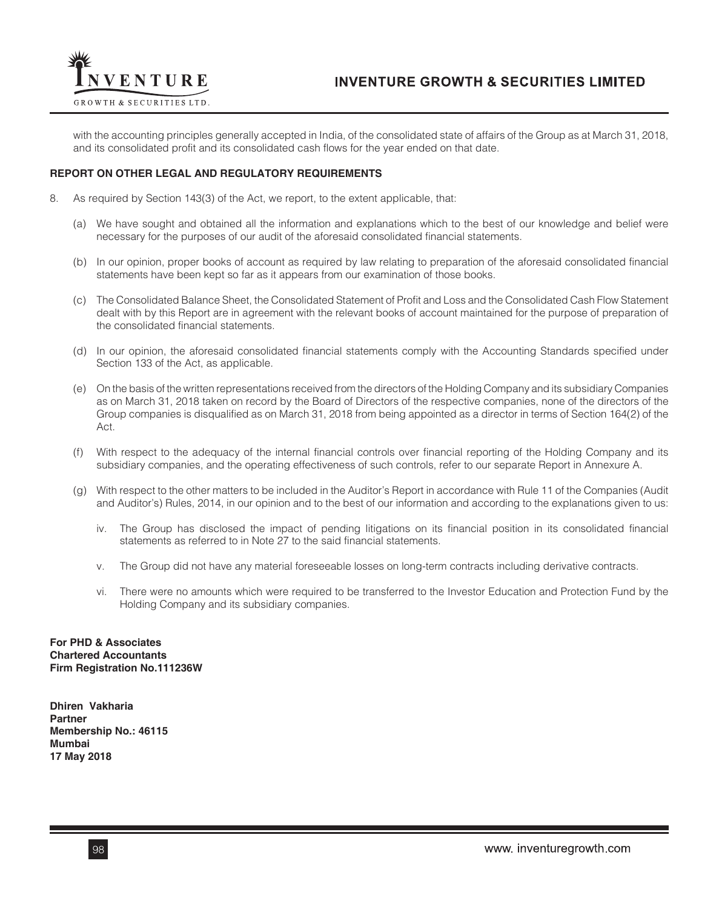

with the accounting principles generally accepted in India, of the consolidated state of affairs of the Group as at March 31, 2018, and its consolidated profit and its consolidated cash flows for the year ended on that date.

### **REPORT ON OTHER LEGAL AND REGULATORY REQUIREMENTS**

- 8. As required by Section 143(3) of the Act, we report, to the extent applicable, that:
	- (a) We have sought and obtained all the information and explanations which to the best of our knowledge and belief were necessary for the purposes of our audit of the aforesaid consolidated financial statements.
	- (b) In our opinion, proper books of account as required by law relating to preparation of the aforesaid consolidated financial statements have been kept so far as it appears from our examination of those books.
	- (c) The Consolidated Balance Sheet, the Consolidated Statement of Profit and Loss and the Consolidated Cash Flow Statement dealt with by this Report are in agreement with the relevant books of account maintained for the purpose of preparation of the consolidated financial statements.
	- (d) In our opinion, the aforesaid consolidated financial statements comply with the Accounting Standards specified under Section 133 of the Act, as applicable.
	- (e) On the basis of the written representations received from the directors of the Holding Company and its subsidiary Companies as on March 31, 2018 taken on record by the Board of Directors of the respective companies, none of the directors of the Group companies is disqualified as on March 31, 2018 from being appointed as a director in terms of Section 164(2) of the Act.
	- (f) With respect to the adequacy of the internal financial controls over financial reporting of the Holding Company and its subsidiary companies, and the operating effectiveness of such controls, refer to our separate Report in Annexure A.
	- (g) With respect to the other matters to be included in the Auditor's Report in accordance with Rule 11 of the Companies (Audit and Auditor's) Rules, 2014, in our opinion and to the best of our information and according to the explanations given to us:
		- iv. The Group has disclosed the impact of pending litigations on its financial position in its consolidated financial statements as referred to in Note 27 to the said financial statements.
		- v. The Group did not have any material foreseeable losses on long-term contracts including derivative contracts.
		- vi. There were no amounts which were required to be transferred to the Investor Education and Protection Fund by the Holding Company and its subsidiary companies.

**For PHD & Associates Chartered Accountants Firm Registration No.111236W**

**Dhiren Vakharia Partner Membership No.: 46115 Mumbai 17 May 2018**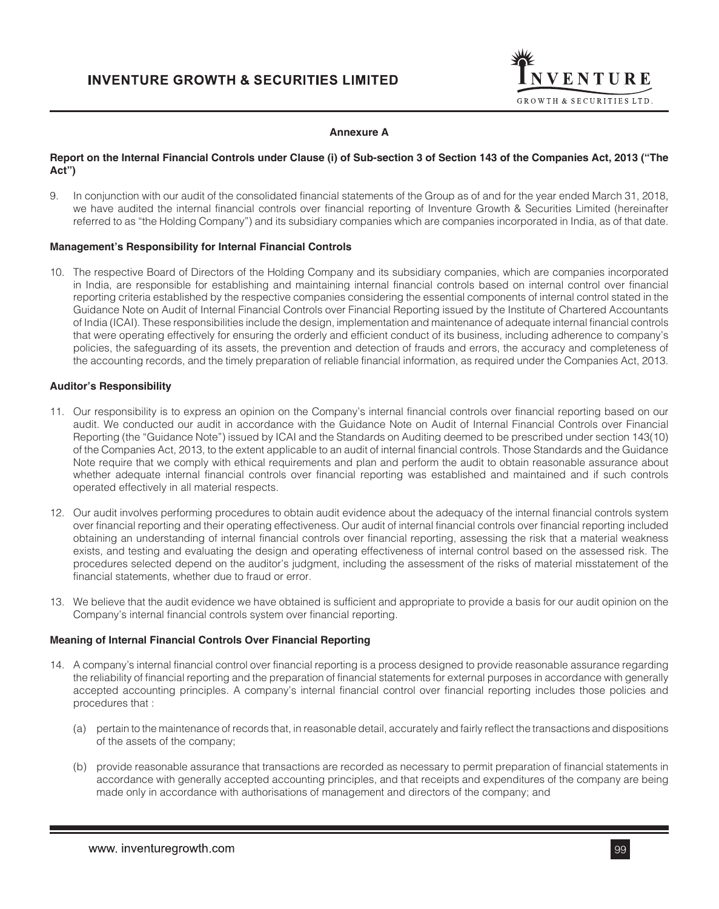

## **Annexure A**

## **Report on the Internal Financial Controls under Clause (i) of Sub-section 3 of Section 143 of the Companies Act, 2013 ("The Act")**

9. In conjunction with our audit of the consolidated financial statements of the Group as of and for the year ended March 31, 2018, we have audited the internal financial controls over financial reporting of Inventure Growth & Securities Limited (hereinafter referred to as "the Holding Company") and its subsidiary companies which are companies incorporated in India, as of that date.

#### **Management's Responsibility for Internal Financial Controls**

10. The respective Board of Directors of the Holding Company and its subsidiary companies, which are companies incorporated in India, are responsible for establishing and maintaining internal financial controls based on internal control over financial reporting criteria established by the respective companies considering the essential components of internal control stated in the Guidance Note on Audit of Internal Financial Controls over Financial Reporting issued by the Institute of Chartered Accountants of India (ICAI). These responsibilities include the design, implementation and maintenance of adequate internal financial controls that were operating effectively for ensuring the orderly and efficient conduct of its business, including adherence to company's policies, the safeguarding of its assets, the prevention and detection of frauds and errors, the accuracy and completeness of the accounting records, and the timely preparation of reliable financial information, as required under the Companies Act, 2013.

#### **Auditor's Responsibility**

- 11. Our responsibility is to express an opinion on the Company's internal financial controls over financial reporting based on our audit. We conducted our audit in accordance with the Guidance Note on Audit of Internal Financial Controls over Financial Reporting (the "Guidance Note") issued by ICAI and the Standards on Auditing deemed to be prescribed under section 143(10) of the Companies Act, 2013, to the extent applicable to an audit of internal financial controls. Those Standards and the Guidance Note require that we comply with ethical requirements and plan and perform the audit to obtain reasonable assurance about whether adequate internal financial controls over financial reporting was established and maintained and if such controls operated effectively in all material respects.
- 12. Our audit involves performing procedures to obtain audit evidence about the adequacy of the internal financial controls system over financial reporting and their operating effectiveness. Our audit of internal financial controls over financial reporting included obtaining an understanding of internal financial controls over financial reporting, assessing the risk that a material weakness exists, and testing and evaluating the design and operating effectiveness of internal control based on the assessed risk. The procedures selected depend on the auditor's judgment, including the assessment of the risks of material misstatement of the financial statements, whether due to fraud or error.
- 13. We believe that the audit evidence we have obtained is sufficient and appropriate to provide a basis for our audit opinion on the Company's internal financial controls system over financial reporting.

## **Meaning of Internal Financial Controls Over Financial Reporting**

- 14. A company's internal financial control over financial reporting is a process designed to provide reasonable assurance regarding the reliability of financial reporting and the preparation of financial statements for external purposes in accordance with generally accepted accounting principles. A company's internal financial control over financial reporting includes those policies and procedures that :
	- (a) pertain to the maintenance of records that, in reasonable detail, accurately and fairly reflect the transactions and dispositions of the assets of the company;
	- (b) provide reasonable assurance that transactions are recorded as necessary to permit preparation of financial statements in accordance with generally accepted accounting principles, and that receipts and expenditures of the company are being made only in accordance with authorisations of management and directors of the company; and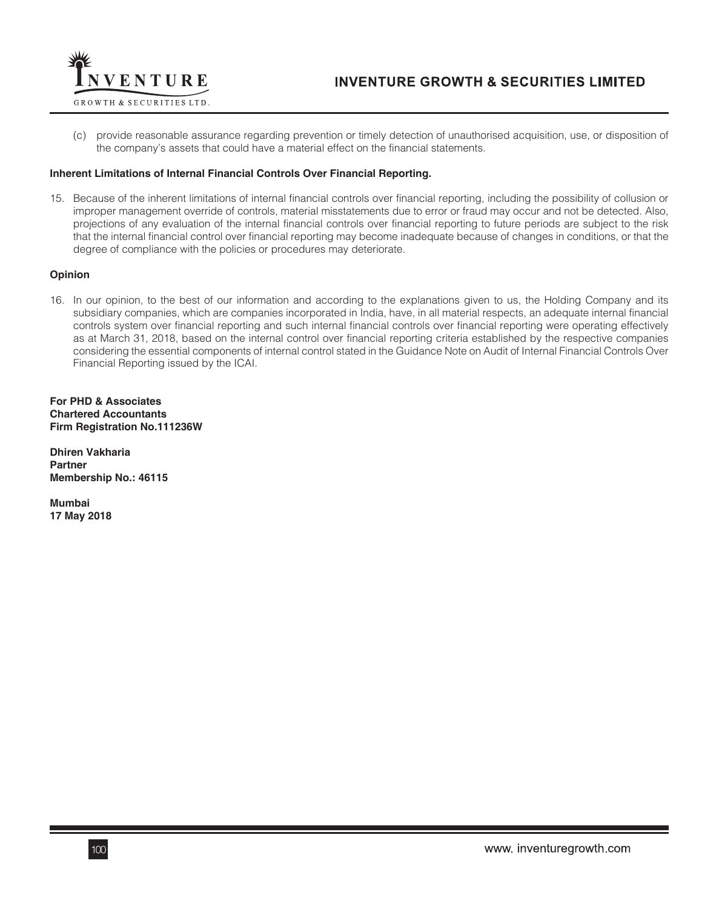

(c) provide reasonable assurance regarding prevention or timely detection of unauthorised acquisition, use, or disposition of the company's assets that could have a material effect on the financial statements.

## **Inherent Limitations of Internal Financial Controls Over Financial Reporting.**

15. Because of the inherent limitations of internal financial controls over financial reporting, including the possibility of collusion or improper management override of controls, material misstatements due to error or fraud may occur and not be detected. Also, projections of any evaluation of the internal financial controls over financial reporting to future periods are subject to the risk that the internal financial control over financial reporting may become inadequate because of changes in conditions, or that the degree of compliance with the policies or procedures may deteriorate.

#### **Opinion**

16. In our opinion, to the best of our information and according to the explanations given to us, the Holding Company and its subsidiary companies, which are companies incorporated in India, have, in all material respects, an adequate internal financial controls system over financial reporting and such internal financial controls over financial reporting were operating effectively as at March 31, 2018, based on the internal control over financial reporting criteria established by the respective companies considering the essential components of internal control stated in the Guidance Note on Audit of Internal Financial Controls Over Financial Reporting issued by the ICAI.

**For PHD & Associates Chartered Accountants Firm Registration No.111236W**

**Dhiren Vakharia Partner Membership No.: 46115**

**Mumbai 17 May 2018**

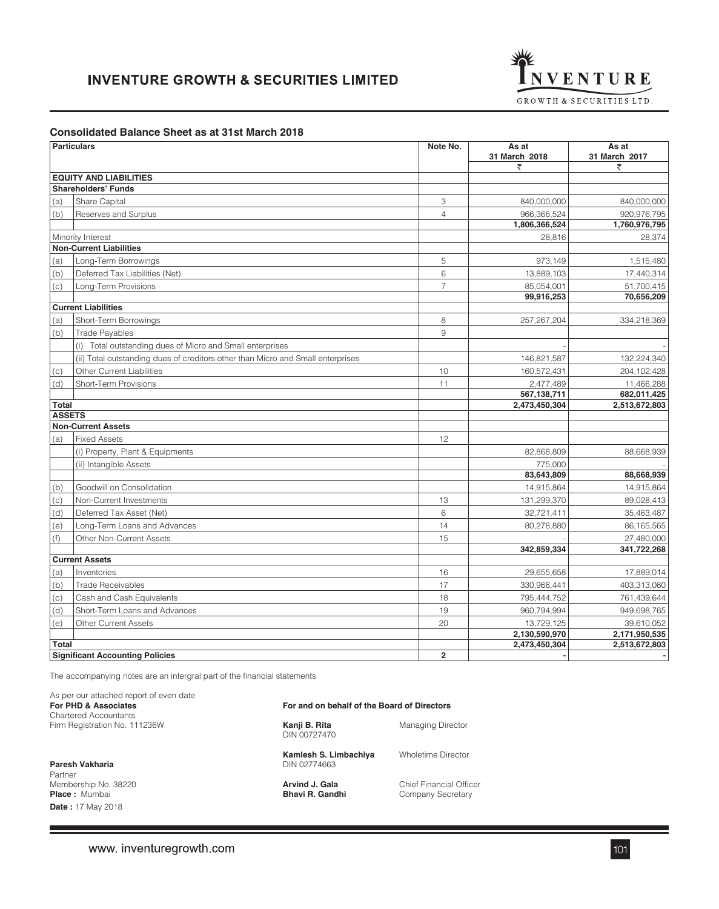

## **Consolidated Balance Sheet as at 31st March 2018**

|               | <b>Particulars</b>                                                              | Note No.       | As at<br>31 March 2018 | As at<br>31 March 2017 |
|---------------|---------------------------------------------------------------------------------|----------------|------------------------|------------------------|
|               |                                                                                 |                | ₹                      | ₹                      |
|               | <b>EQUITY AND LIABILITIES</b>                                                   |                |                        |                        |
|               | <b>Shareholders' Funds</b>                                                      |                |                        |                        |
| (a)           | Share Capital                                                                   | 3              | 840,000,000            | 840,000,000            |
| (b)           | Reserves and Surplus                                                            | $\overline{4}$ | 966,366,524            | 920,976,795            |
|               |                                                                                 |                | 1,806,366,524          | 1,760,976,795          |
|               | Minority Interest                                                               |                | 28,816                 | 28,374                 |
|               | <b>Non-Current Liabilities</b>                                                  |                |                        |                        |
| (a)           | Long-Term Borrowings                                                            | 5              | 973,149                | 1,515,480              |
| (b)           | Deferred Tax Liabilities (Net)                                                  | 6              | 13,889,103             | 17,440,314             |
| (c)           | Long-Term Provisions                                                            | $\overline{7}$ | 85,054,001             | 51,700,415             |
|               |                                                                                 |                | 99,916,253             | 70,656,209             |
|               | <b>Current Liabilities</b>                                                      |                |                        |                        |
| (a)           | Short-Term Borrowings                                                           | 8              | 257, 267, 204          | 334,218,369            |
| (b)           | <b>Trade Payables</b>                                                           | 9              |                        |                        |
|               | (i) Total outstanding dues of Micro and Small enterprises                       |                |                        |                        |
|               | (ii) Total outstanding dues of creditors other than Micro and Small enterprises |                | 146,821,587            | 132,224,340            |
| (c)           | <b>Other Current Liabilities</b>                                                | 10             | 160,572,431            | 204, 102, 428          |
| (d)           | Short-Term Provisions                                                           | 11             | 2,477,489              | 11,466,288             |
|               |                                                                                 |                | 567,138,711            | 682,011,425            |
| <b>Total</b>  |                                                                                 |                | 2.473.450.304          | 2,513,672,803          |
| <b>ASSETS</b> |                                                                                 |                |                        |                        |
|               | <b>Non-Current Assets</b>                                                       |                |                        |                        |
| (a)           | <b>Fixed Assets</b>                                                             | 12             |                        |                        |
|               | (i) Property, Plant & Equipments                                                |                | 82,868,809             | 88,668,939             |
|               | (ii) Intangible Assets                                                          |                | 775.000                |                        |
|               |                                                                                 |                | 83,643,809             | 88,668,939             |
| (b)           | Goodwill on Consolidation                                                       |                | 14,915,864             | 14,915,864             |
| (c)           | Non-Current Investments                                                         | 13             | 131,299,370            | 89,028,413             |
| (d)           | Deferred Tax Asset (Net)                                                        | 6              | 32,721,411             | 35,463,487             |
| (e)           | Long-Term Loans and Advances                                                    | 14             | 80,278,880             | 86, 165, 565           |
| (f)           | Other Non-Current Assets                                                        | 15             |                        | 27,480,000             |
|               |                                                                                 |                | 342,859,334            | 341,722,268            |
|               | <b>Current Assets</b>                                                           |                |                        |                        |
| (a)           | Inventories                                                                     | 16             | 29,655,658             | 17,889,014             |
| (b)           | <b>Trade Receivables</b>                                                        | 17             | 330,966,441            | 403,313,060            |
| (c)           | Cash and Cash Equivalents                                                       | 18             | 795,444,752            | 761,439,644            |
| (d)           | Short-Term Loans and Advances                                                   | 19             | 960,794,994            | 949,698,765            |
| (e)           | <b>Other Current Assets</b>                                                     | 20             | 13,729,125             | 39,610,052             |
|               |                                                                                 |                | 2,130,590,970          | 2,171,950,535          |
| <b>Total</b>  |                                                                                 |                | 2,473,450,304          | 2,513,672,803          |
|               | <b>Significant Accounting Policies</b>                                          | $\overline{2}$ |                        |                        |

The accompanying notes are an intergral part of the financial statements

| As per our attached report of even date<br>For PHD & Associates          | For and on behalf of the Board of Directors |                                              |  |
|--------------------------------------------------------------------------|---------------------------------------------|----------------------------------------------|--|
| <b>Chartered Accountants</b><br>Firm Registration No. 111236W            | Kanji B. Rita<br>DIN 00727470               |                                              |  |
| Paresh Vakharia<br>Partner                                               | Kamlesh S. Limbachiya<br>DIN 02774663       | Wholetime Director                           |  |
| Membership No. 38220<br><b>Place:</b> Mumbai<br><b>Date: 17 May 2018</b> | Arvind J. Gala<br>Bhavi R. Gandhi           | Chief Financial Officer<br>Company Secretary |  |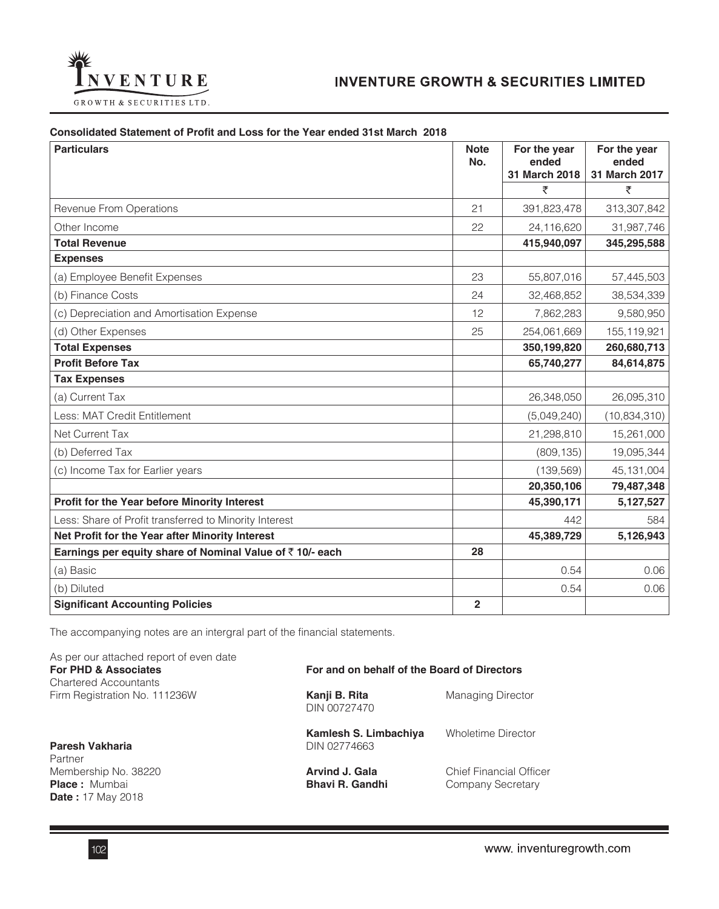

# **Consolidated Statement of Profit and Loss for the Year ended 31st March 2018**

| <b>Particulars</b>                                       | <b>Note</b><br>No. | For the year<br>ended<br>31 March 2018 | For the year<br>ended<br>31 March 2017 |
|----------------------------------------------------------|--------------------|----------------------------------------|----------------------------------------|
|                                                          |                    | ₹                                      | ₹                                      |
| Revenue From Operations                                  | 21                 | 391,823,478                            | 313,307,842                            |
| Other Income                                             | 22                 | 24,116,620                             | 31,987,746                             |
| <b>Total Revenue</b>                                     |                    | 415,940,097                            | 345,295,588                            |
| <b>Expenses</b>                                          |                    |                                        |                                        |
| (a) Employee Benefit Expenses                            | 23                 | 55,807,016                             | 57,445,503                             |
| (b) Finance Costs                                        | 24                 | 32,468,852                             | 38,534,339                             |
| (c) Depreciation and Amortisation Expense                | 12                 | 7,862,283                              | 9,580,950                              |
| (d) Other Expenses                                       | 25                 | 254,061,669                            | 155,119,921                            |
| <b>Total Expenses</b>                                    |                    | 350,199,820                            | 260,680,713                            |
| <b>Profit Before Tax</b>                                 |                    | 65,740,277                             | 84,614,875                             |
| <b>Tax Expenses</b>                                      |                    |                                        |                                        |
| (a) Current Tax                                          |                    | 26,348,050                             | 26,095,310                             |
| Less: MAT Credit Entitlement                             |                    | (5,049,240)                            | (10, 834, 310)                         |
| Net Current Tax                                          |                    | 21,298,810                             | 15,261,000                             |
| (b) Deferred Tax                                         |                    | (809, 135)                             | 19,095,344                             |
| (c) Income Tax for Earlier years                         |                    | (139, 569)                             | 45, 131, 004                           |
|                                                          |                    | 20,350,106                             | 79,487,348                             |
| Profit for the Year before Minority Interest             |                    | 45,390,171                             | 5,127,527                              |
| Less: Share of Profit transferred to Minority Interest   |                    | 442                                    | 584                                    |
| Net Profit for the Year after Minority Interest          |                    | 45,389,729                             | 5,126,943                              |
| Earnings per equity share of Nominal Value of ₹10/- each | 28                 |                                        |                                        |
| (a) Basic                                                |                    | 0.54                                   | 0.06                                   |
| (b) Diluted                                              |                    | 0.54                                   | 0.06                                   |
| <b>Significant Accounting Policies</b>                   | $\overline{2}$     |                                        |                                        |

The accompanying notes are an intergral part of the financial statements.

| As per our attached report of even date<br><b>For PHD &amp; Associates</b><br><b>Chartered Accountants</b> | For and on behalf of the Board of Directors     |                                              |
|------------------------------------------------------------------------------------------------------------|-------------------------------------------------|----------------------------------------------|
| Firm Registration No. 111236W                                                                              | <b>Managing Director</b>                        |                                              |
| Paresh Vakharia<br>Partner                                                                                 | Kamlesh S. Limbachiya<br>DIN 02774663           | Wholetime Director                           |
| Membership No. 38220<br><b>Place:</b> Mumbai<br><b>Date:</b> 17 May 2018                                   | <b>Arvind J. Gala</b><br><b>Bhavi R. Gandhi</b> | Chief Financial Officer<br>Company Secretary |

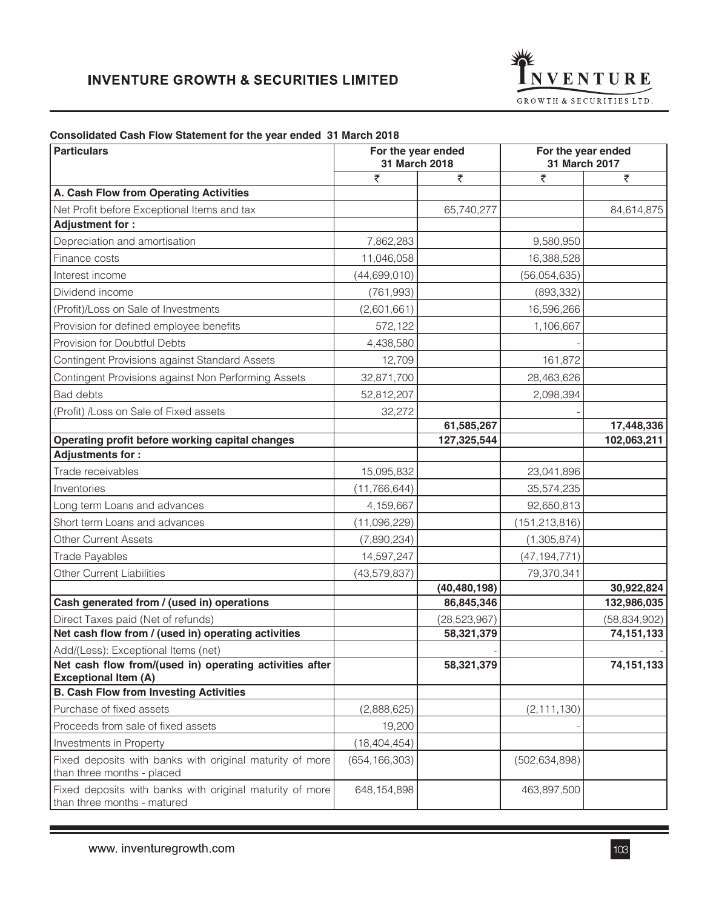

# **Consolidated Cash Flow Statement for the year ended 31 March 2018**

| <b>Particulars</b><br>For the year ended<br>31 March 2018                               |                 |                | For the year ended<br>31 March 2017 |                |
|-----------------------------------------------------------------------------------------|-----------------|----------------|-------------------------------------|----------------|
|                                                                                         | ₹               | ₹              | ₹                                   | ₹              |
| A. Cash Flow from Operating Activities                                                  |                 |                |                                     |                |
| Net Profit before Exceptional Items and tax                                             |                 | 65,740,277     |                                     | 84,614,875     |
| Adjustment for:                                                                         |                 |                |                                     |                |
| Depreciation and amortisation                                                           | 7,862,283       |                | 9,580,950                           |                |
| Finance costs                                                                           | 11,046,058      |                | 16,388,528                          |                |
| Interest income                                                                         | (44, 699, 010)  |                | (56,054,635)                        |                |
| Dividend income                                                                         | (761, 993)      |                | (893, 332)                          |                |
| (Profit)/Loss on Sale of Investments                                                    | (2,601,661)     |                | 16,596,266                          |                |
| Provision for defined employee benefits                                                 | 572,122         |                | 1,106,667                           |                |
| Provision for Doubtful Debts                                                            | 4,438,580       |                |                                     |                |
| Contingent Provisions against Standard Assets                                           | 12,709          |                | 161,872                             |                |
| Contingent Provisions against Non Performing Assets                                     | 32,871,700      |                | 28,463,626                          |                |
| <b>Bad debts</b>                                                                        | 52,812,207      |                | 2,098,394                           |                |
| (Profit) /Loss on Sale of Fixed assets                                                  | 32,272          |                |                                     |                |
|                                                                                         |                 | 61,585,267     |                                     | 17,448,336     |
| Operating profit before working capital changes                                         |                 | 127,325,544    |                                     | 102,063,211    |
| <b>Adjustments for:</b>                                                                 |                 |                |                                     |                |
| Trade receivables                                                                       | 15,095,832      |                | 23,041,896                          |                |
| Inventories                                                                             | (11, 766, 644)  |                | 35,574,235                          |                |
| Long term Loans and advances                                                            | 4,159,667       |                | 92,650,813                          |                |
| Short term Loans and advances                                                           | (11,096,229)    |                | (151, 213, 816)                     |                |
| <b>Other Current Assets</b>                                                             | (7,890,234)     |                | (1,305,874)                         |                |
| <b>Trade Payables</b>                                                                   | 14,597,247      |                | (47, 194, 771)                      |                |
| <b>Other Current Liabilities</b>                                                        | (43, 579, 837)  |                | 79,370,341                          |                |
|                                                                                         |                 | (40, 480, 198) |                                     | 30,922,824     |
| Cash generated from / (used in) operations                                              |                 | 86,845,346     |                                     | 132,986,035    |
| Direct Taxes paid (Net of refunds)                                                      |                 | (28, 523, 967) |                                     | (58, 834, 902) |
| Net cash flow from / (used in) operating activities                                     |                 | 58,321,379     |                                     | 74, 151, 133   |
| Add/(Less): Exceptional Items (net)                                                     |                 |                |                                     | 74,151,133     |
| Net cash flow from/(used in) operating activities after<br><b>Exceptional Item (A)</b>  |                 | 58,321,379     |                                     |                |
| <b>B. Cash Flow from Investing Activities</b>                                           |                 |                |                                     |                |
| Purchase of fixed assets                                                                | (2,888,625)     |                | (2, 111, 130)                       |                |
| Proceeds from sale of fixed assets                                                      | 19,200          |                |                                     |                |
| Investments in Property                                                                 | (18, 404, 454)  |                |                                     |                |
| Fixed deposits with banks with original maturity of more<br>than three months - placed  | (654, 166, 303) |                | (502, 634, 898)                     |                |
| Fixed deposits with banks with original maturity of more<br>than three months - matured | 648, 154, 898   |                | 463,897,500                         |                |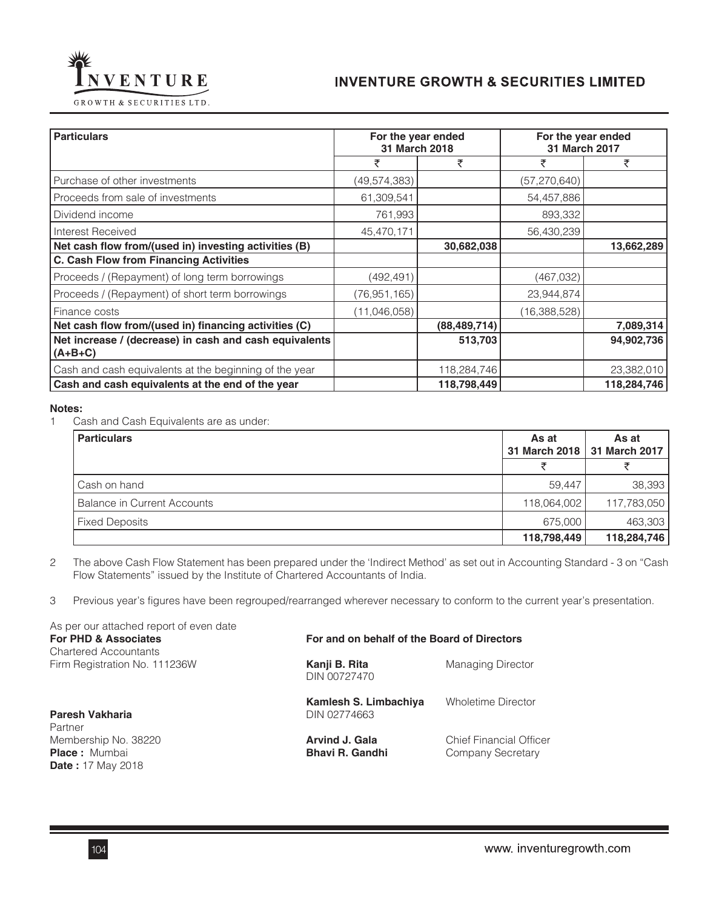

VENTURE

| <b>Particulars</b>                                                  | For the year ended<br>31 March 2018 |                | For the year ended<br>31 March 2017 |             |
|---------------------------------------------------------------------|-------------------------------------|----------------|-------------------------------------|-------------|
|                                                                     | ₹                                   | ₹              | ₹                                   | ₹           |
| Purchase of other investments                                       | (49, 574, 383)                      |                | (57,270,640)                        |             |
| Proceeds from sale of investments                                   | 61,309,541                          |                | 54,457,886                          |             |
| Dividend income                                                     | 761,993                             |                | 893,332                             |             |
| Interest Received                                                   | 45,470,171                          |                | 56,430,239                          |             |
| Net cash flow from/(used in) investing activities (B)               |                                     | 30,682,038     |                                     | 13,662,289  |
| C. Cash Flow from Financing Activities                              |                                     |                |                                     |             |
| Proceeds / (Repayment) of long term borrowings                      | (492,491)                           |                | (467,032)                           |             |
| Proceeds / (Repayment) of short term borrowings                     | (76, 951, 165)                      |                | 23,944,874                          |             |
| Finance costs                                                       | (11,046,058)                        |                | (16,388,528)                        |             |
| Net cash flow from/(used in) financing activities (C)               |                                     | (88, 489, 714) |                                     | 7,089,314   |
| Net increase / (decrease) in cash and cash equivalents<br>$(A+B+C)$ |                                     | 513,703        |                                     | 94,902,736  |
| Cash and cash equivalents at the beginning of the year              |                                     | 118,284,746    |                                     | 23,382,010  |
| Cash and cash equivalents at the end of the year                    |                                     | 118,798,449    |                                     | 118,284,746 |

#### **Notes:**

Ī

1 Cash and Cash Equivalents are as under:

| <b>Particulars</b>                 | As at<br>31 March 2018 | As at<br>31 March 2017 |
|------------------------------------|------------------------|------------------------|
|                                    |                        |                        |
| l Cash on hand                     | 59,447                 | 38,393                 |
| <b>Balance in Current Accounts</b> | 118,064,002            | 117,783,050            |
| <b>Fixed Deposits</b>              | 675,000                | 463,303                |
|                                    | 118,798,449            | 118,284,746            |

2 The above Cash Flow Statement has been prepared under the 'Indirect Method' as set out in Accounting Standard - 3 on "Cash Flow Statements" issued by the Institute of Chartered Accountants of India.

3 Previous year's figures have been regrouped/rearranged wherever necessary to conform to the current year's presentation.

| As per our attached report of even date<br>For PHD & Associates<br><b>Chartered Accountants</b> | For and on behalf of the Board of Directors |                                              |  |  |
|-------------------------------------------------------------------------------------------------|---------------------------------------------|----------------------------------------------|--|--|
| Firm Registration No. 111236W                                                                   | Kanji B. Rita<br>DIN 00727470               | <b>Managing Director</b>                     |  |  |
| Paresh Vakharia<br>Partner                                                                      | Kamlesh S. Limbachiya<br>DIN 02774663       | <b>Wholetime Director</b>                    |  |  |
| Membership No. 38220<br><b>Place:</b> Mumbai<br><b>Date: 17 May 2018</b>                        | Arvind J. Gala<br><b>Bhavi R. Gandhi</b>    | Chief Financial Officer<br>Company Secretary |  |  |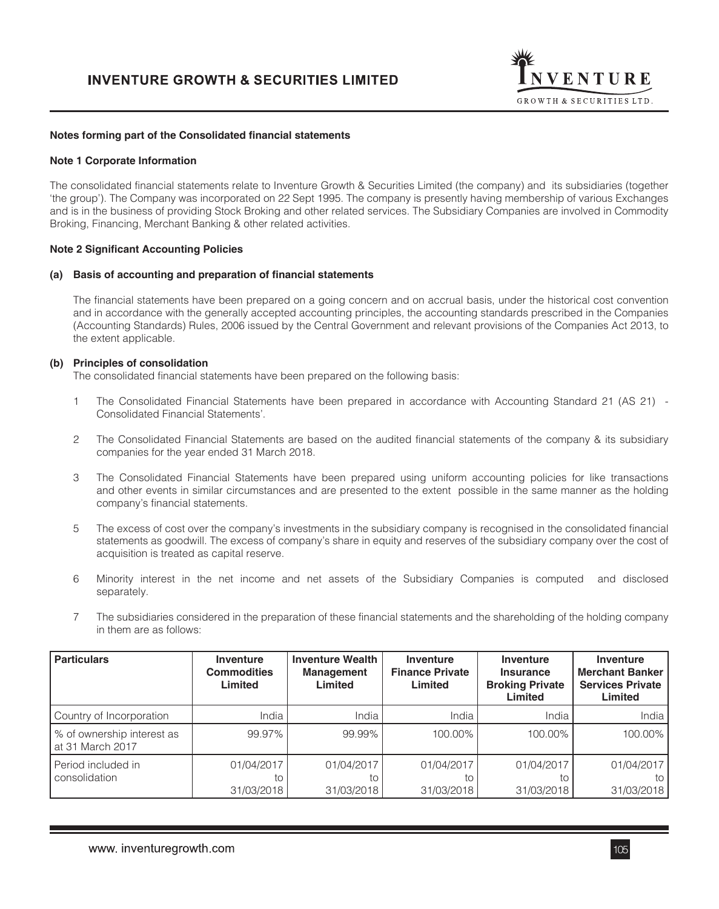

#### **Notes forming part of the Consolidated financial statements**

#### **Note 1 Corporate Information**

The consolidated financial statements relate to Inventure Growth & Securities Limited (the company) and its subsidiaries (together 'the group'). The Company was incorporated on 22 Sept 1995. The company is presently having membership of various Exchanges and is in the business of providing Stock Broking and other related services. The Subsidiary Companies are involved in Commodity Broking, Financing, Merchant Banking & other related activities.

#### **Note 2 Significant Accounting Policies**

#### **(a) Basis of accounting and preparation of financial statements**

The financial statements have been prepared on a going concern and on accrual basis, under the historical cost convention and in accordance with the generally accepted accounting principles, the accounting standards prescribed in the Companies (Accounting Standards) Rules, 2006 issued by the Central Government and relevant provisions of the Companies Act 2013, to the extent applicable.

#### **(b) Principles of consolidation**

The consolidated financial statements have been prepared on the following basis:

- 1 The Consolidated Financial Statements have been prepared in accordance with Accounting Standard 21 (AS 21) Consolidated Financial Statements'.
- 2 The Consolidated Financial Statements are based on the audited financial statements of the company & its subsidiary companies for the year ended 31 March 2018.
- 3 The Consolidated Financial Statements have been prepared using uniform accounting policies for like transactions and other events in similar circumstances and are presented to the extent possible in the same manner as the holding company's financial statements.
- 5 The excess of cost over the company's investments in the subsidiary company is recognised in the consolidated financial statements as goodwill. The excess of company's share in equity and reserves of the subsidiary company over the cost of acquisition is treated as capital reserve.
- 6 Minority interest in the net income and net assets of the Subsidiary Companies is computed and disclosed separately.
- 7 The subsidiaries considered in the preparation of these financial statements and the shareholding of the holding company in them are as follows:

| <b>Particulars</b>                             | <b>Inventure</b><br><b>Commodities</b><br>Limited | <b>Inventure Wealth</b><br><b>Management</b><br>Limited | Inventure<br><b>Finance Private</b><br>Limited | <b>Inventure</b><br><b>Insurance</b><br><b>Broking Private</b><br>Limited | <b>Inventure</b><br><b>Merchant Banker</b><br><b>Services Private</b><br>Limited |
|------------------------------------------------|---------------------------------------------------|---------------------------------------------------------|------------------------------------------------|---------------------------------------------------------------------------|----------------------------------------------------------------------------------|
| Country of Incorporation                       | India                                             | India                                                   | India                                          | India                                                                     | India                                                                            |
| % of ownership interest as<br>at 31 March 2017 | 99.97%                                            | 99.99%                                                  | 100.00%                                        | 100.00%                                                                   | 100.00%                                                                          |
| Period included in<br>consolidation            | 01/04/2017<br>to<br>31/03/2018                    | 01/04/2017<br>to<br>31/03/2018                          | 01/04/2017<br>to<br>31/03/2018                 | 01/04/2017<br>to<br>31/03/2018                                            | 01/04/2017<br>to<br>31/03/2018                                                   |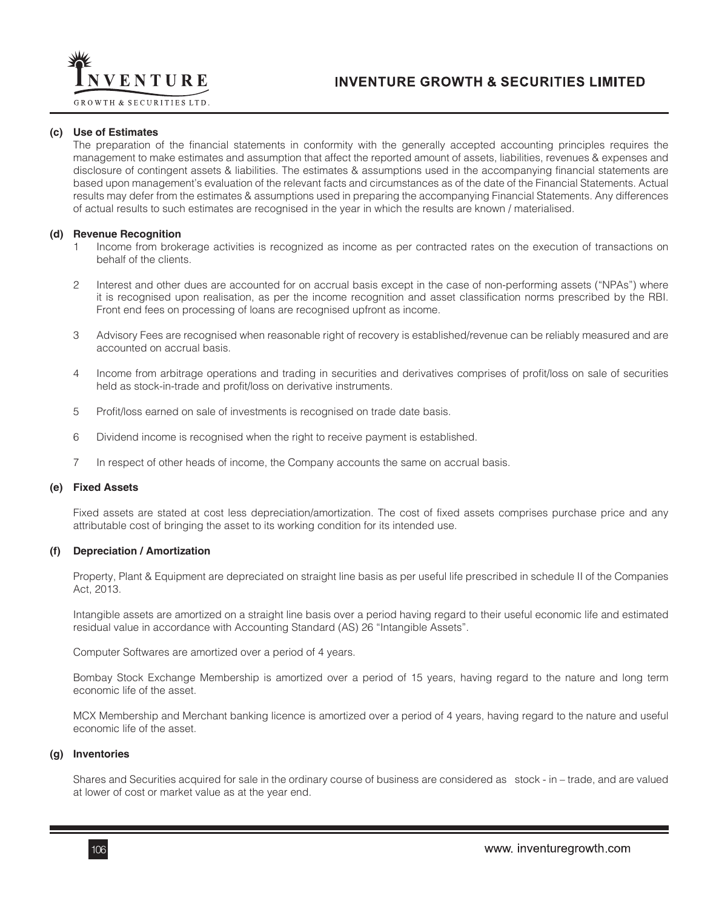

**GROWTH & SECURITIES LTD.** 

#### **(c) Use of Estimates**

The preparation of the financial statements in conformity with the generally accepted accounting principles requires the management to make estimates and assumption that affect the reported amount of assets, liabilities, revenues & expenses and disclosure of contingent assets & liabilities. The estimates & assumptions used in the accompanying financial statements are based upon management's evaluation of the relevant facts and circumstances as of the date of the Financial Statements. Actual results may defer from the estimates & assumptions used in preparing the accompanying Financial Statements. Any differences of actual results to such estimates are recognised in the year in which the results are known / materialised.

#### **(d) Revenue Recognition**

- 1 Income from brokerage activities is recognized as income as per contracted rates on the execution of transactions on behalf of the clients.
- 2 Interest and other dues are accounted for on accrual basis except in the case of non-performing assets ("NPAs") where it is recognised upon realisation, as per the income recognition and asset classification norms prescribed by the RBI. Front end fees on processing of loans are recognised upfront as income.
- 3 Advisory Fees are recognised when reasonable right of recovery is established/revenue can be reliably measured and are accounted on accrual basis.
- 4 Income from arbitrage operations and trading in securities and derivatives comprises of profit/loss on sale of securities held as stock-in-trade and profit/loss on derivative instruments.
- 5 Profit/loss earned on sale of investments is recognised on trade date basis.
- 6 Dividend income is recognised when the right to receive payment is established.
- 7 In respect of other heads of income, the Company accounts the same on accrual basis.

#### **(e) Fixed Assets**

Fixed assets are stated at cost less depreciation/amortization. The cost of fixed assets comprises purchase price and any attributable cost of bringing the asset to its working condition for its intended use.

#### **(f) Depreciation / Amortization**

Property, Plant & Equipment are depreciated on straight line basis as per useful life prescribed in schedule II of the Companies Act, 2013.

Intangible assets are amortized on a straight line basis over a period having regard to their useful economic life and estimated residual value in accordance with Accounting Standard (AS) 26 "Intangible Assets".

Computer Softwares are amortized over a period of 4 years.

Bombay Stock Exchange Membership is amortized over a period of 15 years, having regard to the nature and long term economic life of the asset.

MCX Membership and Merchant banking licence is amortized over a period of 4 years, having regard to the nature and useful economic life of the asset.

#### **(g) Inventories**

Shares and Securities acquired for sale in the ordinary course of business are considered as stock - in – trade, and are valued at lower of cost or market value as at the year end.

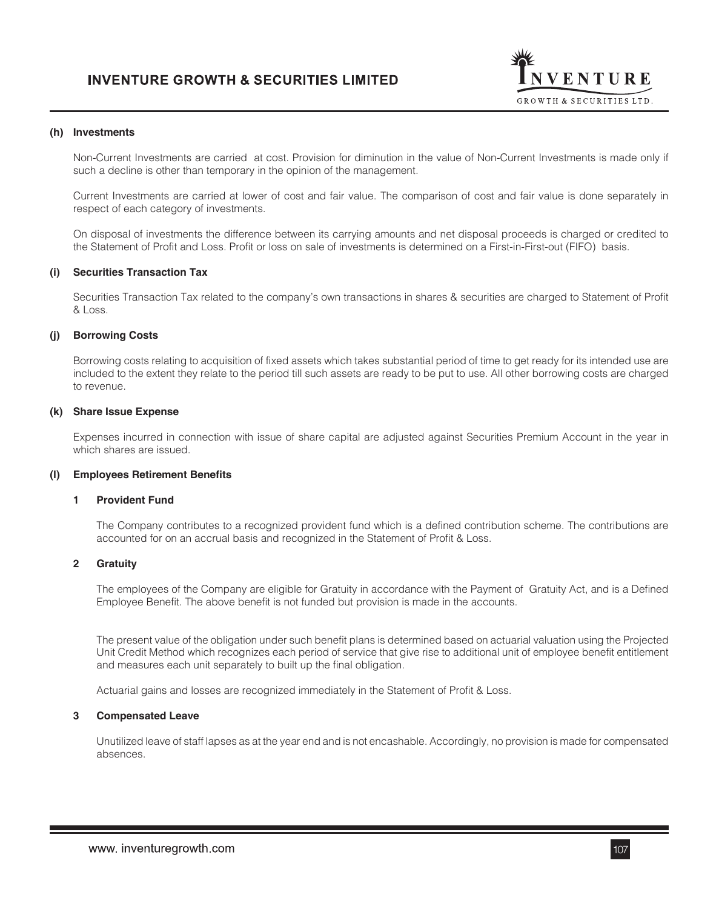

#### **(h) Investments**

Non-Current Investments are carried at cost. Provision for diminution in the value of Non-Current Investments is made only if such a decline is other than temporary in the opinion of the management.

Current Investments are carried at lower of cost and fair value. The comparison of cost and fair value is done separately in respect of each category of investments.

On disposal of investments the difference between its carrying amounts and net disposal proceeds is charged or credited to the Statement of Profit and Loss. Profit or loss on sale of investments is determined on a First-in-First-out (FIFO) basis.

#### **(i) Securities Transaction Tax**

Securities Transaction Tax related to the company's own transactions in shares & securities are charged to Statement of Profit & Loss.

### **(j) Borrowing Costs**

Borrowing costs relating to acquisition of fixed assets which takes substantial period of time to get ready for its intended use are included to the extent they relate to the period till such assets are ready to be put to use. All other borrowing costs are charged to revenue.

#### **(k) Share Issue Expense**

Expenses incurred in connection with issue of share capital are adjusted against Securities Premium Account in the year in which shares are issued.

#### **(l) Employees Retirement Benefits**

#### **1 Provident Fund**

The Company contributes to a recognized provident fund which is a defined contribution scheme. The contributions are accounted for on an accrual basis and recognized in the Statement of Profit & Loss.

#### **2 Gratuity**

The employees of the Company are eligible for Gratuity in accordance with the Payment of Gratuity Act, and is a Defined Employee Benefit. The above benefit is not funded but provision is made in the accounts.

The present value of the obligation under such benefit plans is determined based on actuarial valuation using the Projected Unit Credit Method which recognizes each period of service that give rise to additional unit of employee benefit entitlement and measures each unit separately to built up the final obligation.

Actuarial gains and losses are recognized immediately in the Statement of Profit & Loss.

#### **3 Compensated Leave**

Unutilized leave of staff lapses as at the year end and is not encashable. Accordingly, no provision is made for compensated absences.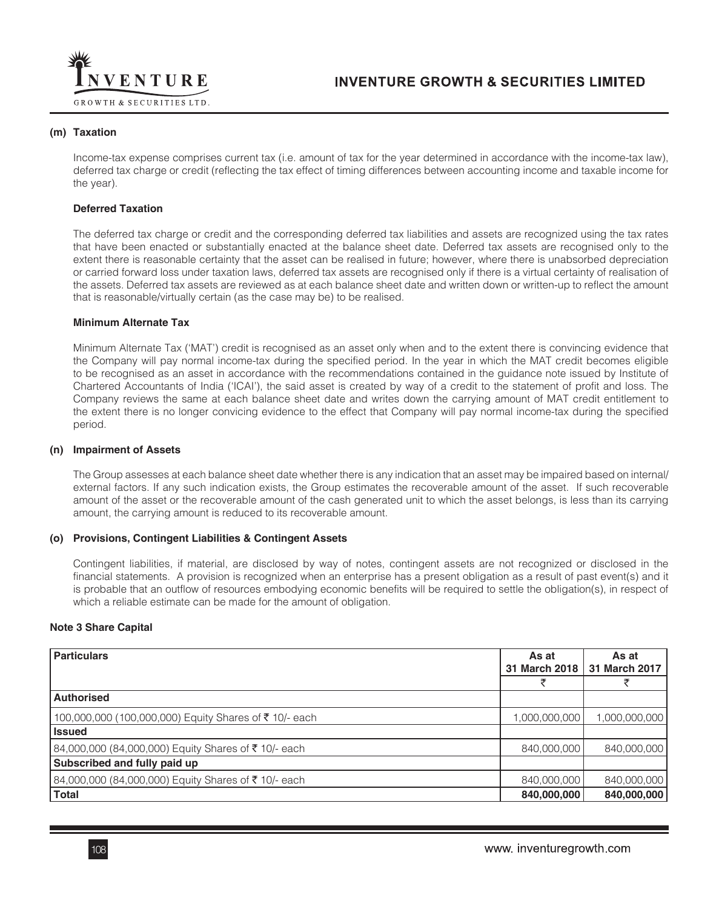

#### **(m) Taxation**

Income-tax expense comprises current tax (i.e. amount of tax for the year determined in accordance with the income-tax law), deferred tax charge or credit (reflecting the tax effect of timing differences between accounting income and taxable income for the year).

#### **Deferred Taxation**

The deferred tax charge or credit and the corresponding deferred tax liabilities and assets are recognized using the tax rates that have been enacted or substantially enacted at the balance sheet date. Deferred tax assets are recognised only to the extent there is reasonable certainty that the asset can be realised in future; however, where there is unabsorbed depreciation or carried forward loss under taxation laws, deferred tax assets are recognised only if there is a virtual certainty of realisation of the assets. Deferred tax assets are reviewed as at each balance sheet date and written down or written-up to reflect the amount that is reasonable/virtually certain (as the case may be) to be realised.

#### **Minimum Alternate Tax**

Minimum Alternate Tax ('MAT') credit is recognised as an asset only when and to the extent there is convincing evidence that the Company will pay normal income-tax during the specified period. In the year in which the MAT credit becomes eligible to be recognised as an asset in accordance with the recommendations contained in the guidance note issued by Institute of Chartered Accountants of India ('ICAI'), the said asset is created by way of a credit to the statement of profit and loss. The Company reviews the same at each balance sheet date and writes down the carrying amount of MAT credit entitlement to the extent there is no longer convicing evidence to the effect that Company will pay normal income-tax during the specified period.

#### **(n) Impairment of Assets**

The Group assesses at each balance sheet date whether there is any indication that an asset may be impaired based on internal/ external factors. If any such indication exists, the Group estimates the recoverable amount of the asset. If such recoverable amount of the asset or the recoverable amount of the cash generated unit to which the asset belongs, is less than its carrying amount, the carrying amount is reduced to its recoverable amount.

## **(o) Provisions, Contingent Liabilities & Contingent Assets**

Contingent liabilities, if material, are disclosed by way of notes, contingent assets are not recognized or disclosed in the financial statements. A provision is recognized when an enterprise has a present obligation as a result of past event(s) and it is probable that an outflow of resources embodying economic benefits will be required to settle the obligation(s), in respect of which a reliable estimate can be made for the amount of obligation.

#### **Note 3 Share Capital**

| <b>Particulars</b>                                    | As at<br>31 March 2018 | As at<br>31 March 2017 |
|-------------------------------------------------------|------------------------|------------------------|
|                                                       |                        |                        |
| <b>Authorised</b>                                     |                        |                        |
| 100,000,000 (100,000,000) Equity Shares of ₹10/- each | 1,000,000,000          | 1,000,000,000          |
| <b>Issued</b>                                         |                        |                        |
| 84,000,000 (84,000,000) Equity Shares of ₹10/- each   | 840,000,000            | 840,000,000            |
| Subscribed and fully paid up                          |                        |                        |
| 84,000,000 (84,000,000) Equity Shares of ₹10/- each   | 840,000,000            | 840,000,000            |
| <b>Total</b>                                          | 840,000,000            | 840,000,000            |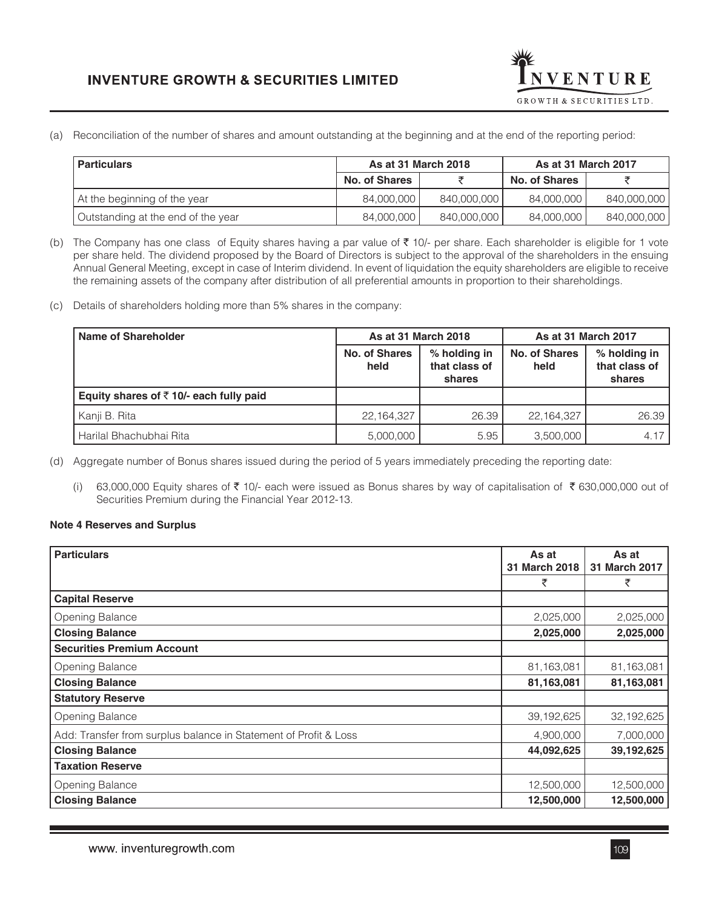

(a) Reconciliation of the number of shares and amount outstanding at the beginning and at the end of the reporting period:

| As at 31 March 2018 |  | As at 31 March 2017 |                              |
|---------------------|--|---------------------|------------------------------|
| No. of Shares       |  | No. of Shares       |                              |
| 84.000.000          |  | 84.000.000          | 840,000,000                  |
| 84.000.000          |  | 84.000.000          | 840,000,000                  |
|                     |  |                     | 840.000.000 l<br>840,000,000 |

(b) The Company has one class of Equity shares having a par value of  $\bar{\tau}$  10/- per share. Each shareholder is eligible for 1 vote per share held. The dividend proposed by the Board of Directors is subject to the approval of the shareholders in the ensuing Annual General Meeting, except in case of Interim dividend. In event of liquidation the equity shareholders are eligible to receive the remaining assets of the company after distribution of all preferential amounts in proportion to their shareholdings.

(c) Details of shareholders holding more than 5% shares in the company:

| Name of Shareholder                                | As at 31 March 2018   |                                         | As at 31 March 2017          |                                         |
|----------------------------------------------------|-----------------------|-----------------------------------------|------------------------------|-----------------------------------------|
|                                                    | No. of Shares<br>held | % holding in<br>that class of<br>shares | <b>No. of Shares</b><br>held | % holding in<br>that class of<br>shares |
| Equity shares of $\bar{\tau}$ 10/- each fully paid |                       |                                         |                              |                                         |
| Kanji B. Rita                                      | 22, 164, 327          | 26.39                                   | 22,164,327                   | 26.39                                   |
| Harilal Bhachubhai Rita                            | 5,000,000             | 5.95                                    | 3,500,000                    | 4.17                                    |
|                                                    |                       |                                         |                              |                                         |

(d) Aggregate number of Bonus shares issued during the period of 5 years immediately preceding the reporting date:

(i) 63,000,000 Equity shares of  $\bar{\tau}$  10/- each were issued as Bonus shares by way of capitalisation of  $\bar{\tau}$  630,000,000 out of Securities Premium during the Financial Year 2012-13.

### **Note 4 Reserves and Surplus**

| <b>Particulars</b>                                               | As at<br>31 March 2018 | As at<br>31 March 2017 |
|------------------------------------------------------------------|------------------------|------------------------|
|                                                                  | ₹                      | ₹                      |
| <b>Capital Reserve</b>                                           |                        |                        |
| Opening Balance                                                  | 2,025,000              | 2,025,000              |
| <b>Closing Balance</b>                                           | 2,025,000              | 2,025,000              |
| <b>Securities Premium Account</b>                                |                        |                        |
| Opening Balance                                                  | 81,163,081             | 81,163,081             |
| <b>Closing Balance</b>                                           | 81,163,081             | 81,163,081             |
| <b>Statutory Reserve</b>                                         |                        |                        |
| Opening Balance                                                  | 39, 192, 625           | 32,192,625             |
| Add: Transfer from surplus balance in Statement of Profit & Loss | 4,900,000              | 7,000,000              |
| <b>Closing Balance</b>                                           | 44,092,625             | 39,192,625             |
| <b>Taxation Reserve</b>                                          |                        |                        |
| Opening Balance                                                  | 12,500,000             | 12,500,000             |
| <b>Closing Balance</b>                                           | 12,500,000             | 12,500,000             |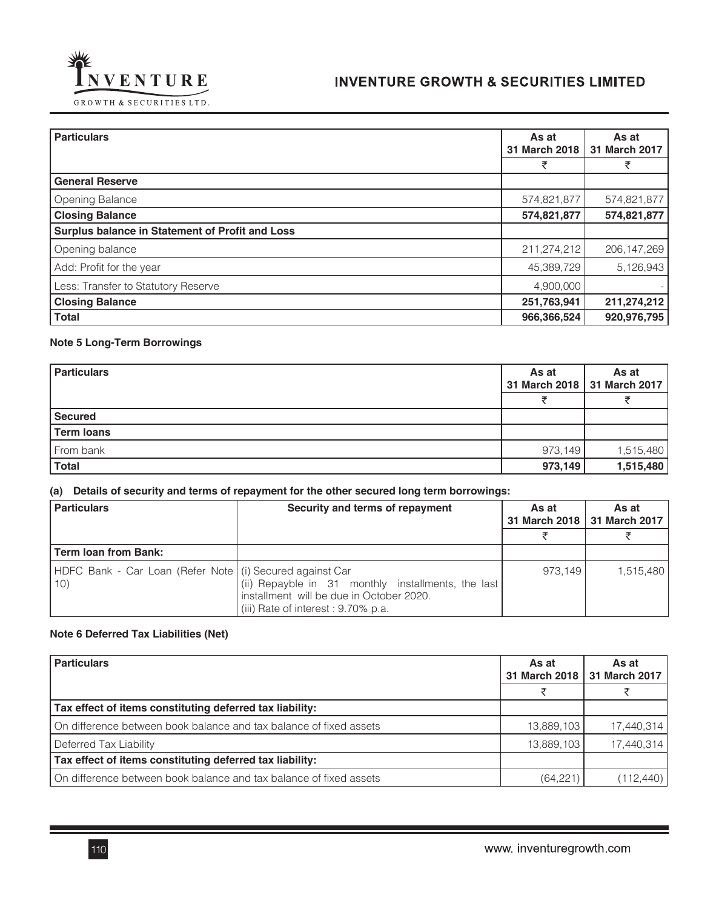

| <b>Particulars</b>                              | As at<br>31 March 2018 | As at<br>31 March 2017 |  |
|-------------------------------------------------|------------------------|------------------------|--|
|                                                 | ₹                      | ₹                      |  |
| <b>General Reserve</b>                          |                        |                        |  |
| <b>Opening Balance</b>                          | 574,821,877            | 574,821,877            |  |
| <b>Closing Balance</b>                          | 574,821,877            | 574,821,877            |  |
| Surplus balance in Statement of Profit and Loss |                        |                        |  |
| Opening balance                                 | 211,274,212            | 206, 147, 269          |  |
| Add: Profit for the year                        | 45,389,729             | 5,126,943              |  |
| Less: Transfer to Statutory Reserve             | 4,900,000              |                        |  |
| <b>Closing Balance</b>                          | 251,763,941            | 211,274,212            |  |
| <b>Total</b>                                    | 966,366,524            | 920,976,795            |  |

## **Note 5 Long-Term Borrowings**

| <b>Particulars</b> | As at   | As at<br>31 March 2018   31 March 2017 |
|--------------------|---------|----------------------------------------|
|                    |         |                                        |
| <b>Secured</b>     |         |                                        |
| <b>Term loans</b>  |         |                                        |
| From bank          | 973,149 | 1,515,480                              |
| <b>Total</b>       | 973,149 | 1,515,480                              |
|                    |         |                                        |

## **(a) Details of security and terms of repayment for the other secured long term borrowings:**

| <b>Particulars</b>                                                | Security and terms of repayment                                                                                                       | As at   | As at<br>31 March 2018   31 March 2017 |
|-------------------------------------------------------------------|---------------------------------------------------------------------------------------------------------------------------------------|---------|----------------------------------------|
|                                                                   |                                                                                                                                       |         |                                        |
| <b>Term loan from Bank:</b>                                       |                                                                                                                                       |         |                                        |
| HDFC Bank - Car Loan (Refer Note   (i) Secured against Car<br>10) | (ii) Repayble in 31 monthly installments, the last<br>installment will be due in October 2020.<br>(iii) Rate of interest : 9.70% p.a. | 973.149 | 1,515,480                              |

## **Note 6 Deferred Tax Liabilities (Net)**

| <b>Particulars</b>                                                 | As at<br>31 March 2018 | As at<br>31 March 2017 |
|--------------------------------------------------------------------|------------------------|------------------------|
|                                                                    |                        |                        |
| Tax effect of items constituting deferred tax liability:           |                        |                        |
| On difference between book balance and tax balance of fixed assets | 13,889,103             | 17,440,314             |
| Deferred Tax Liability                                             | 13,889,103             | 17,440,314             |
| Tax effect of items constituting deferred tax liability:           |                        |                        |
| On difference between book balance and tax balance of fixed assets | (64, 221)              | (112, 440)             |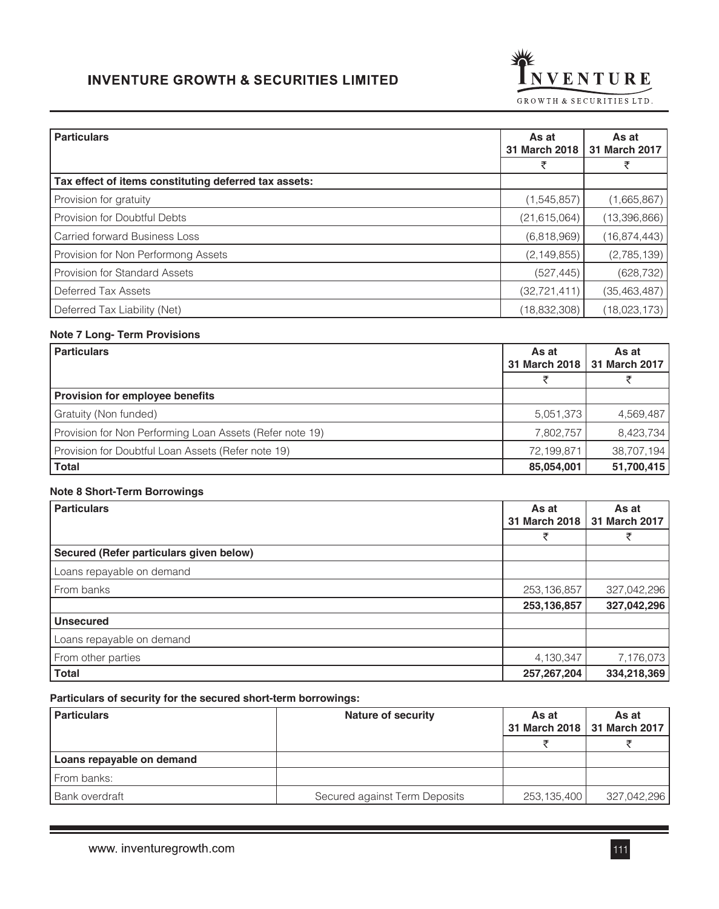

| <b>Particulars</b>                                    | As at<br>31 March 2018 | As at<br>31 March 2017 |
|-------------------------------------------------------|------------------------|------------------------|
|                                                       |                        |                        |
| Tax effect of items constituting deferred tax assets: |                        |                        |
| Provision for gratuity                                | (1,545,857)            | (1,665,867)            |
| Provision for Doubtful Debts                          | (21, 615, 064)         | (13,396,866)           |
| <b>Carried forward Business Loss</b>                  | (6,818,969)            | (16,874,443)           |
| Provision for Non Performong Assets                   | (2, 149, 855)          | (2,785,139)            |
| <b>Provision for Standard Assets</b>                  | (527, 445)             | (628, 732)             |
| Deferred Tax Assets                                   | (32, 721, 411)         | (35, 463, 487)         |
| Deferred Tax Liability (Net)                          | (18, 832, 308)         | (18,023,173)           |

#### Ī **Note 7 Long- Term Provisions**

| <b>Particulars</b>                                       | As at<br>31 March 2018 | As at<br>31 March 2017 |
|----------------------------------------------------------|------------------------|------------------------|
|                                                          |                        |                        |
| <b>Provision for employee benefits</b>                   |                        |                        |
| Gratuity (Non funded)                                    | 5,051,373              | 4,569,487              |
| Provision for Non Performing Loan Assets (Refer note 19) | 7,802,757              | 8,423,734              |
| Provision for Doubtful Loan Assets (Refer note 19)       | 72,199,871             | 38,707,194             |
| <b>Total</b>                                             | 85,054,001             | 51,700,415             |

### **Note 8 Short-Term Borrowings**

| <b>Particulars</b>                      | As at<br>31 March 2018 | As at<br>31 March 2017 |
|-----------------------------------------|------------------------|------------------------|
|                                         | ₹                      | ₹                      |
| Secured (Refer particulars given below) |                        |                        |
| Loans repayable on demand               |                        |                        |
| From banks                              | 253, 136, 857          | 327,042,296            |
|                                         | 253,136,857            | 327,042,296            |
| <b>Unsecured</b>                        |                        |                        |
| Loans repayable on demand               |                        |                        |
| From other parties                      | 4,130,347              | 7,176,073              |
| <b>Total</b>                            | 257,267,204            | 334,218,369            |

#### **Particulars of security for the secured short-term borrowings:**

| <b>Particulars</b>        | Nature of security            | As at       | As at<br>31 March 2018   31 March 2017 |
|---------------------------|-------------------------------|-------------|----------------------------------------|
|                           |                               |             |                                        |
| Loans repayable on demand |                               |             |                                        |
| From banks:               |                               |             |                                        |
| Bank overdraft            | Secured against Term Deposits | 253,135,400 | 327,042,296                            |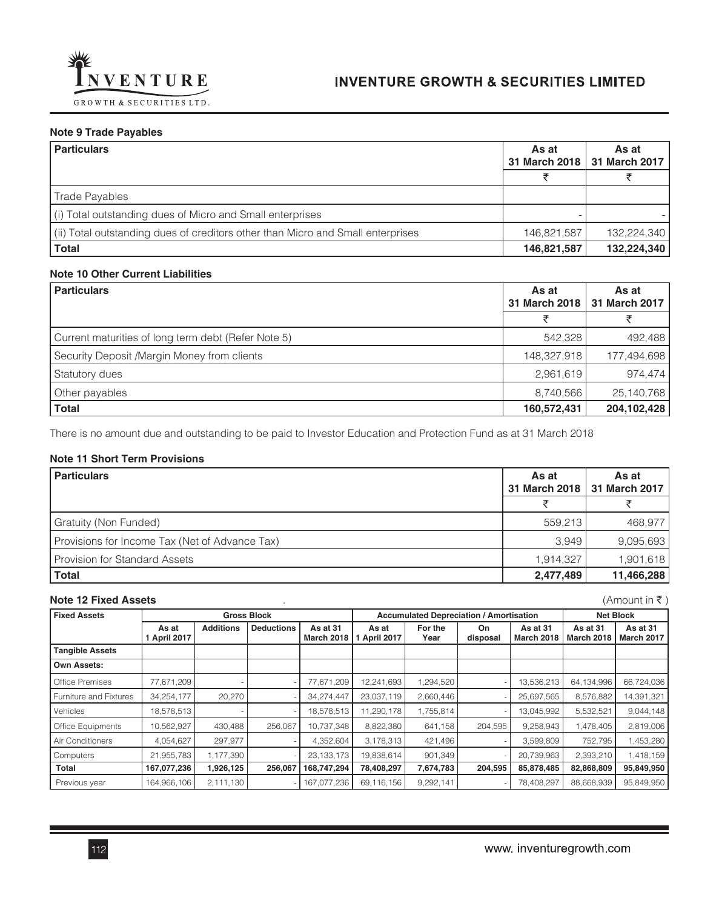

## **Note 9 Trade Payables**

| <b>Particulars</b>                                                              | As at       | As at<br>31 March 2018   31 March 2017 |
|---------------------------------------------------------------------------------|-------------|----------------------------------------|
|                                                                                 |             |                                        |
| <b>Trade Payables</b>                                                           |             |                                        |
| (i) Total outstanding dues of Micro and Small enterprises                       |             |                                        |
| (ii) Total outstanding dues of creditors other than Micro and Small enterprises | 146.821.587 | 132,224,340                            |
| <b>Total</b>                                                                    | 146,821,587 | 132,224,340                            |

#### **Note 10 Other Current Liabilities**

| <b>Particulars</b>                                  | As at       | As at<br>31 March 2018   31 March 2017 |
|-----------------------------------------------------|-------------|----------------------------------------|
|                                                     | チ           |                                        |
| Current maturities of long term debt (Refer Note 5) | 542,328     | 492,488                                |
| Security Deposit /Margin Money from clients         | 148,327,918 | 177,494,698                            |
| <b>Statutory dues</b>                               | 2,961,619   | 974,474                                |
| Other payables                                      | 8,740,566   | 25, 140, 768                           |
| <b>Total</b>                                        | 160,572,431 | 204,102,428                            |

There is no amount due and outstanding to be paid to Investor Education and Protection Fund as at 31 March 2018

### **Note 11 Short Term Provisions**

| <b>Particulars</b>                             | As at<br>31 March 2018 | As at<br>31 March 2017 |
|------------------------------------------------|------------------------|------------------------|
|                                                |                        |                        |
| Gratuity (Non Funded)                          | 559,213                | 468,977                |
| Provisions for Income Tax (Net of Advance Tax) | 3.949                  | 9,095,693              |
| <b>Provision for Standard Assets</b>           | 1,914,327              | 1,901,618              |
| <b>Total</b>                                   | 2,477,489              | 11,466,288             |
|                                                |                        |                        |

#### **Note 12 Fixed Assets** . (Amount in ₹ )

| <b>Fixed Assets</b>      | <b>Gross Block</b><br><b>Accumulated Depreciation / Amortisation</b> |                  |                   |                        |                     | <b>Net Block</b> |                |                               |                               |                               |
|--------------------------|----------------------------------------------------------------------|------------------|-------------------|------------------------|---------------------|------------------|----------------|-------------------------------|-------------------------------|-------------------------------|
|                          | As at<br>1 April 2017                                                | <b>Additions</b> | <b>Deductions</b> | As at 31<br>March 2018 | As at<br>April 2017 | For the<br>Year  | On<br>disposal | As at 31<br><b>March 2018</b> | As at 31<br><b>March 2018</b> | As at 31<br><b>March 2017</b> |
| <b>Tangible Assets</b>   |                                                                      |                  |                   |                        |                     |                  |                |                               |                               |                               |
| Own Assets:              |                                                                      |                  |                   |                        |                     |                  |                |                               |                               |                               |
| <b>Office Premises</b>   | 77,671,209                                                           |                  |                   | 77,671,209             | 12,241,693          | 1,294,520        |                | 13,536,213                    | 64,134,996                    | 66,724,036                    |
| Furniture and Fixtures   | 34,254,177                                                           | 20,270           |                   | 34,274,447             | 23,037,119          | 2,660,446        |                | 25,697,565                    | 8,576,882                     | 14,391,321                    |
| Vehicles                 | 18,578,513                                                           |                  |                   | 18,578,513             | 11,290,178          | 1,755,814        |                | 13,045,992                    | 5,532,521                     | 9,044,148                     |
| <b>Office Equipments</b> | 10,562,927                                                           | 430,488          | 256,067           | 10,737,348             | 8,822,380           | 641,158          | 204,595        | 9,258,943                     | 1,478,405                     | 2,819,006                     |
| Air Conditioners         | 4,054,627                                                            | 297,977          |                   | 4,352,604              | 3,178,313           | 421,496          |                | 3,599,809                     | 752,795                       | 1,453,280                     |
| Computers                | 21,955,783                                                           | 1,177,390        |                   | 23, 133, 173           | 19,838,614          | 901,349          |                | 20,739,963                    | 2,393,210                     | 1,418,159                     |
| Total                    | 167,077,236                                                          | 1,926,125        | 256,067           | 168,747,294            | 78,408,297          | 7,674,783        | 204,595        | 85,878,485                    | 82,868,809                    | 95,849,950                    |
| Previous year            | 164,966,106                                                          | 2,111,130        |                   | 167,077,236            | 69,116,156          | 9,292,141        |                | 78,408,297                    | 88,668,939                    | 95,849,950                    |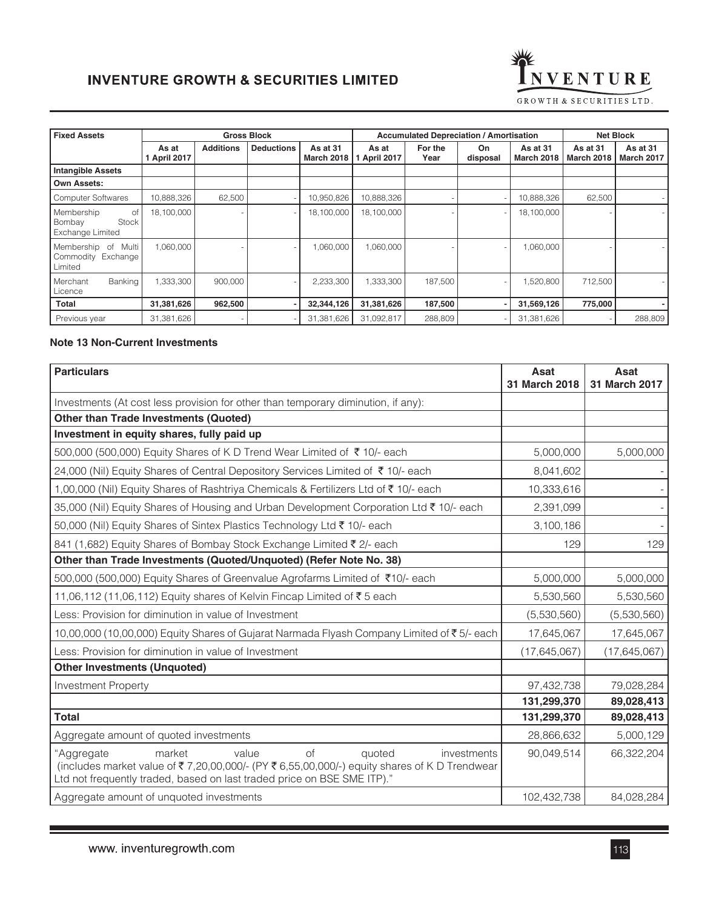

| <b>Fixed Assets</b>                                                   | <b>Gross Block</b>    |                  |                   |                               | <b>Accumulated Depreciation / Amortisation</b><br><b>Net Block</b> |                 |                |                               |                               |                               |
|-----------------------------------------------------------------------|-----------------------|------------------|-------------------|-------------------------------|--------------------------------------------------------------------|-----------------|----------------|-------------------------------|-------------------------------|-------------------------------|
|                                                                       | As at<br>1 April 2017 | <b>Additions</b> | <b>Deductions</b> | As at 31<br><b>March 2018</b> | As at<br>April 2017                                                | For the<br>Year | On<br>disposal | As at 31<br><b>March 2018</b> | As at 31<br><b>March 2018</b> | As at 31<br><b>March 2017</b> |
| <b>Intangible Assets</b>                                              |                       |                  |                   |                               |                                                                    |                 |                |                               |                               |                               |
| <b>Own Assets:</b>                                                    |                       |                  |                   |                               |                                                                    |                 |                |                               |                               |                               |
| <b>Computer Softwares</b>                                             | 10.888.326            | 62,500           |                   | 10,950,826                    | 10,888,326                                                         |                 |                | 10,888,326                    | 62,500                        |                               |
| Membership<br>οf<br><b>Stock</b><br>Bombay<br><b>Exchange Limited</b> | 18,100,000            |                  |                   | 18,100,000                    | 18,100,000                                                         |                 |                | 18,100,000                    |                               |                               |
| Membership of<br>Multi<br>Commodity Exchange<br>Limited               | 1.060.000             |                  |                   | 1,060,000                     | 1,060,000                                                          |                 |                | 1,060,000                     |                               |                               |
| Banking<br>Merchant<br>Licence                                        | 1,333,300             | 900,000          |                   | 2,233,300                     | 1,333,300                                                          | 187,500         |                | 1,520,800                     | 712,500                       |                               |
| Total                                                                 | 31,381,626            | 962,500          |                   | 32,344,126                    | 31,381,626                                                         | 187,500         |                | 31,569,126                    | 775,000                       |                               |
| Previous year                                                         | 31,381,626            |                  |                   | 31,381,626                    | 31,092,817                                                         | 288,809         |                | 31,381,626                    |                               | 288,809                       |

## **Note 13 Non-Current Investments**

| <b>Particulars</b>                                                                                                                                                                                                                     | Asat<br>31 March 2018 | Asat<br>31 March 2017 |
|----------------------------------------------------------------------------------------------------------------------------------------------------------------------------------------------------------------------------------------|-----------------------|-----------------------|
| Investments (At cost less provision for other than temporary diminution, if any):                                                                                                                                                      |                       |                       |
| <b>Other than Trade Investments (Quoted)</b>                                                                                                                                                                                           |                       |                       |
| Investment in equity shares, fully paid up                                                                                                                                                                                             |                       |                       |
| 500,000 (500,000) Equity Shares of K D Trend Wear Limited of ₹10/- each                                                                                                                                                                | 5,000,000             | 5,000,000             |
| 24,000 (Nil) Equity Shares of Central Depository Services Limited of ₹10/- each                                                                                                                                                        | 8,041,602             |                       |
| 1,00,000 (Nil) Equity Shares of Rashtriya Chemicals & Fertilizers Ltd of ₹10/- each                                                                                                                                                    | 10,333,616            |                       |
| 35,000 (Nil) Equity Shares of Housing and Urban Development Corporation Ltd ₹ 10/- each                                                                                                                                                | 2,391,099             |                       |
| 50,000 (Nil) Equity Shares of Sintex Plastics Technology Ltd ₹ 10/- each                                                                                                                                                               | 3,100,186             |                       |
| 841 (1,682) Equity Shares of Bombay Stock Exchange Limited ₹ 2/- each                                                                                                                                                                  | 129                   | 129                   |
| Other than Trade Investments (Quoted/Unquoted) (Refer Note No. 38)                                                                                                                                                                     |                       |                       |
| 500,000 (500,000) Equity Shares of Greenvalue Agrofarms Limited of ₹10/- each                                                                                                                                                          | 5,000,000             | 5,000,000             |
| 11,06,112 (11,06,112) Equity shares of Kelvin Fincap Limited of ₹5 each                                                                                                                                                                | 5,530,560             | 5,530,560             |
| Less: Provision for diminution in value of Investment                                                                                                                                                                                  | (5,530,560)           | (5,530,560)           |
| 10,00,000 (10,00,000) Equity Shares of Gujarat Narmada Flyash Company Limited of ₹5/- each                                                                                                                                             | 17,645,067            | 17,645,067            |
| Less: Provision for diminution in value of Investment                                                                                                                                                                                  | (17, 645, 067)        | (17, 645, 067)        |
| <b>Other Investments (Unquoted)</b>                                                                                                                                                                                                    |                       |                       |
| <b>Investment Property</b>                                                                                                                                                                                                             | 97,432,738            | 79,028,284            |
|                                                                                                                                                                                                                                        | 131,299,370           | 89,028,413            |
| <b>Total</b>                                                                                                                                                                                                                           | 131,299,370           | 89,028,413            |
| Aggregate amount of quoted investments                                                                                                                                                                                                 | 28,866,632            | 5,000,129             |
| market<br>of<br>value<br>quoted<br>"Aggregate<br>investments<br>(includes market value of ₹7,20,00,000/- (PY ₹6,55,00,000/-) equity shares of K D Trendwear<br>Ltd not frequently traded, based on last traded price on BSE SME ITP)." | 90,049,514            | 66,322,204            |
| Aggregate amount of unquoted investments                                                                                                                                                                                               | 102,432,738           | 84,028,284            |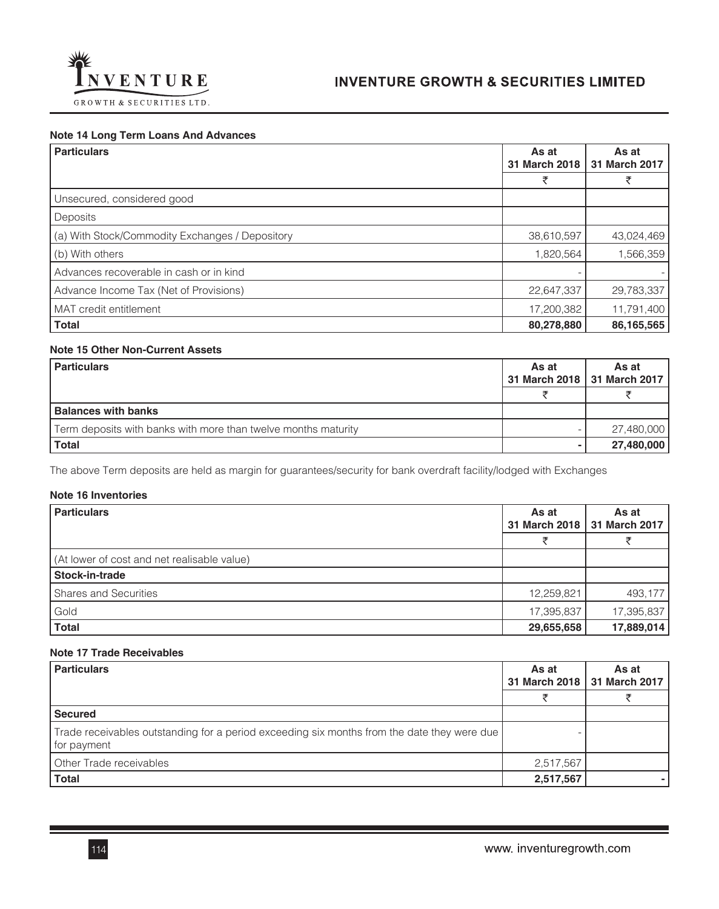

#### **Note 14 Long Term Loans And Advances**

| <b>Particulars</b>                              | As at<br>31 March 2018 | As at<br>31 March 2017 |
|-------------------------------------------------|------------------------|------------------------|
|                                                 | ₹                      | ₹                      |
| Unsecured, considered good                      |                        |                        |
| Deposits                                        |                        |                        |
| (a) With Stock/Commodity Exchanges / Depository | 38,610,597             | 43,024,469             |
| (b) With others                                 | 1,820,564              | 1,566,359              |
| Advances recoverable in cash or in kind         |                        |                        |
| Advance Income Tax (Net of Provisions)          | 22,647,337             | 29,783,337             |
| MAT credit entitlement                          | 17,200,382             | 11,791,400             |
| <b>Total</b>                                    | 80,278,880             | 86,165,565             |

## **Note 15 Other Non-Current Assets**

| <b>Particulars</b>                                             | As at | As at<br>31 March 2018   31 March 2017 |
|----------------------------------------------------------------|-------|----------------------------------------|
|                                                                |       |                                        |
| <b>Balances with banks</b>                                     |       |                                        |
| Term deposits with banks with more than twelve months maturity |       | 27,480,000                             |
| <b>Total</b>                                                   |       | 27,480,000                             |

The above Term deposits are held as margin for guarantees/security for bank overdraft facility/lodged with Exchanges

# **Note 16 Inventories**

| <b>Particulars</b>                          | As at      | As at<br>31 March 2018   31 March 2017 |
|---------------------------------------------|------------|----------------------------------------|
|                                             |            |                                        |
| (At lower of cost and net realisable value) |            |                                        |
| Stock-in-trade                              |            |                                        |
| <b>Shares and Securities</b>                | 12,259,821 | 493,177                                |
| Gold                                        | 17,395,837 | 17,395,837                             |
| <b>Total</b>                                | 29,655,658 | 17,889,014                             |

# **Note 17 Trade Receivables**

| <b>Particulars</b>                                                                                         | As at     | As at<br>31 March 2018   31 March 2017 |
|------------------------------------------------------------------------------------------------------------|-----------|----------------------------------------|
|                                                                                                            |           |                                        |
| <b>Secured</b>                                                                                             |           |                                        |
| Trade receivables outstanding for a period exceeding six months from the date they were due<br>for payment |           |                                        |
| Other Trade receivables                                                                                    | 2,517,567 |                                        |
| <b>Total</b>                                                                                               | 2,517,567 |                                        |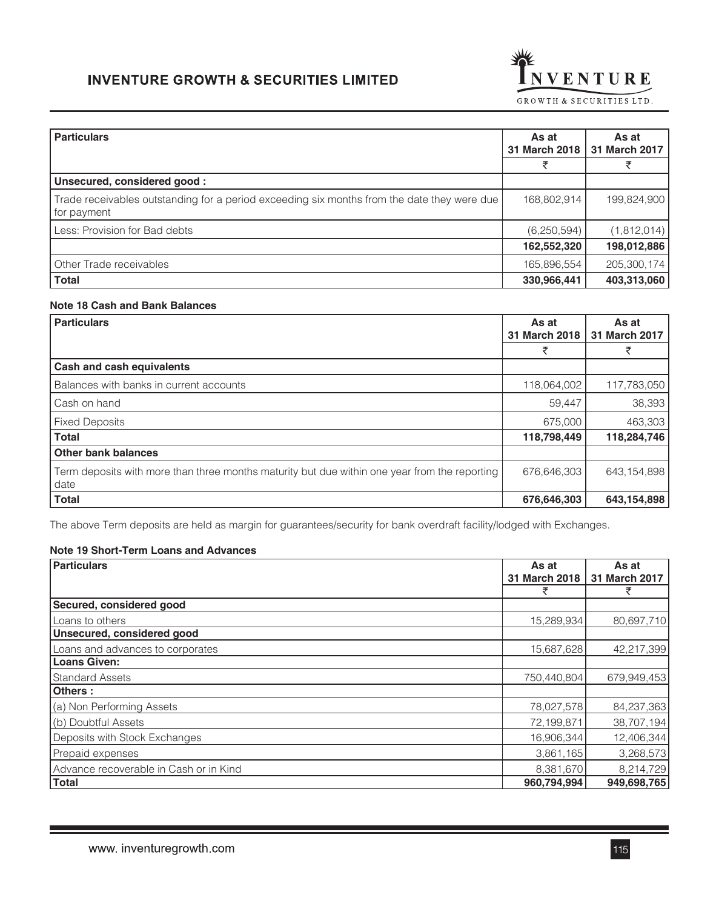

| <b>Particulars</b>                                                                                         | As at<br>31 March 2018 | As at<br>31 March 2017 |
|------------------------------------------------------------------------------------------------------------|------------------------|------------------------|
|                                                                                                            |                        |                        |
| Unsecured, considered good:                                                                                |                        |                        |
| Trade receivables outstanding for a period exceeding six months from the date they were due<br>for payment | 168,802,914            | 199,824,900            |
| Less: Provision for Bad debts                                                                              | (6, 250, 594)          | (1,812,014)            |
|                                                                                                            | 162,552,320            | 198,012,886            |
| Other Trade receivables                                                                                    | 165,896,554            | 205,300,174            |
| <b>Total</b>                                                                                               | 330,966,441            | 403,313,060            |

# **Note 18 Cash and Bank Balances**

| <b>Particulars</b>                                                                                    | As at<br>31 March 2018 | As at<br>31 March 2017 |
|-------------------------------------------------------------------------------------------------------|------------------------|------------------------|
|                                                                                                       | ₹                      | ₹                      |
| Cash and cash equivalents                                                                             |                        |                        |
| Balances with banks in current accounts                                                               | 118,064,002            | 117,783,050            |
| Cash on hand                                                                                          | 59,447                 | 38,393                 |
| <b>Fixed Deposits</b>                                                                                 | 675,000                | 463,303                |
| <b>Total</b>                                                                                          | 118,798,449            | 118,284,746            |
| <b>Other bank balances</b>                                                                            |                        |                        |
| Term deposits with more than three months maturity but due within one year from the reporting<br>date | 676,646,303            | 643, 154, 898          |
| <b>Total</b>                                                                                          | 676,646,303            | 643,154,898            |

The above Term deposits are held as margin for guarantees/security for bank overdraft facility/lodged with Exchanges.

## **Note 19 Short-Term Loans and Advances**

| <b>Particulars</b>                     | As at         | As at         |
|----------------------------------------|---------------|---------------|
|                                        | 31 March 2018 | 31 March 2017 |
|                                        | ₹             | ₹             |
| Secured, considered good               |               |               |
| Loans to others                        | 15,289,934    | 80,697,710    |
| Unsecured, considered good             |               |               |
| Loans and advances to corporates       | 15,687,628    | 42,217,399    |
| <b>Loans Given:</b>                    |               |               |
| <b>Standard Assets</b>                 | 750,440,804   | 679,949,453   |
| Others:                                |               |               |
| (a) Non Performing Assets              | 78,027,578    | 84,237,363    |
| (b) Doubtful Assets                    | 72,199,871    | 38,707,194    |
| Deposits with Stock Exchanges          | 16,906,344    | 12,406,344    |
| Prepaid expenses                       | 3,861,165     | 3,268,573     |
| Advance recoverable in Cash or in Kind | 8,381,670     | 8,214,729     |
| <b>Total</b>                           | 960,794,994   | 949,698,765   |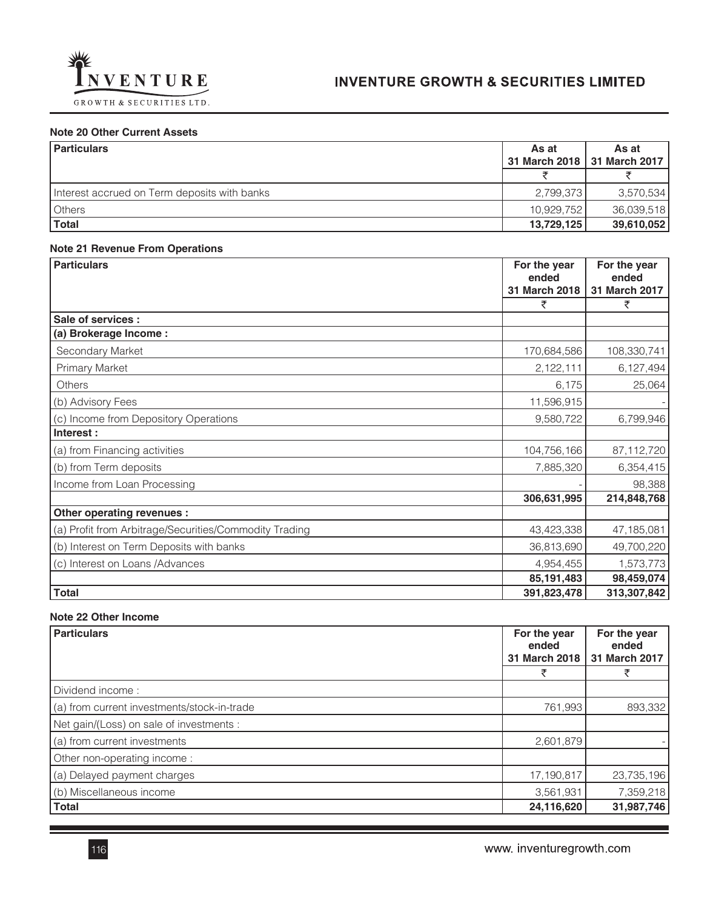

## **Note 20 Other Current Assets**

| <b>Particulars</b>                           | As at      | As at                         |
|----------------------------------------------|------------|-------------------------------|
|                                              |            | 31 March 2018   31 March 2017 |
|                                              |            |                               |
| Interest accrued on Term deposits with banks | 2,799,373  | 3,570,534                     |
| Others                                       | 10.929.752 | 36,039,518                    |
| Total                                        | 13,729,125 | 39,610,052                    |

### **Note 21 Revenue From Operations**

| <b>Particulars</b>                                     | For the year<br>ended | For the year<br>ended |
|--------------------------------------------------------|-----------------------|-----------------------|
|                                                        | 31 March 2018         | 31 March 2017         |
|                                                        | ₹                     | ₹                     |
| Sale of services :                                     |                       |                       |
| (a) Brokerage Income :                                 |                       |                       |
| Secondary Market                                       | 170,684,586           | 108,330,741           |
| <b>Primary Market</b>                                  | 2,122,111             | 6,127,494             |
| Others                                                 | 6,175                 | 25,064                |
| (b) Advisory Fees                                      | 11,596,915            |                       |
| (c) Income from Depository Operations                  | 9,580,722             | 6,799,946             |
| Interest:                                              |                       |                       |
| (a) from Financing activities                          | 104,756,166           | 87,112,720            |
| (b) from Term deposits                                 | 7,885,320             | 6,354,415             |
| Income from Loan Processing                            |                       | 98,388                |
|                                                        | 306,631,995           | 214,848,768           |
| Other operating revenues :                             |                       |                       |
| (a) Profit from Arbitrage/Securities/Commodity Trading | 43,423,338            | 47,185,081            |
| (b) Interest on Term Deposits with banks               | 36,813,690            | 49,700,220            |
| (c) Interest on Loans /Advances                        | 4,954,455             | 1,573,773             |
|                                                        | 85,191,483            | 98,459,074            |
| <b>Total</b>                                           | 391,823,478           | 313,307,842           |

# **Note 22 Other Income**

| <b>Particulars</b>                          | For the year<br>ended<br>31 March 2018 | For the year<br>ended<br>31 March 2017 |
|---------------------------------------------|----------------------------------------|----------------------------------------|
|                                             | ₹                                      | ₹                                      |
| Dividend income:                            |                                        |                                        |
| (a) from current investments/stock-in-trade | 761,993                                | 893,332                                |
| Net gain/(Loss) on sale of investments :    |                                        |                                        |
| (a) from current investments                | 2,601,879                              |                                        |
| Other non-operating income:                 |                                        |                                        |
| (a) Delayed payment charges                 | 17,190,817                             | 23,735,196                             |
| (b) Miscellaneous income                    | 3,561,931                              | 7,359,218                              |
| <b>Total</b>                                | 24,116,620                             | 31,987,746                             |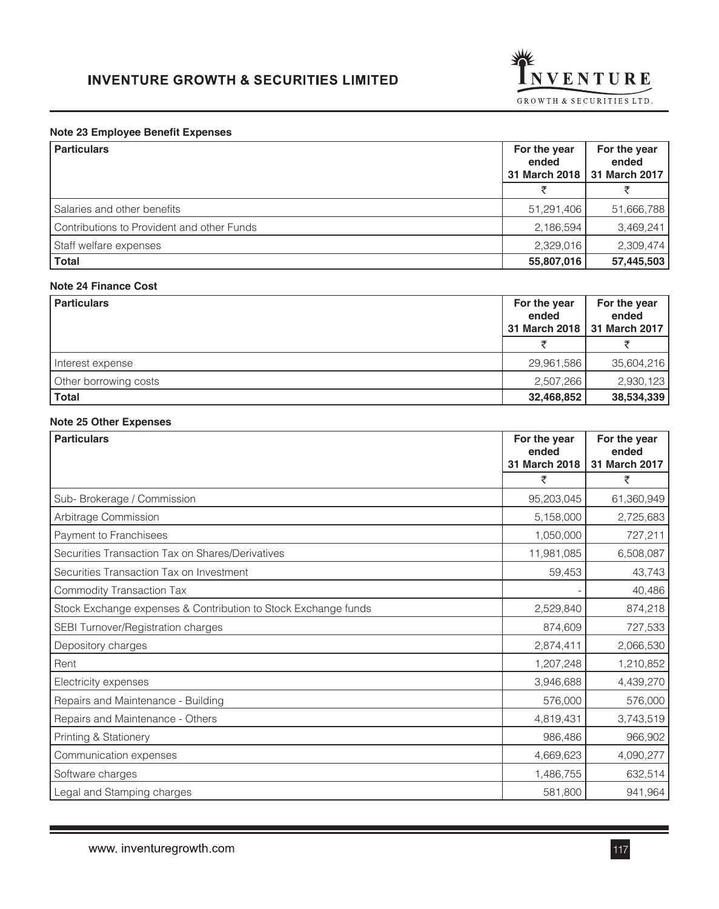

## **Note 23 Employee Benefit Expenses**

| <b>Particulars</b>                         | For the year<br>ended | For the year<br>ended<br>31 March 2018   31 March 2017 |
|--------------------------------------------|-----------------------|--------------------------------------------------------|
|                                            |                       |                                                        |
| Salaries and other benefits                | 51,291,406            | 51,666,788                                             |
| Contributions to Provident and other Funds | 2,186,594             | 3,469,241                                              |
| Staff welfare expenses                     | 2,329,016             | 2,309,474                                              |
| <b>Total</b>                               | 55,807,016            | 57,445,503                                             |

## **Note 24 Finance Cost**

| <b>Particulars</b>    | For the year<br>ended<br>31 March 2018 | For the year<br>ended<br>31 March 2017 |
|-----------------------|----------------------------------------|----------------------------------------|
|                       |                                        |                                        |
| Interest expense      | 29,961,586                             | 35,604,216                             |
| Other borrowing costs | 2,507,266                              | 2,930,123                              |
| <b>Total</b>          | 32,468,852                             | 38,534,339                             |

### **Note 25 Other Expenses**

| <b>Particulars</b>                                             | For the year<br>ended<br>31 March 2018 | For the year<br>ended<br>31 March 2017 |
|----------------------------------------------------------------|----------------------------------------|----------------------------------------|
|                                                                | ₹                                      | ₹                                      |
| Sub-Brokerage / Commission                                     | 95,203,045                             | 61,360,949                             |
| Arbitrage Commission                                           | 5,158,000                              | 2,725,683                              |
| Payment to Franchisees                                         | 1,050,000                              | 727,211                                |
| Securities Transaction Tax on Shares/Derivatives               | 11,981,085                             | 6,508,087                              |
| Securities Transaction Tax on Investment                       | 59,453                                 | 43,743                                 |
| <b>Commodity Transaction Tax</b>                               |                                        | 40,486                                 |
| Stock Exchange expenses & Contribution to Stock Exchange funds | 2,529,840                              | 874,218                                |
| SEBI Turnover/Registration charges                             | 874,609                                | 727,533                                |
| Depository charges                                             | 2,874,411                              | 2,066,530                              |
| Rent                                                           | 1,207,248                              | 1,210,852                              |
| Electricity expenses                                           | 3,946,688                              | 4,439,270                              |
| Repairs and Maintenance - Building                             | 576,000                                | 576,000                                |
| Repairs and Maintenance - Others                               | 4,819,431                              | 3,743,519                              |
| Printing & Stationery                                          | 986,486                                | 966,902                                |
| Communication expenses                                         | 4,669,623                              | 4,090,277                              |
| Software charges                                               | 1,486,755                              | 632,514                                |
| Legal and Stamping charges                                     | 581,800                                | 941,964                                |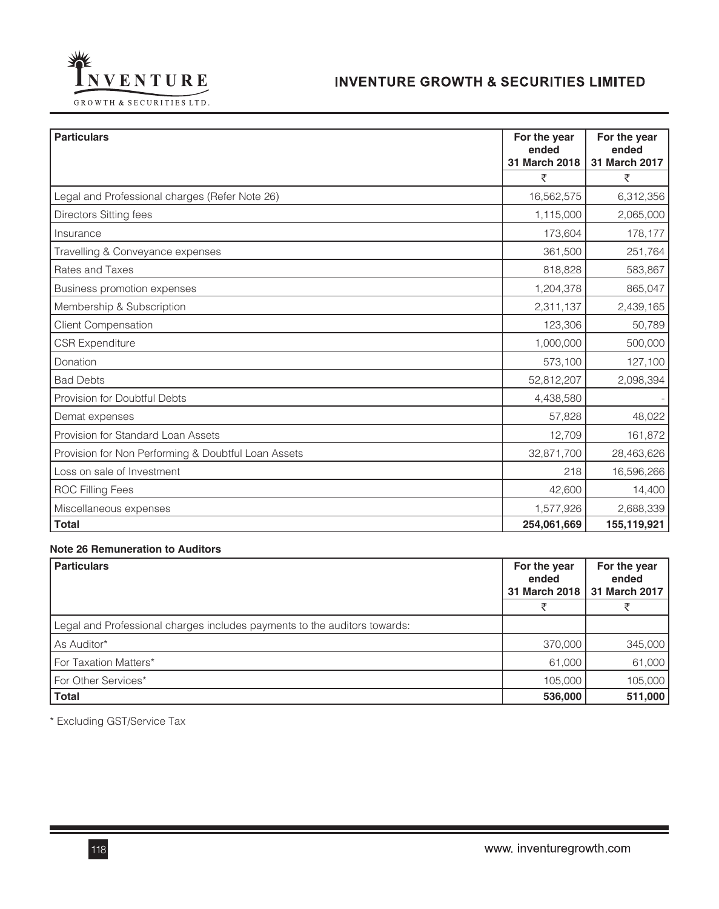

**For the year ended 31 March 2018**

**For the year ended 31 March 2017**

| INVENTURE<br>GROWTH & SECURITIES LTD.          | <b>INVENTURI</b> |
|------------------------------------------------|------------------|
| <b>Particulars</b>                             |                  |
| Legal and Professional charges (Refer Note 26) |                  |
| Directors Sitting fees                         |                  |
| Insurance                                      |                  |
|                                                |                  |

|                                                     | ₹           | ₹           |
|-----------------------------------------------------|-------------|-------------|
| Legal and Professional charges (Refer Note 26)      | 16,562,575  | 6,312,356   |
| <b>Directors Sitting fees</b>                       | 1,115,000   | 2,065,000   |
| Insurance                                           | 173,604     | 178,177     |
| Travelling & Conveyance expenses                    | 361,500     | 251,764     |
| Rates and Taxes                                     | 818,828     | 583,867     |
| Business promotion expenses                         | 1,204,378   | 865,047     |
| Membership & Subscription                           | 2,311,137   | 2,439,165   |
| <b>Client Compensation</b>                          | 123,306     | 50,789      |
| <b>CSR Expenditure</b>                              | 1,000,000   | 500,000     |
| Donation                                            | 573,100     | 127,100     |
| <b>Bad Debts</b>                                    | 52,812,207  | 2,098,394   |
| Provision for Doubtful Debts                        | 4,438,580   |             |
| Demat expenses                                      | 57,828      | 48,022      |
| Provision for Standard Loan Assets                  | 12,709      | 161,872     |
| Provision for Non Performing & Doubtful Loan Assets | 32,871,700  | 28,463,626  |
| Loss on sale of Investment                          | 218         | 16,596,266  |
| <b>ROC Filling Fees</b>                             | 42,600      | 14,400      |
| Miscellaneous expenses                              | 1,577,926   | 2,688,339   |
| <b>Total</b>                                        | 254,061,669 | 155,119,921 |

#### **Note 26 Remuneration to Auditors**

| <b>Particulars</b>                                                        | For the year<br>ended<br>31 March 2018 | For the year<br>ended<br>31 March 2017 |
|---------------------------------------------------------------------------|----------------------------------------|----------------------------------------|
|                                                                           | ヺ                                      |                                        |
| Legal and Professional charges includes payments to the auditors towards: |                                        |                                        |
| As Auditor*                                                               | 370,000                                | 345,000                                |
| For Taxation Matters*                                                     | 61,000                                 | 61,000                                 |
| For Other Services*                                                       | 105.000                                | 105,000                                |
| <b>Total</b>                                                              | 536,000                                | 511,000                                |

\* Excluding GST/Service Tax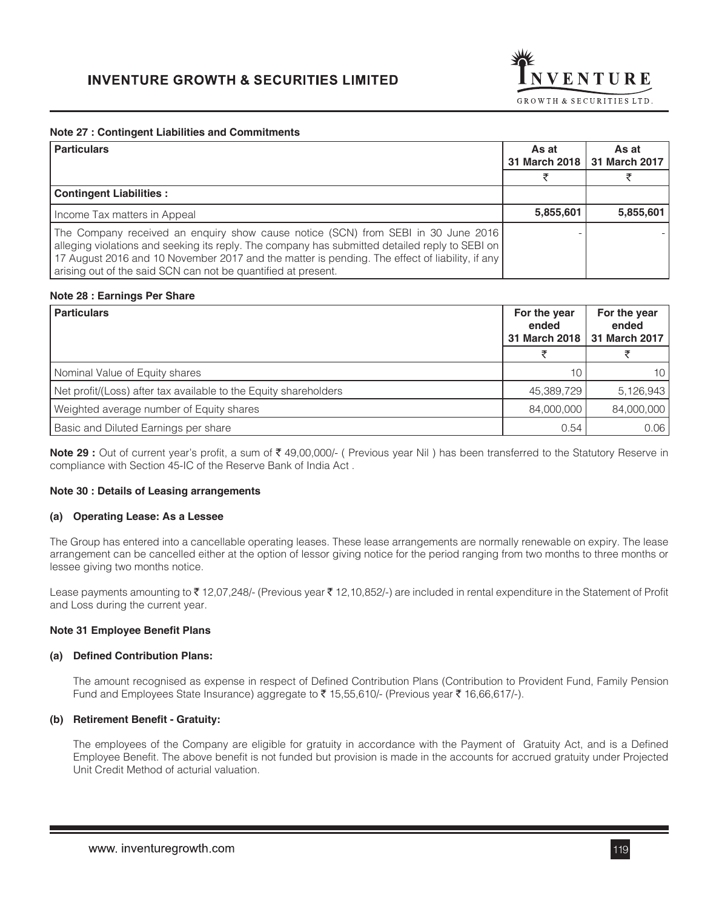

### **Note 27 : Contingent Liabilities and Commitments**

| <b>Particulars</b>                                                                                                                                                                                                                                                                                                                                     | As at<br>31 March 2018 | As at<br>31 March 2017 |
|--------------------------------------------------------------------------------------------------------------------------------------------------------------------------------------------------------------------------------------------------------------------------------------------------------------------------------------------------------|------------------------|------------------------|
|                                                                                                                                                                                                                                                                                                                                                        |                        |                        |
| <b>Contingent Liabilities:</b>                                                                                                                                                                                                                                                                                                                         |                        |                        |
| Income Tax matters in Appeal                                                                                                                                                                                                                                                                                                                           | 5,855,601              | 5,855,601              |
| The Company received an enquiry show cause notice (SCN) from SEBI in 30 June 2016<br>alleging violations and seeking its reply. The company has submitted detailed reply to SEBI on<br>17 August 2016 and 10 November 2017 and the matter is pending. The effect of liability, if any<br>arising out of the said SCN can not be quantified at present. |                        |                        |

#### **Note 28 : Earnings Per Share**

| For the year<br>ended<br>31 March 2018 | For the year<br>ended<br>31 March 2017 |
|----------------------------------------|----------------------------------------|
| チ                                      |                                        |
| 10                                     | 10                                     |
| 45,389,729                             | 5,126,943                              |
| 84,000,000                             | 84,000,000                             |
| 0.54                                   | 0.06                                   |
|                                        |                                        |

**Note 29 :** Out of current year's profit, a sum of ₹49,00,000/- (Previous year Nil) has been transferred to the Statutory Reserve in compliance with Section 45-IC of the Reserve Bank of India Act .

#### **Note 30 : Details of Leasing arrangements**

#### **(a) Operating Lease: As a Lessee**

The Group has entered into a cancellable operating leases. These lease arrangements are normally renewable on expiry. The lease arrangement can be cancelled either at the option of lessor giving notice for the period ranging from two months to three months or lessee giving two months notice.

Lease payments amounting to ₹12,07,248/- (Previous year ₹12,10,852/-) are included in rental expenditure in the Statement of Profit and Loss during the current year.

#### **Note 31 Employee Benefit Plans**

#### **(a) Defined Contribution Plans:**

The amount recognised as expense in respect of Defined Contribution Plans (Contribution to Provident Fund, Family Pension Fund and Employees State Insurance) aggregate to  $\bar{\tau}$  15,55,610/- (Previous year  $\bar{\tau}$  16,66,617/-).

### **(b) Retirement Benefit - Gratuity:**

The employees of the Company are eligible for gratuity in accordance with the Payment of Gratuity Act, and is a Defined Employee Benefit. The above benefit is not funded but provision is made in the accounts for accrued gratuity under Projected Unit Credit Method of acturial valuation.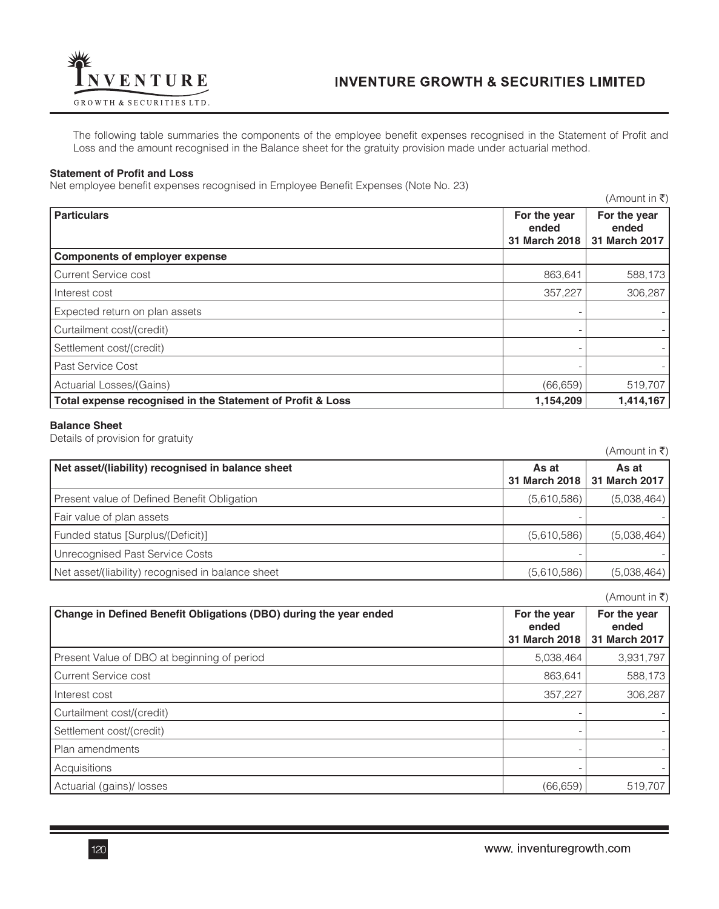

The following table summaries the components of the employee benefit expenses recognised in the Statement of Profit and Loss and the amount recognised in the Balance sheet for the gratuity provision made under actuarial method.

#### **Statement of Profit and Loss**

Net employee benefit expenses recognised in Employee Benefit Expenses (Note No. 23)

|                                                            |                                        | $(A$ mount in ₹)                       |
|------------------------------------------------------------|----------------------------------------|----------------------------------------|
| <b>Particulars</b>                                         | For the year<br>ended<br>31 March 2018 | For the year<br>ended<br>31 March 2017 |
| <b>Components of employer expense</b>                      |                                        |                                        |
| <b>Current Service cost</b>                                | 863,641                                | 588,173                                |
| Interest cost                                              | 357,227                                | 306,287                                |
| Expected return on plan assets                             |                                        |                                        |
| Curtailment cost/(credit)                                  |                                        |                                        |
| Settlement cost/(credit)                                   |                                        |                                        |
| Past Service Cost                                          |                                        |                                        |
| Actuarial Losses/(Gains)                                   | (66, 659)                              | 519,707                                |
| Total expense recognised in the Statement of Profit & Loss | 1,154,209                              | 1,414,167                              |

#### **Balance Sheet**

Details of provision for gratuity

|                                                   |                        | $(A$ mount in ₹)       |
|---------------------------------------------------|------------------------|------------------------|
| Net asset/(liability) recognised in balance sheet | As at<br>31 March 2018 | As at<br>31 March 2017 |
| Present value of Defined Benefit Obligation       | (5,610,586)            | (5,038,464)            |
| Fair value of plan assets                         |                        |                        |
| Funded status [Surplus/(Deficit)]                 | (5,610,586)            | (5,038,464)            |
| Unrecognised Past Service Costs                   |                        |                        |
| Net asset/(liability) recognised in balance sheet | (5,610,586)            | (5,038,464)            |

|                                                                   |                                        | (Amount in ₹)                          |
|-------------------------------------------------------------------|----------------------------------------|----------------------------------------|
| Change in Defined Benefit Obligations (DBO) during the year ended | For the year<br>ended<br>31 March 2018 | For the year<br>ended<br>31 March 2017 |
| Present Value of DBO at beginning of period                       | 5,038,464                              | 3,931,797                              |
| <b>Current Service cost</b>                                       | 863,641                                | 588,173                                |
| Interest cost                                                     | 357,227                                | 306,287                                |
| Curtailment cost/(credit)                                         |                                        |                                        |
| Settlement cost/(credit)                                          |                                        |                                        |
| Plan amendments                                                   |                                        |                                        |
| Acquisitions                                                      |                                        |                                        |
| Actuarial (gains)/ losses                                         | (66, 659)                              | 519,707                                |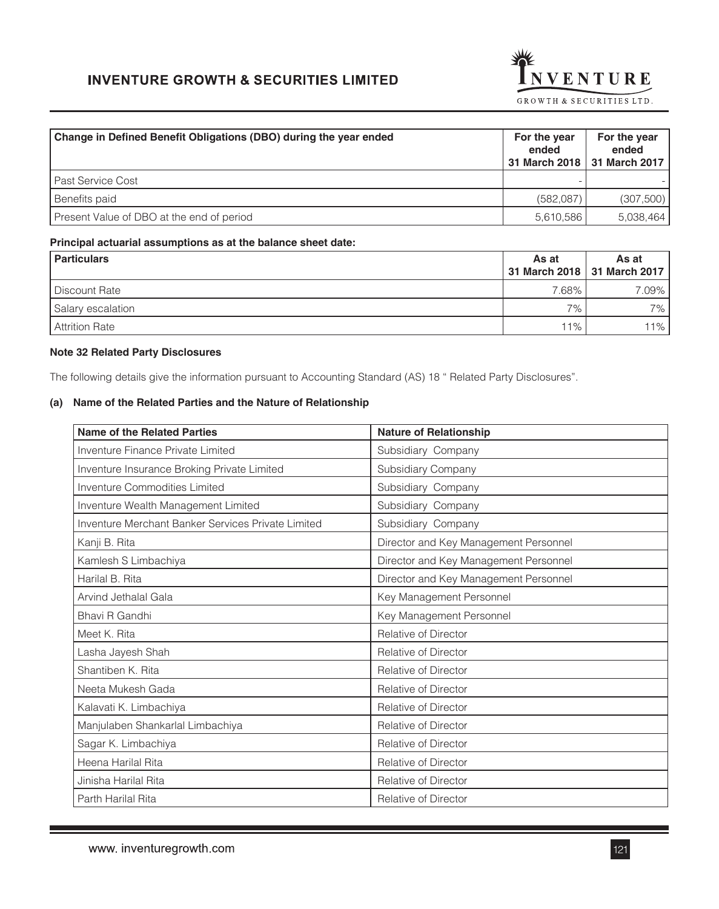

| Change in Defined Benefit Obligations (DBO) during the year ended | For the year<br>ended | For the year<br>ended<br>31 March 2018   31 March 2017 |
|-------------------------------------------------------------------|-----------------------|--------------------------------------------------------|
| Past Service Cost                                                 |                       |                                                        |
| Benefits paid                                                     | (582,087)             | (307,500)                                              |
| Present Value of DBO at the end of period                         | 5,610,586             | 5,038,464                                              |

#### **Principal actuarial assumptions as at the balance sheet date:**

| <b>Particulars</b>    | As at              | As at<br>31 March 2018   31 March 2017 |
|-----------------------|--------------------|----------------------------------------|
| Discount Rate         | 7.68%.             | 7.09%                                  |
| Salary escalation     | $7\%$ <sub>1</sub> | $7\%$ <sub>1</sub>                     |
| <b>Attrition Rate</b> | $11\%$ ,           | $11\%$                                 |

### **Note 32 Related Party Disclosures**

The following details give the information pursuant to Accounting Standard (AS) 18 " Related Party Disclosures".

## **(a) Name of the Related Parties and the Nature of Relationship**

| <b>Name of the Related Parties</b>                 | <b>Nature of Relationship</b>         |
|----------------------------------------------------|---------------------------------------|
| Inventure Finance Private Limited                  | Subsidiary Company                    |
| Inventure Insurance Broking Private Limited        | Subsidiary Company                    |
| <b>Inventure Commodities Limited</b>               | Subsidiary Company                    |
| Inventure Wealth Management Limited                | Subsidiary Company                    |
| Inventure Merchant Banker Services Private Limited | Subsidiary Company                    |
| Kanji B. Rita                                      | Director and Key Management Personnel |
| Kamlesh S Limbachiya                               | Director and Key Management Personnel |
| Harilal B. Rita                                    | Director and Key Management Personnel |
| Arvind Jethalal Gala                               | Key Management Personnel              |
| Bhavi R Gandhi                                     | Key Management Personnel              |
| Meet K. Rita                                       | Relative of Director                  |
| Lasha Jayesh Shah                                  | Relative of Director                  |
| Shantiben K. Rita                                  | <b>Relative of Director</b>           |
| Neeta Mukesh Gada                                  | Relative of Director                  |
| Kalavati K. Limbachiya                             | Relative of Director                  |
| Manjulaben Shankarlal Limbachiya                   | <b>Relative of Director</b>           |
| Sagar K. Limbachiya                                | Relative of Director                  |
| Heena Harilal Rita                                 | Relative of Director                  |
| Jinisha Harilal Rita                               | <b>Relative of Director</b>           |
| Parth Harilal Rita                                 | <b>Relative of Director</b>           |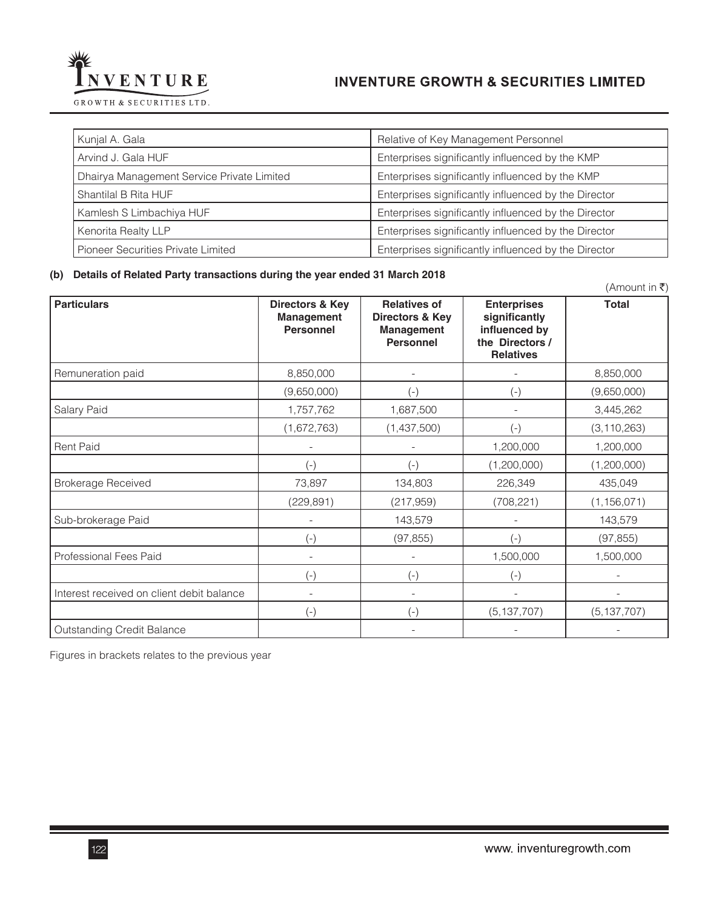

| Kunjal A. Gala                             | Relative of Key Management Personnel                 |
|--------------------------------------------|------------------------------------------------------|
| Arvind J. Gala HUF                         | Enterprises significantly influenced by the KMP      |
| Dhairya Management Service Private Limited | Enterprises significantly influenced by the KMP      |
| Shantilal B Rita HUF                       | Enterprises significantly influenced by the Director |
| Kamlesh S Limbachiya HUF                   | Enterprises significantly influenced by the Director |
| <b>Kenorita Realty LLP</b>                 | Enterprises significantly influenced by the Director |
| Pioneer Securities Private Limited         | Enterprises significantly influenced by the Director |
|                                            |                                                      |

#### **(b) Details of Related Party transactions during the year ended 31 March 2018**

|                                           |                                                          |                                                                          |                                                                                             | (Amount in ₹) |
|-------------------------------------------|----------------------------------------------------------|--------------------------------------------------------------------------|---------------------------------------------------------------------------------------------|---------------|
| <b>Particulars</b>                        | Directors & Key<br><b>Management</b><br><b>Personnel</b> | <b>Relatives of</b><br>Directors & Key<br>Management<br><b>Personnel</b> | <b>Enterprises</b><br>significantly<br>influenced by<br>the Directors /<br><b>Relatives</b> | <b>Total</b>  |
| Remuneration paid                         | 8,850,000                                                |                                                                          |                                                                                             | 8,850,000     |
|                                           | (9,650,000)                                              | $(-)$                                                                    | $(-)$                                                                                       | (9,650,000)   |
| Salary Paid                               | 1,757,762                                                | 1,687,500                                                                |                                                                                             | 3,445,262     |
|                                           | (1,672,763)                                              | (1,437,500)                                                              | $(-)$                                                                                       | (3, 110, 263) |
| <b>Rent Paid</b>                          |                                                          |                                                                          | 1,200,000                                                                                   | 1,200,000     |
|                                           | $(-)$                                                    | $(-)$                                                                    | (1,200,000)                                                                                 | (1,200,000)   |
| <b>Brokerage Received</b>                 | 73,897                                                   | 134,803                                                                  | 226,349                                                                                     | 435,049       |
|                                           | (229, 891)                                               | (217, 959)                                                               | (708, 221)                                                                                  | (1, 156, 071) |
| Sub-brokerage Paid                        |                                                          | 143,579                                                                  |                                                                                             | 143,579       |
|                                           | $(-)$                                                    | (97, 855)                                                                | $(-)$                                                                                       | (97, 855)     |
| Professional Fees Paid                    |                                                          |                                                                          | 1,500,000                                                                                   | 1,500,000     |
|                                           | $(-)$                                                    | $(-)$                                                                    | $(-)$                                                                                       |               |
| Interest received on client debit balance |                                                          |                                                                          |                                                                                             |               |
|                                           | $(-)$                                                    | $(-)$                                                                    | (5, 137, 707)                                                                               | (5, 137, 707) |
| <b>Outstanding Credit Balance</b>         |                                                          |                                                                          |                                                                                             |               |

Figures in brackets relates to the previous year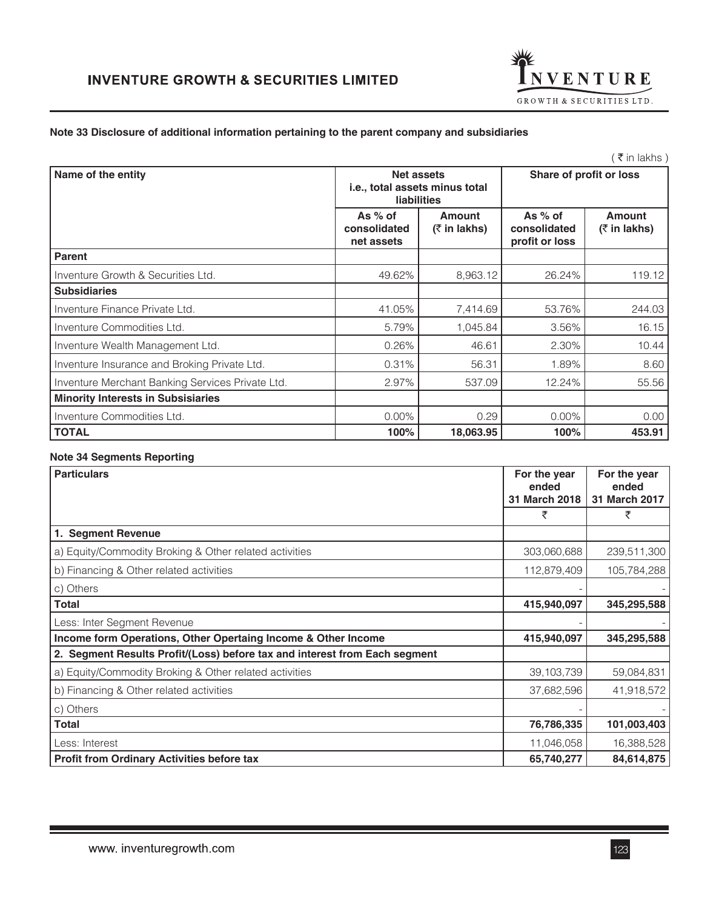

### **Note 33 Disclosure of additional information pertaining to the parent company and subsidiaries**

|                                                                    |                                  |                                             | ミ₹ in lakhs)                     |
|--------------------------------------------------------------------|----------------------------------|---------------------------------------------|----------------------------------|
| Net assets<br>i.e., total assets minus total<br><b>liabilities</b> |                                  |                                             |                                  |
| As $%$ of<br>consolidated<br>net assets                            | <b>Amount</b><br>$($ ₹ in lakhs) | As $%$ of<br>consolidated<br>profit or loss | <b>Amount</b><br>$($ ₹ in lakhs) |
|                                                                    |                                  |                                             |                                  |
| 49.62%                                                             | 8,963.12                         | 26.24%                                      | 119.12                           |
|                                                                    |                                  |                                             |                                  |
| 41.05%                                                             | 7,414.69                         | 53.76%                                      | 244.03                           |
| 5.79%                                                              | 1,045.84                         | 3.56%                                       | 16.15                            |
| 0.26%                                                              | 46.61                            | 2.30%                                       | 10.44                            |
| 0.31%                                                              | 56.31                            | 1.89%                                       | 8.60                             |
| 2.97%                                                              | 537.09                           | 12.24%                                      | 55.56                            |
|                                                                    |                                  |                                             |                                  |
| $0.00\%$                                                           | 0.29                             | $0.00\%$                                    | 0.00                             |
|                                                                    |                                  |                                             | Share of profit or loss          |

**TOTAL 100% 18,063.95 100% 453.91** 

### **Note 34 Segments Reporting**

| <b>Particulars</b>                                                         | For the year<br>ended | For the year<br>ended |
|----------------------------------------------------------------------------|-----------------------|-----------------------|
|                                                                            | 31 March 2018         | 31 March 2017         |
|                                                                            | ₹                     | ₹                     |
| 1. Segment Revenue                                                         |                       |                       |
| a) Equity/Commodity Broking & Other related activities                     | 303,060,688           | 239,511,300           |
| b) Financing & Other related activities                                    | 112,879,409           | 105,784,288           |
| c) Others                                                                  |                       |                       |
| <b>Total</b>                                                               | 415,940,097           | 345,295,588           |
| Less: Inter Segment Revenue                                                |                       |                       |
| Income form Operations, Other Opertaing Income & Other Income              | 415,940,097           | 345,295,588           |
| 2. Segment Results Profit/(Loss) before tax and interest from Each segment |                       |                       |
| a) Equity/Commodity Broking & Other related activities                     | 39, 103, 739          | 59,084,831            |
| b) Financing & Other related activities                                    | 37,682,596            | 41,918,572            |
| c) Others                                                                  |                       |                       |
| Total                                                                      | 76,786,335            | 101,003,403           |
| Less: Interest                                                             | 11,046,058            | 16,388,528            |
| <b>Profit from Ordinary Activities before tax</b>                          | 65,740,277            | 84,614,875            |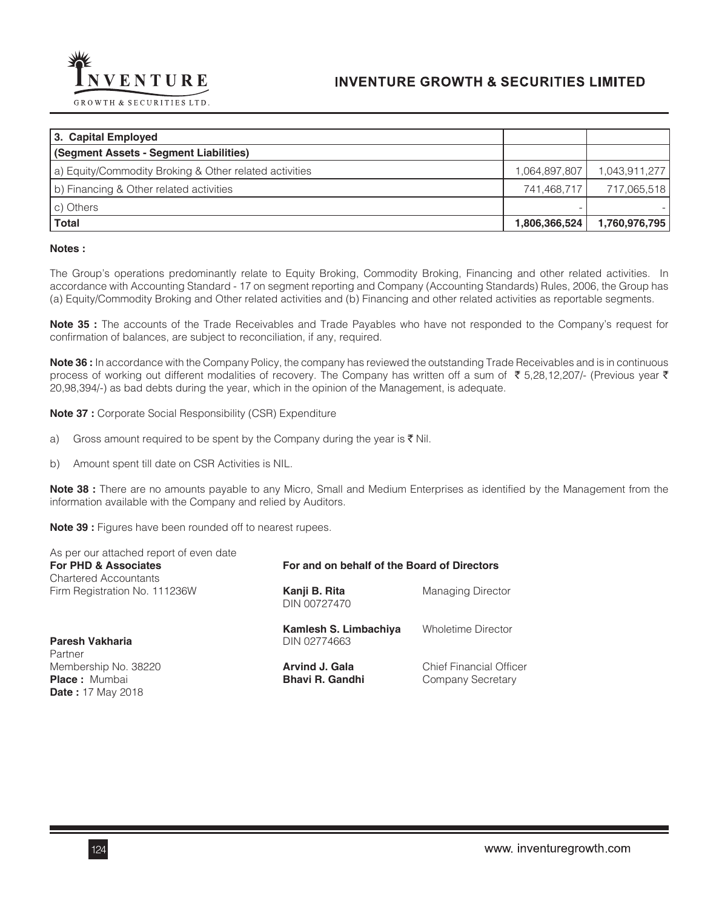

| 1,043,911,277                                 |
|-----------------------------------------------|
| 717,065,518                                   |
|                                               |
| 1,760,976,795                                 |
| 1,064,897,807<br>741,468,717<br>1,806,366,524 |

#### **Notes :**

The Group's operations predominantly relate to Equity Broking, Commodity Broking, Financing and other related activities. In accordance with Accounting Standard - 17 on segment reporting and Company (Accounting Standards) Rules, 2006, the Group has (a) Equity/Commodity Broking and Other related activities and (b) Financing and other related activities as reportable segments.

**Note 35 :** The accounts of the Trade Receivables and Trade Payables who have not responded to the Company's request for confirmation of balances, are subject to reconciliation, if any, required.

**Note 36 :** In accordance with the Company Policy, the company has reviewed the outstanding Trade Receivables and is in continuous process of working out different modalities of recovery. The Company has written off a sum of ₹5,28,12,207/- (Previous year ₹ 20,98,394/-) as bad debts during the year, which in the opinion of the Management, is adequate.

**Note 37 :** Corporate Social Responsibility (CSR) Expenditure

- a) Gross amount required to be spent by the Company during the year is  $\bar{\tau}$  Nil.
- b) Amount spent till date on CSR Activities is NIL.

**Note 38 :** There are no amounts payable to any Micro, Small and Medium Enterprises as identified by the Management from the information available with the Company and relied by Auditors.

**Note 39 :** Figures have been rounded off to nearest rupees.

| As per our attached report of even date<br>For PHD & Associates<br><b>Chartered Accountants</b> | For and on behalf of the Board of Directors     |                                                     |  |
|-------------------------------------------------------------------------------------------------|-------------------------------------------------|-----------------------------------------------------|--|
| Firm Registration No. 111236W                                                                   | Kanji B. Rita<br>DIN 00727470                   | <b>Managing Director</b>                            |  |
| Paresh Vakharia<br>Partner                                                                      | Kamlesh S. Limbachiya<br>DIN 02774663           | <b>Wholetime Director</b>                           |  |
| Membership No. 38220<br><b>Place:</b> Mumbai<br><b>Date:</b> 17 May 2018                        | <b>Arvind J. Gala</b><br><b>Bhavi R. Gandhi</b> | <b>Chief Financial Officer</b><br>Company Secretary |  |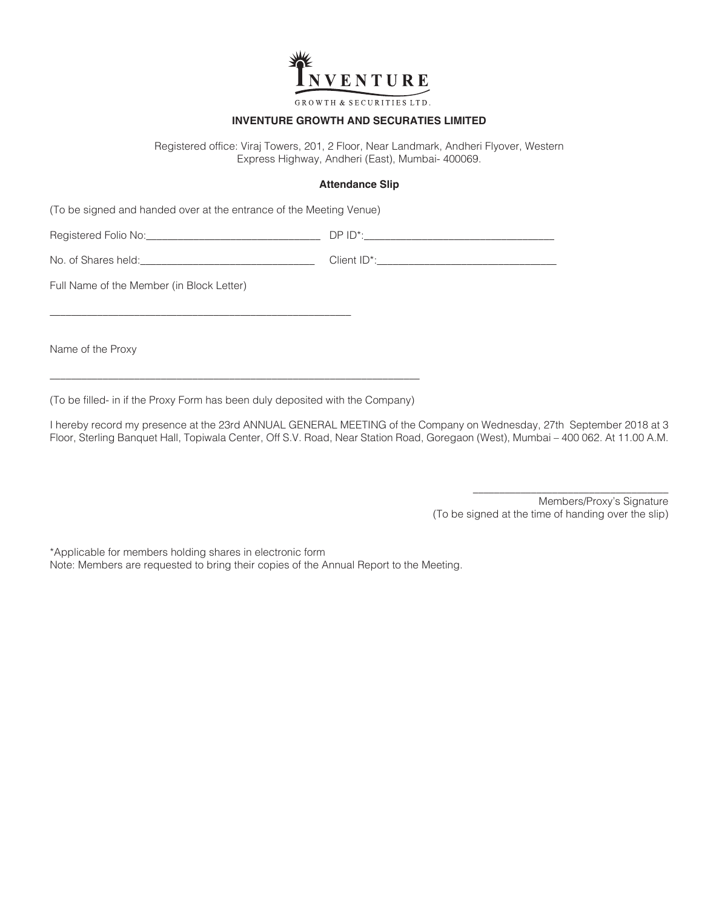

GROWTH & SECURITIES LTD.

### **INVENTURE GROWTH AND SECURATIES LIMITED**

Registered office: Viraj Towers, 201, 2 Floor, Near Landmark, Andheri Flyover, Western Express Highway, Andheri (East), Mumbai- 400069.

#### **Attendance Slip**

(To be signed and handed over at the entrance of the Meeting Venue)

\_\_\_\_\_\_\_\_\_\_\_\_\_\_\_\_\_\_\_\_\_\_\_\_\_\_\_\_\_\_\_\_\_\_\_\_\_\_\_\_\_\_\_\_\_\_\_\_\_\_\_\_\_\_\_\_\_

Registered Folio No:\_\_\_\_\_\_\_\_\_\_\_\_\_\_\_\_\_\_\_\_\_\_\_\_\_\_\_\_\_\_\_\_\_ DP ID\*:\_\_\_\_\_\_\_\_\_\_\_\_\_\_\_\_\_\_\_\_\_\_\_\_\_\_\_\_\_\_\_\_\_\_\_\_

No. of Shares held:  $\Box$ 

Full Name of the Member (in Block Letter)

Name of the Proxy

(To be filled- in if the Proxy Form has been duly deposited with the Company)

\_\_\_\_\_\_\_\_\_\_\_\_\_\_\_\_\_\_\_\_\_\_\_\_\_\_\_\_\_\_\_\_\_\_\_\_\_\_\_\_\_\_\_\_\_\_\_\_\_\_\_\_\_\_\_\_\_\_\_\_\_\_\_\_\_\_\_\_\_\_

I hereby record my presence at the 23rd ANNUAL GENERAL MEETING of the Company on Wednesday, 27th September 2018 at 3 Floor, Sterling Banquet Hall, Topiwala Center, Off S.V. Road, Near Station Road, Goregaon (West), Mumbai – 400 062. At 11.00 A.M.

> Members/Proxy's Signature (To be signed at the time of handing over the slip)

\_\_\_\_\_\_\_\_\_\_\_\_\_\_\_\_\_\_\_\_\_\_\_\_\_\_\_\_\_\_\_\_\_\_\_\_\_

\*Applicable for members holding shares in electronic form Note: Members are requested to bring their copies of the Annual Report to the Meeting.